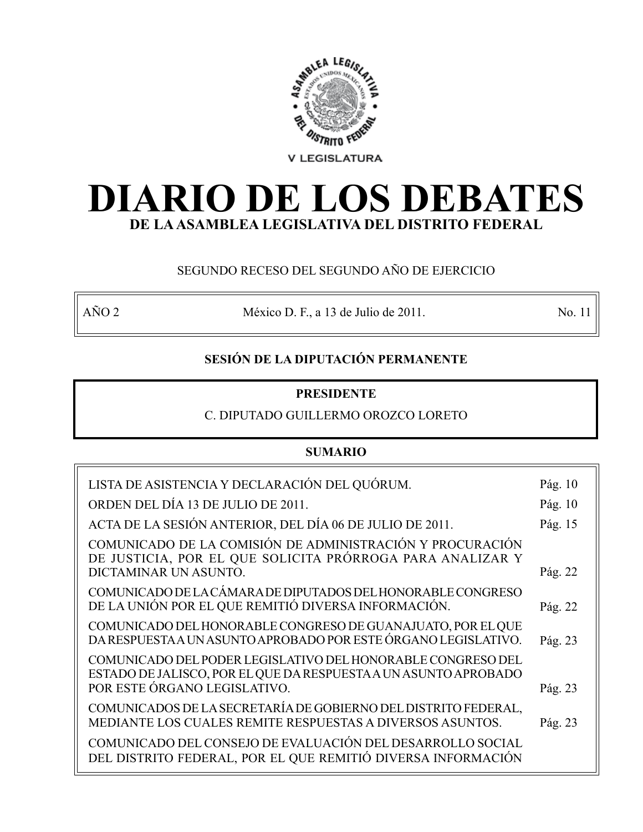

# **DIARIO DE LOS DEBATES DE LA ASAMBLEA LEGISLATIVA DEL DISTRITO FEDERAL**

# SEGUNDO RECESO DEL SEGUNDO AÑO DE EJERCICIO

AÑO 2 México D. F., a 13 de Julio de 2011. No. 11

# **SESIÓN DE LA DIPUTACIÓN PERMANENTE**

# **PRESIDENTE**

# C. DIPUTADO GUILLERMO OROZCO LORETO

# **SUMARIO**

| LISTA DE ASISTENCIA Y DECLARACIÓN DEL QUÓRUM.                                                                                  | Pág. 10 |
|--------------------------------------------------------------------------------------------------------------------------------|---------|
| ORDEN DEL DÍA 13 DE JULIO DE 2011.                                                                                             | Pág. 10 |
| ACTA DE LA SESIÓN ANTERIOR, DEL DÍA 06 DE JULIO DE 2011.                                                                       | Pág. 15 |
| COMUNICADO DE LA COMISIÓN DE ADMINISTRACIÓN Y PROCURACIÓN<br>DE JUSTICIA, POR EL QUE SOLICITA PRÓRROGA PARA ANALIZAR Y         |         |
| DICTAMINAR UN ASUNTO.                                                                                                          | Pág. 22 |
| COMUNICADO DE LA CÁMARA DE DIPUTADOS DEL HONORABLE CONGRESO<br>DE LA UNIÓN POR EL QUE REMITIÓ DIVERSA INFORMACIÓN.             | Pág. 22 |
| COMUNICADO DEL HONORABLE CONGRESO DE GUANAJUATO, POR EL QUE<br>DA RESPUESTA A UN ASUNTO APROBADO POR ESTE ÓRGANO LEGISLATIVO.  | Pág. 23 |
| COMUNICADO DEL PODER LEGISLATIVO DEL HONORABLE CONGRESO DEL<br>ESTADO DE JALISCO, POR EL QUE DA RESPUESTA A UN ASUNTO APROBADO |         |
| POR ESTE ÓRGANO LEGISLATIVO.                                                                                                   | Pág. 23 |
| COMUNICADOS DE LA SECRETARÍA DE GOBIERNO DEL DISTRITO FEDERAL,<br>MEDIANTE LOS CUALES REMITE RESPUESTAS A DIVERSOS ASUNTOS.    | Pág. 23 |
| COMUNICADO DEL CONSEJO DE EVALUACIÓN DEL DESARROLLO SOCIAL<br>DEL DISTRITO FEDERAL, POR EL QUE REMITIÓ DIVERSA INFORMACIÓN     |         |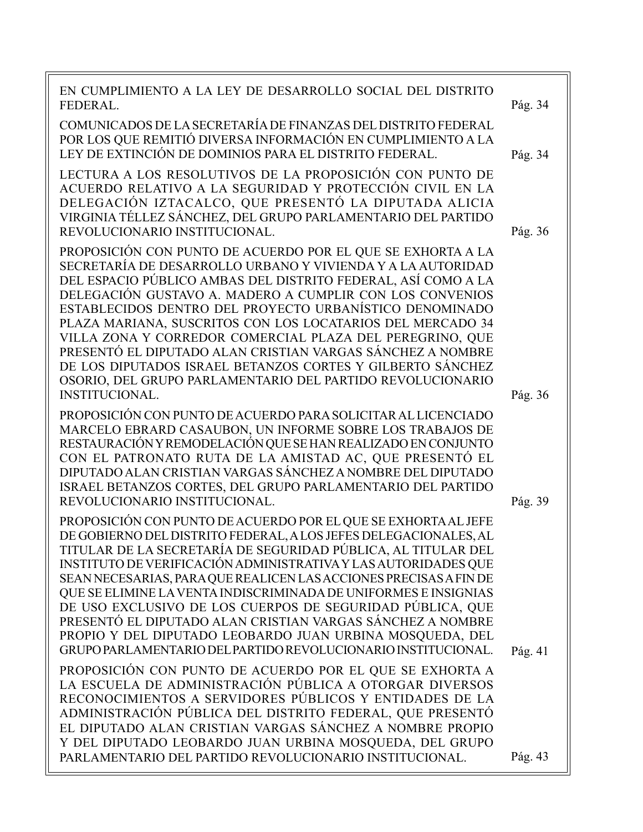EN CUMPLIMIENTO A LA LEY DE DESARROLLO SOCIAL DEL DISTRITO FEDERAL. COMUNICADOS DE LA SECRETARÍA DE FINANZAS DEL DISTRITO FEDERAL POR LOS QUE REMITIÓ DIVERSA INFORMACIÓN EN CUMPLIMIENTO A LA LEY DE EXTINCIÓN DE DOMINIOS PARA EL DISTRITO FEDERAL. LECTURA A LOS RESOLUTIVOS DE LA PROPOSICIÓN CON PUNTO DE ACUERDO RELATIVO A LA SEGURIDAD Y PROTECCIÓN CIVIL EN LA DELEGACIÓN IZTACALCO, QUE PRESENTÓ LA DIPUTADA ALICIA VIRGINIA TÉLLEZ SÁNCHEZ, DEL GRUPO PARLAMENTARIO DEL PARTIDO REVOLUCIONARIO INSTITUCIONAL. PROPOSICIÓN CON PUNTO DE ACUERDO POR EL QUE SE EXHORTA A LA SECRETARÍA DE DESARROLLO URBANO Y VIVIENDA Y A LA AUTORIDAD DEL ESPACIO PÚBLICO AMBAS DEL DISTRITO FEDERAL, ASÍ COMO A LA DELEGACIÓN GUSTAVO A. MADERO A CUMPLIR CON LOS CONVENIOS ESTABLECIDOS DENTRO DEL PROYECTO URBANÍSTICO DENOMINADO PLAZA MARIANA, SUSCRITOS CON LOS LOCATARIOS DEL MERCADO 34 VILLA ZONA Y CORREDOR COMERCIAL PLAZA DEL PEREGRINO, QUE PRESENTÓ EL DIPUTADO ALAN CRISTIAN VARGAS SÁNCHEZ A NOMBRE DE LOS DIPUTADOS ISRAEL BETANZOS CORTES Y GILBERTO SÁNCHEZ OSORIO, DEL GRUPO PARLAMENTARIO DEL PARTIDO REVOLUCIONARIO INSTITUCIONAL. PROPOSICIÓN CON PUNTO DE ACUERDO PARA SOLICITAR AL LICENCIADO MARCELO EBRARD CASAUBON, UN INFORME SOBRE LOS TRABAJOS DE RESTAURACIÓN Y REMODELACIÓN QUE SE HAN REALIZADO EN CONJUNTO CON EL PATRONATO RUTA DE LA AMISTAD AC, QUE PRESENTÓ EL DIPUTADO ALAN CRISTIAN VARGAS SÁNCHEZ A NOMBRE DEL DIPUTADO ISRAEL BETANZOS CORTES, DEL GRUPO PARLAMENTARIO DEL PARTIDO REVOLUCIONARIO INSTITUCIONAL. PROPOSICIÓN CON PUNTO DE ACUERDO POR EL QUE SE EXHORTA AL JEFE DE GOBIERNO DEL DISTRITO FEDERAL, A LOS JEFES DELEGACIONALES, AL TITULAR DE LA SECRETARÍA DE SEGURIDAD PÚBLICA, AL TITULAR DEL INSTITUTO DE VERIFICACIÓN ADMINISTRATIVA Y LAS AUTORIDADES QUE SEAN NECESARIAS, PARA QUE REALICEN LAS ACCIONES PRECISAS A FIN DE QUE SE ELIMINE LA VENTA INDISCRIMINADA DE UNIFORMES E INSIGNIAS DE USO EXCLUSIVO DE LOS CUERPOS DE SEGURIDAD PÚBLICA, QUE PRESENTÓ EL DIPUTADO ALAN CRISTIAN VARGAS SÁNCHEZ A NOMBRE PROPIO Y DEL DIPUTADO LEOBARDO JUAN URBINA MOSQUEDA, DEL GRUPO PARLAMENTARIO DEL PARTIDO REVOLUCIONARIO INSTITUCIONAL. PROPOSICIÓN CON PUNTO DE ACUERDO POR EL QUE SE EXHORTA A LA ESCUELA DE ADMINISTRACIÓN PÚBLICA A OTORGAR DIVERSOS RECONOCIMIENTOS A SERVIDORES PÚBLICOS Y ENTIDADES DE LA ADMINISTRACIÓN PÚBLICA DEL DISTRITO FEDERAL, QUE PRESENTÓ EL DIPUTADO ALAN CRISTIAN VARGAS SÁNCHEZ A NOMBRE PROPIO Y DEL DIPUTADO LEOBARDO JUAN URBINA MOSQUEDA, DEL GRUPO PARLAMENTARIO DEL PARTIDO REVOLUCIONARIO INSTITUCIONAL. Pág. 36 Pág. 36 Pág. 34 Pág. 39 Pág. 41 Pág. 43 Pág. 34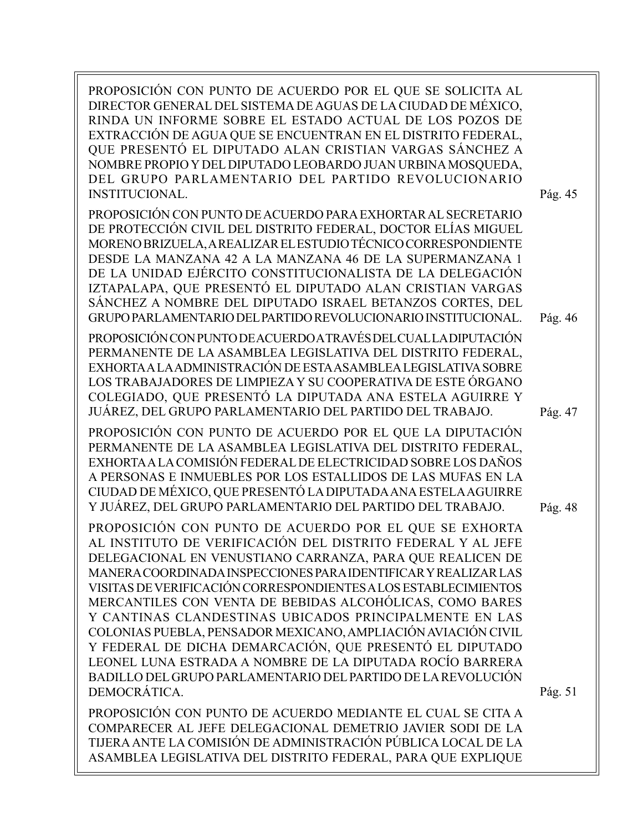| PROPOSICIÓN CON PUNTO DE ACUERDO POR EL QUE SE SOLICITA AL<br>DIRECTOR GENERAL DEL SISTEMA DE AGUAS DE LA CIUDAD DE MÉXICO,<br>RINDA UN INFORME SOBRE EL ESTADO ACTUAL DE LOS POZOS DE<br>EXTRACCIÓN DE AGUA QUE SE ENCUENTRAN EN EL DISTRITO FEDERAL,<br>QUE PRESENTÓ EL DIPUTADO ALAN CRISTIAN VARGAS SÁNCHEZ A<br>NOMBRE PROPIO Y DEL DIPUTADO LEOBARDO JUAN URBINA MOSQUEDA,<br>DEL GRUPO PARLAMENTARIO DEL PARTIDO REVOLUCIONARIO<br><b>INSTITUCIONAL.</b>                                                                                                                                                                                                                                                         | Pág. 45 |
|-------------------------------------------------------------------------------------------------------------------------------------------------------------------------------------------------------------------------------------------------------------------------------------------------------------------------------------------------------------------------------------------------------------------------------------------------------------------------------------------------------------------------------------------------------------------------------------------------------------------------------------------------------------------------------------------------------------------------|---------|
| PROPOSICIÓN CON PUNTO DE ACUERDO PARA EXHORTAR AL SECRETARIO<br>DE PROTECCIÓN CIVIL DEL DISTRITO FEDERAL, DOCTOR ELÍAS MIGUEL<br>MORENO BRIZUELA, A REALIZAR EL ESTUDIO TÉCNICO CORRESPONDIENTE<br>DESDE LA MANZANA 42 A LA MANZANA 46 DE LA SUPERMANZANA 1<br>DE LA UNIDAD EJÉRCITO CONSTITUCIONALISTA DE LA DELEGACIÓN<br>IZTAPALAPA, QUE PRESENTÓ EL DIPUTADO ALAN CRISTIAN VARGAS<br>SÁNCHEZ A NOMBRE DEL DIPUTADO ISRAEL BETANZOS CORTES, DEL<br>GRUPO PARLAMENTARIO DEL PARTIDO REVOLUCIONARIO INSTITUCIONAL.                                                                                                                                                                                                     | Pág. 46 |
| PROPOSICIÓN CON PUNTO DE ACUERDO A TRAVÉS DEL CUAL LA DIPUTACIÓN<br>PERMANENTE DE LA ASAMBLEA LEGISLATIVA DEL DISTRITO FEDERAL,<br>EXHORTA A LA ADMINISTRACIÓN DE ESTA ASAMBLEA LEGISLATIVA SOBRE<br>LOS TRABAJADORES DE LIMPIEZA Y SU COOPERATIVA DE ESTE ÓRGANO<br>COLEGIADO, QUE PRESENTÓ LA DIPUTADA ANA ESTELA AGUIRRE Y<br>JUÁREZ, DEL GRUPO PARLAMENTARIO DEL PARTIDO DEL TRABAJO.                                                                                                                                                                                                                                                                                                                               | Pág. 47 |
| PROPOSICIÓN CON PUNTO DE ACUERDO POR EL QUE LA DIPUTACIÓN<br>PERMANENTE DE LA ASAMBLEA LEGISLATIVA DEL DISTRITO FEDERAL,<br>EXHORTA A LA COMISIÓN FEDERAL DE ELECTRICIDAD SOBRE LOS DAÑOS<br>A PERSONAS E INMUEBLES POR LOS ESTALLIDOS DE LAS MUFAS EN LA<br>CIUDAD DE MÉXICO, QUE PRESENTÓ LA DIPUTADA ANA ESTELA AGUIRRE<br>Y JUÁREZ, DEL GRUPO PARLAMENTARIO DEL PARTIDO DEL TRABAJO.                                                                                                                                                                                                                                                                                                                                | Pág. 48 |
| PROPOSICIÓN CON PUNTO DE ACUERDO POR EL QUE SE EXHORTA<br>AL INSTITUTO DE VERIFICACIÓN DEL DISTRITO FEDERAL Y AL JEFE<br>DELEGACIONAL EN VENUSTIANO CARRANZA, PARA QUE REALICEN DE<br>MANERA COORDINADA INSPECCIONES PARA IDENTIFICAR Y REALIZAR LAS<br>VISITAS DE VERIFICACIÓN CORRESPONDIENTES A LOS ESTABLECIMIENTOS<br>MERCANTILES CON VENTA DE BEBIDAS ALCOHÓLICAS, COMO BARES<br>Y CANTINAS CLANDESTINAS UBICADOS PRINCIPALMENTE EN LAS<br>COLONIAS PUEBLA, PENSADOR MEXICANO, AMPLIACIÓN AVIACIÓN CIVIL<br>Y FEDERAL DE DICHA DEMARCACIÓN, QUE PRESENTÓ EL DIPUTADO<br>LEONEL LUNA ESTRADA A NOMBRE DE LA DIPUTADA ROCÍO BARRERA<br>BADILLO DEL GRUPO PARLAMENTARIO DEL PARTIDO DE LA REVOLUCIÓN<br>DEMOCRÁTICA. | Pág. 51 |
| PROPOSICIÓN CON PUNTO DE ACUERDO MEDIANTE EL CUAL SE CITA A<br>COMPARECER AL JEFE DELEGACIONAL DEMETRIO JAVIER SODI DE LA<br>TIJERA ANTE LA COMISIÓN DE ADMINISTRACIÓN PÚBLICA LOCAL DE LA<br>ASAMBLEA LEGISLATIVA DEL DISTRITO FEDERAL, PARA QUE EXPLIQUE                                                                                                                                                                                                                                                                                                                                                                                                                                                              |         |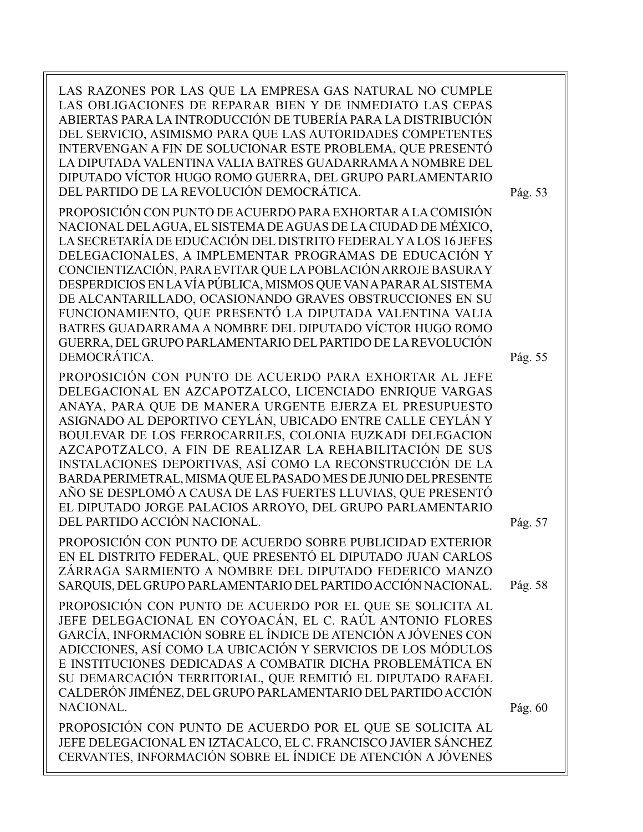LAS RAZONES POR LAS QUE LA EMPRESA GAS NATURAL NO CUMPLE LAS OBLIGACIONES DE REPARAR BIEN Y DE INMEDIATO LAS CEPAS ABIERTAS PARA LA INTRODUCCIÓN DE TUBERÍA PARA LA DISTRIBUCIÓN DEL SERVICIO, ASIMISMO PARA QUE LAS AUTORIDADES COMPETENTES INTERVENGAN A FIN DE SOLUCIONAR ESTE PROBLEMA, QUE PRESENTÓ LA DIPUTADA VALENTINA VALIA BATRES GUADARRAMA A NOMBRE DEL DIPUTADO VÍCTOR HUGO ROMO GUERRA, DEL GRUPO PARLAMENTARIO DEL PARTIDO DE LA REVOLUCIÓN DEMOCRÁTICA. PROPOSICIÓN CON PUNTO DE ACUERDO PARA EXHORTAR A LA COMISIÓN Pág. 53

NACIONAL DEL AGUA, EL SISTEMA DE AGUAS DE LA CIUDAD DE MÉXICO, LA SECRETARÍA DE EDUCACIÓN DEL DISTRITO FEDERAL Y A LOS 16 JEFES DELEGACIONALES, A IMPLEMENTAR PROGRAMAS DE EDUCACIÓN Y CONCIENTIZACIÓN, PARA EVITAR QUE LA POBLACIÓN ARROJE BASURA Y DESPERDICIOS EN LA VÍA PÚBLICA, MISMOS QUE VAN A PARAR AL SISTEMA DE ALCANTARILLADO, OCASIONANDO GRAVES OBSTRUCCIONES EN SU FUNCIONAMIENTO, QUE PRESENTÓ LA DIPUTADA VALENTINA VALIA BATRES GUADARRAMA A NOMBRE DEL DIPUTADO VÍCTOR HUGO ROMO GUERRA, DEL GRUPO PARLAMENTARIO DEL PARTIDO DE LA REVOLUCIÓN DEMOCRÁTICA.

PROPOSICIÓN CON PUNTO DE ACUERDO PARA EXHORTAR AL JEFE DELEGACIONAL EN AZCAPOTZALCO, LICENCIADO ENRIQUE VARGAS ANAYA, PARA QUE DE MANERA URGENTE EJERZA EL PRESUPUESTO ASIGNADO AL DEPORTIVO CEYLÁN, UBICADO ENTRE CALLE CEYLÁN Y BOULEVAR DE LOS FERROCARRILES, COLONIA EUZKADI DELEGACION AZCAPOTZALCO, A FIN DE REALIZAR LA REHABILITACIÓN DE SUS INSTALACIONES DEPORTIVAS, ASÍ COMO LA RECONSTRUCCIÓN DE LA BARDA PERIMETRAL, MISMA QUE EL PASADO MES DE JUNIO DEL PRESENTE AÑO SE DESPLOMÓ A CAUSA DE LAS FUERTES LLUVIAS, QUE PRESENTÓ EL DIPUTADO JORGE PALACIOS ARROYO, DEL GRUPO PARLAMENTARIO DEL PARTIDO ACCIÓN NACIONAL.

PROPOSICIÓN CON PUNTO DE ACUERDO SOBRE PUBLICIDAD EXTERIOR EN EL DISTRITO FEDERAL, QUE PRESENTÓ EL DIPUTADO JUAN CARLOS ZÁRRAGA SARMIENTO A NOMBRE DEL DIPUTADO FEDERICO MANZO SARQUIS, DEL GRUPO PARLAMENTARIO DEL PARTIDO ACCIÓN NACIONAL.

PROPOSICIÓN CON PUNTO DE ACUERDO POR EL QUE SE SOLICITA AL JEFE DELEGACIONAL EN COYOACÁN, EL C. RAÚL ANTONIO FLORES GARCÍA, INFORMACIÓN SOBRE EL ÍNDICE DE ATENCIÓN A JÓVENES CON ADICCIONES, ASÍ COMO LA UBICACIÓN Y SERVICIOS DE LOS MÓDULOS E INSTITUCIONES DEDICADAS A COMBATIR DICHA PROBLEMÁTICA EN SU DEMARCACIÓN TERRITORIAL, QUE REMITIÓ EL DIPUTADO RAFAEL CALDERÓN JIMÉNEZ, DEL GRUPO PARLAMENTARIO DEL PARTIDO ACCIÓN NACIONAL.

PROPOSICIÓN CON PUNTO DE ACUERDO POR EL QUE SE SOLICITA AL JEFE DELEGACIONAL EN IZTACALCO, EL C. FRANCISCO JAVIER SÁNCHEZ CERVANTES, INFORMACIÓN SOBRE EL ÍNDICE DE ATENCIÓN A JÓVENES

Pág. 55

Pág. 57

Pág. 58

Pág. 60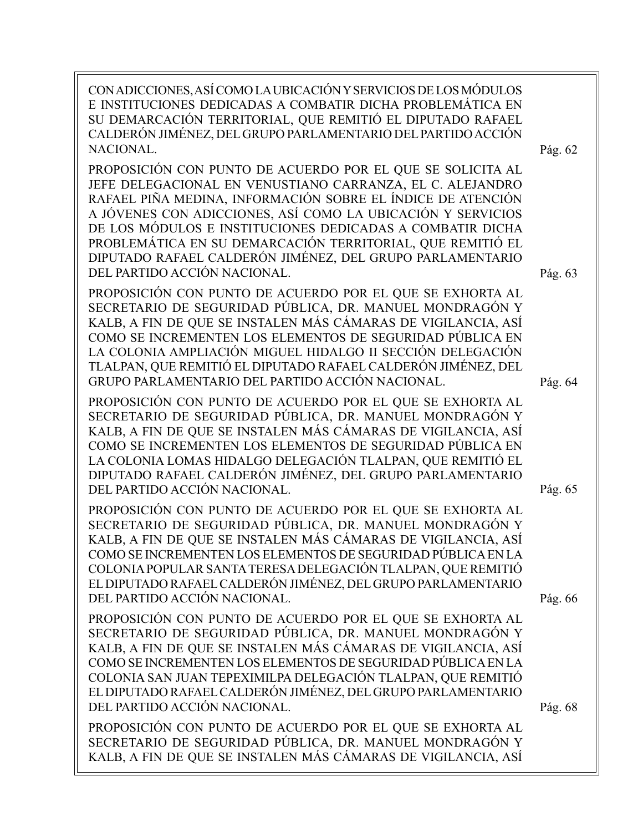CON ADICCIONES, ASÍ COMO LA UBICACIÓN Y SERVICIOS DE LOS MÓDULOS E INSTITUCIONES DEDICADAS A COMBATIR DICHA PROBLEMÁTICA EN SU DEMARCACIÓN TERRITORIAL, QUE REMITIÓ EL DIPUTADO RAFAEL CALDERÓN JIMÉNEZ, DEL GRUPO PARLAMENTARIO DEL PARTIDO ACCIÓN NACIONAL.

PROPOSICIÓN CON PUNTO DE ACUERDO POR EL QUE SE SOLICITA AL JEFE DELEGACIONAL EN VENUSTIANO CARRANZA, EL C. ALEJANDRO RAFAEL PIÑA MEDINA, INFORMACIÓN SOBRE EL ÍNDICE DE ATENCIÓN A JÓVENES CON ADICCIONES, ASÍ COMO LA UBICACIÓN Y SERVICIOS DE LOS MÓDULOS E INSTITUCIONES DEDICADAS A COMBATIR DICHA PROBLEMÁTICA EN SU DEMARCACIÓN TERRITORIAL, QUE REMITIÓ EL DIPUTADO RAFAEL CALDERÓN JIMÉNEZ, DEL GRUPO PARLAMENTARIO DEL PARTIDO ACCIÓN NACIONAL.

PROPOSICIÓN CON PUNTO DE ACUERDO POR EL QUE SE EXHORTA AL SECRETARIO DE SEGURIDAD PÚBLICA, DR. MANUEL MONDRAGÓN Y KALB, A FIN DE QUE SE INSTALEN MÁS CÁMARAS DE VIGILANCIA, ASÍ COMO SE INCREMENTEN LOS ELEMENTOS DE SEGURIDAD PÚBLICA EN LA COLONIA AMPLIACIÓN MIGUEL HIDALGO II SECCIÓN DELEGACIÓN TLALPAN, QUE REMITIÓ EL DIPUTADO RAFAEL CALDERÓN JIMÉNEZ, DEL GRUPO PARLAMENTARIO DEL PARTIDO ACCIÓN NACIONAL.

PROPOSICIÓN CON PUNTO DE ACUERDO POR EL QUE SE EXHORTA AL SECRETARIO DE SEGURIDAD PÚBLICA, DR. MANUEL MONDRAGÓN Y KALB, A FIN DE QUE SE INSTALEN MÁS CÁMARAS DE VIGILANCIA, ASÍ COMO SE INCREMENTEN LOS ELEMENTOS DE SEGURIDAD PÚBLICA EN LA COLONIA LOMAS HIDALGO DELEGACIÓN TLALPAN, QUE REMITIÓ EL DIPUTADO RAFAEL CALDERÓN JIMÉNEZ, DEL GRUPO PARLAMENTARIO DEL PARTIDO ACCIÓN NACIONAL.

PROPOSICIÓN CON PUNTO DE ACUERDO POR EL QUE SE EXHORTA AL SECRETARIO DE SEGURIDAD PÚBLICA, DR. MANUEL MONDRAGÓN Y KALB, A FIN DE QUE SE INSTALEN MÁS CÁMARAS DE VIGILANCIA, ASÍ COMO SE INCREMENTEN LOS ELEMENTOS DE SEGURIDAD PÚBLICA EN LA COLONIA POPULAR SANTA TERESA DELEGACIÓN TLALPAN, QUE REMITIÓ EL DIPUTADO RAFAEL CALDERÓN JIMÉNEZ, DEL GRUPO PARLAMENTARIO DEL PARTIDO ACCIÓN NACIONAL.

PROPOSICIÓN CON PUNTO DE ACUERDO POR EL QUE SE EXHORTA AL SECRETARIO DE SEGURIDAD PÚBLICA, DR. MANUEL MONDRAGÓN Y KALB, A FIN DE QUE SE INSTALEN MÁS CÁMARAS DE VIGILANCIA, ASÍ COMO SE INCREMENTEN LOS ELEMENTOS DE SEGURIDAD PÚBLICA EN LA COLONIA SAN JUAN TEPEXIMILPA DELEGACIÓN TLALPAN, QUE REMITIÓ EL DIPUTADO RAFAEL CALDERÓN JIMÉNEZ, DEL GRUPO PARLAMENTARIO DEL PARTIDO ACCIÓN NACIONAL.

PROPOSICIÓN CON PUNTO DE ACUERDO POR EL QUE SE EXHORTA AL SECRETARIO DE SEGURIDAD PÚBLICA, DR. MANUEL MONDRAGÓN Y KALB, A FIN DE QUE SE INSTALEN MÁS CÁMARAS DE VIGILANCIA, ASÍ Pág. 66

Pág. 65

Pág. 63

Pág. 64

Pág. 62

Pág. 68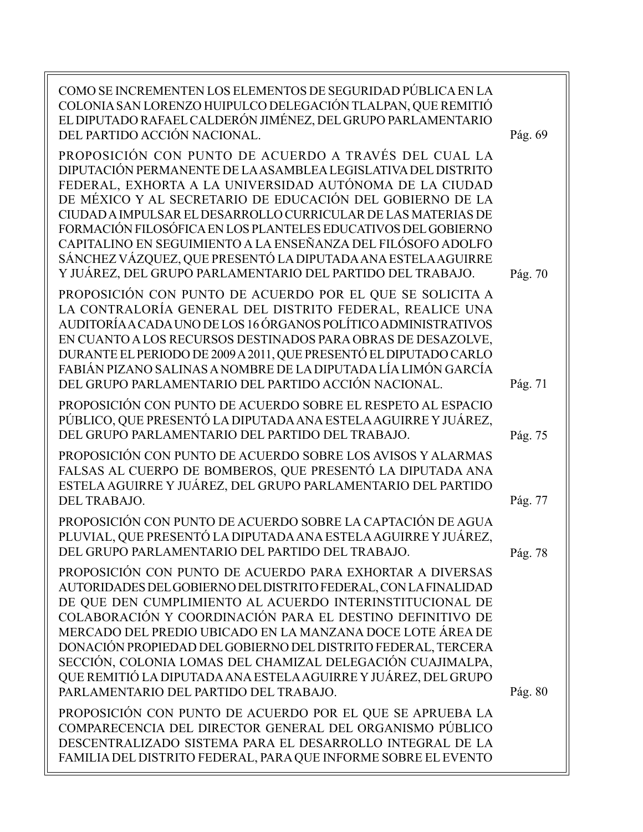| COMO SE INCREMENTEN LOS ELEMENTOS DE SEGURIDAD PÚBLICA EN LA<br>COLONIA SAN LORENZO HUIPULCO DELEGACIÓN TLALPAN, QUE REMITIÓ<br>EL DIPUTADO RAFAEL CALDERÓN JIMÉNEZ, DEL GRUPO PARLAMENTARIO<br>DEL PARTIDO ACCIÓN NACIONAL.                                                                                                                                                                                                                                                                                                                                                   | Pág. 69 |
|--------------------------------------------------------------------------------------------------------------------------------------------------------------------------------------------------------------------------------------------------------------------------------------------------------------------------------------------------------------------------------------------------------------------------------------------------------------------------------------------------------------------------------------------------------------------------------|---------|
| PROPOSICIÓN CON PUNTO DE ACUERDO A TRAVÉS DEL CUAL LA<br>DIPUTACIÓN PERMANENTE DE LA ASAMBLEA LEGISLATIVA DEL DISTRITO<br>FEDERAL, EXHORTA A LA UNIVERSIDAD AUTÓNOMA DE LA CIUDAD<br>DE MÉXICO Y AL SECRETARIO DE EDUCACIÓN DEL GOBIERNO DE LA<br>CIUDAD A IMPULSAR EL DESARROLLO CURRICULAR DE LAS MATERIAS DE<br>FORMACIÓN FILOSÓFICA EN LOS PLANTELES EDUCATIVOS DEL GOBIERNO<br>CAPITALINO EN SEGUIMIENTO A LA ENSEÑANZA DEL FILÓSOFO ADOLFO<br>SÁNCHEZ VÁZQUEZ, QUE PRESENTÓ LA DIPUTADA ANA ESTELA AGUIRRE<br>Y JUÁREZ, DEL GRUPO PARLAMENTARIO DEL PARTIDO DEL TRABAJO. | Pág. 70 |
| PROPOSICIÓN CON PUNTO DE ACUERDO POR EL QUE SE SOLICITA A<br>LA CONTRALORÍA GENERAL DEL DISTRITO FEDERAL, REALICE UNA<br>AUDITORÍA A CADA UNO DE LOS 16 ÓRGANOS POLÍTICO ADMINISTRATIVOS<br>EN CUANTO A LOS RECURSOS DESTINADOS PARA OBRAS DE DESAZOLVE,<br>DURANTE EL PERIODO DE 2009 A 2011, QUE PRESENTÓ EL DIPUTADO CARLO<br>FABIÁN PIZANO SALINAS A NOMBRE DE LA DIPUTADA LÍA LIMÓN GARCÍA<br>DEL GRUPO PARLAMENTARIO DEL PARTIDO ACCIÓN NACIONAL.                                                                                                                        | Pág. 71 |
| PROPOSICIÓN CON PUNTO DE ACUERDO SOBRE EL RESPETO AL ESPACIO<br>PÚBLICO, QUE PRESENTÓ LA DIPUTADA ANA ESTELA AGUIRRE Y JUÁREZ,<br>DEL GRUPO PARLAMENTARIO DEL PARTIDO DEL TRABAJO.                                                                                                                                                                                                                                                                                                                                                                                             | Pág. 75 |
| PROPOSICIÓN CON PUNTO DE ACUERDO SOBRE LOS AVISOS Y ALARMAS<br>FALSAS AL CUERPO DE BOMBEROS, QUE PRESENTÓ LA DIPUTADA ANA<br>ESTELA AGUIRRE Y JUÁREZ, DEL GRUPO PARLAMENTARIO DEL PARTIDO<br><b>DEL TRABAJO.</b>                                                                                                                                                                                                                                                                                                                                                               | Pág. 77 |
| PROPOSICIÓN CON PUNTO DE ACUERDO SOBRE LA CAPTACIÓN DE AGUA<br>PLUVIAL, QUE PRESENTÓ LA DIPUTADA ANA ESTELA AGUIRRE Y JUÁREZ,<br>DEL GRUPO PARLAMENTARIO DEL PARTIDO DEL TRABAJO.                                                                                                                                                                                                                                                                                                                                                                                              | Pág. 78 |
| PROPOSICIÓN CON PUNTO DE ACUERDO PARA EXHORTAR A DIVERSAS<br>AUTORIDADES DEL GOBIERNO DEL DISTRITO FEDERAL, CON LA FINALIDAD<br>DE QUE DEN CUMPLIMIENTO AL ACUERDO INTERINSTITUCIONAL DE<br>COLABORACIÓN Y COORDINACIÓN PARA EL DESTINO DEFINITIVO DE<br>MERCADO DEL PREDIO UBICADO EN LA MANZANA DOCE LOTE ÁREA DE<br>DONACIÓN PROPIEDAD DEL GOBIERNO DEL DISTRITO FEDERAL, TERCERA<br>SECCIÓN, COLONIA LOMAS DEL CHAMIZAL DELEGACIÓN CUAJIMALPA,<br>QUE REMITIÓ LA DIPUTADA ANA ESTELA AGUIRRE Y JUÁREZ, DEL GRUPO                                                           |         |
| PARLAMENTARIO DEL PARTIDO DEL TRABAJO.<br>PROPOSICIÓN CON PUNTO DE ACUERDO POR EL QUE SE APRUEBA LA<br>COMPARECENCIA DEL DIRECTOR GENERAL DEL ORGANISMO PÚBLICO<br>DESCENTRALIZADO SISTEMA PARA EL DESARROLLO INTEGRAL DE LA<br>FAMILIA DEL DISTRITO FEDERAL, PARA QUE INFORME SOBRE EL EVENTO                                                                                                                                                                                                                                                                                 | Pág. 80 |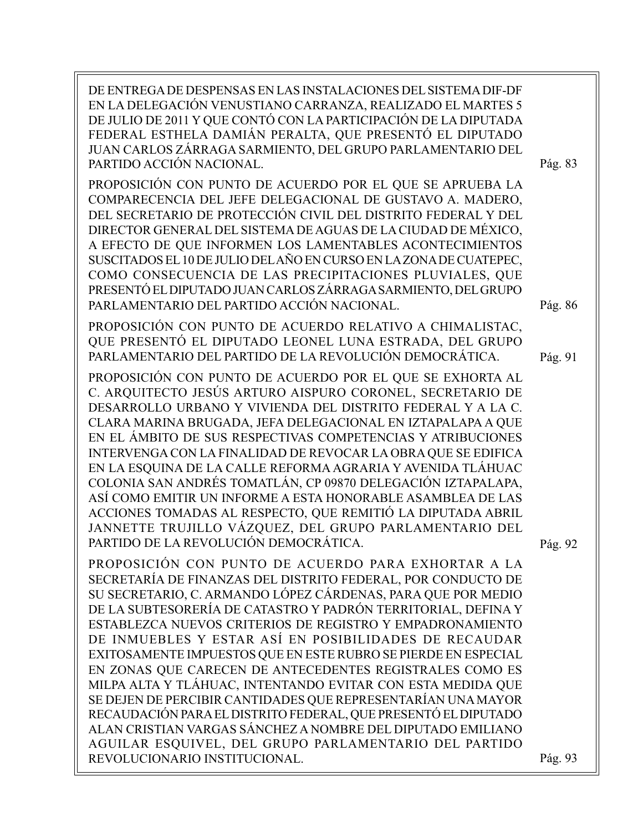DE ENTREGA DE DESPENSAS EN LAS INSTALACIONES DEL SISTEMA DIF-DF EN LA DELEGACIÓN VENUSTIANO CARRANZA, REALIZADO EL MARTES 5 DE JULIO DE 2011 Y QUE CONTÓ CON LA PARTICIPACIÓN DE LA DIPUTADA FEDERAL ESTHELA DAMIÁN PERALTA, QUE PRESENTÓ EL DIPUTADO JUAN CARLOS ZÁRRAGA SARMIENTO, DEL GRUPO PARLAMENTARIO DEL PARTIDO ACCIÓN NACIONAL. PROPOSICIÓN CON PUNTO DE ACUERDO POR EL QUE SE APRUEBA LA COMPARECENCIA DEL JEFE DELEGACIONAL DE GUSTAVO A. MADERO, DEL SECRETARIO DE PROTECCIÓN CIVIL DEL DISTRITO FEDERAL Y DEL DIRECTOR GENERAL DEL SISTEMA DE AGUAS DE LA CIUDAD DE MÉXICO, A EFECTO DE QUE INFORMEN LOS LAMENTABLES ACONTECIMIENTOS SUSCITADOS EL 10 DE JULIO DEL AÑO EN CURSO EN LA ZONA DE CUATEPEC, COMO CONSECUENCIA DE LAS PRECIPITACIONES PLUVIALES, QUE PRESENTÓ EL DIPUTADO JUAN CARLOS ZÁRRAGA SARMIENTO, DEL GRUPO PARLAMENTARIO DEL PARTIDO ACCIÓN NACIONAL. PROPOSICIÓN CON PUNTO DE ACUERDO RELATIVO A CHIMALISTAC, QUE PRESENTÓ EL DIPUTADO LEONEL LUNA ESTRADA, DEL GRUPO PARLAMENTARIO DEL PARTIDO DE LA REVOLUCIÓN DEMOCRÁTICA. PROPOSICIÓN CON PUNTO DE ACUERDO POR EL QUE SE EXHORTA AL C. ARQUITECTO JESÚS ARTURO AISPURO CORONEL, SECRETARIO DE DESARROLLO URBANO Y VIVIENDA DEL DISTRITO FEDERAL Y A LA C. CLARA MARINA BRUGADA, JEFA DELEGACIONAL EN IZTAPALAPA A QUE EN EL ÁMBITO DE SUS RESPECTIVAS COMPETENCIAS Y ATRIBUCIONES INTERVENGA CON LA FINALIDAD DE REVOCAR LA OBRA QUE SE EDIFICA EN LA ESQUINA DE LA CALLE REFORMA AGRARIA Y AVENIDA TLÁHUAC COLONIA SAN ANDRÉS TOMATLÁN, CP 09870 DELEGACIÓN IZTAPALAPA, ASÍ COMO EMITIR UN INFORME A ESTA HONORABLE ASAMBLEA DE LAS ACCIONES TOMADAS AL RESPECTO, QUE REMITIÓ LA DIPUTADA ABRIL JANNETTE TRUJILLO VÁZQUEZ, DEL GRUPO PARLAMENTARIO DEL PARTIDO DE LA REVOLUCIÓN DEMOCRÁTICA. PROPOSICIÓN CON PUNTO DE ACUERDO PARA EXHORTAR A LA SECRETARÍA DE FINANZAS DEL DISTRITO FEDERAL, POR CONDUCTO DE SU SECRETARIO, C. ARMANDO LÓPEZ CÁRDENAS, PARA QUE POR MEDIO DE LA SUBTESORERÍA DE CATASTRO Y PADRÓN TERRITORIAL, DEFINA Y ESTABLEZCA NUEVOS CRITERIOS DE REGISTRO Y EMPADRONAMIENTO DE INMUEBLES Y ESTAR ASÍ EN POSIBILIDADES DE RECAUDAR EXITOSAMENTE IMPUESTOS QUE EN ESTE RUBRO SE PIERDE EN ESPECIAL EN ZONAS QUE CARECEN DE ANTECEDENTES REGISTRALES COMO ES MILPA ALTA Y TLÁHUAC, INTENTANDO EVITAR CON ESTA MEDIDA QUE SE DEJEN DE PERCIBIR CANTIDADES QUE REPRESENTARÍAN UNA MAYOR RECAUDACIÓN PARA EL DISTRITO FEDERAL, QUE PRESENTÓ EL DIPUTADO ALAN CRISTIAN VARGAS SÁNCHEZ A NOMBRE DEL DIPUTADO EMILIANO AGUILAR ESQUIVEL, DEL GRUPO PARLAMENTARIO DEL PARTIDO REVOLUCIONARIO INSTITUCIONAL. Pág. 83 Pág. 86 Pág. 91 Pág. 92 Pág. 93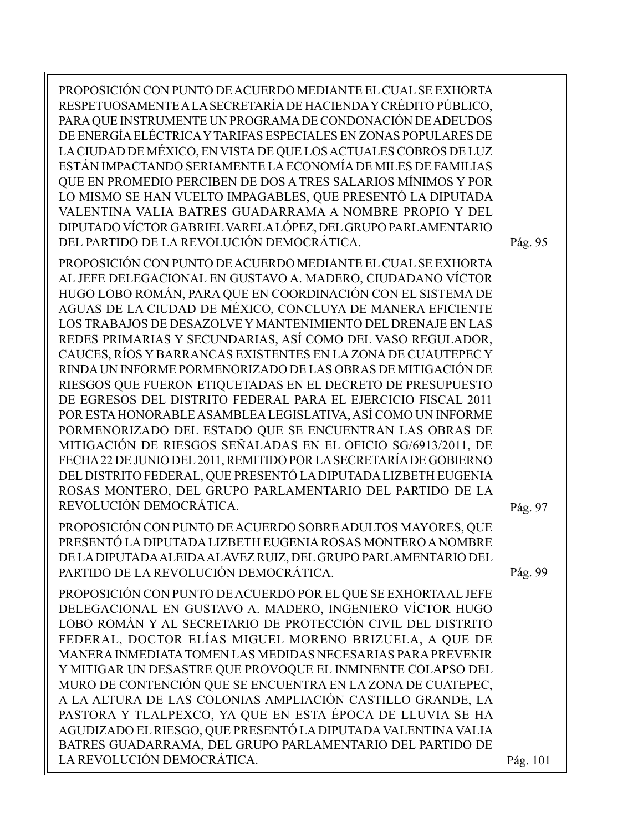PROPOSICIÓN CON PUNTO DE ACUERDO MEDIANTE EL CUAL SE EXHORTA RESPETUOSAMENTE A LA SECRETARÍA DE HACIENDA Y CRÉDITO PÚBLICO, PARA QUE INSTRUMENTE UN PROGRAMA DE CONDONACIÓN DE ADEUDOS DE ENERGÍA ELÉCTRICA Y TARIFAS ESPECIALES EN ZONAS POPULARES DE LA CIUDAD DE MÉXICO, EN VISTA DE QUE LOS ACTUALES COBROS DE LUZ ESTÁN IMPACTANDO SERIAMENTE LA ECONOMÍA DE MILES DE FAMILIAS QUE EN PROMEDIO PERCIBEN DE DOS A TRES SALARIOS MÍNIMOS Y POR LO MISMO SE HAN VUELTO IMPAGABLES, QUE PRESENTÓ LA DIPUTADA VALENTINA VALIA BATRES GUADARRAMA A NOMBRE PROPIO Y DEL DIPUTADO VÍCTOR GABRIEL VARELA LÓPEZ, DEL GRUPO PARLAMENTARIO DEL PARTIDO DE LA REVOLUCIÓN DEMOCRÁTICA.

PROPOSICIÓN CON PUNTO DE ACUERDO MEDIANTE EL CUAL SE EXHORTA AL JEFE DELEGACIONAL EN GUSTAVO A. MADERO, CIUDADANO VÍCTOR HUGO LOBO ROMÁN, PARA QUE EN COORDINACIÓN CON EL SISTEMA DE AGUAS DE LA CIUDAD DE MÉXICO, CONCLUYA DE MANERA EFICIENTE LOS TRABAJOS DE DESAZOLVE Y MANTENIMIENTO DEL DRENAJE EN LAS REDES PRIMARIAS Y SECUNDARIAS, ASÍ COMO DEL VASO REGULADOR, CAUCES, RÍOS Y BARRANCAS EXISTENTES EN LA ZONA DE CUAUTEPEC Y RINDA UN INFORME PORMENORIZADO DE LAS OBRAS DE MITIGACIÓN DE RIESGOS QUE FUERON ETIQUETADAS EN EL DECRETO DE PRESUPUESTO DE EGRESOS DEL DISTRITO FEDERAL PARA EL EJERCICIO FISCAL 2011 POR ESTA HONORABLE ASAMBLEA LEGISLATIVA, ASÍ COMO UN INFORME PORMENORIZADO DEL ESTADO QUE SE ENCUENTRAN LAS OBRAS DE MITIGACIÓN DE RIESGOS SEÑALADAS EN EL OFICIO SG/6913/2011, DE FECHA 22 DE JUNIO DEL 2011, REMITIDO POR LA SECRETARÍA DE GOBIERNO DEL DISTRITO FEDERAL, QUE PRESENTÓ LA DIPUTADA LIZBETH EUGENIA ROSAS MONTERO, DEL GRUPO PARLAMENTARIO DEL PARTIDO DE LA REVOLUCIÓN DEMOCRÁTICA.

PROPOSICIÓN CON PUNTO DE ACUERDO SOBRE ADULTOS MAYORES, QUE PRESENTÓ LA DIPUTADA LIZBETH EUGENIA ROSAS MONTERO A NOMBRE DE LA DIPUTADA ALEIDA ALAVEZ RUIZ, DEL GRUPO PARLAMENTARIO DEL PARTIDO DE LA REVOLUCIÓN DEMOCRÁTICA.

PROPOSICIÓN CON PUNTO DE ACUERDO POR EL QUE SE EXHORTA AL JEFE DELEGACIONAL EN GUSTAVO A. MADERO, INGENIERO VÍCTOR HUGO LOBO ROMÁN Y AL SECRETARIO DE PROTECCIÓN CIVIL DEL DISTRITO FEDERAL, DOCTOR ELÍAS MIGUEL MORENO BRIZUELA, A QUE DE MANERA INMEDIATA TOMEN LAS MEDIDAS NECESARIAS PARA PREVENIR Y MITIGAR UN DESASTRE QUE PROVOQUE EL INMINENTE COLAPSO DEL MURO DE CONTENCIÓN QUE SE ENCUENTRA EN LA ZONA DE CUATEPEC, A LA ALTURA DE LAS COLONIAS AMPLIACIÓN CASTILLO GRANDE, LA PASTORA Y TLALPEXCO, YA QUE EN ESTA ÉPOCA DE LLUVIA SE HA AGUDIZADO EL RIESGO, QUE PRESENTÓ LA DIPUTADA VALENTINA VALIA BATRES GUADARRAMA, DEL GRUPO PARLAMENTARIO DEL PARTIDO DE LA REVOLUCIÓN DEMOCRÁTICA.

Pág. 97

Pág. 95

Pág. 99

Pág. 101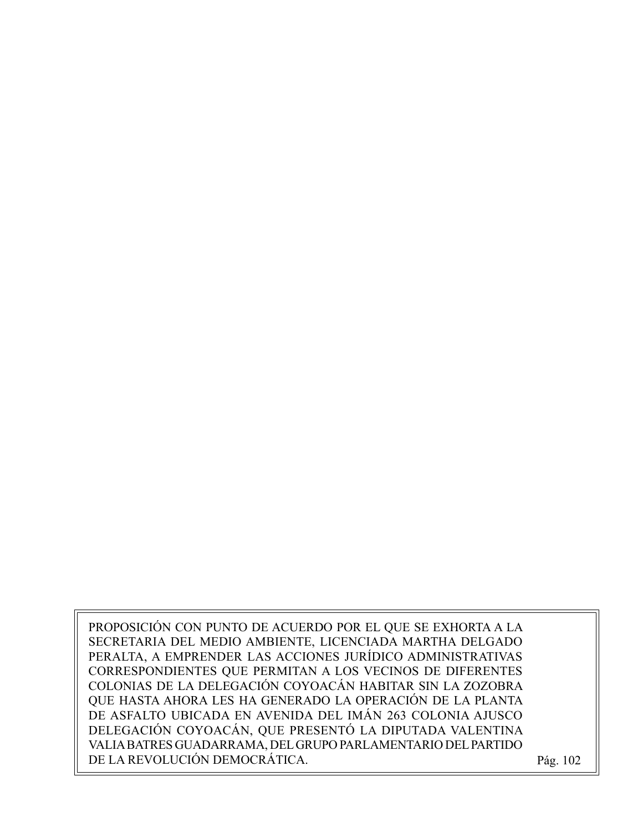PROPOSICIÓN CON PUNTO DE ACUERDO POR EL QUE SE EXHORTA A LA SECRETARIA DEL MEDIO AMBIENTE, LICENCIADA MARTHA DELGADO PERALTA, A EMPRENDER LAS ACCIONES JURÍDICO ADMINISTRATIVAS CORRESPONDIENTES QUE PERMITAN A LOS VECINOS DE DIFERENTES COLONIAS DE LA DELEGACIÓN COYOACÁN HABITAR SIN LA ZOZOBRA QUE HASTA AHORA LES HA GENERADO LA OPERACIÓN DE LA PLANTA DE ASFALTO UBICADA EN AVENIDA DEL IMÁN 263 COLONIA AJUSCO DELEGACIÓN COYOACÁN, QUE PRESENTÓ LA DIPUTADA VALENTINA VALIA BATRES GUADARRAMA, DEL GRUPO PARLAMENTARIO DEL PARTIDO DE LA REVOLUCIÓN DEMOCRÁTICA. Pág. 102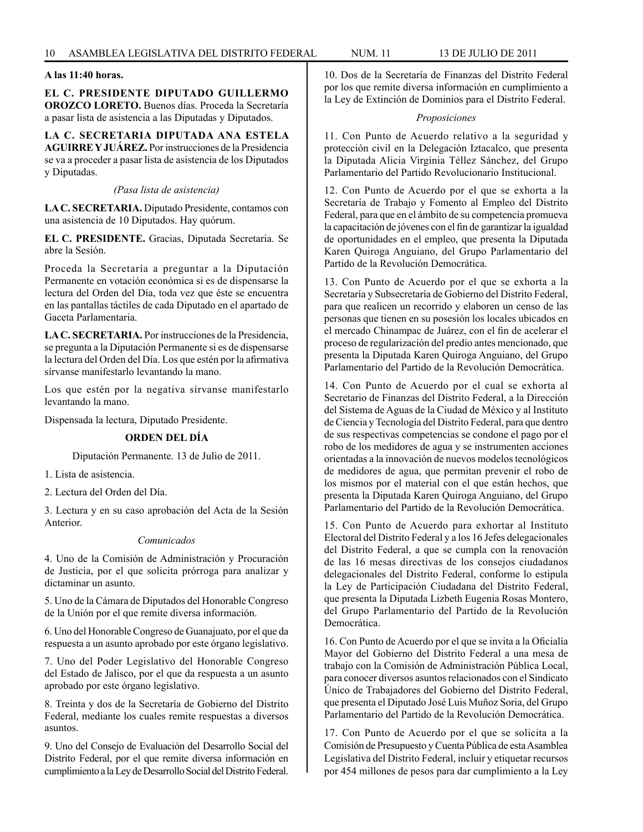# **A las 11:40 horas.**

**EL C. PRESIDENTE DIPUTADO GUILLERMO OROZCO LORETO.** Buenos días. Proceda la Secretaría a pasar lista de asistencia a las Diputadas y Diputados.

**LA C. SECRETARIA DIPUTADA ANA ESTELA AGUIRRE Y JUÁREZ.** Por instrucciones de la Presidencia se va a proceder a pasar lista de asistencia de los Diputados y Diputadas.

#### *(Pasa lista de asistencia)*

**LA C. SECRETARIA.** Diputado Presidente, contamos con una asistencia de 10 Diputados. Hay quórum.

**EL C. PRESIDENTE.** Gracias, Diputada Secretaria. Se abre la Sesión.

Proceda la Secretaría a preguntar a la Diputación Permanente en votación económica si es de dispensarse la lectura del Orden del Día, toda vez que éste se encuentra en las pantallas táctiles de cada Diputado en el apartado de Gaceta Parlamentaria.

**LA C. SECRETARIA.** Por instrucciones de la Presidencia, se pregunta a la Diputación Permanente si es de dispensarse la lectura del Orden del Día. Los que estén por la afirmativa sírvanse manifestarlo levantando la mano.

Los que estén por la negativa sírvanse manifestarlo levantando la mano.

Dispensada la lectura, Diputado Presidente.

# **ORDEN DEL DÍA**

Diputación Permanente. 13 de Julio de 2011.

1. Lista de asistencia.

2. Lectura del Orden del Día.

3. Lectura y en su caso aprobación del Acta de la Sesión Anterior.

# *Comunicados*

4. Uno de la Comisión de Administración y Procuración de Justicia, por el que solicita prórroga para analizar y dictaminar un asunto.

5. Uno de la Cámara de Diputados del Honorable Congreso de la Unión por el que remite diversa información.

6. Uno del Honorable Congreso de Guanajuato, por el que da respuesta a un asunto aprobado por este órgano legislativo.

7. Uno del Poder Legislativo del Honorable Congreso del Estado de Jalisco, por el que da respuesta a un asunto aprobado por este órgano legislativo.

8. Treinta y dos de la Secretaría de Gobierno del Distrito Federal, mediante los cuales remite respuestas a diversos asuntos.

9. Uno del Consejo de Evaluación del Desarrollo Social del Distrito Federal, por el que remite diversa información en cumplimiento a la Ley de Desarrollo Social del Distrito Federal.

10. Dos de la Secretaría de Finanzas del Distrito Federal por los que remite diversa información en cumplimiento a la Ley de Extinción de Dominios para el Distrito Federal.

#### *Proposiciones*

11. Con Punto de Acuerdo relativo a la seguridad y protección civil en la Delegación Iztacalco, que presenta la Diputada Alicia Virginia Téllez Sánchez, del Grupo Parlamentario del Partido Revolucionario Institucional.

12. Con Punto de Acuerdo por el que se exhorta a la Secretaría de Trabajo y Fomento al Empleo del Distrito Federal, para que en el ámbito de su competencia promueva la capacitación de jóvenes con el fin de garantizar la igualdad de oportunidades en el empleo, que presenta la Diputada Karen Quiroga Anguiano, del Grupo Parlamentario del Partido de la Revolución Democrática.

13. Con Punto de Acuerdo por el que se exhorta a la Secretaría y Subsecretaría de Gobierno del Distrito Federal, para que realicen un recorrido y elaboren un censo de las personas que tienen en su posesión los locales ubicados en el mercado Chinampac de Juárez, con el fin de acelerar el proceso de regularización del predio antes mencionado, que presenta la Diputada Karen Quiroga Anguiano, del Grupo Parlamentario del Partido de la Revolución Democrática.

14. Con Punto de Acuerdo por el cual se exhorta al Secretario de Finanzas del Distrito Federal, a la Dirección del Sistema de Aguas de la Ciudad de México y al Instituto de Ciencia y Tecnología del Distrito Federal, para que dentro de sus respectivas competencias se condone el pago por el robo de los medidores de agua y se instrumenten acciones orientadas a la innovación de nuevos modelos tecnológicos de medidores de agua, que permitan prevenir el robo de los mismos por el material con el que están hechos, que presenta la Diputada Karen Quiroga Anguiano, del Grupo Parlamentario del Partido de la Revolución Democrática.

15. Con Punto de Acuerdo para exhortar al Instituto Electoral del Distrito Federal y a los 16 Jefes delegacionales del Distrito Federal, a que se cumpla con la renovación de las 16 mesas directivas de los consejos ciudadanos delegacionales del Distrito Federal, conforme lo estipula la Ley de Participación Ciudadana del Distrito Federal, que presenta la Diputada Lizbeth Eugenia Rosas Montero, del Grupo Parlamentario del Partido de la Revolución Democrática.

16. Con Punto de Acuerdo por el que se invita a la Oficialía Mayor del Gobierno del Distrito Federal a una mesa de trabajo con la Comisión de Administración Pública Local, para conocer diversos asuntos relacionados con el Sindicato Único de Trabajadores del Gobierno del Distrito Federal, que presenta el Diputado José Luis Muñoz Soria, del Grupo Parlamentario del Partido de la Revolución Democrática.

17. Con Punto de Acuerdo por el que se solicita a la Comisión de Presupuesto y Cuenta Pública de esta Asamblea Legislativa del Distrito Federal, incluir y etiquetar recursos por 454 millones de pesos para dar cumplimiento a la Ley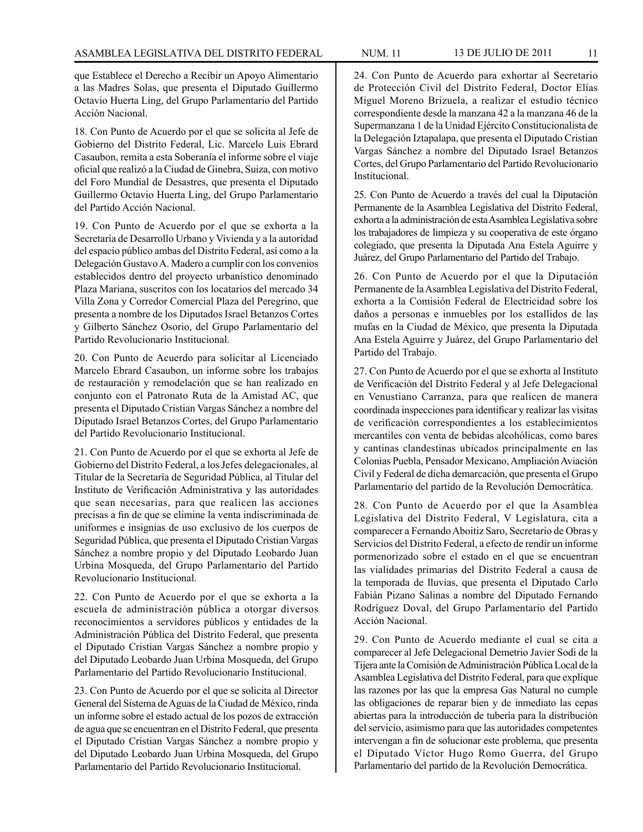que Establece el Derecho a Recibir un Apoyo Alimentario a las Madres Solas, que presenta el Diputado Guillermo Octavio Huerta Ling, del Grupo Parlamentario del Partido Acción Nacional.

18. Con Punto de Acuerdo por el que se solicita al Jefe de Gobierno del Distrito Federal, Lic. Marcelo Luis Ebrard Casaubon, remita a esta Soberanía el informe sobre el viaje oficial que realizó a la Ciudad de Ginebra, Suiza, con motivo del Foro Mundial de Desastres, que presenta el Diputado Guillermo Octavio Huerta Ling, del Grupo Parlamentario del Partido Acción Nacional.

19. Con Punto de Acuerdo por el que se exhorta a la Secretaría de Desarrollo Urbano y Vivienda y a la autoridad del espacio público ambas del Distrito Federal, así como a la Delegación Gustavo A. Madero a cumplir con los convenios establecidos dentro del proyecto urbanístico denominado Plaza Mariana, suscritos con los locatarios del mercado 34 Villa Zona y Corredor Comercial Plaza del Peregrino, que presenta a nombre de los Diputados Israel Betanzos Cortes y Gilberto Sánchez Osorio, del Grupo Parlamentario del Partido Revolucionario Institucional.

20. Con Punto de Acuerdo para solicitar al Licenciado Marcelo Ebrard Casaubon, un informe sobre los trabajos de restauración y remodelación que se han realizado en conjunto con el Patronato Ruta de la Amistad AC, que presenta el Diputado Cristian Vargas Sánchez a nombre del Diputado Israel Betanzos Cortes, del Grupo Parlamentario del Partido Revolucionario Institucional.

21. Con Punto de Acuerdo por el que se exhorta al Jefe de Gobierno del Distrito Federal, a los Jefes delegacionales, al Titular de la Secretaría de Seguridad Pública, al Titular del Instituto de Verificación Administrativa y las autoridades que sean necesarias, para que realicen las acciones precisas a fin de que se elimine la venta indiscriminada de uniformes e insignias de uso exclusivo de los cuerpos de Seguridad Pública, que presenta el Diputado Cristian Vargas Sánchez a nombre propio y del Diputado Leobardo Juan Urbina Mosqueda, del Grupo Parlamentario del Partido Revolucionario Institucional.

22. Con Punto de Acuerdo por el que se exhorta a la escuela de administración pública a otorgar diversos reconocimientos a servidores públicos y entidades de la Administración Pública del Distrito Federal, que presenta el Diputado Cristian Vargas Sánchez a nombre propio y del Diputado Leobardo Juan Urbina Mosqueda, del Grupo Parlamentario del Partido Revolucionario Institucional.

23. Con Punto de Acuerdo por el que se solicita al Director General del Sistema de Aguas de la Ciudad de México, rinda un informe sobre el estado actual de los pozos de extracción de agua que se encuentran en el Distrito Federal, que presenta el Diputado Cristian Vargas Sánchez a nombre propio y del Diputado Leobardo Juan Urbina Mosqueda, del Grupo Parlamentario del Partido Revolucionario Institucional.

24. Con Punto de Acuerdo para exhortar al Secretario de Protección Civil del Distrito Federal, Doctor Elías Miguel Moreno Brizuela, a realizar el estudio técnico correspondiente desde la manzana 42 a la manzana 46 de la Supermanzana 1 de la Unidad Ejército Constitucionalista de la Delegación Iztapalapa, que presenta el Diputado Cristian Vargas Sánchez a nombre del Diputado Israel Betanzos Cortes, del Grupo Parlamentario del Partido Revolucionario Institucional.

25. Con Punto de Acuerdo a través del cual la Diputación Permanente de la Asamblea Legislativa del Distrito Federal, exhorta a la administración de esta Asamblea Legislativa sobre los trabajadores de limpieza y su cooperativa de este órgano colegiado, que presenta la Diputada Ana Estela Aguirre y Juárez, del Grupo Parlamentario del Partido del Trabajo.

26. Con Punto de Acuerdo por el que la Diputación Permanente de la Asamblea Legislativa del Distrito Federal, exhorta a la Comisión Federal de Electricidad sobre los daños a personas e inmuebles por los estallidos de las mufas en la Ciudad de México, que presenta la Diputada Ana Estela Aguirre y Juárez, del Grupo Parlamentario del Partido del Trabajo.

27. Con Punto de Acuerdo por el que se exhorta al Instituto de Verificación del Distrito Federal y al Jefe Delegacional en Venustiano Carranza, para que realicen de manera coordinada inspecciones para identificar y realizar las visitas de verificación correspondientes a los establecimientos mercantiles con venta de bebidas alcohólicas, como bares y cantinas clandestinas ubicados principalmente en las Colonias Puebla, Pensador Mexicano, Ampliación Aviación Civil y Federal de dicha demarcación, que presenta el Grupo Parlamentario del partido de la Revolución Democrática.

28. Con Punto de Acuerdo por el que la Asamblea Legislativa del Distrito Federal, V Legislatura, cita a comparecer a Fernando Aboitiz Saro, Secretario de Obras y Servicios del Distrito Federal, a efecto de rendir un informe pormenorizado sobre el estado en el que se encuentran las vialidades primarias del Distrito Federal a causa de la temporada de lluvias, que presenta el Diputado Carlo Fabián Pizano Salinas a nombre del Diputado Fernando Rodríguez Doval, del Grupo Parlamentario del Partido Acción Nacional.

29. Con Punto de Acuerdo mediante el cual se cita a comparecer al Jefe Delegacional Demetrio Javier Sodi de la Tijera ante la Comisión de Administración Pública Local de la Asamblea Legislativa del Distrito Federal, para que explique las razones por las que la empresa Gas Natural no cumple las obligaciones de reparar bien y de inmediato las cepas abiertas para la introducción de tubería para la distribución del servicio, asimismo para que las autoridades competentes intervengan a fin de solucionar este problema, que presenta el Diputado Víctor Hugo Romo Guerra, del Grupo Parlamentario del partido de la Revolución Democrática.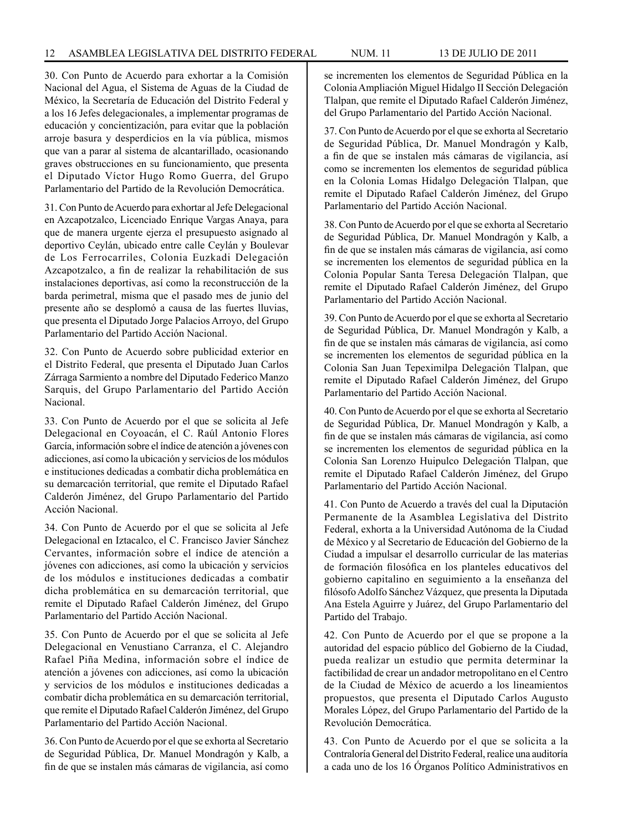30. Con Punto de Acuerdo para exhortar a la Comisión Nacional del Agua, el Sistema de Aguas de la Ciudad de México, la Secretaría de Educación del Distrito Federal y a los 16 Jefes delegacionales, a implementar programas de educación y concientización, para evitar que la población arroje basura y desperdicios en la vía pública, mismos que van a parar al sistema de alcantarillado, ocasionando graves obstrucciones en su funcionamiento, que presenta el Diputado Víctor Hugo Romo Guerra, del Grupo Parlamentario del Partido de la Revolución Democrática.

31. Con Punto de Acuerdo para exhortar al Jefe Delegacional en Azcapotzalco, Licenciado Enrique Vargas Anaya, para que de manera urgente ejerza el presupuesto asignado al deportivo Ceylán, ubicado entre calle Ceylán y Boulevar de Los Ferrocarriles, Colonia Euzkadi Delegación Azcapotzalco, a fin de realizar la rehabilitación de sus instalaciones deportivas, así como la reconstrucción de la barda perimetral, misma que el pasado mes de junio del presente año se desplomó a causa de las fuertes lluvias, que presenta el Diputado Jorge Palacios Arroyo, del Grupo Parlamentario del Partido Acción Nacional.

32. Con Punto de Acuerdo sobre publicidad exterior en el Distrito Federal, que presenta el Diputado Juan Carlos Zárraga Sarmiento a nombre del Diputado Federico Manzo Sarquis, del Grupo Parlamentario del Partido Acción Nacional.

33. Con Punto de Acuerdo por el que se solicita al Jefe Delegacional en Coyoacán, el C. Raúl Antonio Flores García, información sobre el índice de atención a jóvenes con adicciones, así como la ubicación y servicios de los módulos e instituciones dedicadas a combatir dicha problemática en su demarcación territorial, que remite el Diputado Rafael Calderón Jiménez, del Grupo Parlamentario del Partido Acción Nacional.

34. Con Punto de Acuerdo por el que se solicita al Jefe Delegacional en Iztacalco, el C. Francisco Javier Sánchez Cervantes, información sobre el índice de atención a jóvenes con adicciones, así como la ubicación y servicios de los módulos e instituciones dedicadas a combatir dicha problemática en su demarcación territorial, que remite el Diputado Rafael Calderón Jiménez, del Grupo Parlamentario del Partido Acción Nacional.

35. Con Punto de Acuerdo por el que se solicita al Jefe Delegacional en Venustiano Carranza, el C. Alejandro Rafael Piña Medina, información sobre el índice de atención a jóvenes con adicciones, así como la ubicación y servicios de los módulos e instituciones dedicadas a combatir dicha problemática en su demarcación territorial, que remite el Diputado Rafael Calderón Jiménez, del Grupo Parlamentario del Partido Acción Nacional.

36. Con Punto de Acuerdo por el que se exhorta al Secretario de Seguridad Pública, Dr. Manuel Mondragón y Kalb, a fin de que se instalen más cámaras de vigilancia, así como se incrementen los elementos de Seguridad Pública en la Colonia Ampliación Miguel Hidalgo II Sección Delegación Tlalpan, que remite el Diputado Rafael Calderón Jiménez, del Grupo Parlamentario del Partido Acción Nacional.

37. Con Punto de Acuerdo por el que se exhorta al Secretario de Seguridad Pública, Dr. Manuel Mondragón y Kalb, a fin de que se instalen más cámaras de vigilancia, así como se incrementen los elementos de seguridad pública en la Colonia Lomas Hidalgo Delegación Tlalpan, que remite el Diputado Rafael Calderón Jiménez, del Grupo Parlamentario del Partido Acción Nacional.

38. Con Punto de Acuerdo por el que se exhorta al Secretario de Seguridad Pública, Dr. Manuel Mondragón y Kalb, a fin de que se instalen más cámaras de vigilancia, así como se incrementen los elementos de seguridad pública en la Colonia Popular Santa Teresa Delegación Tlalpan, que remite el Diputado Rafael Calderón Jiménez, del Grupo Parlamentario del Partido Acción Nacional.

39. Con Punto de Acuerdo por el que se exhorta al Secretario de Seguridad Pública, Dr. Manuel Mondragón y Kalb, a fin de que se instalen más cámaras de vigilancia, así como se incrementen los elementos de seguridad pública en la Colonia San Juan Tepeximilpa Delegación Tlalpan, que remite el Diputado Rafael Calderón Jiménez, del Grupo Parlamentario del Partido Acción Nacional.

40. Con Punto de Acuerdo por el que se exhorta al Secretario de Seguridad Pública, Dr. Manuel Mondragón y Kalb, a fin de que se instalen más cámaras de vigilancia, así como se incrementen los elementos de seguridad pública en la Colonia San Lorenzo Huipulco Delegación Tlalpan, que remite el Diputado Rafael Calderón Jiménez, del Grupo Parlamentario del Partido Acción Nacional.

41. Con Punto de Acuerdo a través del cual la Diputación Permanente de la Asamblea Legislativa del Distrito Federal, exhorta a la Universidad Autónoma de la Ciudad de México y al Secretario de Educación del Gobierno de la Ciudad a impulsar el desarrollo curricular de las materias de formación filosófica en los planteles educativos del gobierno capitalino en seguimiento a la enseñanza del filósofo Adolfo Sánchez Vázquez, que presenta la Diputada Ana Estela Aguirre y Juárez, del Grupo Parlamentario del Partido del Trabajo.

42. Con Punto de Acuerdo por el que se propone a la autoridad del espacio público del Gobierno de la Ciudad, pueda realizar un estudio que permita determinar la factibilidad de crear un andador metropolitano en el Centro de la Ciudad de México de acuerdo a los lineamientos propuestos, que presenta el Diputado Carlos Augusto Morales López, del Grupo Parlamentario del Partido de la Revolución Democrática.

43. Con Punto de Acuerdo por el que se solicita a la Contraloría General del Distrito Federal, realice una auditoría a cada uno de los 16 Órganos Político Administrativos en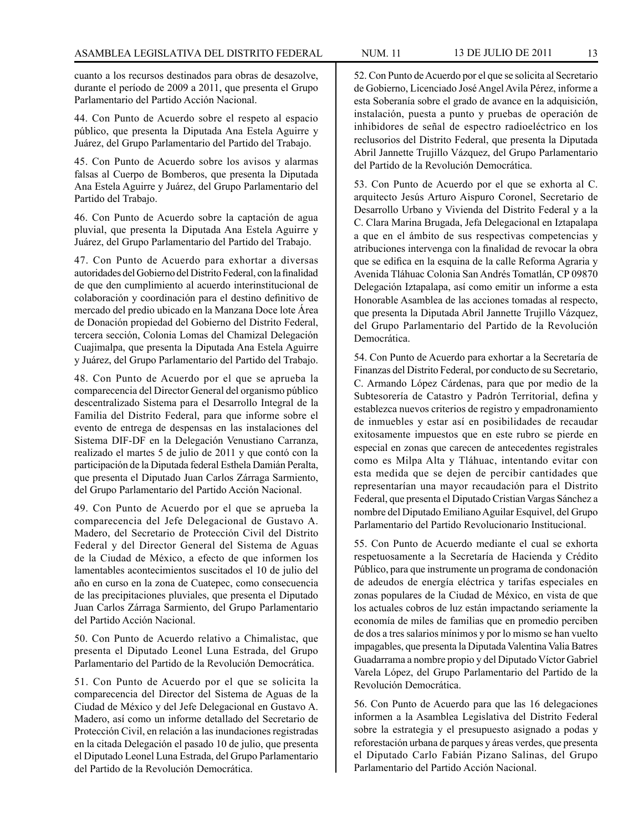cuanto a los recursos destinados para obras de desazolve, durante el período de 2009 a 2011, que presenta el Grupo Parlamentario del Partido Acción Nacional.

44. Con Punto de Acuerdo sobre el respeto al espacio público, que presenta la Diputada Ana Estela Aguirre y Juárez, del Grupo Parlamentario del Partido del Trabajo.

45. Con Punto de Acuerdo sobre los avisos y alarmas falsas al Cuerpo de Bomberos, que presenta la Diputada Ana Estela Aguirre y Juárez, del Grupo Parlamentario del Partido del Trabajo.

46. Con Punto de Acuerdo sobre la captación de agua pluvial, que presenta la Diputada Ana Estela Aguirre y Juárez, del Grupo Parlamentario del Partido del Trabajo.

47. Con Punto de Acuerdo para exhortar a diversas autoridades del Gobierno del Distrito Federal, con la finalidad de que den cumplimiento al acuerdo interinstitucional de colaboración y coordinación para el destino definitivo de mercado del predio ubicado en la Manzana Doce lote Área de Donación propiedad del Gobierno del Distrito Federal, tercera sección, Colonia Lomas del Chamizal Delegación Cuajimalpa, que presenta la Diputada Ana Estela Aguirre y Juárez, del Grupo Parlamentario del Partido del Trabajo.

48. Con Punto de Acuerdo por el que se aprueba la comparecencia del Director General del organismo público descentralizado Sistema para el Desarrollo Integral de la Familia del Distrito Federal, para que informe sobre el evento de entrega de despensas en las instalaciones del Sistema DIF-DF en la Delegación Venustiano Carranza, realizado el martes 5 de julio de 2011 y que contó con la participación de la Diputada federal Esthela Damián Peralta, que presenta el Diputado Juan Carlos Zárraga Sarmiento, del Grupo Parlamentario del Partido Acción Nacional.

49. Con Punto de Acuerdo por el que se aprueba la comparecencia del Jefe Delegacional de Gustavo A. Madero, del Secretario de Protección Civil del Distrito Federal y del Director General del Sistema de Aguas de la Ciudad de México, a efecto de que informen los lamentables acontecimientos suscitados el 10 de julio del año en curso en la zona de Cuatepec, como consecuencia de las precipitaciones pluviales, que presenta el Diputado Juan Carlos Zárraga Sarmiento, del Grupo Parlamentario del Partido Acción Nacional.

50. Con Punto de Acuerdo relativo a Chimalistac, que presenta el Diputado Leonel Luna Estrada, del Grupo Parlamentario del Partido de la Revolución Democrática.

51. Con Punto de Acuerdo por el que se solicita la comparecencia del Director del Sistema de Aguas de la Ciudad de México y del Jefe Delegacional en Gustavo A. Madero, así como un informe detallado del Secretario de Protección Civil, en relación a las inundaciones registradas en la citada Delegación el pasado 10 de julio, que presenta el Diputado Leonel Luna Estrada, del Grupo Parlamentario del Partido de la Revolución Democrática.

52. Con Punto de Acuerdo por el que se solicita al Secretario de Gobierno, Licenciado José Angel Avila Pérez, informe a esta Soberanía sobre el grado de avance en la adquisición, instalación, puesta a punto y pruebas de operación de inhibidores de señal de espectro radioeléctrico en los reclusorios del Distrito Federal, que presenta la Diputada Abril Jannette Trujillo Vázquez, del Grupo Parlamentario del Partido de la Revolución Democrática.

53. Con Punto de Acuerdo por el que se exhorta al C. arquitecto Jesús Arturo Aispuro Coronel, Secretario de Desarrollo Urbano y Vivienda del Distrito Federal y a la C. Clara Marina Brugada, Jefa Delegacional en Iztapalapa a que en el ámbito de sus respectivas competencias y atribuciones intervenga con la finalidad de revocar la obra que se edifica en la esquina de la calle Reforma Agraria y Avenida Tláhuac Colonia San Andrés Tomatlán, CP 09870 Delegación Iztapalapa, así como emitir un informe a esta Honorable Asamblea de las acciones tomadas al respecto, que presenta la Diputada Abril Jannette Trujillo Vázquez, del Grupo Parlamentario del Partido de la Revolución Democrática.

54. Con Punto de Acuerdo para exhortar a la Secretaría de Finanzas del Distrito Federal, por conducto de su Secretario, C. Armando López Cárdenas, para que por medio de la Subtesorería de Catastro y Padrón Territorial, defina y establezca nuevos criterios de registro y empadronamiento de inmuebles y estar así en posibilidades de recaudar exitosamente impuestos que en este rubro se pierde en especial en zonas que carecen de antecedentes registrales como es Milpa Alta y Tláhuac, intentando evitar con esta medida que se dejen de percibir cantidades que representarían una mayor recaudación para el Distrito Federal, que presenta el Diputado Cristian Vargas Sánchez a nombre del Diputado Emiliano Aguilar Esquivel, del Grupo Parlamentario del Partido Revolucionario Institucional.

55. Con Punto de Acuerdo mediante el cual se exhorta respetuosamente a la Secretaría de Hacienda y Crédito Público, para que instrumente un programa de condonación de adeudos de energía eléctrica y tarifas especiales en zonas populares de la Ciudad de México, en vista de que los actuales cobros de luz están impactando seriamente la economía de miles de familias que en promedio perciben de dos a tres salarios mínimos y por lo mismo se han vuelto impagables, que presenta la Diputada Valentina Valia Batres Guadarrama a nombre propio y del Diputado Víctor Gabriel Varela López, del Grupo Parlamentario del Partido de la Revolución Democrática.

56. Con Punto de Acuerdo para que las 16 delegaciones informen a la Asamblea Legislativa del Distrito Federal sobre la estrategia y el presupuesto asignado a podas y reforestación urbana de parques y áreas verdes, que presenta el Diputado Carlo Fabián Pizano Salinas, del Grupo Parlamentario del Partido Acción Nacional.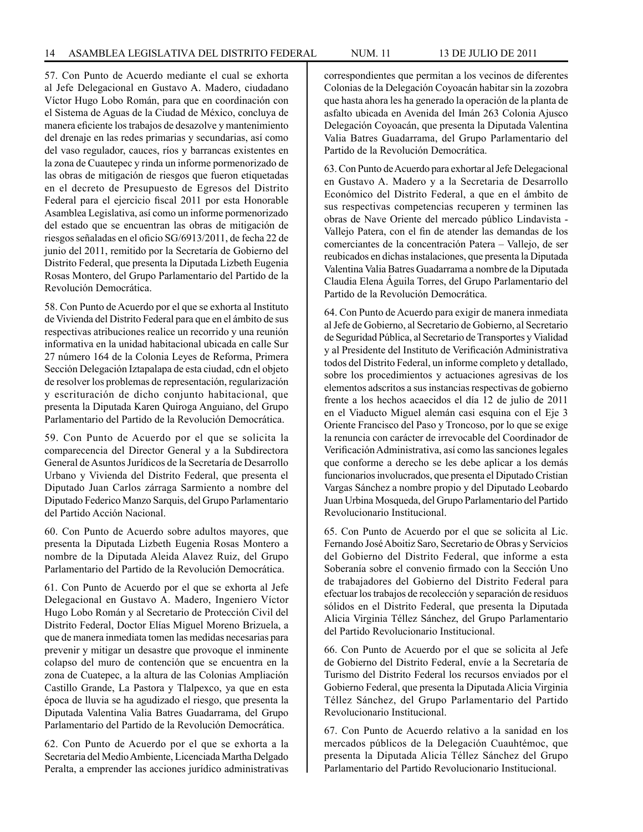57. Con Punto de Acuerdo mediante el cual se exhorta al Jefe Delegacional en Gustavo A. Madero, ciudadano Víctor Hugo Lobo Román, para que en coordinación con el Sistema de Aguas de la Ciudad de México, concluya de manera eficiente los trabajos de desazolve y mantenimiento del drenaje en las redes primarias y secundarias, así como del vaso regulador, cauces, ríos y barrancas existentes en la zona de Cuautepec y rinda un informe pormenorizado de las obras de mitigación de riesgos que fueron etiquetadas en el decreto de Presupuesto de Egresos del Distrito Federal para el ejercicio fiscal 2011 por esta Honorable Asamblea Legislativa, así como un informe pormenorizado del estado que se encuentran las obras de mitigación de riesgos señaladas en el oficio SG/6913/2011, de fecha 22 de junio del 2011, remitido por la Secretaría de Gobierno del Distrito Federal, que presenta la Diputada Lizbeth Eugenia Rosas Montero, del Grupo Parlamentario del Partido de la Revolución Democrática.

58. Con Punto de Acuerdo por el que se exhorta al Instituto de Vivienda del Distrito Federal para que en el ámbito de sus respectivas atribuciones realice un recorrido y una reunión informativa en la unidad habitacional ubicada en calle Sur 27 número 164 de la Colonia Leyes de Reforma, Primera Sección Delegación Iztapalapa de esta ciudad, cdn el objeto de resolver los problemas de representación, regularización y escrituración de dicho conjunto habitacional, que presenta la Diputada Karen Quiroga Anguiano, del Grupo Parlamentario del Partido de la Revolución Democrática.

59. Con Punto de Acuerdo por el que se solicita la comparecencia del Director General y a la Subdirectora General de Asuntos Jurídicos de la Secretaría de Desarrollo Urbano y Vivienda del Distrito Federal, que presenta el Diputado Juan Carlos zárraga Sarmiento a nombre del Diputado Federico Manzo Sarquis, del Grupo Parlamentario del Partido Acción Nacional.

60. Con Punto de Acuerdo sobre adultos mayores, que presenta la Diputada Lizbeth Eugenia Rosas Montero a nombre de la Diputada Aleida Alavez Ruiz, del Grupo Parlamentario del Partido de la Revolución Democrática.

61. Con Punto de Acuerdo por el que se exhorta al Jefe Delegacional en Gustavo A. Madero, Ingeniero Víctor Hugo Lobo Román y al Secretario de Protección Civil del Distrito Federal, Doctor Elías Miguel Moreno Brizuela, a que de manera inmediata tomen las medidas necesarias para prevenir y mitigar un desastre que provoque el inminente colapso del muro de contención que se encuentra en la zona de Cuatepec, a la altura de las Colonias Ampliación Castillo Grande, La Pastora y Tlalpexco, ya que en esta época de lluvia se ha agudizado el riesgo, que presenta la Diputada Valentina Valia Batres Guadarrama, del Grupo Parlamentario del Partido de la Revolución Democrática.

62. Con Punto de Acuerdo por el que se exhorta a la Secretaria del Medio Ambiente, Licenciada Martha Delgado Peralta, a emprender las acciones jurídico administrativas Partido de la Revolución Democrática.

63. Con Punto de Acuerdo para exhortar al Jefe Delegacional en Gustavo A. Madero y a la Secretaria de Desarrollo Económico del Distrito Federal, a que en el ámbito de sus respectivas competencias recuperen y terminen las obras de Nave Oriente del mercado público Lindavista - Vallejo Patera, con el fin de atender las demandas de los comerciantes de la concentración Patera – Vallejo, de ser reubicados en dichas instalaciones, que presenta la Diputada Valentina Valia Batres Guadarrama a nombre de la Diputada Claudia Elena Águila Torres, del Grupo Parlamentario del Partido de la Revolución Democrática.

64. Con Punto de Acuerdo para exigir de manera inmediata al Jefe de Gobierno, al Secretario de Gobierno, al Secretario de Seguridad Pública, al Secretario de Transportes y Vialidad y al Presidente del Instituto de Verificación Administrativa todos del Distrito Federal, un informe completo y detallado, sobre los procedimientos y actuaciones agresivas de los elementos adscritos a sus instancias respectivas de gobierno frente a los hechos acaecidos el día 12 de julio de 2011 en el Viaducto Miguel alemán casi esquina con el Eje 3 Oriente Francisco del Paso y Troncoso, por lo que se exige la renuncia con carácter de irrevocable del Coordinador de Verificación Administrativa, así como las sanciones legales que conforme a derecho se les debe aplicar a los demás funcionarios involucrados, que presenta el Diputado Cristian Vargas Sánchez a nombre propio y del Diputado Leobardo Juan Urbina Mosqueda, del Grupo Parlamentario del Partido Revolucionario Institucional.

65. Con Punto de Acuerdo por el que se solicita al Lic. Fernando José Aboitiz Saro, Secretario de Obras y Servicios del Gobierno del Distrito Federal, que informe a esta Soberanía sobre el convenio firmado con la Sección Uno de trabajadores del Gobierno del Distrito Federal para efectuar los trabajos de recolección y separación de residuos sólidos en el Distrito Federal, que presenta la Diputada Alicia Virginia Téllez Sánchez, del Grupo Parlamentario del Partido Revolucionario Institucional.

66. Con Punto de Acuerdo por el que se solicita al Jefe de Gobierno del Distrito Federal, envíe a la Secretaría de Turismo del Distrito Federal los recursos enviados por el Gobierno Federal, que presenta la Diputada Alicia Virginia Téllez Sánchez, del Grupo Parlamentario del Partido Revolucionario Institucional.

67. Con Punto de Acuerdo relativo a la sanidad en los mercados públicos de la Delegación Cuauhtémoc, que presenta la Diputada Alicia Téllez Sánchez del Grupo Parlamentario del Partido Revolucionario Institucional.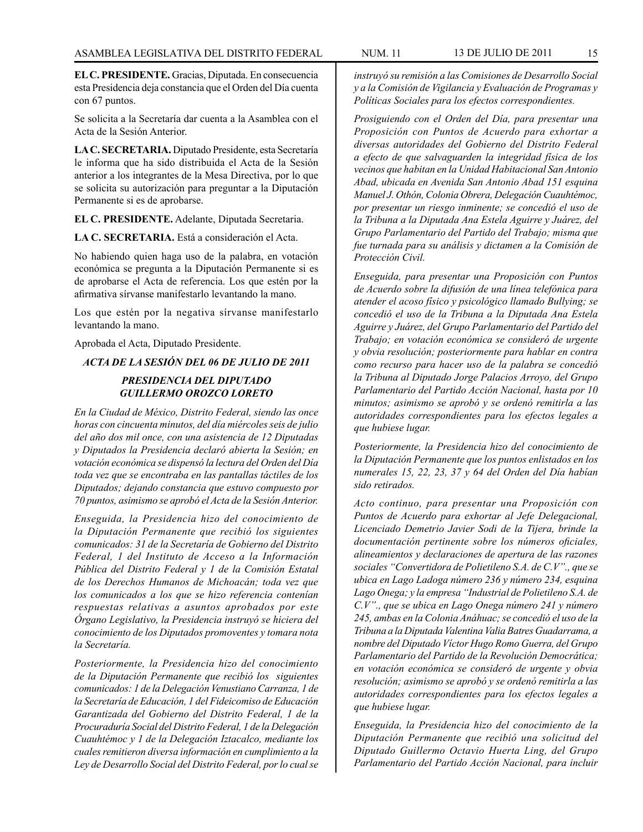**EL C. PRESIDENTE.** Gracias, Diputada. En consecuencia esta Presidencia deja constancia que el Orden del Día cuenta con 67 puntos.

Se solicita a la Secretaría dar cuenta a la Asamblea con el Acta de la Sesión Anterior.

**LA C. SECRETARIA.** Diputado Presidente, esta Secretaría le informa que ha sido distribuida el Acta de la Sesión anterior a los integrantes de la Mesa Directiva, por lo que se solicita su autorización para preguntar a la Diputación Permanente si es de aprobarse.

**EL C. PRESIDENTE.** Adelante, Diputada Secretaria.

**LA C. SECRETARIA.** Está a consideración el Acta.

No habiendo quien haga uso de la palabra, en votación económica se pregunta a la Diputación Permanente si es de aprobarse el Acta de referencia. Los que estén por la afirmativa sírvanse manifestarlo levantando la mano.

Los que estén por la negativa sírvanse manifestarlo levantando la mano.

Aprobada el Acta, Diputado Presidente.

*ACTA DE LA SESIÓN DEL 06 DE JULIO DE 2011*

# *PRESIDENCIA DEL DIPUTADO GUILLERMO OROZCO LORETO*

*En la Ciudad de México, Distrito Federal, siendo las once horas con cincuenta minutos, del día miércoles seis de julio del año dos mil once, con una asistencia de 12 Diputadas y Diputados la Presidencia declaró abierta la Sesión; en votación económica se dispensó la lectura del Orden del Día toda vez que se encontraba en las pantallas táctiles de los Diputados; dejando constancia que estuvo compuesto por 70 puntos, asimismo se aprobó el Acta de la Sesión Anterior.*

*Enseguida, la Presidencia hizo del conocimiento de la Diputación Permanente que recibió los siguientes comunicados: 31 de la Secretaría de Gobierno del Distrito Federal, 1 del Instituto de Acceso a la Información Pública del Distrito Federal y 1 de la Comisión Estatal de los Derechos Humanos de Michoacán; toda vez que los comunicados a los que se hizo referencia contenían respuestas relativas a asuntos aprobados por este Órgano Legislativo, la Presidencia instruyó se hiciera del conocimiento de los Diputados promoventes y tomara nota la Secretaría.*

*Posteriormente, la Presidencia hizo del conocimiento de la Diputación Permanente que recibió los siguientes comunicados: 1 de la Delegación Venustiano Carranza, 1 de la Secretaría de Educación, 1 del Fideicomiso de Educación Garantizada del Gobierno del Distrito Federal, 1 de la Procuraduría Social del Distrito Federal, 1 de la Delegación Cuauhtémoc y 1 de la Delegación Iztacalco, mediante los cuales remitieron diversa información en cumplimiento a la Ley de Desarrollo Social del Distrito Federal, por lo cual se* 

*instruyó su remisión a las Comisiones de Desarrollo Social y a la Comisión de Vigilancia y Evaluación de Programas y Políticas Sociales para los efectos correspondientes.*

*Prosiguiendo con el Orden del Día, para presentar una Proposición con Puntos de Acuerdo para exhortar a diversas autoridades del Gobierno del Distrito Federal a efecto de que salvaguarden la integridad física de los vecinos que habitan en la Unidad Habitacional San Antonio Abad, ubicada en Avenida San Antonio Abad 151 esquina Manuel J. Othón, Colonia Obrera, Delegación Cuauhtémoc, por presentar un riesgo inminente; se concedió el uso de la Tribuna a la Diputada Ana Estela Aguirre y Juárez, del Grupo Parlamentario del Partido del Trabajo; misma que fue turnada para su análisis y dictamen a la Comisión de Protección Civil.*

*Enseguida, para presentar una Proposición con Puntos de Acuerdo sobre la difusión de una línea telefónica para atender el acoso físico y psicológico llamado Bullying; se concedió el uso de la Tribuna a la Diputada Ana Estela Aguirre y Juárez, del Grupo Parlamentario del Partido del Trabajo; en votación económica se consideró de urgente y obvia resolución; posteriormente para hablar en contra como recurso para hacer uso de la palabra se concedió la Tribuna al Diputado Jorge Palacios Arroyo, del Grupo Parlamentario del Partido Acción Nacional, hasta por 10 minutos; asimismo se aprobó y se ordenó remitirla a las autoridades correspondientes para los efectos legales a que hubiese lugar.*

*Posteriormente, la Presidencia hizo del conocimiento de la Diputación Permanente que los puntos enlistados en los numerales 15, 22, 23, 37 y 64 del Orden del Día habían sido retirados.*

*Acto continuo, para presentar una Proposición con Puntos de Acuerdo para exhortar al Jefe Delegacional, Licenciado Demetrio Javier Sodi de la Tijera, brinde la documentación pertinente sobre los números oficiales, alineamientos y declaraciones de apertura de las razones sociales "Convertidora de Polietileno S.A. de C.V"., que se ubica en Lago Ladoga número 236 y número 234, esquina Lago Onega; y la empresa "Industrial de Polietileno S.A. de C.V"., que se ubica en Lago Onega número 241 y número 245, ambas en la Colonia Anáhuac; se concedió el uso de la Tribuna a la Diputada Valentina Valia Batres Guadarrama, a nombre del Diputado Víctor Hugo Romo Guerra, del Grupo Parlamentario del Partido de la Revolución Democrática; en votación económica se consideró de urgente y obvia resolución; asimismo se aprobó y se ordenó remitirla a las autoridades correspondientes para los efectos legales a que hubiese lugar.* 

*Enseguida, la Presidencia hizo del conocimiento de la Diputación Permanente que recibió una solicitud del Diputado Guillermo Octavio Huerta Ling, del Grupo Parlamentario del Partido Acción Nacional, para incluir*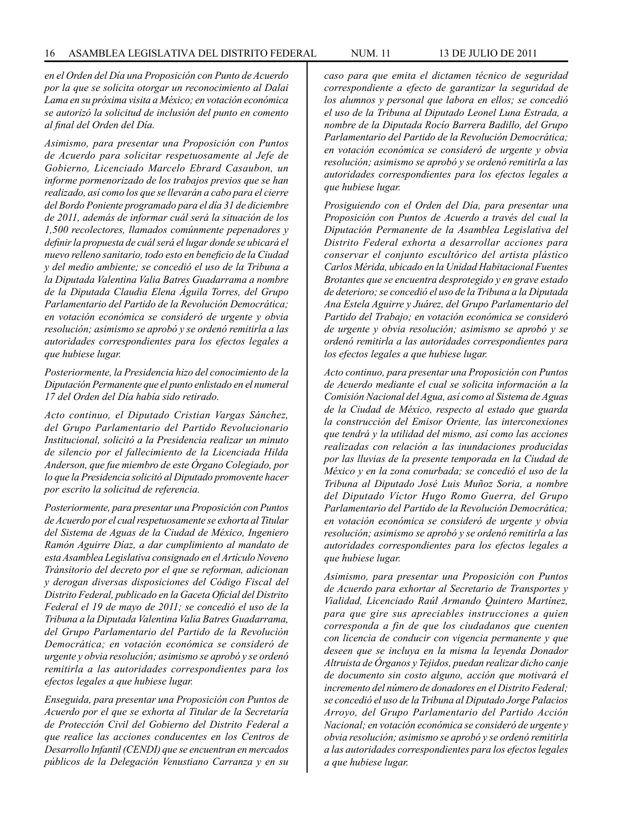*en el Orden del Día una Proposición con Punto de Acuerdo por la que se solicita otorgar un reconocimiento al Dalai Lama en su próxima visita a México; en votación económica se autorizó la solicitud de inclusión del punto en comento al final del Orden del Día.*

*Asimismo, para presentar una Proposición con Puntos de Acuerdo para solicitar respetuosamente al Jefe de Gobierno, Licenciado Marcelo Ebrard Casaubon, un informe pormenorizado de los trabajos previos que se han realizado, así como los que se llevarán a cabo para el cierre del Bordo Poniente programado para el día 31 de diciembre de 2011, además de informar cuál será la situación de los 1,500 recolectores, llamados comúnmente pepenadores y definir la propuesta de cuál será el lugar donde se ubicará el nuevo relleno sanitario, todo esto en beneficio de la Ciudad y del medio ambiente; se concedió el uso de la Tribuna a la Diputada Valentina Valia Batres Guadarrama a nombre de la Diputada Claudia Elena Águila Torres, del Grupo Parlamentario del Partido de la Revolución Democrática; en votación económica se consideró de urgente y obvia resolución; asimismo se aprobó y se ordenó remitirla a las autoridades correspondientes para los efectos legales a que hubiese lugar.*

*Posteriormente, la Presidencia hizo del conocimiento de la Diputación Permanente que el punto enlistado en el numeral 17 del Orden del Día había sido retirado.*

*Acto continuo, el Diputado Cristian Vargas Sánchez, del Grupo Parlamentario del Partido Revolucionario Institucional, solicitó a la Presidencia realizar un minuto de silencio por el fallecimiento de la Licenciada Hilda Anderson, que fue miembro de este Órgano Colegiado, por lo que la Presidencia solicitó al Diputado promovente hacer por escrito la solicitud de referencia.*

*Posteriormente, para presentar una Proposición con Puntos de Acuerdo por el cual respetuosamente se exhorta al Titular del Sistema de Aguas de la Ciudad de México, Ingeniero Ramón Aguirre Díaz, a dar cumplimiento al mandato de esta Asamblea Legislativa consignado en el Artículo Noveno Tránsitorio del decreto por el que se reforman, adicionan y derogan diversas disposiciones del Código Fiscal del Distrito Federal, publicado en la Gaceta Oficial del Distrito Federal el 19 de mayo de 2011; se concedió el uso de la Tribuna a la Diputada Valentina Valia Batres Guadarrama, del Grupo Parlamentario del Partido de la Revolución Democrática; en votación económica se consideró de urgente y obvia resolución; asimismo se aprobó y se ordenó remitirla a las autoridades correspondientes para los efectos legales a que hubiese lugar.* 

*Enseguida, para presentar una Proposición con Puntos de Acuerdo por el que se exhorta al Titular de la Secretaría de Protección Civil del Gobierno del Distrito Federal a que realice las acciones conducentes en los Centros de Desarrollo Infantil (CENDI) que se encuentran en mercados públicos de la Delegación Venustiano Carranza y en su*  *caso para que emita el dictamen técnico de seguridad correspondiente a efecto de garantizar la seguridad de los alumnos y personal que labora en ellos; se concedió el uso de la Tribuna al Diputado Leonel Luna Estrada, a nombre de la Diputada Rocío Barrera Badillo, del Grupo Parlamentario del Partido de la Revolución Democrática; en votación económica se consideró de urgente y obvia resolución; asimismo se aprobó y se ordenó remitirla a las autoridades correspondientes para los efectos legales a que hubiese lugar.*

*Prosiguiendo con el Orden del Día, para presentar una Proposición con Puntos de Acuerdo a través del cual la Diputación Permanente de la Asamblea Legislativa del Distrito Federal exhorta a desarrollar acciones para conservar el conjunto escultórico del artista plástico Carlos Mérida, ubicado en la Unidad Habitacional Fuentes Brotantes que se encuentra desprotegido y en grave estado de deterioro; se concedió el uso de la Tribuna a la Diputada Ana Estela Aguirre y Juárez, del Grupo Parlamentario del Partido del Trabajo; en votación económica se consideró de urgente y obvia resolución; asimismo se aprobó y se ordenó remitirla a las autoridades correspondientes para los efectos legales a que hubiese lugar.*

*Acto continuo, para presentar una Proposición con Puntos de Acuerdo mediante el cual se solicita información a la Comisión Nacional del Agua, así como al Sistema de Aguas de la Ciudad de México, respecto al estado que guarda la construcción del Emisor Oriente, las interconexiones que tendrá y la utilidad del mismo, así como las acciones realizadas con relación a las inundaciones producidas por las lluvias de la presente temporada en la Ciudad de México y en la zona conurbada; se concedió el uso de la Tribuna al Diputado José Luis Muñoz Soria, a nombre del Diputado Víctor Hugo Romo Guerra, del Grupo Parlamentario del Partido de la Revolución Democrática; en votación económica se consideró de urgente y obvia resolución; asimismo se aprobó y se ordenó remitirla a las autoridades correspondientes para los efectos legales a que hubiese lugar.*

*Asimismo, para presentar una Proposición con Puntos de Acuerdo para exhortar al Secretario de Transportes y Vialidad, Licenciado Raúl Armando Quintero Martínez, para que gire sus apreciables instrucciones a quien corresponda a fin de que los ciudadanos que cuenten con licencia de conducir con vigencia permanente y que deseen que se incluya en la misma la leyenda Donador Altruista de Órganos y Tejidos, puedan realizar dicho canje de documento sin costo alguno, acción que motivará el incremento del número de donadores en el Distrito Federal; se concedió el uso de la Tribuna al Diputado Jorge Palacios Arroyo, del Grupo Parlamentario del Partido Acción Nacional; en votación económica se consideró de urgente y obvia resolución; asimismo se aprobó y se ordenó remitirla a las autoridades correspondientes para los efectos legales a que hubiese lugar.*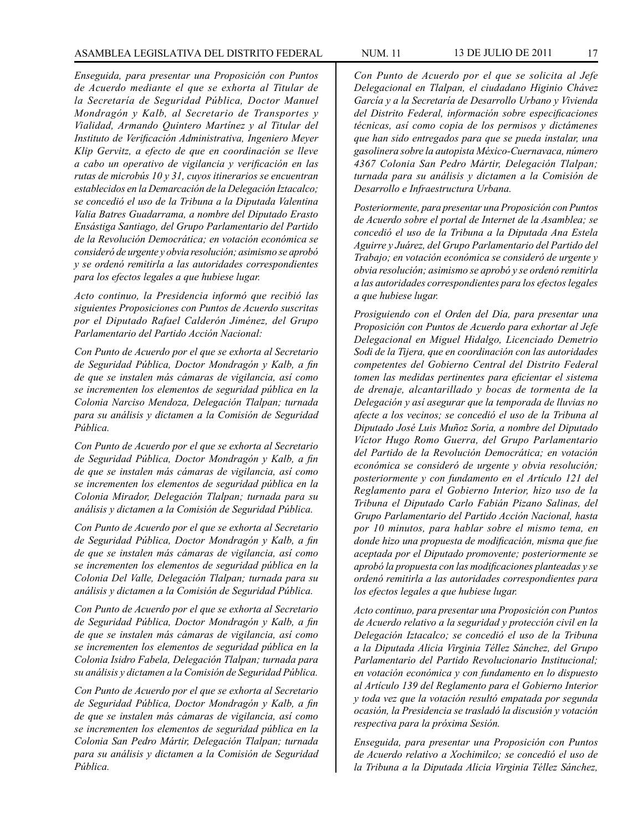*Enseguida, para presentar una Proposición con Puntos de Acuerdo mediante el que se exhorta al Titular de la Secretaría de Seguridad Pública, Doctor Manuel Mondragón y Kalb, al Secretario de Transportes y Vialidad, Armando Quintero Martínez y al Titular del Instituto de Verificación Administrativa, Ingeniero Meyer Klip Gervitz, a efecto de que en coordinación se lleve a cabo un operativo de vigilancia y verificación en las rutas de microbús 10 y 31, cuyos itinerarios se encuentran establecidos en la Demarcación de la Delegación Iztacalco; se concedió el uso de la Tribuna a la Diputada Valentina Valia Batres Guadarrama, a nombre del Diputado Erasto Ensástiga Santiago, del Grupo Parlamentario del Partido de la Revolución Democrática; en votación económica se consideró de urgente y obvia resolución; asimismo se aprobó y se ordenó remitirla a las autoridades correspondientes para los efectos legales a que hubiese lugar.* 

*Acto continuo, la Presidencia informó que recibió las siguientes Proposiciones con Puntos de Acuerdo suscritas por el Diputado Rafael Calderón Jiménez, del Grupo Parlamentario del Partido Acción Nacional:*

*Con Punto de Acuerdo por el que se exhorta al Secretario de Seguridad Pública, Doctor Mondragón y Kalb, a fin de que se instalen más cámaras de vigilancia, así como se incrementen los elementos de seguridad pública en la Colonia Narciso Mendoza, Delegación Tlalpan; turnada para su análisis y dictamen a la Comisión de Seguridad Pública.* 

*Con Punto de Acuerdo por el que se exhorta al Secretario de Seguridad Pública, Doctor Mondragón y Kalb, a fin de que se instalen más cámaras de vigilancia, así como se incrementen los elementos de seguridad pública en la Colonia Mirador, Delegación Tlalpan; turnada para su análisis y dictamen a la Comisión de Seguridad Pública.*

*Con Punto de Acuerdo por el que se exhorta al Secretario de Seguridad Pública, Doctor Mondragón y Kalb, a fin de que se instalen más cámaras de vigilancia, así como se incrementen los elementos de seguridad pública en la Colonia Del Valle, Delegación Tlalpan; turnada para su análisis y dictamen a la Comisión de Seguridad Pública.* 

*Con Punto de Acuerdo por el que se exhorta al Secretario de Seguridad Pública, Doctor Mondragón y Kalb, a fin de que se instalen más cámaras de vigilancia, así como se incrementen los elementos de seguridad pública en la Colonia Isidro Fabela, Delegación Tlalpan; turnada para su análisis y dictamen a la Comisión de Seguridad Pública.* 

*Con Punto de Acuerdo por el que se exhorta al Secretario de Seguridad Pública, Doctor Mondragón y Kalb, a fin de que se instalen más cámaras de vigilancia, así como se incrementen los elementos de seguridad pública en la Colonia San Pedro Mártir, Delegación Tlalpan; turnada para su análisis y dictamen a la Comisión de Seguridad Pública.* 

*Con Punto de Acuerdo por el que se solicita al Jefe Delegacional en Tlalpan, el ciudadano Higinio Chávez García y a la Secretaría de Desarrollo Urbano y Vivienda del Distrito Federal, información sobre especificaciones técnicas, así como copia de los permisos y dictámenes que han sido entregados para que se pueda instalar, una gasolinera sobre la autopista México-Cuernavaca, número 4367 Colonia San Pedro Mártir, Delegación Tlalpan; turnada para su análisis y dictamen a la Comisión de Desarrollo e Infraestructura Urbana.* 

*Posteriormente, para presentar una Proposición con Puntos de Acuerdo sobre el portal de Internet de la Asamblea; se concedió el uso de la Tribuna a la Diputada Ana Estela Aguirre y Juárez, del Grupo Parlamentario del Partido del Trabajo; en votación económica se consideró de urgente y obvia resolución; asimismo se aprobó y se ordenó remitirla a las autoridades correspondientes para los efectos legales a que hubiese lugar.*

*Prosiguiendo con el Orden del Día, para presentar una Proposición con Puntos de Acuerdo para exhortar al Jefe Delegacional en Miguel Hidalgo, Licenciado Demetrio Sodi de la Tijera, que en coordinación con las autoridades competentes del Gobierno Central del Distrito Federal tomen las medidas pertinentes para eficientar el sistema de drenaje, alcantarillado y bocas de tormenta de la Delegación y así asegurar que la temporada de lluvias no afecte a los vecinos; se concedió el uso de la Tribuna al Diputado José Luis Muñoz Soria, a nombre del Diputado Víctor Hugo Romo Guerra, del Grupo Parlamentario del Partido de la Revolución Democrática; en votación económica se consideró de urgente y obvia resolución; posteriormente y con fundamento en el Artículo 121 del Reglamento para el Gobierno Interior, hizo uso de la Tribuna el Diputado Carlo Fabián Pizano Salinas, del Grupo Parlamentario del Partido Acción Nacional, hasta por 10 minutos, para hablar sobre el mismo tema, en donde hizo una propuesta de modificación, misma que fue aceptada por el Diputado promovente; posteriormente se aprobó la propuesta con las modificaciones planteadas y se ordenó remitirla a las autoridades correspondientes para los efectos legales a que hubiese lugar.*

*Acto continuo, para presentar una Proposición con Puntos de Acuerdo relativo a la seguridad y protección civil en la Delegación Iztacalco; se concedió el uso de la Tribuna a la Diputada Alicia Virginia Téllez Sánchez, del Grupo Parlamentario del Partido Revolucionario Institucional; en votación económica y con fundamento en lo dispuesto al Artículo 139 del Reglamento para el Gobierno Interior y toda vez que la votación resultó empatada por segunda ocasión, la Presidencia se trasladó la discusión y votación respectiva para la próxima Sesión.* 

*Enseguida, para presentar una Proposición con Puntos de Acuerdo relativo a Xochimilco; se concedió el uso de la Tribuna a la Diputada Alicia Virginia Téllez Sánchez,*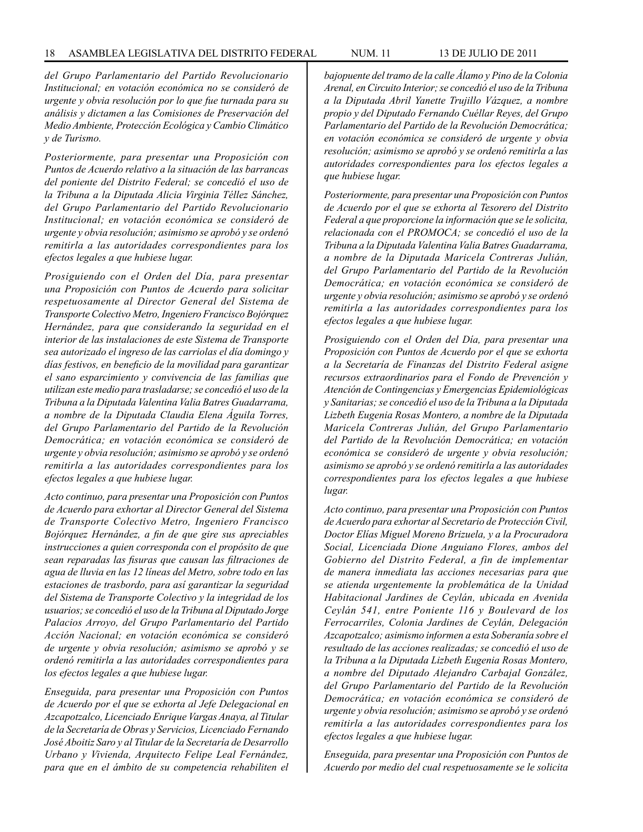*del Grupo Parlamentario del Partido Revolucionario Institucional; en votación económica no se consideró de urgente y obvia resolución por lo que fue turnada para su análisis y dictamen a las Comisiones de Preservación del Medio Ambiente, Protección Ecológica y Cambio Climático y de Turismo.*

*Posteriormente, para presentar una Proposición con Puntos de Acuerdo relativo a la situación de las barrancas del poniente del Distrito Federal; se concedió el uso de la Tribuna a la Diputada Alicia Virginia Téllez Sánchez, del Grupo Parlamentario del Partido Revolucionario Institucional; en votación económica se consideró de urgente y obvia resolución; asimismo se aprobó y se ordenó remitirla a las autoridades correspondientes para los efectos legales a que hubiese lugar.*

*Prosiguiendo con el Orden del Día, para presentar una Proposición con Puntos de Acuerdo para solicitar respetuosamente al Director General del Sistema de Transporte Colectivo Metro, Ingeniero Francisco Bojórquez Hernández, para que considerando la seguridad en el interior de las instalaciones de este Sistema de Transporte sea autorizado el ingreso de las carriolas el día domingo y días festivos, en beneficio de la movilidad para garantizar el sano esparcimiento y convivencia de las familias que utilizan este medio para trasladarse; se concedió el uso de la Tribuna a la Diputada Valentina Valia Batres Guadarrama, a nombre de la Diputada Claudia Elena Águila Torres, del Grupo Parlamentario del Partido de la Revolución Democrática; en votación económica se consideró de urgente y obvia resolución; asimismo se aprobó y se ordenó remitirla a las autoridades correspondientes para los efectos legales a que hubiese lugar.* 

*Acto continuo, para presentar una Proposición con Puntos de Acuerdo para exhortar al Director General del Sistema de Transporte Colectivo Metro, Ingeniero Francisco Bojórquez Hernández, a fin de que gire sus apreciables instrucciones a quien corresponda con el propósito de que sean reparadas las fisuras que causan las filtraciones de agua de lluvia en las 12 líneas del Metro, sobre todo en las estaciones de trasbordo, para así garantizar la seguridad del Sistema de Transporte Colectivo y la integridad de los usuarios; se concedió el uso de la Tribuna al Diputado Jorge Palacios Arroyo, del Grupo Parlamentario del Partido Acción Nacional; en votación económica se consideró de urgente y obvia resolución; asimismo se aprobó y se ordenó remitirla a las autoridades correspondientes para los efectos legales a que hubiese lugar.*

*Enseguida, para presentar una Proposición con Puntos de Acuerdo por el que se exhorta al Jefe Delegacional en Azcapotzalco, Licenciado Enrique Vargas Anaya, al Titular de la Secretaría de Obras y Servicios, Licenciado Fernando José Aboitiz Saro y al Titular de la Secretaría de Desarrollo Urbano y Vivienda, Arquitecto Felipe Leal Fernández, para que en el ámbito de su competencia rehabiliten el* 

*bajopuente del tramo de la calle Álamo y Pino de la Colonia Arenal, en Circuito Interior; se concedió el uso de la Tribuna a la Diputada Abril Yanette Trujillo Vázquez, a nombre propio y del Diputado Fernando Cuéllar Reyes, del Grupo Parlamentario del Partido de la Revolución Democrática; en votación económica se consideró de urgente y obvia resolución; asimismo se aprobó y se ordenó remitirla a las autoridades correspondientes para los efectos legales a que hubiese lugar.*

*Posteriormente, para presentar una Proposición con Puntos de Acuerdo por el que se exhorta al Tesorero del Distrito Federal a que proporcione la información que se le solicita, relacionada con el PROMOCA; se concedió el uso de la Tribuna a la Diputada Valentina Valia Batres Guadarrama, a nombre de la Diputada Maricela Contreras Julián, del Grupo Parlamentario del Partido de la Revolución Democrática; en votación económica se consideró de urgente y obvia resolución; asimismo se aprobó y se ordenó remitirla a las autoridades correspondientes para los efectos legales a que hubiese lugar.*

*Prosiguiendo con el Orden del Día, para presentar una Proposición con Puntos de Acuerdo por el que se exhorta a la Secretaría de Finanzas del Distrito Federal asigne recursos extraordinarios para el Fondo de Prevención y Atención de Contingencias y Emergencias Epidemiológicas y Sanitarias; se concedió el uso de la Tribuna a la Diputada Lizbeth Eugenia Rosas Montero, a nombre de la Diputada Maricela Contreras Julián, del Grupo Parlamentario del Partido de la Revolución Democrática; en votación económica se consideró de urgente y obvia resolución; asimismo se aprobó y se ordenó remitirla a las autoridades correspondientes para los efectos legales a que hubiese lugar.*

*Acto continuo, para presentar una Proposición con Puntos de Acuerdo para exhortar al Secretario de Protección Civil, Doctor Elías Miguel Moreno Brizuela, y a la Procuradora Social, Licenciada Dione Anguiano Flores, ambos del Gobierno del Distrito Federal, a fin de implementar de manera inmediata las acciones necesarias para que se atienda urgentemente la problemática de la Unidad Habitacional Jardines de Ceylán, ubicada en Avenida Ceylán 541, entre Poniente 116 y Boulevard de los Ferrocarriles, Colonia Jardines de Ceylán, Delegación Azcapotzalco; asimismo informen a esta Soberanía sobre el resultado de las acciones realizadas; se concedió el uso de la Tribuna a la Diputada Lizbeth Eugenia Rosas Montero, a nombre del Diputado Alejandro Carbajal González, del Grupo Parlamentario del Partido de la Revolución Democrática; en votación económica se consideró de urgente y obvia resolución; asimismo se aprobó y se ordenó remitirla a las autoridades correspondientes para los efectos legales a que hubiese lugar.*

*Enseguida, para presentar una Proposición con Puntos de Acuerdo por medio del cual respetuosamente se le solicita*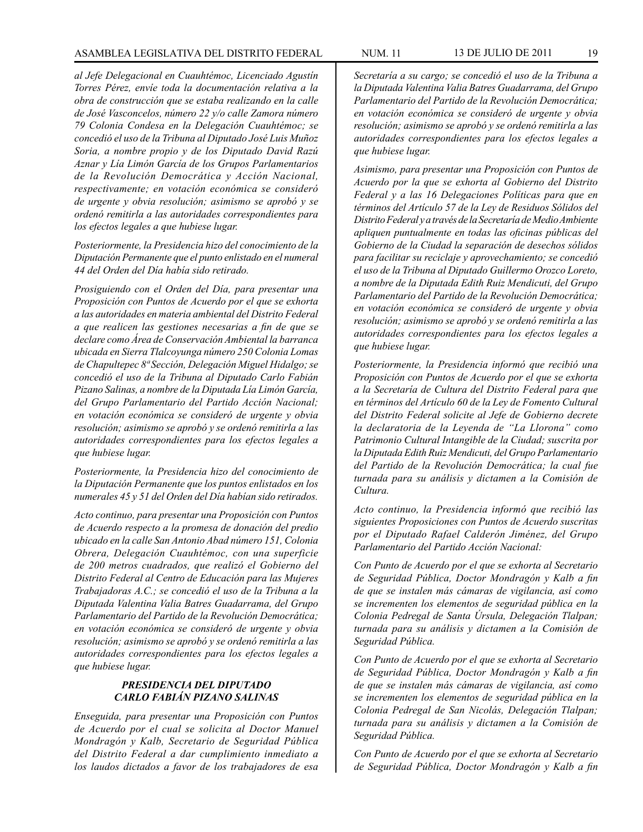*al Jefe Delegacional en Cuauhtémoc, Licenciado Agustín Torres Pérez, envíe toda la documentación relativa a la obra de construcción que se estaba realizando en la calle de José Vasconcelos, número 22 y/o calle Zamora número 79 Colonia Condesa en la Delegación Cuauhtémoc; se concedió el uso de la Tribuna al Diputado José Luis Muñoz Soria, a nombre propio y de los Diputado David Razú Aznar y Lía Limón García de los Grupos Parlamentarios de la Revolución Democrática y Acción Nacional, respectivamente; en votación económica se consideró de urgente y obvia resolución; asimismo se aprobó y se ordenó remitirla a las autoridades correspondientes para los efectos legales a que hubiese lugar.*

*Posteriormente, la Presidencia hizo del conocimiento de la Diputación Permanente que el punto enlistado en el numeral 44 del Orden del Día había sido retirado.*

*Prosiguiendo con el Orden del Día, para presentar una Proposición con Puntos de Acuerdo por el que se exhorta a las autoridades en materia ambiental del Distrito Federal a que realicen las gestiones necesarias a fin de que se declare como Área de Conservación Ambiental la barranca ubicada en Sierra Tlalcoyunga número 250 Colonia Lomas de Chapultepec 8ª Sección, Delegación Miguel Hidalgo; se concedió el uso de la Tribuna al Diputado Carlo Fabián Pizano Salinas, a nombre de la Diputada Lía Limón García, del Grupo Parlamentario del Partido Acción Nacional; en votación económica se consideró de urgente y obvia resolución; asimismo se aprobó y se ordenó remitirla a las autoridades correspondientes para los efectos legales a que hubiese lugar.* 

*Posteriormente, la Presidencia hizo del conocimiento de la Diputación Permanente que los puntos enlistados en los numerales 45 y 51 del Orden del Día habían sido retirados.*

*Acto continuo, para presentar una Proposición con Puntos de Acuerdo respecto a la promesa de donación del predio ubicado en la calle San Antonio Abad número 151, Colonia Obrera, Delegación Cuauhtémoc, con una superficie de 200 metros cuadrados, que realizó el Gobierno del Distrito Federal al Centro de Educación para las Mujeres Trabajadoras A.C.; se concedió el uso de la Tribuna a la Diputada Valentina Valia Batres Guadarrama, del Grupo Parlamentario del Partido de la Revolución Democrática; en votación económica se consideró de urgente y obvia resolución; asimismo se aprobó y se ordenó remitirla a las autoridades correspondientes para los efectos legales a que hubiese lugar.*

# *PRESIDENCIA DEL DIPUTADO CARLO FABIÁN PIZANO SALINAS*

*Enseguida, para presentar una Proposición con Puntos de Acuerdo por el cual se solicita al Doctor Manuel Mondragón y Kalb, Secretario de Seguridad Pública del Distrito Federal a dar cumplimiento inmediato a los laudos dictados a favor de los trabajadores de esa* 

*Secretaría a su cargo; se concedió el uso de la Tribuna a la Diputada Valentina Valia Batres Guadarrama, del Grupo Parlamentario del Partido de la Revolución Democrática; en votación económica se consideró de urgente y obvia resolución; asimismo se aprobó y se ordenó remitirla a las autoridades correspondientes para los efectos legales a que hubiese lugar.*

*Asimismo, para presentar una Proposición con Puntos de Acuerdo por la que se exhorta al Gobierno del Distrito Federal y a las 16 Delegaciones Políticas para que en términos del Artículo 57 de la Ley de Residuos Sólidos del Distrito Federal y a través de la Secretaría de Medio Ambiente apliquen puntualmente en todas las oficinas públicas del Gobierno de la Ciudad la separación de desechos sólidos para facilitar su reciclaje y aprovechamiento; se concedió el uso de la Tribuna al Diputado Guillermo Orozco Loreto, a nombre de la Diputada Edith Ruiz Mendicuti, del Grupo Parlamentario del Partido de la Revolución Democrática; en votación económica se consideró de urgente y obvia resolución; asimismo se aprobó y se ordenó remitirla a las autoridades correspondientes para los efectos legales a que hubiese lugar.*

*Posteriormente, la Presidencia informó que recibió una Proposición con Puntos de Acuerdo por el que se exhorta a la Secretaría de Cultura del Distrito Federal para que en términos del Artículo 60 de la Ley de Fomento Cultural del Distrito Federal solicite al Jefe de Gobierno decrete la declaratoria de la Leyenda de "La Llorona" como Patrimonio Cultural Intangible de la Ciudad; suscrita por la Diputada Edith Ruiz Mendicuti, del Grupo Parlamentario del Partido de la Revolución Democrática; la cual fue turnada para su análisis y dictamen a la Comisión de Cultura.* 

*Acto continuo, la Presidencia informó que recibió las siguientes Proposiciones con Puntos de Acuerdo suscritas por el Diputado Rafael Calderón Jiménez, del Grupo Parlamentario del Partido Acción Nacional:*

*Con Punto de Acuerdo por el que se exhorta al Secretario de Seguridad Pública, Doctor Mondragón y Kalb a fin de que se instalen más cámaras de vigilancia, así como se incrementen los elementos de seguridad pública en la Colonia Pedregal de Santa Úrsula, Delegación Tlalpan; turnada para su análisis y dictamen a la Comisión de Seguridad Pública.*

*Con Punto de Acuerdo por el que se exhorta al Secretario de Seguridad Pública, Doctor Mondragón y Kalb a fin de que se instalen más cámaras de vigilancia, así como se incrementen los elementos de seguridad pública en la Colonia Pedregal de San Nicolás, Delegación Tlalpan; turnada para su análisis y dictamen a la Comisión de Seguridad Pública.*

*Con Punto de Acuerdo por el que se exhorta al Secretario de Seguridad Pública, Doctor Mondragón y Kalb a fin*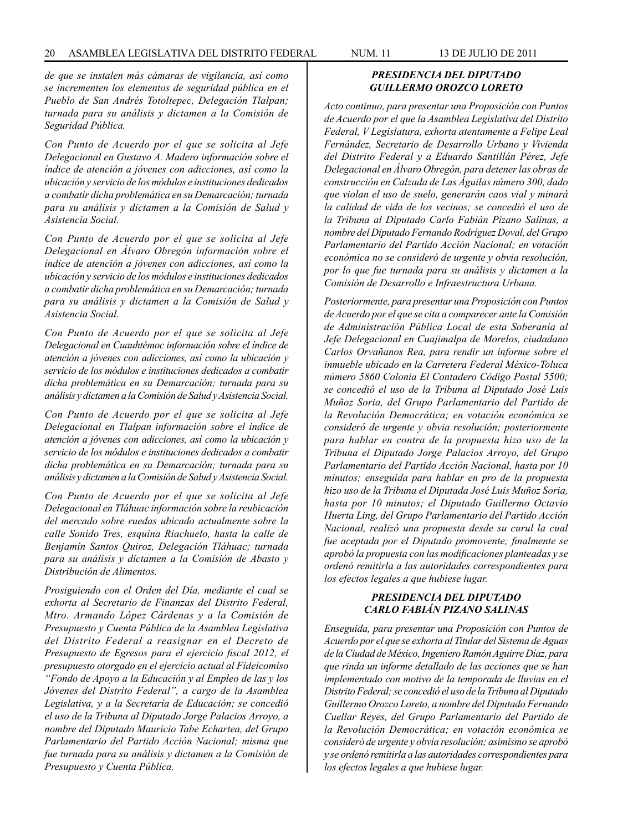*de que se instalen más cámaras de vigilancia, así como se incrementen los elementos de seguridad pública en el Pueblo de San Andrés Totoltepec, Delegación Tlalpan; turnada para su análisis y dictamen a la Comisión de Seguridad Pública.*

*Con Punto de Acuerdo por el que se solicita al Jefe Delegacional en Gustavo A. Madero información sobre el índice de atención a jóvenes con adicciones, así como la ubicación y servicio de los módulos e instituciones dedicados a combatir dicha problemática en su Demarcación; turnada para su análisis y dictamen a la Comisión de Salud y Asistencia Social.* 

*Con Punto de Acuerdo por el que se solicita al Jefe Delegacional en Álvaro Obregón información sobre el índice de atención a jóvenes con adicciones, así como la ubicación y servicio de los módulos e instituciones dedicados a combatir dicha problemática en su Demarcación; turnada para su análisis y dictamen a la Comisión de Salud y Asistencia Social.* 

*Con Punto de Acuerdo por el que se solicita al Jefe Delegacional en Cuauhtémoc información sobre el índice de atención a jóvenes con adicciones, así como la ubicación y servicio de los módulos e instituciones dedicados a combatir dicha problemática en su Demarcación; turnada para su análisis y dictamen a la Comisión de Salud y Asistencia Social.* 

*Con Punto de Acuerdo por el que se solicita al Jefe Delegacional en Tlalpan información sobre el índice de atención a jóvenes con adicciones, así como la ubicación y servicio de los módulos e instituciones dedicados a combatir dicha problemática en su Demarcación; turnada para su análisis y dictamen a la Comisión de Salud y Asistencia Social.*

*Con Punto de Acuerdo por el que se solicita al Jefe Delegacional en Tláhuac información sobre la reubicación del mercado sobre ruedas ubicado actualmente sobre la calle Sonido Tres, esquina Riachuelo, hasta la calle de Benjamín Santos Quiroz, Delegación Tláhuac; turnada para su análisis y dictamen a la Comisión de Abasto y Distribución de Alimentos.*

*Prosiguiendo con el Orden del Día, mediante el cual se exhorta al Secretario de Finanzas del Distrito Federal, Mtro. Armando López Cárdenas y a la Comisión de Presupuesto y Cuenta Pública de la Asamblea Legislativa del Distrito Federal a reasignar en el Decreto de Presupuesto de Egresos para el ejercicio fiscal 2012, el presupuesto otorgado en el ejercicio actual al Fideicomiso "Fondo de Apoyo a la Educación y al Empleo de las y los Jóvenes del Distrito Federal", a cargo de la Asamblea Legislativa, y a la Secretaría de Educación; se concedió el uso de la Tribuna al Diputado Jorge Palacios Arroyo, a nombre del Diputado Mauricio Tabe Echartea, del Grupo Parlamentario del Partido Acción Nacional; misma que fue turnada para su análisis y dictamen a la Comisión de Presupuesto y Cuenta Pública.*

# *PRESIDENCIA DEL DIPUTADO GUILLERMO OROZCO LORETO*

*Acto continuo, para presentar una Proposición con Puntos de Acuerdo por el que la Asamblea Legislativa del Distrito Federal, V Legislatura, exhorta atentamente a Felipe Leal Fernández, Secretario de Desarrollo Urbano y Vivienda del Distrito Federal y a Eduardo Santillán Pérez, Jefe Delegacional en Álvaro Obregón, para detener las obras de construcción en Calzada de Las Águilas número 300, dado que violan el uso de suelo, generarán caos vial y minará la calidad de vida de los vecinos; se concedió el uso de la Tribuna al Diputado Carlo Fabián Pizano Salinas, a nombre del Diputado Fernando Rodríguez Doval, del Grupo Parlamentario del Partido Acción Nacional; en votación económica no se consideró de urgente y obvia resolución, por lo que fue turnada para su análisis y dictamen a la Comisión de Desarrollo e Infraestructura Urbana.*

*Posteriormente, para presentar una Proposición con Puntos de Acuerdo por el que se cita a comparecer ante la Comisión de Administración Pública Local de esta Soberanía al Jefe Delegacional en Cuajimalpa de Morelos, ciudadano Carlos Orvañanos Rea, para rendir un informe sobre el inmueble ubicado en la Carretera Federal México-Toluca número 5860 Colonia El Contadero Código Postal 5500; se concedió el uso de la Tribuna al Diputado José Luis Muñoz Soria, del Grupo Parlamentario del Partido de la Revolución Democrática; en votación económica se consideró de urgente y obvia resolución; posteriormente para hablar en contra de la propuesta hizo uso de la Tribuna el Diputado Jorge Palacios Arroyo, del Grupo Parlamentario del Partido Acción Nacional, hasta por 10 minutos; enseguida para hablar en pro de la propuesta hizo uso de la Tribuna el Diputada José Luis Muñoz Soria, hasta por 10 minutos; el Diputado Guillermo Octavio Huerta Ling, del Grupo Parlamentario del Partido Acción Nacional, realizó una propuesta desde su curul la cual fue aceptada por el Diputado promovente; finalmente se aprobó la propuesta con las modificaciones planteadas y se ordenó remitirla a las autoridades correspondientes para los efectos legales a que hubiese lugar.*

### *PRESIDENCIA DEL DIPUTADO CARLO FABIÁN PIZANO SALINAS*

*Enseguida, para presentar una Proposición con Puntos de Acuerdo por el que se exhorta al Titular del Sistema de Aguas de la Ciudad de México, Ingeniero Ramón Aguirre Díaz, para que rinda un informe detallado de las acciones que se han implementado con motivo de la temporada de lluvias en el Distrito Federal; se concedió el uso de la Tribuna al Diputado Guillermo Orozco Loreto, a nombre del Diputado Fernando Cuellar Reyes, del Grupo Parlamentario del Partido de la Revolución Democrática; en votación económica se consideró de urgente y obvia resolución; asimismo se aprobó y se ordenó remitirla a las autoridades correspondientes para los efectos legales a que hubiese lugar.*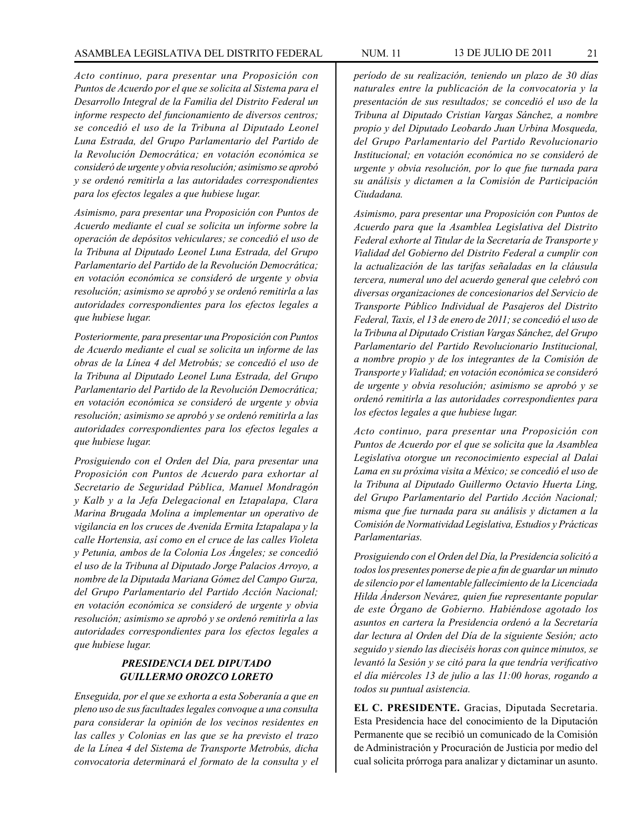*Acto continuo, para presentar una Proposición con Puntos de Acuerdo por el que se solicita al Sistema para el Desarrollo Integral de la Familia del Distrito Federal un informe respecto del funcionamiento de diversos centros; se concedió el uso de la Tribuna al Diputado Leonel Luna Estrada, del Grupo Parlamentario del Partido de la Revolución Democrática; en votación económica se consideró de urgente y obvia resolución; asimismo se aprobó y se ordenó remitirla a las autoridades correspondientes para los efectos legales a que hubiese lugar.*

*Asimismo, para presentar una Proposición con Puntos de Acuerdo mediante el cual se solicita un informe sobre la operación de depósitos vehiculares; se concedió el uso de la Tribuna al Diputado Leonel Luna Estrada, del Grupo Parlamentario del Partido de la Revolución Democrática; en votación económica se consideró de urgente y obvia resolución; asimismo se aprobó y se ordenó remitirla a las autoridades correspondientes para los efectos legales a que hubiese lugar.* 

*Posteriormente, para presentar una Proposición con Puntos de Acuerdo mediante el cual se solicita un informe de las obras de la Línea 4 del Metrobús; se concedió el uso de la Tribuna al Diputado Leonel Luna Estrada, del Grupo Parlamentario del Partido de la Revolución Democrática; en votación económica se consideró de urgente y obvia resolución; asimismo se aprobó y se ordenó remitirla a las autoridades correspondientes para los efectos legales a que hubiese lugar.* 

*Prosiguiendo con el Orden del Día, para presentar una Proposición con Puntos de Acuerdo para exhortar al Secretario de Seguridad Pública, Manuel Mondragón y Kalb y a la Jefa Delegacional en Iztapalapa, Clara Marina Brugada Molina a implementar un operativo de vigilancia en los cruces de Avenida Ermita Iztapalapa y la calle Hortensia, así como en el cruce de las calles Violeta y Petunia, ambos de la Colonia Los Ángeles; se concedió el uso de la Tribuna al Diputado Jorge Palacios Arroyo, a nombre de la Diputada Mariana Gómez del Campo Gurza, del Grupo Parlamentario del Partido Acción Nacional; en votación económica se consideró de urgente y obvia resolución; asimismo se aprobó y se ordenó remitirla a las autoridades correspondientes para los efectos legales a que hubiese lugar.*

# *PRESIDENCIA DEL DIPUTADO GUILLERMO OROZCO LORETO*

*Enseguida, por el que se exhorta a esta Soberanía a que en pleno uso de sus facultades legales convoque a una consulta para considerar la opinión de los vecinos residentes en las calles y Colonias en las que se ha previsto el trazo de la Línea 4 del Sistema de Transporte Metrobús, dicha convocatoria determinará el formato de la consulta y el*  *período de su realización, teniendo un plazo de 30 días naturales entre la publicación de la convocatoria y la presentación de sus resultados; se concedió el uso de la Tribuna al Diputado Cristian Vargas Sánchez, a nombre propio y del Diputado Leobardo Juan Urbina Mosqueda, del Grupo Parlamentario del Partido Revolucionario Institucional; en votación económica no se consideró de urgente y obvia resolución, por lo que fue turnada para su análisis y dictamen a la Comisión de Participación Ciudadana.*

*Asimismo, para presentar una Proposición con Puntos de Acuerdo para que la Asamblea Legislativa del Distrito Federal exhorte al Titular de la Secretaría de Transporte y Vialidad del Gobierno del Distrito Federal a cumplir con la actualización de las tarifas señaladas en la cláusula tercera, numeral uno del acuerdo general que celebró con diversas organizaciones de concesionarios del Servicio de Transporte Público Individual de Pasajeros del Distrito Federal, Taxis, el 13 de enero de 2011; se concedió el uso de la Tribuna al Diputado Cristian Vargas Sánchez, del Grupo Parlamentario del Partido Revolucionario Institucional, a nombre propio y de los integrantes de la Comisión de Transporte y Vialidad; en votación económica se consideró de urgente y obvia resolución; asimismo se aprobó y se ordenó remitirla a las autoridades correspondientes para los efectos legales a que hubiese lugar.*

*Acto continuo, para presentar una Proposición con Puntos de Acuerdo por el que se solicita que la Asamblea Legislativa otorgue un reconocimiento especial al Dalai Lama en su próxima visita a México; se concedió el uso de la Tribuna al Diputado Guillermo Octavio Huerta Ling, del Grupo Parlamentario del Partido Acción Nacional; misma que fue turnada para su análisis y dictamen a la Comisión de Normatividad Legislativa, Estudios y Prácticas Parlamentarias.*

*Prosiguiendo con el Orden del Día, la Presidencia solicitó a todos los presentes ponerse de pie a fin de guardar un minuto de silencio por el lamentable fallecimiento de la Licenciada Hilda Ánderson Nevárez, quien fue representante popular de este Órgano de Gobierno. Habiéndose agotado los asuntos en cartera la Presidencia ordenó a la Secretaría dar lectura al Orden del Día de la siguiente Sesión; acto seguido y siendo las dieciséis horas con quince minutos, se levantó la Sesión y se citó para la que tendría verificativo el día miércoles 13 de julio a las 11:00 horas, rogando a todos su puntual asistencia.*

**EL C. PRESIDENTE.** Gracias, Diputada Secretaria. Esta Presidencia hace del conocimiento de la Diputación Permanente que se recibió un comunicado de la Comisión de Administración y Procuración de Justicia por medio del cual solicita prórroga para analizar y dictaminar un asunto.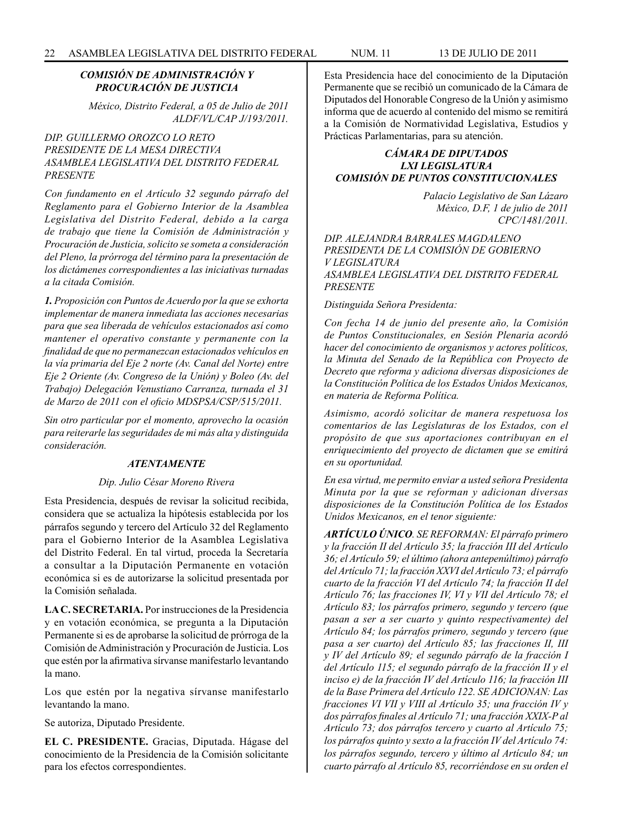# *COMISIÓN DE ADMINISTRACIÓN Y PROCURACIÓN DE JUSTICIA*

*México, Distrito Federal, a 05 de Julio de 2011 ALDF/VL/CAP J/193/2011.*

# *DIP. GUILLERMO OROZCO LO RETO PRESIDENTE DE LA MESA DIRECTIVA ASAMBLEA LEGISLATIVA DEL DISTRITO FEDERAL PRESENTE*

*Con fundamento en el Artículo 32 segundo párrafo del Reglamento para el Gobierno Interior de la Asamblea Legislativa del Distrito Federal, debido a la carga de trabajo que tiene la Comisión de Administración y Procuración de Justicia, solicito se someta a consideración del Pleno, la prórroga del término para la presentación de los dictámenes correspondientes a las iniciativas turnadas a la citada Comisión.*

*1. Proposición con Puntos de Acuerdo por la que se exhorta implementar de manera inmediata las acciones necesarias para que sea liberada de vehículos estacionados así como mantener el operativo constante y permanente con la finalidad de que no permanezcan estacionados vehículos en la vía primaria del Eje 2 norte (Av. Canal del Norte) entre Eje 2 Oriente (Av. Congreso de la Unión) y Boleo (Av. del Trabajo) Delegación Venustiano Carranza, turnada el 31 de Marzo de 2011 con el oficio MDSPSA/CSP/515/2011.* 

*Sin otro particular por el momento, aprovecho la ocasión para reiterarle las seguridades de mi más alta y distinguida consideración.*

# *ATENTAMENTE*

#### *Dip. Julio César Moreno Rivera*

Esta Presidencia, después de revisar la solicitud recibida, considera que se actualiza la hipótesis establecida por los párrafos segundo y tercero del Artículo 32 del Reglamento para el Gobierno Interior de la Asamblea Legislativa del Distrito Federal. En tal virtud, proceda la Secretaría a consultar a la Diputación Permanente en votación económica si es de autorizarse la solicitud presentada por la Comisión señalada.

**LA C. SECRETARIA.** Por instrucciones de la Presidencia y en votación económica, se pregunta a la Diputación Permanente si es de aprobarse la solicitud de prórroga de la Comisión de Administración y Procuración de Justicia. Los que estén por la afirmativa sírvanse manifestarlo levantando la mano.

Los que estén por la negativa sírvanse manifestarlo levantando la mano.

Se autoriza, Diputado Presidente.

**EL C. PRESIDENTE.** Gracias, Diputada. Hágase del conocimiento de la Presidencia de la Comisión solicitante para los efectos correspondientes.

Esta Presidencia hace del conocimiento de la Diputación Permanente que se recibió un comunicado de la Cámara de Diputados del Honorable Congreso de la Unión y asimismo informa que de acuerdo al contenido del mismo se remitirá a la Comisión de Normatividad Legislativa, Estudios y Prácticas Parlamentarias, para su atención.

# *CÁMARA DE DIPUTADOS LXI LEGISLATURA COMISIÓN DE PUNTOS CONSTITUCIONALES*

*Palacio Legislativo de San Lázaro México, D.F, 1 de julio de 2011 CPC/1481/2011.*

*DIP. ALEJANDRA BARRALES MAGDALENO PRESIDENTA DE LA COMISIÓN DE GOBIERNO V LEGISLATURA ASAMBLEA LEGISLATIVA DEL DISTRITO FEDERAL PRESENTE*

*Distinguida Señora Presidenta:*

*Con fecha 14 de junio del presente año, la Comisión de Puntos Constitucionales, en Sesión Plenaria acordó hacer del conocimiento de organismos y actores políticos, la Minuta del Senado de la República con Proyecto de Decreto que reforma y adiciona diversas disposiciones de la Constitución Política de los Estados Unidos Mexicanos, en materia de Reforma Política.*

*Asimismo, acordó solicitar de manera respetuosa los comentarios de las Legislaturas de los Estados, con el propósito de que sus aportaciones contribuyan en el enriquecimiento del proyecto de dictamen que se emitirá en su oportunidad.*

*En esa virtud, me permito enviar a usted señora Presidenta Minuta por la que se reforman y adicionan diversas disposiciones de la Constitución Política de los Estados Unidos Mexicanos, en el tenor siguiente:*

*ARTÍCULO ÚNICO. SE REFORMAN: El párrafo primero y la fracción II del Artículo 35; la fracción III del Artículo 36; el Artículo 59; el último (ahora antepenúltimo) párrafo del Artículo 71; la fracción XXVI del Artículo 73; el párrafo cuarto de la fracción VI del Artículo 74; la fracción II del Artículo 76; las fracciones IV, VI y VII del Artículo 78; el Artículo 83; los párrafos primero, segundo y tercero (que pasan a ser a ser cuarto y quinto respectivamente) del Artículo 84; los párrafos primero, segundo y tercero (que pasa a ser cuarto) del Artículo 85; las fracciones II, III y IV del Artículo 89; el segundo párrafo de la fracción I del Artículo 115; el segundo párrafo de la fracción II y el inciso e) de la fracción IV del Artículo 116; la fracción III de la Base Primera del Artículo 122. SE ADICIONAN: Las fracciones VI VII y VIII al Artículo 35; una fracción IV y dos párrafos finales al Artículo 71; una fracción XXIX-P al Artículo 73; dos párrafos tercero y cuarto al Artículo 75; los párrafos quinto y sexto a la fracción IV del Artículo 74: los párrafos segundo, tercero y último al Artículo 84; un cuarto párrafo al Artículo 85, recorriéndose en su orden el*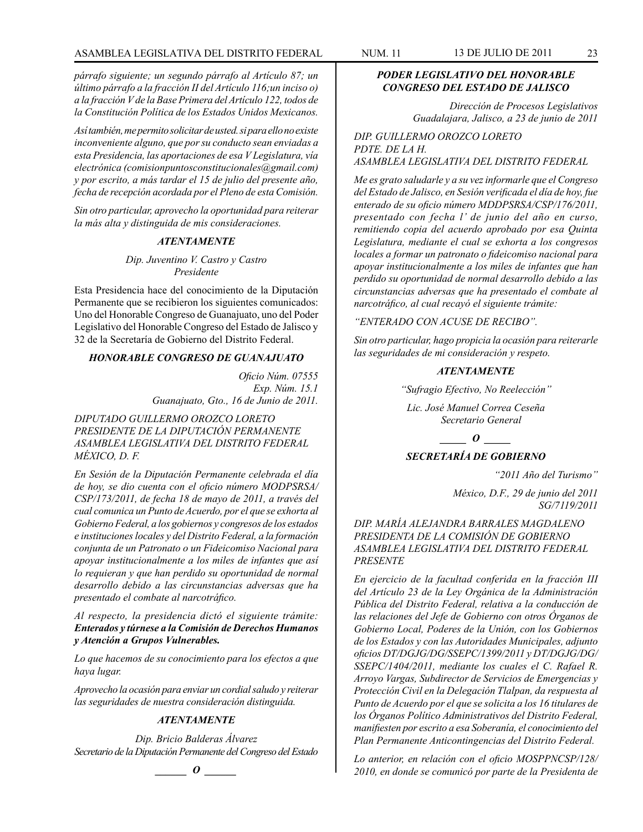*párrafo siguiente; un segundo párrafo al Artículo 87; un último párrafo a la fracción II del Artículo 116;un inciso o) a la fracción V de la Base Primera del Artículo 122, todos de la Constitución Política de los Estados Unidos Mexicanos.* 

*Así también, me permito solicitar de usted. si para ello no existe inconveniente alguno, que por su conducto sean enviadas a esta Presidencia, las aportaciones de esa V Legislatura, vía electrónica (comisionpuntosconstitucionales@gmail.com) y por escrito, a más tardar el 15 de julio del presente año, fecha de recepción acordada por el Pleno de esta Comisión.*

*Sin otro particular, aprovecho la oportunidad para reiterar la más alta y distinguida de mis consideraciones.*

#### *ATENTAMENTE*

*Dip. Juventino V. Castro y Castro Presidente*

Esta Presidencia hace del conocimiento de la Diputación Permanente que se recibieron los siguientes comunicados: Uno del Honorable Congreso de Guanajuato, uno del Poder Legislativo del Honorable Congreso del Estado de Jalisco y 32 de la Secretaría de Gobierno del Distrito Federal.

#### *HONORABLE CONGRESO DE GUANAJUATO*

*Oficio Núm. 07555 Exp. Núm. 15.1 Guanajuato, Gto., 16 de Junio de 2011.*

*DIPUTADO GUILLERMO OROZCO LORETO PRESIDENTE DE LA DIPUTACIÓN PERMANENTE ASAMBLEA LEGISLATIVA DEL DISTRITO FEDERAL MÉXICO, D. F.*

*En Sesión de la Diputación Permanente celebrada el día de hoy, se dio cuenta con el oficio número MODPSRSA/ CSP/173/2011, de fecha 18 de mayo de 2011, a través del cual comunica un Punto de Acuerdo, por el que se exhorta al Gobierno Federal, a los gobiernos y congresos de los estados e instituciones locales y del Distrito Federal, a la formación conjunta de un Patronato o un Fideicomiso Nacional para apoyar institucionalmente a los miles de infantes que así lo requieran y que han perdido su oportunidad de normal desarrollo debido a las circunstancias adversas que ha presentado el combate al narcotráfico.*

*Al respecto, la presidencia dictó el siguiente trámite: Enterados y túrnese a la Comisión de Derechos Humanos y Atención a Grupos Vulnerables.*

*Lo que hacemos de su conocimiento para los efectos a que haya lugar.*

*Aprovecho la ocasión para enviar un cordial saludo y reiterar las seguridades de nuestra consideración distinguida.*

#### *ATENTAMENTE*

*Dip. Bricio Balderas Álvarez Secretario de la Diputación Permanente del Congreso del Estado*

*\_\_\_\_\_\_ O \_\_\_\_\_\_*

# *PODER LEGISLATIVO DEL HONORABLE CONGRESO DEL ESTADO DE JALISCO*

*Dirección de Procesos Legislativos Guadalajara, Jalisco, a 23 de junio de 2011*

*DIP. GUILLERMO OROZCO LORETO PDTE. DE LA H. ASAMBLEA LEGISLATIVA DEL DISTRITO FEDERAL*

*Me es grato saludarle y a su vez informarle que el Congreso del Estado de Jalisco, en Sesión verificada el día de hoy, fue enterado de su oficio número MDDPSRSA/CSP/176/2011, presentado con fecha l' de junio del año en curso, remitiendo copia del acuerdo aprobado por esa Quinta Legislatura, mediante el cual se exhorta a los congresos locales a formar un patronato o fideicomiso nacional para apoyar institucionalmente a los miles de infantes que han perdido su oportunidad de normal desarrollo debido a las circunstancias adversas que ha presentado el combate al narcotráfico, al cual recayó el siguiente trámite:*

*"ENTERADO CON ACUSE DE RECIBO".*

*Sin otro particular, hago propicia la ocasión para reiterarle las seguridades de mi consideración y respeto.*

#### *ATENTAMENTE*

*"Sufragio Efectivo, No Reelección"*

*Lic. José Manuel Correa Ceseña Secretario General*

*\_\_\_\_\_ O \_\_\_\_\_*

# *SECRETARÍA DE GOBIERNO*

*"2011 Año del Turismo"*

*México, D.F., 29 de junio del 2011 SG/7119/2011*

# *DIP. MARÍA ALEJANDRA BARRALES MAGDALENO PRESIDENTA DE LA COMISIÓN DE GOBIERNO ASAMBLEA LEGISLATIVA DEL DISTRITO FEDERAL PRESENTE*

*En ejercicio de la facultad conferida en la fracción III del Artículo 23 de la Ley Orgánica de la Administración Pública del Distrito Federal, relativa a la conducción de las relaciones del Jefe de Gobierno con otros Órganos de Gobierno Local, Poderes de la Unión, con los Gobiernos de los Estados y con las Autoridades Municipales, adjunto oficios DT/DGJG/DG/SSEPC/1399/2011 y DT/DGJG/DG/ SSEPC/1404/2011, mediante los cuales el C. Rafael R. Arroyo Vargas, Subdirector de Servicios de Emergencias y Protección Civil en la Delegación Tlalpan, da respuesta al Punto de Acuerdo por el que se solicita a los 16 titulares de los Órganos Político Administrativos del Distrito Federal, manifiesten por escrito a esa Soberanía, el conocimiento del Plan Permanente Anticontingencias del Distrito Federal.*

*Lo anterior, en relación con el oficio MOSPPNCSP/128/ 2010, en donde se comunicó por parte de la Presidenta de*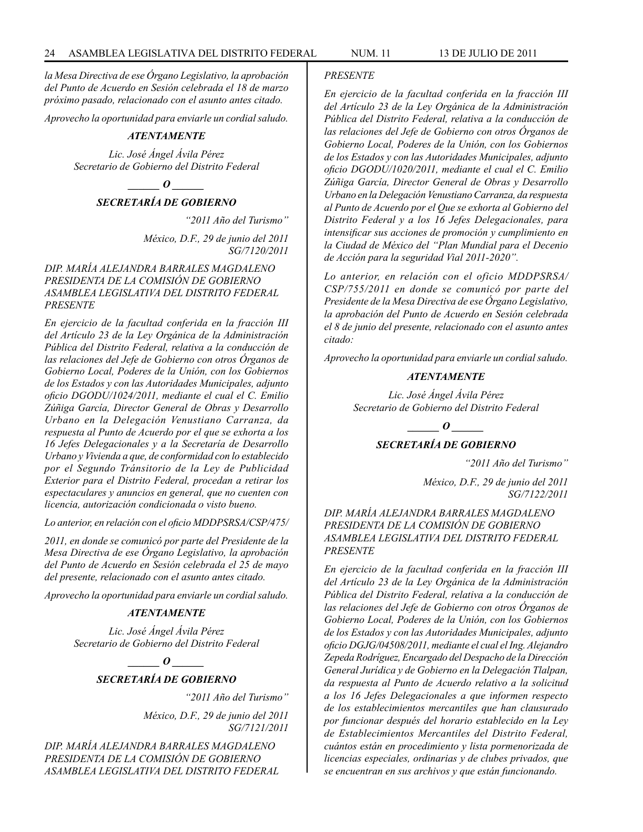*la Mesa Directiva de ese Órgano Legislativo, la aprobación del Punto de Acuerdo en Sesión celebrada el 18 de marzo próximo pasado, relacionado con el asunto antes citado.*

*Aprovecho la oportunidad para enviarle un cordial saludo.*

#### *ATENTAMENTE*

*Lic. José Ángel Ávila Pérez Secretario de Gobierno del Distrito Federal*

*\_\_\_\_\_\_ O \_\_\_\_\_\_*

*SECRETARÍA DE GOBIERNO*

*"2011 Año del Turismo"*

*México, D.F., 29 de junio del 2011 SG/7120/2011*

*DIP. MARÍA ALEJANDRA BARRALES MAGDALENO PRESIDENTA DE LA COMISIÓN DE GOBIERNO ASAMBLEA LEGISLATIVA DEL DISTRITO FEDERAL PRESENTE*

*En ejercicio de la facultad conferida en la fracción III del Artículo 23 de la Ley Orgánica de la Administración Pública del Distrito Federal, relativa a la conducción de las relaciones del Jefe de Gobierno con otros Órganos de Gobierno Local, Poderes de la Unión, con los Gobiernos de los Estados y con las Autoridades Municipales, adjunto oficio DGODU/1024/2011, mediante el cual el C. Emilio Zúñiga García, Director General de Obras y Desarrollo Urbano en la Delegación Venustiano Carranza, da respuesta al Punto de Acuerdo por el que se exhorta a los 16 Jefes Delegacionales y a la Secretaría de Desarrollo Urbano y Vivienda a que, de conformidad con lo establecido por el Segundo Tránsitorio de la Ley de Publicidad Exterior para el Distrito Federal, procedan a retirar los espectaculares y anuncios en general, que no cuenten con licencia, autorización condicionada o visto bueno.*

*Lo anterior, en relación con el oficio MDDPSRSA/CSP/475/*

*2011, en donde se comunicó por parte del Presidente de la Mesa Directiva de ese Órgano Legislativo, la aprobación del Punto de Acuerdo en Sesión celebrada el 25 de mayo del presente, relacionado con el asunto antes citado.*

*Aprovecho la oportunidad para enviarle un cordial saludo.*

#### *ATENTAMENTE*

*Lic. José Ángel Ávila Pérez Secretario de Gobierno del Distrito Federal*

> *\_\_\_\_\_\_ O \_\_\_\_\_\_ SECRETARÍA DE GOBIERNO*

> > *"2011 Año del Turismo"*

*México, D.F., 29 de junio del 2011 SG/7121/2011*

*DIP. MARÍA ALEJANDRA BARRALES MAGDALENO PRESIDENTA DE LA COMISIÓN DE GOBIERNO ASAMBLEA LEGISLATIVA DEL DISTRITO FEDERAL* 

#### *PRESENTE*

*En ejercicio de la facultad conferida en la fracción III del Artículo 23 de la Ley Orgánica de la Administración Pública del Distrito Federal, relativa a la conducción de las relaciones del Jefe de Gobierno con otros Órganos de Gobierno Local, Poderes de la Unión, con los Gobiernos de los Estados y con las Autoridades Municipales, adjunto oficio DGODU/1020/2011, mediante el cual el C. Emilio Zúñiga García, Director General de Obras y Desarrollo Urbano en la Delegación Venustiano Carranza, da respuesta al Punto de Acuerdo por el Que se exhorta al Gobierno del Distrito Federal y a los 16 Jefes Delegacionales, para intensificar sus acciones de promoción y cumplimiento en la Ciudad de México del "Plan Mundial para el Decenio de Acción para la seguridad Vial 2011-2020".*

*Lo anterior, en relación con el oficio MDDPSRSA/ CSP/755/2011 en donde se comunicó por parte del Presidente de la Mesa Directiva de ese Órgano Legislativo, la aprobación del Punto de Acuerdo en Sesión celebrada el 8 de junio del presente, relacionado con el asunto antes citado:*

*Aprovecho la oportunidad para enviarle un cordial saludo.*

#### *ATENTAMENTE*

*Lic. José Ángel Ávila Pérez Secretario de Gobierno del Distrito Federal*

*\_\_\_\_\_\_ O \_\_\_\_\_\_*

# *SECRETARÍA DE GOBIERNO*

*"2011 Año del Turismo"*

*México, D.F., 29 de junio del 2011 SG/7122/2011*

*DIP. MARÍA ALEJANDRA BARRALES MAGDALENO PRESIDENTA DE LA COMISIÓN DE GOBIERNO ASAMBLEA LEGISLATIVA DEL DISTRITO FEDERAL PRESENTE*

*En ejercicio de la facultad conferida en la fracción III del Artículo 23 de la Ley Orgánica de la Administración Pública del Distrito Federal, relativa a la conducción de las relaciones del Jefe de Gobierno con otros Órganos de Gobierno Local, Poderes de la Unión, con los Gobiernos de los Estados y con las Autoridades Municipales, adjunto oficio DGJG/04508/2011, mediante el cual el Ing. Alejandro Zepeda Rodríguez, Encargado del Despacho de la Dirección General Jurídica y de Gobierno en la Delegación Tlalpan, da respuesta al Punto de Acuerdo relativo a la solicitud a los 16 Jefes Delegacionales a que informen respecto de los establecimientos mercantiles que han clausurado por funcionar después del horario establecido en la Ley de Establecimientos Mercantiles del Distrito Federal, cuántos están en procedimiento y lista pormenorizada de licencias especiales, ordinarias y de clubes privados, que se encuentran en sus archivos y que están funcionando.*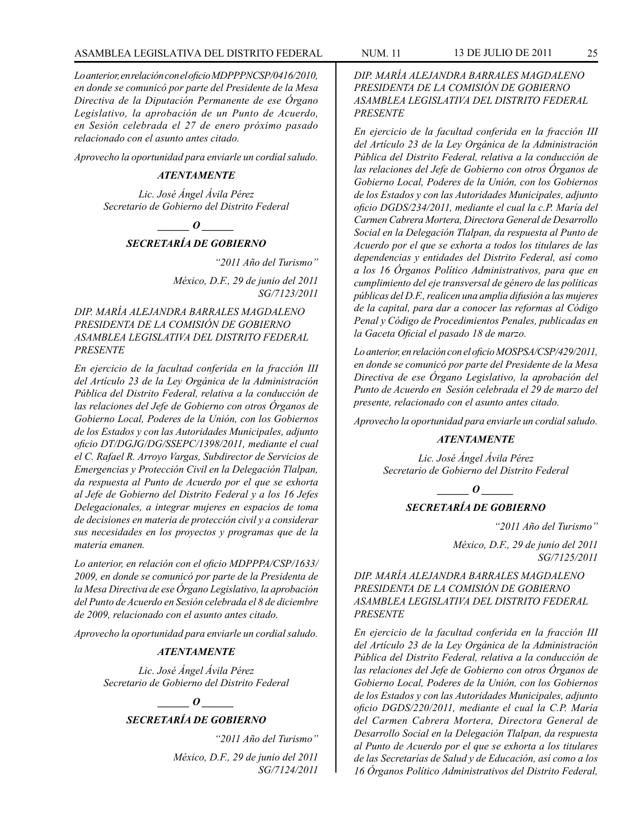*Lo anterior, en relación con el oficio MDPPPNCSP/0416/2010, en donde se comunicó por parte del Presidente de la Mesa Directiva de la Diputación Permanente de ese Órgano Legislativo, la aprobación de un Punto de Acuerdo, en Sesión celebrada el 27 de enero próximo pasado relacionado con el asunto antes citado.*

*Aprovecho la oportunidad para enviarle un cordial saludo.*

#### *ATENTAMENTE*

*Lic. José Ángel Ávila Pérez Secretario de Gobierno del Distrito Federal*

 $\bm{o}$ 

#### *SECRETARÍA DE GOBIERNO*

*"2011 Año del Turismo"*

*México, D.F., 29 de junio del 2011 SG/7123/2011*

*DIP. MARÍA ALEJANDRA BARRALES MAGDALENO PRESIDENTA DE LA COMISIÓN DE GOBIERNO ASAMBLEA LEGISLATIVA DEL DISTRITO FEDERAL PRESENTE*

*En ejercicio de la facultad conferida en la fracción III del Artículo 23 de la Ley Orgánica de la Administración Pública del Distrito Federal, relativa a la conducción de las relaciones del Jefe de Gobierno con otros Órganos de Gobierno Local, Poderes de la Unión, con los Gobiernos de los Estados y con las Autoridades Municipales, adjunto oficio DT/DGJG/DG/SSEPC/1398/2011, mediante el cual el C. Rafael R. Arroyo Vargas, Subdirector de Servicios de Emergencias y Protección Civil en la Delegación Tlalpan, da respuesta al Punto de Acuerdo por el que se exhorta al Jefe de Gobierno del Distrito Federal y a los 16 Jefes Delegacionales, a integrar mujeres en espacios de toma de decisiones en materia de protección civil y a considerar sus necesidades en los proyectos y programas que de la materia emanen.*

*Lo anterior, en relación con el oficio MDPPPA/CSP/1633/ 2009, en donde se comunicó por parte de la Presidenta de la Mesa Directiva de ese Órgano Legislativo, la aprobación del Punto de Acuerdo en Sesión celebrada el 8 de diciembre de 2009, relacionado con el asunto antes citado.*

*Aprovecho la oportunidad para enviarle un cordial saludo.*

#### *ATENTAMENTE*

*Lic. José Ángel Ávila Pérez Secretario de Gobierno del Distrito Federal*

*\_\_\_\_\_\_ O \_\_\_\_\_\_*

#### *SECRETARÍA DE GOBIERNO*

*"2011 Año del Turismo"*

*México, D.F., 29 de junio del 2011 SG/7124/2011*

*DIP. MARÍA ALEJANDRA BARRALES MAGDALENO PRESIDENTA DE LA COMISIÓN DE GOBIERNO ASAMBLEA LEGISLATIVA DEL DISTRITO FEDERAL PRESENTE*

*En ejercicio de la facultad conferida en la fracción III del Artículo 23 de la Ley Orgánica de la Administración Pública del Distrito Federal, relativa a la conducción de las relaciones del Jefe de Gobierno con otros Órganos de Gobierno Local, Poderes de la Unión, con los Gobiernos de los Estados y con las Autoridades Municipales, adjunto oficio DGDS/234/2011, mediante el cual la c.P. María del Carmen Cabrera Mortera, Directora General de Desarrollo Social en la Delegación Tlalpan, da respuesta al Punto de Acuerdo por el que se exhorta a todos los titulares de las dependencias y entidades del Distrito Federal, así como a los 16 Órganos Político Administrativos, para que en cumplimiento del eje transversal de género de las políticas públicas del D.F., realicen una amplia difusión a las mujeres de la capital, para dar a conocer las reformas al Código Penal y Código de Procedimientos Penales, publicadas en la Gaceta Oficial el pasado 18 de marzo.*

*Lo anterior, en relación con el oficio MOSPSA/CSP/429/2011, en donde se comunicó por parte del Presidente de la Mesa Directiva de ese Órgano Legislativo, la aprobación del Punto de Acuerdo en Sesión celebrada el 29 de marzo del presente, relacionado con el asunto antes citado.*

*Aprovecho la oportunidad para enviarle un cordial saludo.*

### *ATENTAMENTE*

*Lic. José Ángel Ávila Pérez Secretario de Gobierno del Distrito Federal*

 $\bm{o}$ 

#### *SECRETARÍA DE GOBIERNO*

*"2011 Año del Turismo"*

*México, D.F., 29 de junio del 2011 SG/7125/2011*

*DIP. MARÍA ALEJANDRA BARRALES MAGDALENO PRESIDENTA DE LA COMISIÓN DE GOBIERNO ASAMBLEA LEGISLATIVA DEL DISTRITO FEDERAL PRESENTE*

*En ejercicio de la facultad conferida en la fracción III del Artículo 23 de la Ley Orgánica de la Administración Pública del Distrito Federal, relativa a la conducción de las relaciones del Jefe de Gobierno con otros Órganos de Gobierno Local, Poderes de la Unión, con los Gobiernos de los Estados y con las Autoridades Municipales, adjunto oficio DGDS/220/2011, mediante el cual la C.P. María del Carmen Cabrera Mortera, Directora General de Desarrollo Social en la Delegación Tlalpan, da respuesta al Punto de Acuerdo por el que se exhorta a los titulares de las Secretarías de Salud y de Educación, así como a los 16 Órganos Político Administrativos del Distrito Federal,*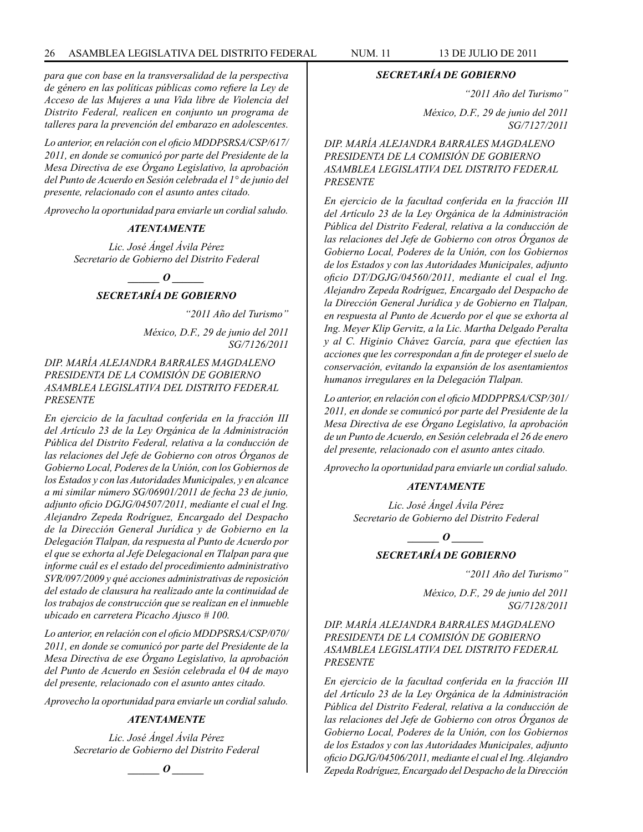*para que con base en la transversalidad de la perspectiva de género en las políticas públicas como refiere la Ley de Acceso de las Mujeres a una Vida libre de Violencia del Distrito Federal, realicen en conjunto un programa de talleres para la prevención del embarazo en adolescentes.* 

*Lo anterior, en relación con el oficio MDDPSRSA/CSP/617/ 2011, en donde se comunicó por parte del Presidente de la Mesa Directiva de ese Órgano Legislativo, la aprobación del Punto de Acuerdo en Sesión celebrada el 1° de junio del presente, relacionado con el asunto antes citado.*

*Aprovecho la oportunidad para enviarle un cordial saludo.*

#### *ATENTAMENTE*

*Lic. José Ángel Ávila Pérez Secretario de Gobierno del Distrito Federal*

> $\bm{o}$ *SECRETARÍA DE GOBIERNO*

> > *"2011 Año del Turismo"*

*México, D.F., 29 de junio del 2011 SG/7126/2011*

*DIP. MARÍA ALEJANDRA BARRALES MAGDALENO PRESIDENTA DE LA COMISIÓN DE GOBIERNO ASAMBLEA LEGISLATIVA DEL DISTRITO FEDERAL PRESENTE*

*En ejercicio de la facultad conferida en la fracción III del Artículo 23 de la Ley Orgánica de la Administración Pública del Distrito Federal, relativa a la conducción de las relaciones del Jefe de Gobierno con otros Órganos de Gobierno Local, Poderes de la Unión, con los Gobiernos de los Estados y con las Autoridades Municipales, y en alcance a mi similar número SG/06901/2011 de fecha 23 de junio, adjunto oficio DGJG/04507/2011, mediante el cual el Ing. Alejandro Zepeda Rodríguez, Encargado del Despacho de la Dirección General Jurídica y de Gobierno en la Delegación Tlalpan, da respuesta al Punto de Acuerdo por el que se exhorta al Jefe Delegacional en Tlalpan para que informe cuál es el estado del procedimiento administrativo SVR/097/2009 y qué acciones administrativas de reposición del estado de clausura ha realizado ante la continuidad de los trabajos de construcción que se realizan en el inmueble ubicado en carretera Picacho Ajusco # 100.*

*Lo anterior, en relación con el oficio MDDPSRSA/CSP/070/ 2011, en donde se comunicó por parte del Presidente de la Mesa Directiva de ese Órgano Legislativo, la aprobación del Punto de Acuerdo en Sesión celebrada el 04 de mayo del presente, relacionado con el asunto antes citado.*

*Aprovecho la oportunidad para enviarle un cordial saludo.*

# *ATENTAMENTE*

*Lic. José Ángel Ávila Pérez Secretario de Gobierno del Distrito Federal*



#### *SECRETARÍA DE GOBIERNO*

*"2011 Año del Turismo"*

*México, D.F., 29 de junio del 2011 SG/7127/2011*

*DIP. MARÍA ALEJANDRA BARRALES MAGDALENO PRESIDENTA DE LA COMISIÓN DE GOBIERNO ASAMBLEA LEGISLATIVA DEL DISTRITO FEDERAL PRESENTE*

*En ejercicio de la facultad conferida en la fracción III del Artículo 23 de la Ley Orgánica de la Administración Pública del Distrito Federal, relativa a la conducción de las relaciones del Jefe de Gobierno con otros Órganos de Gobierno Local, Poderes de la Unión, con los Gobiernos de los Estados y con las Autoridades Municipales, adjunto oficio DT/DGJG/04560/2011, mediante el cual el Ing. Alejandro Zepeda Rodríguez, Encargado del Despacho de la Dirección General Jurídica y de Gobierno en Tlalpan, en respuesta al Punto de Acuerdo por el que se exhorta al Ing. Meyer Klip Gervitz, a la Lic. Martha Delgado Peralta y al C. Higinio Chávez García, para que efectúen las acciones que les correspondan a fin de proteger el suelo de conservación, evitando la expansión de los asentamientos humanos irregulares en la Delegación Tlalpan.*

*Lo anterior, en relación con el oficio MDDPPRSA/CSP/301/ 2011, en donde se comunicó por parte del Presidente de la Mesa Directiva de ese Órgano Legislativo, la aprobación de un Punto de Acuerdo, en Sesión celebrada el 26 de enero del presente, relacionado con el asunto antes citado.*

*Aprovecho la oportunidad para enviarle un cordial saludo.*

#### *ATENTAMENTE*

*Lic. José Ángel Ávila Pérez Secretario de Gobierno del Distrito Federal*

*\_\_\_\_\_\_ O \_\_\_\_\_\_*

# *SECRETARÍA DE GOBIERNO*

*"2011 Año del Turismo"*

*México, D.F., 29 de junio del 2011 SG/7128/2011*

# *DIP. MARÍA ALEJANDRA BARRALES MAGDALENO PRESIDENTA DE LA COMISIÓN DE GOBIERNO ASAMBLEA LEGISLATIVA DEL DISTRITO FEDERAL PRESENTE*

*En ejercicio de la facultad conferida en la fracción III del Artículo 23 de la Ley Orgánica de la Administración Pública del Distrito Federal, relativa a la conducción de las relaciones del Jefe de Gobierno con otros Órganos de Gobierno Local, Poderes de la Unión, con los Gobiernos de los Estados y con las Autoridades Municipales, adjunto oficio DGJG/04506/2011, mediante el cual el Ing. Alejandro Zepeda Rodríguez, Encargado del Despacho de la Dirección*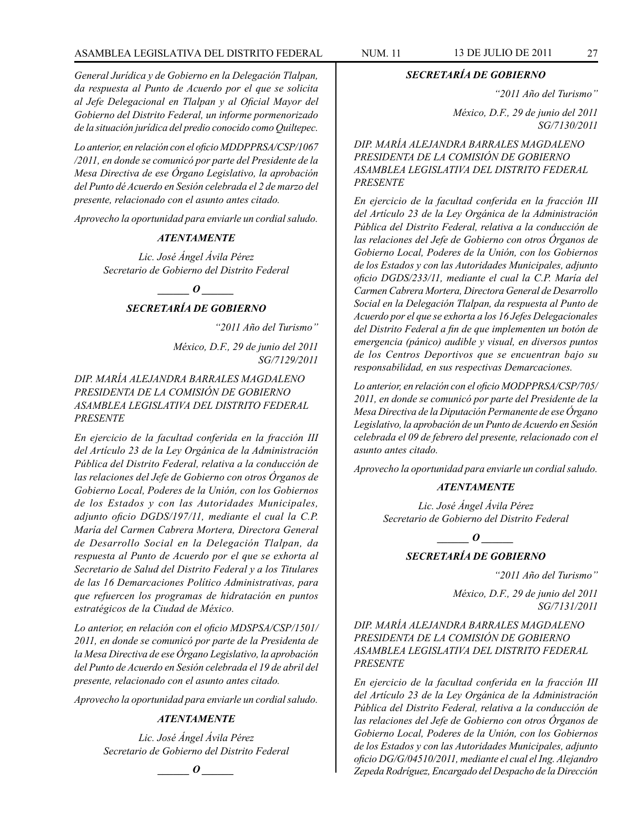*General Jurídica y de Gobierno en la Delegación Tlalpan, da respuesta al Punto de Acuerdo por el que se solicita al Jefe Delegacional en Tlalpan y al Oficial Mayor del Gobierno del Distrito Federal, un informe pormenorizado de la situación jurídica del predio conocido como Quiltepec.*

*Lo anterior, en relación con el oficio MDDPPRSA/CSP/1067 /2011, en donde se comunicó por parte del Presidente de la Mesa Directiva de ese Órgano Legislativo, la aprobación del Punto dé Acuerdo en Sesión celebrada el 2 de marzo del presente, relacionado con el asunto antes citado.*

*Aprovecho la oportunidad para enviarle un cordial saludo.*

# *ATENTAMENTE*

*Lic. José Ángel Ávila Pérez Secretario de Gobierno del Distrito Federal*

# *\_\_\_\_\_\_ O \_\_\_\_\_\_*

#### *SECRETARÍA DE GOBIERNO*

*"2011 Año del Turismo"*

*México, D.F., 29 de junio del 2011 SG/7129/2011*

# *DIP. MARÍA ALEJANDRA BARRALES MAGDALENO PRESIDENTA DE LA COMISIÓN DE GOBIERNO ASAMBLEA LEGISLATIVA DEL DISTRITO FEDERAL PRESENTE*

*En ejercicio de la facultad conferida en la fracción III del Artículo 23 de la Ley Orgánica de la Administración Pública del Distrito Federal, relativa a la conducción de las relaciones del Jefe de Gobierno con otros Órganos de Gobierno Local, Poderes de la Unión, con los Gobiernos de los Estados y con las Autoridades Municipales, adjunto oficio DGDS/197/11, mediante el cual la C.P. María del Carmen Cabrera Mortera, Directora General de Desarrollo Social en la Delegación Tlalpan, da respuesta al Punto de Acuerdo por el que se exhorta al Secretario de Salud del Distrito Federal y a los Titulares de las 16 Demarcaciones Político Administrativas, para que refuercen los programas de hidratación en puntos estratégicos de la Ciudad de México.*

*Lo anterior, en relación con el oficio MDSPSA/CSP/1501/ 2011, en donde se comunicó por parte de la Presidenta de la Mesa Directiva de ese Órgano Legislativo, la aprobación del Punto de Acuerdo en Sesión celebrada el 19 de abril del presente, relacionado con el asunto antes citado.*

*Aprovecho la oportunidad para enviarle un cordial saludo.*

#### *ATENTAMENTE*

*Lic. José Ángel Ávila Pérez Secretario de Gobierno del Distrito Federal*

*\_\_\_\_\_\_ O \_\_\_\_\_\_*

*SECRETARÍA DE GOBIERNO*

*"2011 Año del Turismo"*

*México, D.F., 29 de junio del 2011 SG/7130/2011*

*DIP. MARÍA ALEJANDRA BARRALES MAGDALENO PRESIDENTA DE LA COMISIÓN DE GOBIERNO ASAMBLEA LEGISLATIVA DEL DISTRITO FEDERAL PRESENTE*

*En ejercicio de la facultad conferida en la fracción III del Artículo 23 de la Ley Orgánica de la Administración Pública del Distrito Federal, relativa a la conducción de las relaciones del Jefe de Gobierno con otros Órganos de Gobierno Local, Poderes de la Unión, con los Gobiernos de los Estados y con las Autoridades Municipales, adjunto oficio DGDS/233/11, mediante el cual la C.P. María del Carmen Cabrera Mortera, Directora General de Desarrollo Social en la Delegación Tlalpan, da respuesta al Punto de Acuerdo por el que se exhorta a los 16 Jefes Delegacionales del Distrito Federal a fin de que implementen un botón de emergencia (pánico) audible y visual, en diversos puntos de los Centros Deportivos que se encuentran bajo su responsabilidad, en sus respectivas Demarcaciones.*

*Lo anterior, en relación con el oficio MODPPRSA/CSP/705/ 2011, en donde se comunicó por parte del Presidente de la Mesa Directiva de la Diputación Permanente de ese Órgano Legislativo, la aprobación de un Punto de Acuerdo en Sesión celebrada el 09 de febrero del presente, relacionado con el asunto antes citado.*

*Aprovecho la oportunidad para enviarle un cordial saludo.*

#### *ATENTAMENTE*

*Lic. José Ángel Ávila Pérez Secretario de Gobierno del Distrito Federal*

*o*  $\theta$ 

# *SECRETARÍA DE GOBIERNO*

*"2011 Año del Turismo"*

*México, D.F., 29 de junio del 2011 SG/7131/2011*

# *DIP. MARÍA ALEJANDRA BARRALES MAGDALENO PRESIDENTA DE LA COMISIÓN DE GOBIERNO ASAMBLEA LEGISLATIVA DEL DISTRITO FEDERAL PRESENTE*

*En ejercicio de la facultad conferida en la fracción III del Artículo 23 de la Ley Orgánica de la Administración Pública del Distrito Federal, relativa a la conducción de las relaciones del Jefe de Gobierno con otros Órganos de Gobierno Local, Poderes de la Unión, con los Gobiernos de los Estados y con las Autoridades Municipales, adjunto oficio DG/G/04510/2011, mediante el cual el Ing. Alejandro Zepeda Rodríguez, Encargado del Despacho de la Dirección*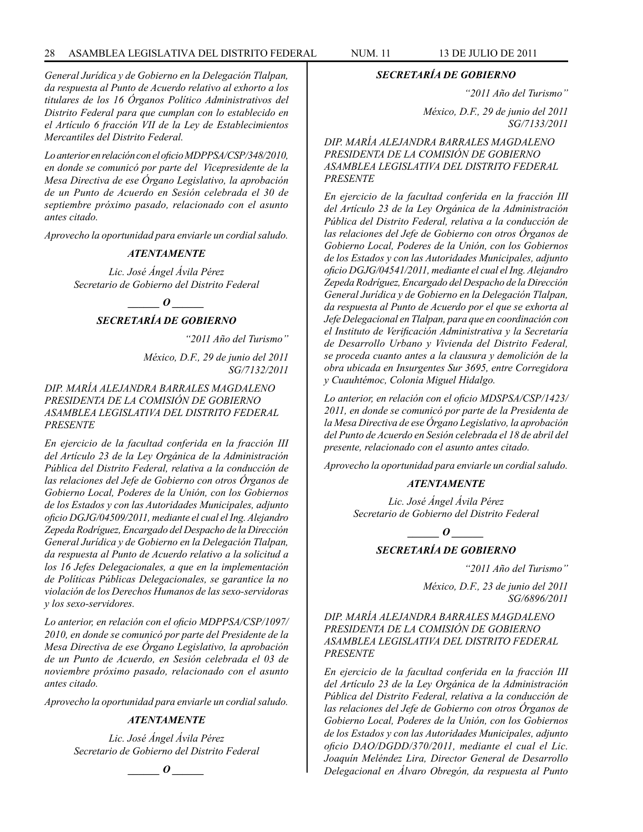# 28 ASAMBLEA LEGISLATIVA DEL DISTRITO FEDERAL NUM. 11 13 DE JULIO DE 2011

*General Jurídica y de Gobierno en la Delegación Tlalpan, da respuesta al Punto de Acuerdo relativo al exhorto a los titulares de los 16 Órganos Político Administrativos del Distrito Federal para que cumplan con lo establecido en el Artículo 6 fracción VII de la Ley de Establecimientos Mercantiles del Distrito Federal.*

*Lo anterior en relación con el oficio MDPPSA/CSP/348/2010, en donde se comunicó por parte del Vicepresidente de la Mesa Directiva de ese Órgano Legislativo, la aprobación de un Punto de Acuerdo en Sesión celebrada el 30 de septiembre próximo pasado, relacionado con el asunto antes citado.*

*Aprovecho la oportunidad para enviarle un cordial saludo.*

#### *ATENTAMENTE*

*Lic. José Ángel Ávila Pérez Secretario de Gobierno del Distrito Federal*

*\_\_\_\_\_\_ O \_\_\_\_\_\_*

# *SECRETARÍA DE GOBIERNO*

*"2011 Año del Turismo"*

*México, D.F., 29 de junio del 2011 SG/7132/2011*

### *DIP. MARÍA ALEJANDRA BARRALES MAGDALENO PRESIDENTA DE LA COMISIÓN DE GOBIERNO ASAMBLEA LEGISLATIVA DEL DISTRITO FEDERAL PRESENTE*

*En ejercicio de la facultad conferida en la fracción III del Artículo 23 de la Ley Orgánica de la Administración Pública del Distrito Federal, relativa a la conducción de las relaciones del Jefe de Gobierno con otros Órganos de Gobierno Local, Poderes de la Unión, con los Gobiernos de los Estados y con las Autoridades Municipales, adjunto oficio DGJG/04509/2011, mediante el cual el Ing. Alejandro Zepeda Rodríguez, Encargado del Despacho de la Dirección General Jurídica y de Gobierno en la Delegación Tlalpan, da respuesta al Punto de Acuerdo relativo a la solicitud a los 16 Jefes Delegacionales, a que en la implementación de Políticas Públicas Delegacionales, se garantice la no violación de los Derechos Humanos de las sexo-servidoras y los sexo-servidores.*

*Lo anterior, en relación con el oficio MDPPSA/CSP/1097/ 2010, en donde se comunicó por parte del Presidente de la Mesa Directiva de ese Órgano Legislativo, la aprobación de un Punto de Acuerdo, en Sesión celebrada el 03 de noviembre próximo pasado, relacionado con el asunto antes citado.*

*Aprovecho la oportunidad para enviarle un cordial saludo.*

#### *ATENTAMENTE*

*Lic. José Ángel Ávila Pérez Secretario de Gobierno del Distrito Federal*

 $\bm{o}$ 

#### *SECRETARÍA DE GOBIERNO*

*"2011 Año del Turismo"*

*México, D.F., 29 de junio del 2011 SG/7133/2011*

*DIP. MARÍA ALEJANDRA BARRALES MAGDALENO PRESIDENTA DE LA COMISIÓN DE GOBIERNO ASAMBLEA LEGISLATIVA DEL DISTRITO FEDERAL PRESENTE*

*En ejercicio de la facultad conferida en la fracción III del Artículo 23 de la Ley Orgánica de la Administración Pública del Distrito Federal, relativa a la conducción de las relaciones del Jefe de Gobierno con otros Órganos de Gobierno Local, Poderes de la Unión, con los Gobiernos de los Estados y con las Autoridades Municipales, adjunto oficio DGJG/04541/2011, mediante el cual el Ing. Alejandro Zepeda Rodríguez, Encargado del Despacho de la Dirección General Jurídica y de Gobierno en la Delegación Tlalpan, da respuesta al Punto de Acuerdo por el que se exhorta al Jefe Delegacional en Tlalpan, para que en coordinación con el Instituto de Verificación Administrativa y la Secretaría de Desarrollo Urbano y Vivienda del Distrito Federal, se proceda cuanto antes a la clausura y demolición de la obra ubicada en Insurgentes Sur 3695, entre Corregidora y Cuauhtémoc, Colonia Miguel Hidalgo.*

*Lo anterior, en relación con el oficio MDSPSA/CSP/1423/ 2011, en donde se comunicó por parte de la Presidenta de la Mesa Directiva de ese Órgano Legislativo, la aprobación del Punto de Acuerdo en Sesión celebrada el 18 de abril del presente, relacionado con el asunto antes citado.*

*Aprovecho la oportunidad para enviarle un cordial saludo.*

#### *ATENTAMENTE*

*Lic. José Ángel Ávila Pérez Secretario de Gobierno del Distrito Federal*

*\_\_\_\_\_\_ O \_\_\_\_\_\_*

# *SECRETARÍA DE GOBIERNO*

*"2011 Año del Turismo"*

*México, D.F., 23 de junio del 2011 SG/6896/2011*

*DIP. MARÍA ALEJANDRA BARRALES MAGDALENO PRESIDENTA DE LA COMISIÓN DE GOBIERNO ASAMBLEA LEGISLATIVA DEL DISTRITO FEDERAL PRESENTE*

*En ejercicio de la facultad conferida en la fracción III del Artículo 23 de la Ley Orgánica de la Administración Pública del Distrito Federal, relativa a la conducción de las relaciones del Jefe de Gobierno con otros Órganos de Gobierno Local, Poderes de la Unión, con los Gobiernos de los Estados y con las Autoridades Municipales, adjunto oficio DAO/DGDD/370/2011, mediante el cual el Lic. Joaquín Meléndez Lira, Director General de Desarrollo Delegacional en Álvaro Obregón, da respuesta al Punto*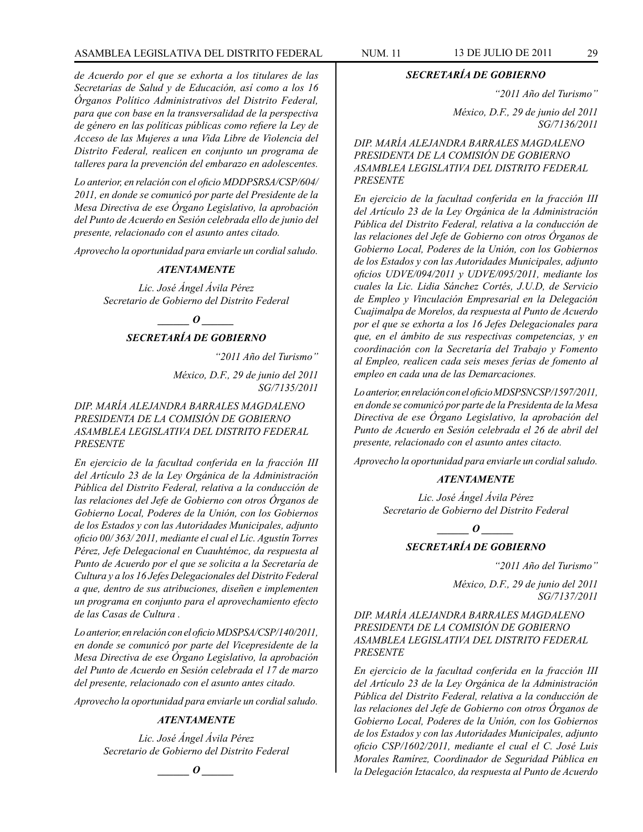# ASAMBLEA LEGISLATIVA DEL DISTRITO FEDERAL NUM. 11 13 DE JULIO DE 2011 29

*de Acuerdo por el que se exhorta a los titulares de las Secretarías de Salud y de Educación, así como a los 16 Órganos Político Administrativos del Distrito Federal, para que con base en la transversalidad de la perspectiva de género en las políticas públicas como refiere la Ley de Acceso de las Mujeres a una Vida Libre de Violencia del Distrito Federal, realicen en conjunto un programa de talleres para la prevención del embarazo en adolescentes.* 

*Lo anterior, en relación con el oficio MDDPSRSA/CSP/604/ 2011, en donde se comunicó por parte del Presidente de la Mesa Directiva de ese Órgano Legislativo, la aprobación del Punto de Acuerdo en Sesión celebrada ello de junio del presente, relacionado con el asunto antes citado.*

*Aprovecho la oportunidad para enviarle un cordial saludo.*

#### *ATENTAMENTE*

*Lic. José Ángel Ávila Pérez Secretario de Gobierno del Distrito Federal*

*\_\_\_\_\_\_ O \_\_\_\_\_\_*

# *SECRETARÍA DE GOBIERNO*

*"2011 Año del Turismo"*

*México, D.F., 29 de junio del 2011 SG/7135/2011*

*DIP. MARÍA ALEJANDRA BARRALES MAGDALENO PRESIDENTA DE LA COMISIÓN DE GOBIERNO ASAMBLEA LEGISLATIVA DEL DISTRITO FEDERAL PRESENTE*

*En ejercicio de la facultad conferida en la fracción III del Artículo 23 de la Ley Orgánica de la Administración Pública del Distrito Federal, relativa a la conducción de las relaciones del Jefe de Gobierno con otros Órganos de Gobierno Local, Poderes de la Unión, con los Gobiernos de los Estados y con las Autoridades Municipales, adjunto oficio 00/ 363/ 2011, mediante el cual el Lic. Agustín Torres Pérez, Jefe Delegacional en Cuauhtémoc, da respuesta al Punto de Acuerdo por el que se solicita a la Secretaría de Cultura y a los 16 Jefes Delegacionales del Distrito Federal a que, dentro de sus atribuciones, diseñen e implementen un programa en conjunto para el aprovechamiento efecto de las Casas de Cultura .*

*Lo anterior, en relación con el oficio MDSPSA/CSP/140/2011, en donde se comunicó por parte del Vicepresidente de la Mesa Directiva de ese Órgano Legislativo, la aprobación del Punto de Acuerdo en Sesión celebrada el 17 de marzo del presente, relacionado con el asunto antes citado.*

*Aprovecho la oportunidad para enviarle un cordial saludo.*

# *ATENTAMENTE*

*Lic. José Ángel Ávila Pérez Secretario de Gobierno del Distrito Federal*

 $\bm{o}$ 

#### *SECRETARÍA DE GOBIERNO*

*"2011 Año del Turismo"*

*México, D.F., 29 de junio del 2011 SG/7136/2011*

*DIP. MARÍA ALEJANDRA BARRALES MAGDALENO PRESIDENTA DE LA COMISIÓN DE GOBIERNO ASAMBLEA LEGISLATIVA DEL DISTRITO FEDERAL PRESENTE*

*En ejercicio de la facultad conferida en la fracción III del Artículo 23 de la Ley Orgánica de la Administración Pública del Distrito Federal, relativa a la conducción de las relaciones del Jefe de Gobierno con otros Órganos de Gobierno Local, Poderes de la Unión, con los Gobiernos de los Estados y con las Autoridades Municipales, adjunto oficios UDVE/094/2011 y UDVE/095/2011, mediante los cuales la Lic. Lidia Sánchez Cortés, J.U.D, de Servicio de Empleo y Vinculación Empresarial en la Delegación Cuajimalpa de Morelos, da respuesta al Punto de Acuerdo por el que se exhorta a los 16 Jefes Delegacionales para que, en el ámbito de sus respectivas competencias, y en coordinación con la Secretaría del Trabajo y Fomento al Empleo, realicen cada seis meses ferias de fomento al empleo en cada una de las Demarcaciones.*

*Lo anterior, en relación con el oficio MDSPSNCSP/1597/2011, en donde se comunicó por parte de la Presidenta de la Mesa Directiva de ese Órgano Legislativo, la aprobación del Punto de Acuerdo en Sesión celebrada el 26 de abril del presente, relacionado con el asunto antes citacto.*

*Aprovecho la oportunidad para enviarle un cordial saludo.*

#### *ATENTAMENTE*

*Lic. José Ángel Ávila Pérez Secretario de Gobierno del Distrito Federal*

 $\_\_0$ 

# *SECRETARÍA DE GOBIERNO*

*"2011 Año del Turismo"*

*México, D.F., 29 de junio del 2011 SG/7137/2011*

# *DIP. MARÍA ALEJANDRA BARRALES MAGDALENO PRESIDENTA DE LA COMISIÓN DE GOBIERNO ASAMBLEA LEGISLATIVA DEL DISTRITO FEDERAL PRESENTE*

*En ejercicio de la facultad conferida en la fracción III del Artículo 23 de la Ley Orgánica de la Administración Pública del Distrito Federal, relativa a la conducción de las relaciones del Jefe de Gobierno con otros Órganos de Gobierno Local, Poderes de la Unión, con los Gobiernos de los Estados y con las Autoridades Municipales, adjunto oficio CSP/1602/2011, mediante el cual el C. José Luis Morales Ramírez, Coordinador de Seguridad Pública en la Delegación Iztacalco, da respuesta al Punto de Acuerdo*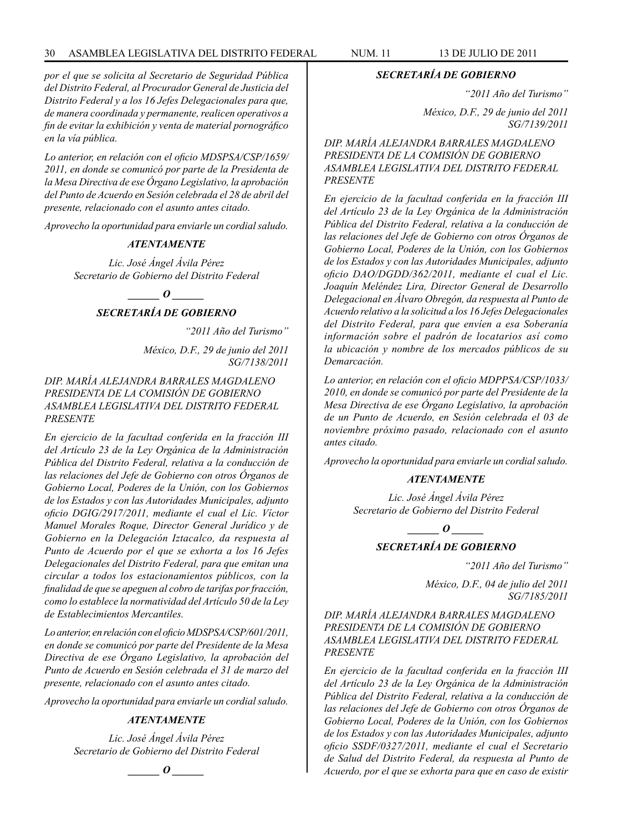# 30 ASAMBLEA LEGISLATIVA DEL DISTRITO FEDERAL NUM. 11 13 de JUlIO de 2011

*por el que se solicita al Secretario de Seguridad Pública del Distrito Federal, al Procurador General de Justicia del Distrito Federal y a los 16 Jefes Delegacionales para que, de manera coordinada y permanente, realicen operativos a fin de evitar la exhibición y venta de material pornográfico en la vía pública.*

*Lo anterior, en relación con el oficio MDSPSA/CSP/1659/ 2011, en donde se comunicó por parte de la Presidenta de la Mesa Directiva de ese Órgano Legislativo, la aprobación del Punto de Acuerdo en Sesión celebrada el 28 de abril del presente, relacionado con el asunto antes citado.*

*Aprovecho la oportunidad para enviarle un cordial saludo.*

#### *ATENTAMENTE*

*Lic. José Ángel Ávila Pérez Secretario de Gobierno del Distrito Federal*

 $\bm{o}$  $\bm{o}$  $\bm{o}$  $\bm{o}$  $\bm{o}$  $\bm{o}$  $\bm{o}$  $\bm{o}$  $\bm{o}$  $\bm{o}$  $\bm{o}$  $\bm{o}$  $\bm{o}$  $\bm{o}$  $\bm{o}$  $\bm{o}$  $\bm{o}$  $\bm{o}$  $\bm{o}$  $\bm{o}$  $\bm{o}$  $\bm{o}$  $\bm{o}$  $\bm{o}$  $\bm{o}$  $\bm{o}$  $\bm{o}$  $\bm{o}$  $\bm{o}$  $\bm{o}$  $\bm{o}$  *\bm{o* 

# *SECRETARÍA DE GOBIERNO*

*"2011 Año del Turismo"*

*México, D.F., 29 de junio del 2011 SG/7138/2011*

*DIP. MARÍA ALEJANDRA BARRALES MAGDALENO PRESIDENTA DE LA COMISIÓN DE GOBIERNO ASAMBLEA LEGISLATIVA DEL DISTRITO FEDERAL PRESENTE*

*En ejercicio de la facultad conferida en la fracción III del Artículo 23 de la Ley Orgánica de la Administración Pública del Distrito Federal, relativa a la conducción de las relaciones del Jefe de Gobierno con otros Órganos de Gobierno Local, Poderes de la Unión, con los Gobiernos de los Estados y con las Autoridades Municipales, adjunto oficio DGIG/2917/2011, mediante el cual el Lic. Víctor Manuel Morales Roque, Director General Jurídico y de Gobierno en la Delegación Iztacalco, da respuesta al Punto de Acuerdo por el que se exhorta a los 16 Jefes Delegacionales del Distrito Federal, para que emitan una circular a todos los estacionamientos públicos, con la finalidad de que se apeguen al cobro de tarifas por fracción, como lo establece la normatividad del Artículo 50 de la Ley de Establecimientos Mercantiles.*

*Lo anterior, en relación con el oficio MDSPSA/CSP/601/2011, en donde se comunicó por parte del Presidente de la Mesa Directiva de ese Órgano Legislativo, la aprobación del Punto de Acuerdo en Sesión celebrada el 31 de marzo del presente, relacionado con el asunto antes citado.*

*Aprovecho la oportunidad para enviarle un cordial saludo.*

#### *ATENTAMENTE*

*Lic. José Ángel Ávila Pérez Secretario de Gobierno del Distrito Federal*

 $\bm{o}$ 

#### *SECRETARÍA DE GOBIERNO*

*"2011 Año del Turismo"*

*México, D.F., 29 de junio del 2011 SG/7139/2011*

*DIP. MARÍA ALEJANDRA BARRALES MAGDALENO PRESIDENTA DE LA COMISIÓN DE GOBIERNO ASAMBLEA LEGISLATIVA DEL DISTRITO FEDERAL PRESENTE*

*En ejercicio de la facultad conferida en la fracción III del Artículo 23 de la Ley Orgánica de la Administración Pública del Distrito Federal, relativa a la conducción de las relaciones del Jefe de Gobierno con otros Órganos de Gobierno Local, Poderes de la Unión, con los Gobiernos de los Estados y con las Autoridades Municipales, adjunto oficio DAO/DGDD/362/2011, mediante el cual el Lic. Joaquín Meléndez Lira, Director General de Desarrollo Delegacional en Álvaro Obregón, da respuesta al Punto de Acuerdo relativo a la solicitud a los 16 Jefes Delegacionales del Distrito Federal, para que envíen a esa Soberanía información sobre el padrón de locatarios así como la ubicación y nombre de los mercados públicos de su Demarcación.*

*Lo anterior, en relación con el oficio MDPPSA/CSP/1033/ 2010, en donde se comunicó por parte del Presidente de la Mesa Directiva de ese Órgano Legislativo, la aprobación de un Punto de Acuerdo, en Sesión celebrada el 03 de noviembre próximo pasado, relacionado con el asunto antes citado.*

*Aprovecho la oportunidad para enviarle un cordial saludo.*

#### *ATENTAMENTE*

*Lic. José Ángel Ávila Pérez Secretario de Gobierno del Distrito Federal*

 $\bm{o}$ 

# *SECRETARÍA DE GOBIERNO*

*"2011 Año del Turismo"*

*México, D.F., 04 de julio del 2011 SG/7185/2011*

*DIP. MARÍA ALEJANDRA BARRALES MAGDALENO PRESIDENTA DE LA COMISIÓN DE GOBIERNO ASAMBLEA LEGISLATIVA DEL DISTRITO FEDERAL PRESENTE*

*En ejercicio de la facultad conferida en la fracción III del Artículo 23 de la Ley Orgánica de la Administración Pública del Distrito Federal, relativa a la conducción de las relaciones del Jefe de Gobierno con otros Órganos de Gobierno Local, Poderes de la Unión, con los Gobiernos de los Estados y con las Autoridades Municipales, adjunto oficio SSDF/0327/2011, mediante el cual el Secretario de Salud del Distrito Federal, da respuesta al Punto de Acuerdo, por el que se exhorta para que en caso de existir*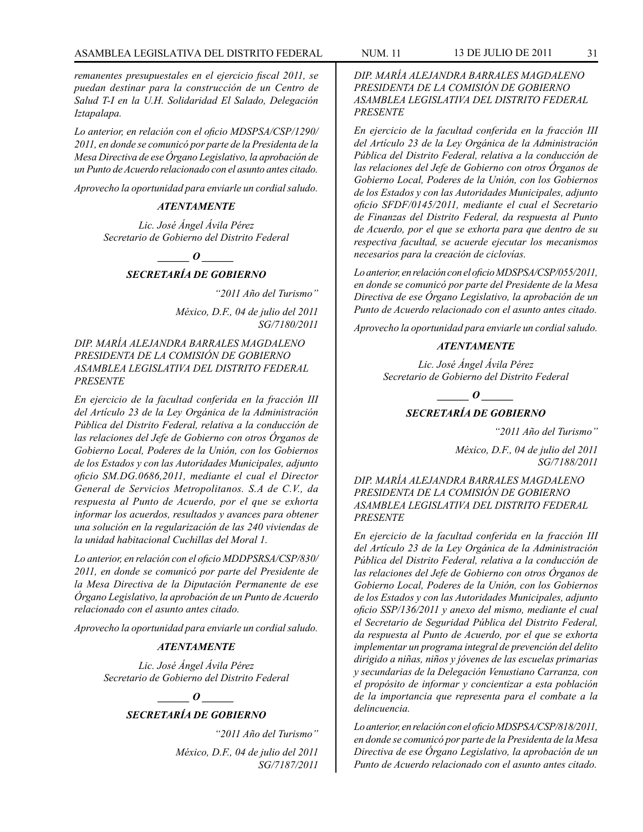*remanentes presupuestales en el ejercicio fiscal 2011, se puedan destinar para la construcción de un Centro de Salud T-I en la U.H. Solidaridad El Salado, Delegación Iztapalapa.*

*Lo anterior, en relación con el oficio MDSPSA/CSP/1290/ 2011, en donde se comunicó por parte de la Presidenta de la Mesa Directiva de ese Órgano Legislativo, la aprobación de un Punto de Acuerdo relacionado con el asunto antes citado.*

*Aprovecho la oportunidad para enviarle un cordial saludo.*

#### *ATENTAMENTE*

*Lic. José Ángel Ávila Pérez Secretario de Gobierno del Distrito Federal*

*d*  $\boldsymbol{\theta}$ 

# *SECRETARÍA DE GOBIERNO*

*"2011 Año del Turismo"*

*México, D.F., 04 de julio del 2011 SG/7180/2011*

*DIP. MARÍA ALEJANDRA BARRALES MAGDALENO PRESIDENTA DE LA COMISIÓN DE GOBIERNO ASAMBLEA LEGISLATIVA DEL DISTRITO FEDERAL PRESENTE*

*En ejercicio de la facultad conferida en la fracción III del Artículo 23 de la Ley Orgánica de la Administración Pública del Distrito Federal, relativa a la conducción de las relaciones del Jefe de Gobierno con otros Órganos de Gobierno Local, Poderes de la Unión, con los Gobiernos de los Estados y con las Autoridades Municipales, adjunto oficio SM.DG.0686,2011, mediante el cual el Director General de Servicios Metropolitanos. S.A de C.V., da respuesta al Punto de Acuerdo, por el que se exhorta informar los acuerdos, resultados y avances para obtener una solución en la regularización de las 240 viviendas de la unidad habitacional Cuchillas del Moral 1.*

*Lo anterior, en relación con el oficio MDDPSRSA/CSP/830/ 2011, en donde se comunicó por parte del Presidente de la Mesa Directiva de la Diputación Permanente de ese Órgano Legislativo, la aprobación de un Punto de Acuerdo relacionado con el asunto antes citado.*

*Aprovecho la oportunidad para enviarle un cordial saludo.*

### *ATENTAMENTE*

*Lic. José Ángel Ávila Pérez Secretario de Gobierno del Distrito Federal*

*\_\_\_\_\_\_ O \_\_\_\_\_\_*

# *SECRETARÍA DE GOBIERNO*

*"2011 Año del Turismo" México, D.F., 04 de julio del 2011 SG/7187/2011*

*DIP. MARÍA ALEJANDRA BARRALES MAGDALENO PRESIDENTA DE LA COMISIÓN DE GOBIERNO ASAMBLEA LEGISLATIVA DEL DISTRITO FEDERAL PRESENTE*

*En ejercicio de la facultad conferida en la fracción III del Artículo 23 de la Ley Orgánica de la Administración Pública del Distrito Federal, relativa a la conducción de las relaciones del Jefe de Gobierno con otros Órganos de Gobierno Local, Poderes de la Unión, con los Gobiernos de los Estados y con las Autoridades Municipales, adjunto oficio SFDF/0145/2011, mediante el cual el Secretario de Finanzas del Distrito Federal, da respuesta al Punto de Acuerdo, por el que se exhorta para que dentro de su respectiva facultad, se acuerde ejecutar los mecanismos necesarios para la creación de ciclovías.*

*Lo anterior, en relación con el oficio MDSPSA/CSP/055/2011, en donde se comunicó por parte del Presidente de la Mesa Directiva de ese Órgano Legislativo, la aprobación de un Punto de Acuerdo relacionado con el asunto antes citado.*

*Aprovecho la oportunidad para enviarle un cordial saludo.*

#### *ATENTAMENTE*

*Lic. José Ángel Ávila Pérez Secretario de Gobierno del Distrito Federal*

# $\bm{o}$ *SECRETARÍA DE GOBIERNO*

*"2011 Año del Turismo"*

*México, D.F., 04 de julio del 2011 SG/7188/2011*

*DIP. MARÍA ALEJANDRA BARRALES MAGDALENO PRESIDENTA DE LA COMISIÓN DE GOBIERNO ASAMBLEA LEGISLATIVA DEL DISTRITO FEDERAL PRESENTE*

*En ejercicio de la facultad conferida en la fracción III del Artículo 23 de la Ley Orgánica de la Administración Pública del Distrito Federal, relativa a la conducción de las relaciones del Jefe de Gobierno con otros Órganos de Gobierno Local, Poderes de la Unión, con los Gobiernos de los Estados y con las Autoridades Municipales, adjunto oficio SSP/136/2011 y anexo del mismo, mediante el cual el Secretario de Seguridad Pública del Distrito Federal, da respuesta al Punto de Acuerdo, por el que se exhorta implementar un programa integral de prevención del delito dirigido a niñas, niños y jóvenes de las escuelas primarias y secundarias de la Delegación Venustiano Carranza, con el propósito de informar y concientizar a esta población de la importancia que representa para el combate a la delincuencia.*

*Lo anterior, en relación con el oficio MDSPSA/CSP/818/2011, en donde se comunicó por parte de la Presidenta de la Mesa Directiva de ese Órgano Legislativo, la aprobación de un Punto de Acuerdo relacionado con el asunto antes citado.*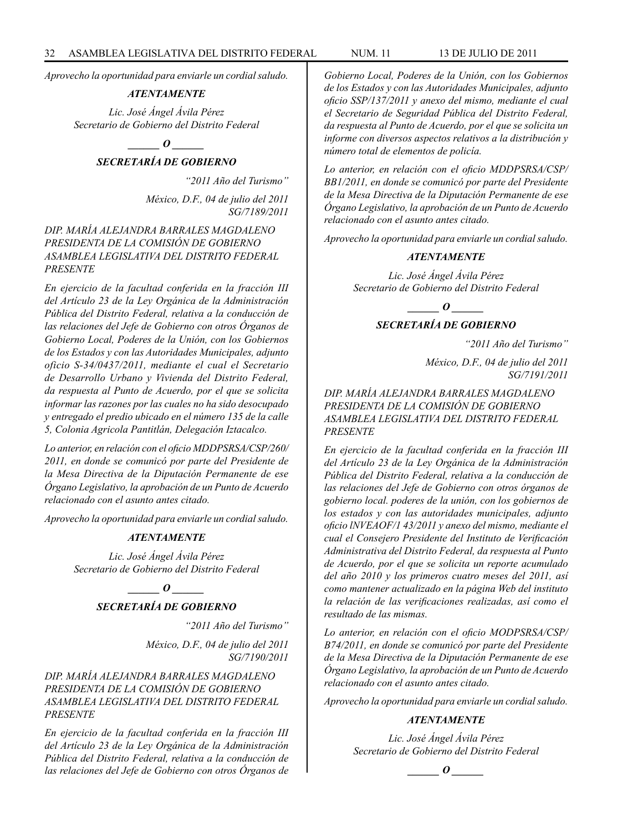*Aprovecho la oportunidad para enviarle un cordial saludo.*

#### *ATENTAMENTE*

*Lic. José Ángel Ávila Pérez Secretario de Gobierno del Distrito Federal*

# *\_\_\_\_\_\_ O \_\_\_\_\_\_*

# *SECRETARÍA DE GOBIERNO*

*"2011 Año del Turismo"*

*México, D.F., 04 de julio del 2011 SG/7189/2011*

*DIP. MARÍA ALEJANDRA BARRALES MAGDALENO PRESIDENTA DE LA COMISIÓN DE GOBIERNO ASAMBLEA LEGISLATIVA DEL DISTRITO FEDERAL PRESENTE*

*En ejercicio de la facultad conferida en la fracción III del Artículo 23 de la Ley Orgánica de la Administración Pública del Distrito Federal, relativa a la conducción de las relaciones del Jefe de Gobierno con otros Órganos de Gobierno Local, Poderes de la Unión, con los Gobiernos de los Estados y con las Autoridades Municipales, adjunto oficio S-34/0437/2011, mediante el cual el Secretario de Desarrollo Urbano y Vivienda del Distrito Federal, da respuesta al Punto de Acuerdo, por el que se solicita informar las razones por las cuales no ha sido desocupado y entregado el predio ubicado en el número 135 de la calle 5, Colonia Agricola Pantitlán, Delegación Iztacalco.*

*Lo anterior, en relación con el oficio MDDPSRSA/CSP/260/ 2011, en donde se comunicó por parte del Presidente de la Mesa Directiva de la Diputación Permanente de ese Órgano Legislativo, la aprobación de un Punto de Acuerdo relacionado con el asunto antes citado.*

*Aprovecho la oportunidad para enviarle un cordial saludo.*

#### *ATENTAMENTE*

*Lic. José Ángel Ávila Pérez Secretario de Gobierno del Distrito Federal*

> *\_\_\_\_\_\_ O \_\_\_\_\_\_ SECRETARÍA DE GOBIERNO*

> > *"2011 Año del Turismo"*

*México, D.F., 04 de julio del 2011 SG/7190/2011*

*DIP. MARÍA ALEJANDRA BARRALES MAGDALENO PRESIDENTA DE LA COMISIÓN DE GOBIERNO ASAMBLEA LEGISLATIVA DEL DISTRITO FEDERAL PRESENTE*

*En ejercicio de la facultad conferida en la fracción III del Artículo 23 de la Ley Orgánica de la Administración Pública del Distrito Federal, relativa a la conducción de las relaciones del Jefe de Gobierno con otros Órganos de*  *Gobierno Local, Poderes de la Unión, con los Gobiernos de los Estados y con las Autoridades Municipales, adjunto oficio SSP/137/2011 y anexo del mismo, mediante el cual el Secretario de Seguridad Pública del Distrito Federal, da respuesta al Punto de Acuerdo, por el que se solicita un informe con diversos aspectos relativos a la distribución y número total de elementos de policía.*

*Lo anterior, en relación con el oficio MDDPSRSA/CSP/ BB1/2011, en donde se comunicó por parte del Presidente de la Mesa Directiva de la Diputación Permanente de ese Órgano Legislativo, la aprobación de un Punto de Acuerdo relacionado con el asunto antes citado.*

*Aprovecho la oportunidad para enviarle un cordial saludo.*

#### *ATENTAMENTE*

*Lic. José Ángel Ávila Pérez Secretario de Gobierno del Distrito Federal*

#### *\_\_\_\_\_\_ O \_\_\_\_\_\_*

#### *SECRETARÍA DE GOBIERNO*

*"2011 Año del Turismo"*

*México, D.F., 04 de julio del 2011 SG/7191/2011*

*DIP. MARÍA ALEJANDRA BARRALES MAGDALENO PRESIDENTA DE LA COMISIÓN DE GOBIERNO ASAMBLEA LEGISLATIVA DEL DISTRITO FEDERAL PRESENTE*

*En ejercicio de la facultad conferida en la fracción III del Artículo 23 de la Ley Orgánica de la Administración Pública del Distrito Federal, relativa a la conducción de las relaciones del Jefe de Gobierno con otros órganos de gobierno local. poderes de la unión, con los gobiernos de los estados y con las autoridades municipales, adjunto oficio lNVEAOF/1 43/2011 y anexo del mismo, mediante el cual el Consejero Presidente del Instituto de Verificación Administrativa del Distrito Federal, da respuesta al Punto de Acuerdo, por el que se solicita un reporte acumulado del año 2010 y los primeros cuatro meses del 2011, así como mantener actualizado en la página Web del instituto la relación de las verificaciones realizadas, así como el resultado de las mismas.*

*Lo anterior, en relación con el oficio MODPSRSA/CSP/ B74/2011, en donde se comunicó por parte del Presidente de la Mesa Directiva de la Diputación Permanente de ese Órgano Legislativo, la aprobación de un Punto de Acuerdo relacionado con el asunto antes citado.*

*Aprovecho la oportunidad para enviarle un cordial saludo.*

# *ATENTAMENTE*

*Lic. José Ángel Ávila Pérez Secretario de Gobierno del Distrito Federal*

 $\bm{o}$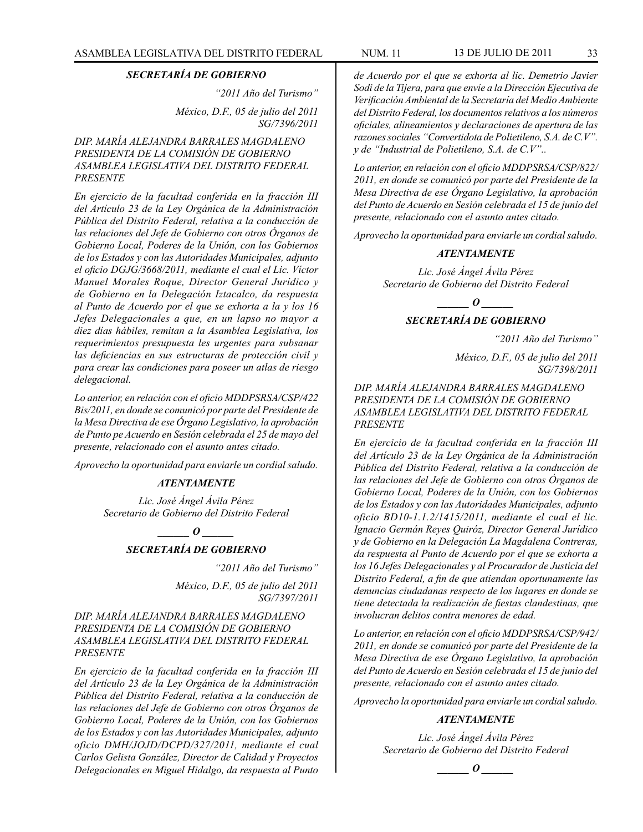#### *SECRETARÍA DE GOBIERNO*

*"2011 Año del Turismo"*

*México, D.F., 05 de julio del 2011 SG/7396/2011*

# *DIP. MARÍA ALEJANDRA BARRALES MAGDALENO PRESIDENTA DE LA COMISIÓN DE GOBIERNO ASAMBLEA LEGISLATIVA DEL DISTRITO FEDERAL PRESENTE*

*En ejercicio de la facultad conferida en la fracción III del Artículo 23 de la Ley Orgánica de la Administración Pública del Distrito Federal, relativa a la conducción de las relaciones del Jefe de Gobierno con otros Órganos de Gobierno Local, Poderes de la Unión, con los Gobiernos de los Estados y con las Autoridades Municipales, adjunto el oficio DGJG/3668/2011, mediante el cual el Lic. Víctor Manuel Morales Roque, Director General Jurídico y de Gobierno en la Delegación Iztacalco, da respuesta al Punto de Acuerdo por el que se exhorta a la y los 16 Jefes Delegacionales a que, en un lapso no mayor a diez días hábiles, remitan a la Asamblea Legislativa, los requerimientos presupuesta les urgentes para subsanar las deficiencias en sus estructuras de protección civil y para crear las condiciones para poseer un atlas de riesgo delegacional.*

*Lo anterior, en relación con el oficio MDDPSRSA/CSP/422 Bis/2011, en donde se comunicó por parte del Presidente de la Mesa Directiva de ese Órgano Legislativo, la aprobación de Punto pe Acuerdo en Sesión celebrada el 25 de mayo del presente, relacionado con el asunto antes citado.*

*Aprovecho la oportunidad para enviarle un cordial saludo.*

#### *ATENTAMENTE*

*Lic. José Ángel Ávila Pérez Secretario de Gobierno del Distrito Federal*

*\_\_\_\_\_\_ O \_\_\_\_\_\_*

# *SECRETARÍA DE GOBIERNO*

*"2011 Año del Turismo"*

*México, D.F., 05 de julio del 2011 SG/7397/2011*

#### *DIP. MARÍA ALEJANDRA BARRALES MAGDALENO PRESIDENTA DE LA COMISIÓN DE GOBIERNO ASAMBLEA LEGISLATIVA DEL DISTRITO FEDERAL PRESENTE*

*En ejercicio de la facultad conferida en la fracción III del Artículo 23 de la Ley Orgánica de la Administración Pública del Distrito Federal, relativa a la conducción de las relaciones del Jefe de Gobierno con otros Órganos de Gobierno Local, Poderes de la Unión, con los Gobiernos de los Estados y con las Autoridades Municipales, adjunto oficio DMH/JOJD/DCPD/327/2011, mediante el cual Carlos Gelista González, Director de Calidad y Proyectos Delegacionales en Miguel Hidalgo, da respuesta al Punto* 

*de Acuerdo por el que se exhorta al lic. Demetrio Javier Sodi de la Tijera, para que envíe a la Dirección Ejecutiva de Verificación Ambiental de la Secretaría del Medio Ambiente del Distrito Federal, los documentos relativos a los números oficiales, alineamientos y declaraciones de apertura de las razones sociales "Convertidota de Polietileno, S.A. de C.V". y de "Industrial de Polietileno, S.A. de C.V"..*

*Lo anterior, en relación con el oficio MDDPSRSA/CSP/822/ 2011, en donde se comunicó por parte del Presidente de la Mesa Directiva de ese Órgano Legislativo, la aprobación del Punto de Acuerdo en Sesión celebrada el 15 de junio del presente, relacionado con el asunto antes citado.* 

*Aprovecho la oportunidad para enviarle un cordial saludo.*

#### *ATENTAMENTE*

*Lic. José Ángel Ávila Pérez Secretario de Gobierno del Distrito Federal*

*\_\_\_\_\_\_ O \_\_\_\_\_\_*

# *SECRETARÍA DE GOBIERNO*

*"2011 Año del Turismo"*

*México, D.F., 05 de julio del 2011 SG/7398/2011*

### *DIP. MARÍA ALEJANDRA BARRALES MAGDALENO PRESIDENTA DE LA COMISIÓN DE GOBIERNO ASAMBLEA LEGISLATIVA DEL DISTRITO FEDERAL PRESENTE*

*En ejercicio de la facultad conferida en la fracción III del Artículo 23 de la Ley Orgánica de la Administración Pública del Distrito Federal, relativa a la conducción de las relaciones del Jefe de Gobierno con otros Órganos de Gobierno Local, Poderes de la Unión, con los Gobiernos de los Estados y con las Autoridades Municipales, adjunto oficio BD10-1.1.2/1415/2011, mediante el cual el lic. Ignacio Germán Reyes Quiróz, Director General Jurídico y de Gobierno en la Delegación La Magdalena Contreras, da respuesta al Punto de Acuerdo por el que se exhorta a los 16 Jefes Delegacionales y al Procurador de Justicia del Distrito Federal, a fin de que atiendan oportunamente las denuncias ciudadanas respecto de los lugares en donde se tiene detectada la realización de fiestas clandestinas, que involucran delitos contra menores de edad.*

*Lo anterior, en relación con el oficio MDDPSRSA/CSP/942/ 2011, en donde se comunicó por parte del Presidente de la Mesa Directiva de ese Órgano Legislativo, la aprobación del Punto de Acuerdo en Sesión celebrada el 15 de junio del presente, relacionado con el asunto antes citado.*

*Aprovecho la oportunidad para enviarle un cordial saludo.*

#### *ATENTAMENTE*

*Lic. José Ángel Ávila Pérez Secretario de Gobierno del Distrito Federal*

 $\bm{o}$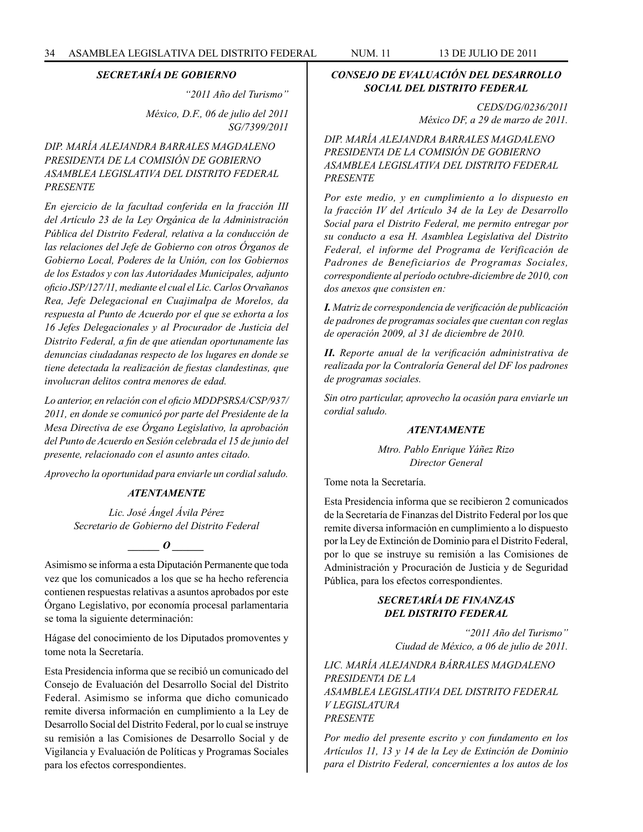#### *SECRETARÍA DE GOBIERNO*

*"2011 Año del Turismo"*

*México, D.F., 06 de julio del 2011 SG/7399/2011*

# *DIP. MARÍA ALEJANDRA BARRALES MAGDALENO PRESIDENTA DE LA COMISIÓN DE GOBIERNO ASAMBLEA LEGISLATIVA DEL DISTRITO FEDERAL PRESENTE*

*En ejercicio de la facultad conferida en la fracción III del Artículo 23 de la Ley Orgánica de la Administración Pública del Distrito Federal, relativa a la conducción de las relaciones del Jefe de Gobierno con otros Órganos de Gobierno Local, Poderes de la Unión, con los Gobiernos de los Estados y con las Autoridades Municipales, adjunto oficio JSP/127/11, mediante el cual el Lic. Carlos Orvañanos Rea, Jefe Delegacional en Cuajimalpa de Morelos, da respuesta al Punto de Acuerdo por el que se exhorta a los 16 Jefes Delegacionales y al Procurador de Justicia del Distrito Federal, a fin de que atiendan oportunamente las denuncias ciudadanas respecto de los lugares en donde se tiene detectada la realización de fiestas clandestinas, que involucran delitos contra menores de edad.*

*Lo anterior, en relación con el oficio MDDPSRSA/CSP/937/ 2011, en donde se comunicó por parte del Presidente de la Mesa Directiva de ese Órgano Legislativo, la aprobación del Punto de Acuerdo en Sesión celebrada el 15 de junio del presente, relacionado con el asunto antes citado.*

*Aprovecho la oportunidad para enviarle un cordial saludo.*

### *ATENTAMENTE*

*Lic. José Ángel Ávila Pérez Secretario de Gobierno del Distrito Federal*

*o*  $\theta$ 

Asimismo se informa a esta Diputación Permanente que toda vez que los comunicados a los que se ha hecho referencia contienen respuestas relativas a asuntos aprobados por este Órgano Legislativo, por economía procesal parlamentaria se toma la siguiente determinación:

Hágase del conocimiento de los Diputados promoventes y tome nota la Secretaría.

Esta Presidencia informa que se recibió un comunicado del Consejo de Evaluación del Desarrollo Social del Distrito Federal. Asimismo se informa que dicho comunicado remite diversa información en cumplimiento a la Ley de Desarrollo Social del Distrito Federal, por lo cual se instruye su remisión a las Comisiones de Desarrollo Social y de Vigilancia y Evaluación de Políticas y Programas Sociales para los efectos correspondientes.

# *CONSEJO DE EVALUACIÓN DEL DESARROLLO SOCIAL DEL DISTRITO FEDERAL*

*CEDS/DG/0236/2011 México DF, a 29 de marzo de 2011.*

*DIP. MARÍA ALEJANDRA BARRALES MAGDALENO PRESIDENTA DE LA COMISIÓN DE GOBIERNO ASAMBLEA LEGISLATIVA DEL DISTRITO FEDERAL PRESENTE*

*Por este medio, y en cumplimiento a lo dispuesto en la fracción IV del Artículo 34 de la Ley de Desarrollo Social para el Distrito Federal, me permito entregar por su conducto a esa H. Asamblea Legislativa del Distrito Federal, el informe del Programa de Verificación de Padrones de Beneficiarios de Programas Sociales, correspondiente al período octubre-diciembre de 2010, con dos anexos que consisten en:*

*I. Matriz de correspondencia de verificación de publicación de padrones de programas sociales que cuentan con reglas de operación 2009, al 31 de diciembre de 2010.*

*II. Reporte anual de la verificación administrativa de realizada por la Contraloría General del DF los padrones de programas sociales.*

*Sin otro particular, aprovecho la ocasión para enviarle un cordial saludo.* 

#### *ATENTAMENTE*

*Mtro. Pablo Enrique Yáñez Rizo Director General*

Tome nota la Secretaría.

Esta Presidencia informa que se recibieron 2 comunicados de la Secretaría de Finanzas del Distrito Federal por los que remite diversa información en cumplimiento a lo dispuesto por la Ley de Extinción de Dominio para el Distrito Federal, por lo que se instruye su remisión a las Comisiones de Administración y Procuración de Justicia y de Seguridad Pública, para los efectos correspondientes.

# *SECRETARÍA DE FINANZAS DEL DISTRITO FEDERAL*

*"2011 Año del Turismo" Ciudad de México, a 06 de julio de 2011.*

*LIC. MARÍA ALEJANDRA BÁRRALES MAGDALENO PRESIDENTA DE LA ASAMBLEA LEGISLATIVA DEL DISTRITO FEDERAL V LEGISLATURA PRESENTE*

*Por medio del presente escrito y con fundamento en los Artículos 11, 13 y 14 de la Ley de Extinción de Dominio para el Distrito Federal, concernientes a los autos de los*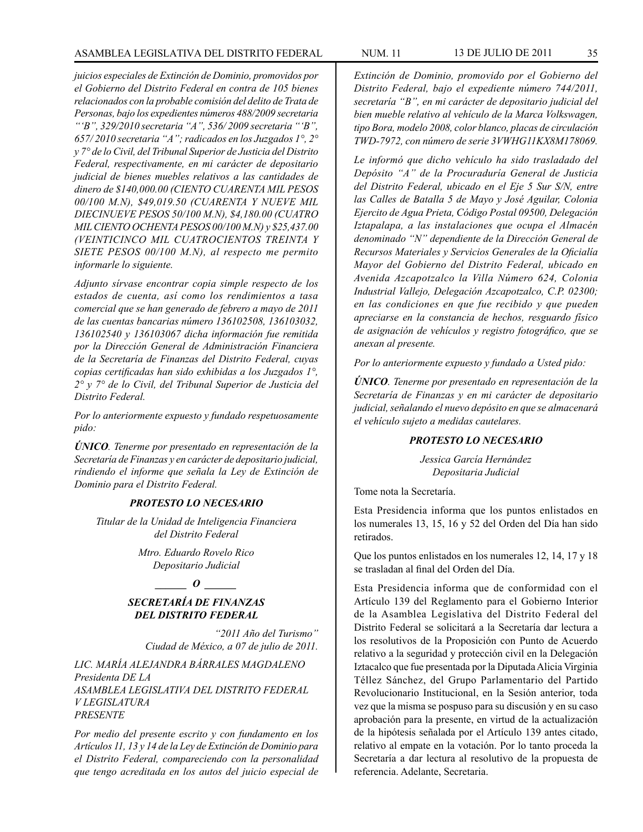*juicios especiales de Extinción de Dominio, promovidos por el Gobierno del Distrito Federal en contra de 105 bienes relacionados con la probable comisión del delito de Trata de Personas, bajo los expedientes números 488/2009 secretaria "'B", 329/2010 secretaria "A", 536/ 2009 secretaria "'B", 657/ 2010 secretaria "A"; radicados en los Juzgados 1°, 2° y 7° de lo Civil, del Tribunal Superior de Justicia del Distrito Federal, respectivamente, en mi carácter de depositario judicial de bienes muebles relativos a las cantidades de dinero de \$140,000.00 (CIENTO CUARENTA MIL PESOS 00/100 M.N), \$49,019.50 (CUARENTA Y NUEVE MIL DIECINUEVE PESOS 50/100 M.N), \$4,180.00 (CUATRO MIL CIENTO OCHENTA PESOS 00/100 M.N) y \$25,437.00 (VEINTICINCO MIL CUATROCIENTOS TREINTA Y SIETE PESOS 00/100 M.N), al respecto me permito informarle lo siguiente.*

*Adjunto sírvase encontrar copia simple respecto de los estados de cuenta, así como los rendimientos a tasa comercial que se han generado de febrero a mayo de 2011 de las cuentas bancarias número 136102508, 136103032, 136102540 y 136103067 dicha información fue remitida por la Dirección General de Administración Financiera de la Secretaría de Finanzas del Distrito Federal, cuyas copias certificadas han sido exhibidas a los Juzgados 1°, 2° y 7° de lo Civil, del Tribunal Superior de Justicia del Distrito Federal.* 

*Por lo anteriormente expuesto y fundado respetuosamente pido:*

*ÚNICO. Tenerme por presentado en representación de la Secretaría de Finanzas y en carácter de depositario judicial, rindiendo el informe que señala la Ley de Extinción de Dominio para el Distrito Federal.*

#### *PROTESTO LO NECESARIO*

*Titular de la Unidad de Inteligencia Financiera del Distrito Federal*

> *Mtro. Eduardo Rovelo Rico Depositario Judicial*

# $\qquad \qquad$  *O*  $\qquad \qquad$

# *SECRETARÍA DE FINANZAS DEL DISTRITO FEDERAL*

*"2011 Año del Turismo" Ciudad de México, a 07 de julio de 2011.*

*LIC. MARÍA ALEJANDRA BÁRRALES MAGDALENO Presidenta DE LA ASAMBLEA LEGISLATIVA DEL DISTRITO FEDERAL V LEGISLATURA PRESENTE*

*Por medio del presente escrito y con fundamento en los Artículos 11, 13 y 14 de la Ley de Extinción de Dominio para el Distrito Federal, compareciendo con la personalidad que tengo acreditada en los autos del juicio especial de* 

*Extinción de Dominio, promovido por el Gobierno del Distrito Federal, bajo el expediente número 744/2011, secretaría "B", en mi carácter de depositario judicial del bien mueble relativo al vehículo de la Marca Volkswagen, tipo Bora, modelo 2008, color blanco, placas de circulación TWD-7972, con número de serie 3VWHG11KX8M178069.*

*Le informó que dicho vehículo ha sido trasladado del Depósito "A" de la Procuraduría General de Justicia del Distrito Federal, ubicado en el Eje 5 Sur S/N, entre las Calles de Batalla 5 de Mayo y José Aguilar, Colonia Ejercito de Agua Prieta, Código Postal 09500, Delegación Iztapalapa, a las instalaciones que ocupa el Almacén denominado "N" dependiente de la Dirección General de Recursos Materiales y Servicios Generales de la Oficialía Mayor del Gobierno del Distrito Federal, ubicado en Avenida Azcapotzalco la Villa Número 624, Colonia Industrial Vallejo, Delegación Azcapotzalco, C.P. 02300; en las condiciones en que fue recibido y que pueden apreciarse en la constancia de hechos, resguardo físico de asignación de vehículos y registro fotográfico, que se anexan al presente.*

*Por lo anteriormente expuesto y fundado a Usted pido:*

*ÚNICO. Tenerme por presentado en representación de la Secretaría de Finanzas y en mi carácter de depositario judicial, señalando el nuevo depósito en que se almacenará el vehículo sujeto a medidas cautelares.*

#### *PROTESTO LO NECESARIO*

*Jessica García Hernández Depositaria Judicial*

Tome nota la Secretaría.

Esta Presidencia informa que los puntos enlistados en los numerales 13, 15, 16 y 52 del Orden del Día han sido retirados.

Que los puntos enlistados en los numerales 12, 14, 17 y 18 se trasladan al final del Orden del Día.

Esta Presidencia informa que de conformidad con el Artículo 139 del Reglamento para el Gobierno Interior de la Asamblea Legislativa del Distrito Federal del Distrito Federal se solicitará a la Secretaría dar lectura a los resolutivos de la Proposición con Punto de Acuerdo relativo a la seguridad y protección civil en la Delegación Iztacalco que fue presentada por la Diputada Alicia Virginia Téllez Sánchez, del Grupo Parlamentario del Partido Revolucionario Institucional, en la Sesión anterior, toda vez que la misma se pospuso para su discusión y en su caso aprobación para la presente, en virtud de la actualización de la hipótesis señalada por el Artículo 139 antes citado, relativo al empate en la votación. Por lo tanto proceda la Secretaría a dar lectura al resolutivo de la propuesta de referencia. Adelante, Secretaria.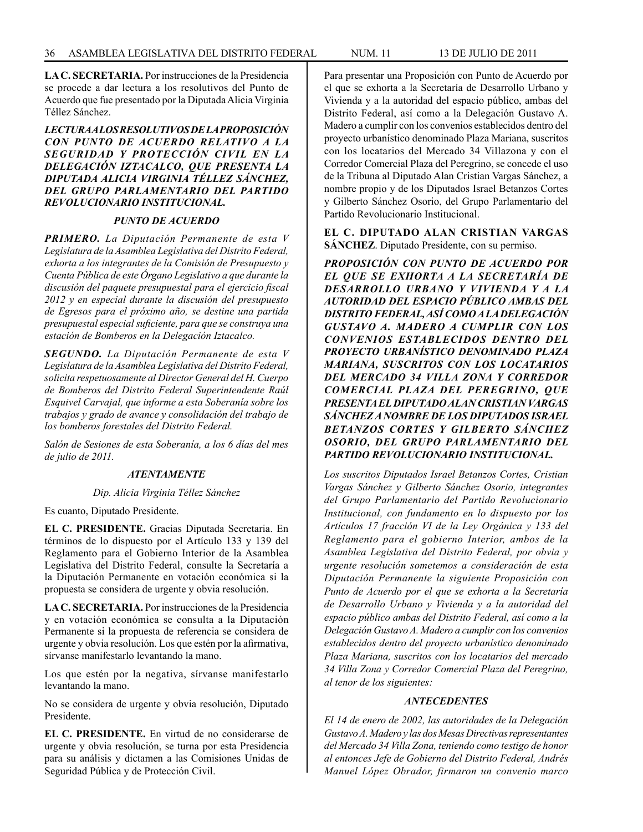**LA C. SECRETARIA.** Por instrucciones de la Presidencia se procede a dar lectura a los resolutivos del Punto de Acuerdo que fue presentado por la Diputada Alicia Virginia Téllez Sánchez.

### *LECTURA A LOS RESOLUTIVOS DE LA PROPOSICIÓN CON PUNTO DE ACUERDO RELATIVO A LA SEGURIDAD Y PROTECCIÓN CIVIL EN LA DELEGACIÓN IZTACALCO, QUE PRESENTA LA DIPUTADA ALICIA VIRGINIA TÉLLEZ SÁNCHEZ, DEL GRUPO PARLAMENTARIO DEL PARTIDO REVOLUCIONARIO INSTITUCIONAL.*

#### *PUNTO DE ACUERDO*

*PRIMERO. La Diputación Permanente de esta V Legislatura de la Asamblea Legislativa del Distrito Federal, exhorta a los integrantes de la Comisión de Presupuesto y Cuenta Pública de este Órgano Legislativo a que durante la discusión del paquete presupuestal para el ejercicio fiscal 2012 y en especial durante la discusión del presupuesto de Egresos para el próximo año, se destine una partida presupuestal especial suficiente, para que se construya una estación de Bomberos en la Delegación Iztacalco.*

*SEGUNDO. La Diputación Permanente de esta V Legislatura de la Asamblea Legislativa del Distrito Federal, solicita respetuosamente al Director General del H. Cuerpo de Bomberos del Distrito Federal Superintendente Raúl Esquivel Carvajal, que informe a esta Soberanía sobre los trabajos y grado de avance y consolidación del trabajo de los bomberos forestales del Distrito Federal.*

*Salón de Sesiones de esta Soberanía, a los 6 días del mes de julio de 2011.*

#### *ATENTAMENTE*

*Dip. Alicia Virginia Téllez Sánchez*

Es cuanto, Diputado Presidente.

**EL C. PRESIDENTE.** Gracias Diputada Secretaria. En términos de lo dispuesto por el Artículo 133 y 139 del Reglamento para el Gobierno Interior de la Asamblea Legislativa del Distrito Federal, consulte la Secretaría a la Diputación Permanente en votación económica si la propuesta se considera de urgente y obvia resolución.

**LA C. SECRETARIA.** Por instrucciones de la Presidencia y en votación económica se consulta a la Diputación Permanente si la propuesta de referencia se considera de urgente y obvia resolución. Los que estén por la afirmativa, sírvanse manifestarlo levantando la mano.

Los que estén por la negativa, sírvanse manifestarlo levantando la mano.

No se considera de urgente y obvia resolución, Diputado Presidente.

**EL C. PRESIDENTE.** En virtud de no considerarse de urgente y obvia resolución, se turna por esta Presidencia para su análisis y dictamen a las Comisiones Unidas de Seguridad Pública y de Protección Civil.

Para presentar una Proposición con Punto de Acuerdo por el que se exhorta a la Secretaría de Desarrollo Urbano y Vivienda y a la autoridad del espacio público, ambas del Distrito Federal, así como a la Delegación Gustavo A. Madero a cumplir con los convenios establecidos dentro del proyecto urbanístico denominado Plaza Mariana, suscritos con los locatarios del Mercado 34 Villazona y con el Corredor Comercial Plaza del Peregrino, se concede el uso de la Tribuna al Diputado Alan Cristian Vargas Sánchez, a nombre propio y de los Diputados Israel Betanzos Cortes y Gilberto Sánchez Osorio, del Grupo Parlamentario del Partido Revolucionario Institucional.

**EL C. DIPUTADO ALAN CRISTIAN VARGAS SÁNCHEZ**. Diputado Presidente, con su permiso.

*PROPOSICIÓN CON PUNTO DE ACUERDO POR EL QUE SE EXHORTA A LA SECRETARÍA DE DESARROLLO URBANO Y VIVIENDA Y A LA AUTORIDAD DEL ESPACIO PÚBLICO AMBAS DEL DISTRITO FEDERAL, ASÍ COMO A LA DELEGACIÓN GUSTAVO A. MADERO A CUMPLIR CON LOS CONVENIOS ESTABLECIDOS DENTRO DEL PROYECTO URBANÍSTICO DENOMINADO PLAZA MARIANA, SUSCRITOS CON LOS LOCATARIOS DEL MERCADO 34 VILLA ZONA Y CORREDOR COMERCIAL PLAZA DEL PEREGRINO, QUE PRESENTA EL DIPUTADO ALAN CRISTIAN VARGAS SÁNCHEZ A NOMBRE DE LOS DIPUTADOS ISRAEL BETANZOS CORTES Y GILBERTO SÁNCHEZ OSORIO, DEL GRUPO PARLAMENTARIO DEL PARTIDO REVOLUCIONARIO INSTITUCIONAL.*

*Los suscritos Diputados Israel Betanzos Cortes, Cristian Vargas Sánchez y Gilberto Sánchez Osorio, integrantes del Grupo Parlamentario del Partido Revolucionario Institucional, con fundamento en lo dispuesto por los Artículos 17 fracción VI de la Ley Orgánica y 133 del Reglamento para el gobierno Interior, ambos de la Asamblea Legislativa del Distrito Federal, por obvia y urgente resolución sometemos a consideración de esta Diputación Permanente la siguiente Proposición con Punto de Acuerdo por el que se exhorta a la Secretaría de Desarrollo Urbano y Vivienda y a la autoridad del espacio público ambas del Distrito Federal, así como a la Delegación Gustavo A. Madero a cumplir con los convenios establecidos dentro del proyecto urbanístico denominado Plaza Mariana, suscritos con los locatarios del mercado 34 Villa Zona y Corredor Comercial Plaza del Peregrino, al tenor de los siguientes:*

#### *ANTECEDENTES*

*El 14 de enero de 2002, las autoridades de la Delegación Gustavo A. Madero y las dos Mesas Directivas representantes del Mercado 34 Villa Zona, teniendo como testigo de honor al entonces Jefe de Gobierno del Distrito Federal, Andrés Manuel López Obrador, firmaron un convenio marco*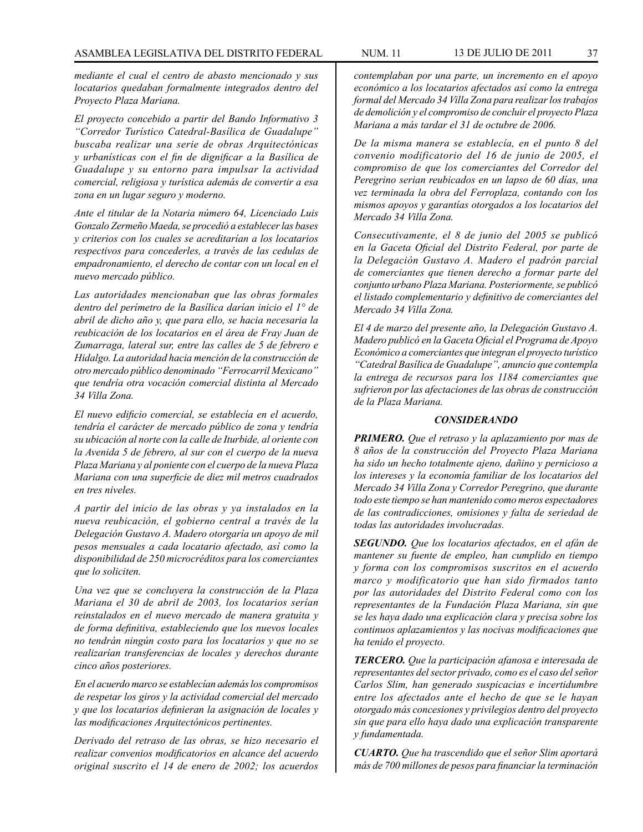*mediante el cual el centro de abasto mencionado y sus locatarios quedaban formalmente integrados dentro del Proyecto Plaza Mariana.*

*El proyecto concebido a partir del Bando Informativo 3 "Corredor Turístico Catedral-Basílica de Guadalupe" buscaba realizar una serie de obras Arquitectónicas y urbanísticas con el fin de dignificar a la Basílica de Guadalupe y su entorno para impulsar la actividad comercial, religiosa y turística además de convertir a esa zona en un lugar seguro y moderno.*

*Ante el titular de la Notaria número 64, Licenciado Luis Gonzalo Zermeño Maeda, se procedió a establecer las bases y criterios con los cuales se acreditarían a los locatarios respectivos para concederles, a través de las cedulas de empadronamiento, el derecho de contar con un local en el nuevo mercado público.*

*Las autoridades mencionaban que las obras formales dentro del perímetro de la Basílica darían inicio el 1° de abril de dicho año y, que para ello, se hacia necesaria la reubicación de los locatarios en el área de Fray Juan de Zumarraga, lateral sur, entre las calles de 5 de febrero e Hidalgo. La autoridad hacia mención de la construcción de otro mercado público denominado "Ferrocarril Mexicano" que tendría otra vocación comercial distinta al Mercado 34 Villa Zona.*

*El nuevo edificio comercial, se establecía en el acuerdo, tendría el carácter de mercado público de zona y tendría su ubicación al norte con la calle de Iturbide, al oriente con la Avenida 5 de febrero, al sur con el cuerpo de la nueva Plaza Mariana y al poniente con el cuerpo de la nueva Plaza Mariana con una superficie de diez mil metros cuadrados en tres niveles.*

*A partir del inicio de las obras y ya instalados en la nueva reubicación, el gobierno central a través de la Delegación Gustavo A. Madero otorgaría un apoyo de mil pesos mensuales a cada locatario afectado, así como la disponibilidad de 250 microcréditos para los comerciantes que lo soliciten.* 

*Una vez que se concluyera la construcción de la Plaza Mariana el 30 de abril de 2003, los locatarios serían reinstalados en el nuevo mercado de manera gratuita y de forma definitiva, estableciendo que los nuevos locales no tendrán ningún costo para los locatarios y que no se realizarían transferencias de locales y derechos durante cinco años posteriores.*

*En el acuerdo marco se establecían además los compromisos de respetar los giros y la actividad comercial del mercado y que los locatarios definieran la asignación de locales y las modificaciones Arquitectónicos pertinentes.* 

*Derivado del retraso de las obras, se hizo necesario el realizar convenios modificatorios en alcance del acuerdo original suscrito el 14 de enero de 2002; los acuerdos* 

*contemplaban por una parte, un incremento en el apoyo económico a los locatarios afectados así como la entrega formal del Mercado 34 Villa Zona para realizar los trabajos de demolición y el compromiso de concluir el proyecto Plaza Mariana a más tardar el 31 de octubre de 2006.* 

*De la misma manera se establecía, en el punto 8 del convenio modificatorio del 16 de junio de 2005, el compromiso de que los comerciantes del Corredor del Peregrino serian reubicados en un lapso de 60 días, una vez terminada la obra del Ferroplaza, contando con los mismos apoyos y garantías otorgados a los locatarios del Mercado 34 Villa Zona.*

*Consecutivamente, el 8 de junio del 2005 se publicó en la Gaceta Oficial del Distrito Federal, por parte de la Delegación Gustavo A. Madero el padrón parcial de comerciantes que tienen derecho a formar parte del conjunto urbano Plaza Mariana. Posteriormente, se publicó el listado complementario y definitivo de comerciantes del Mercado 34 Villa Zona.*

*El 4 de marzo del presente año, la Delegación Gustavo A. Madero publicó en la Gaceta Oficial el Programa de Apoyo Económico a comerciantes que integran el proyecto turístico "Catedral Basílica de Guadalupe", anuncio que contempla la entrega de recursos para los 1184 comerciantes que sufrieron por las afectaciones de las obras de construcción de la Plaza Mariana.*

### *CONSIDERANDO*

*PRIMERO. Que el retraso y la aplazamiento por mas de 8 años de la construcción del Proyecto Plaza Mariana ha sido un hecho totalmente ajeno, dañino y pernicioso a los intereses y la economía familiar de los locatarios del Mercado 34 Villa Zona y Corredor Peregrino, que durante todo este tiempo se han mantenido como meros espectadores de las contradicciones, omisiones y falta de seriedad de todas las autoridades involucradas.*

*SEGUNDO. Que los locatarios afectados, en el afán de mantener su fuente de empleo, han cumplido en tiempo y forma con los compromisos suscritos en el acuerdo marco y modificatorio que han sido firmados tanto por las autoridades del Distrito Federal como con los representantes de la Fundación Plaza Mariana, sin que se les haya dado una explicación clara y precisa sobre los continuos aplazamientos y las nocivas modificaciones que ha tenido el proyecto.*

*TERCERO. Que la participación afanosa e interesada de representantes del sector privado, como es el caso del señor Carlos Slim, han generado suspicacias e incertidumbre entre los afectados ante el hecho de que se le hayan otorgado más concesiones y privilegios dentro del proyecto sin que para ello haya dado una explicación transparente y fundamentada.*

*CUARTO. Que ha trascendido que el señor Slim aportará más de 700 millones de pesos para financiar la terminación*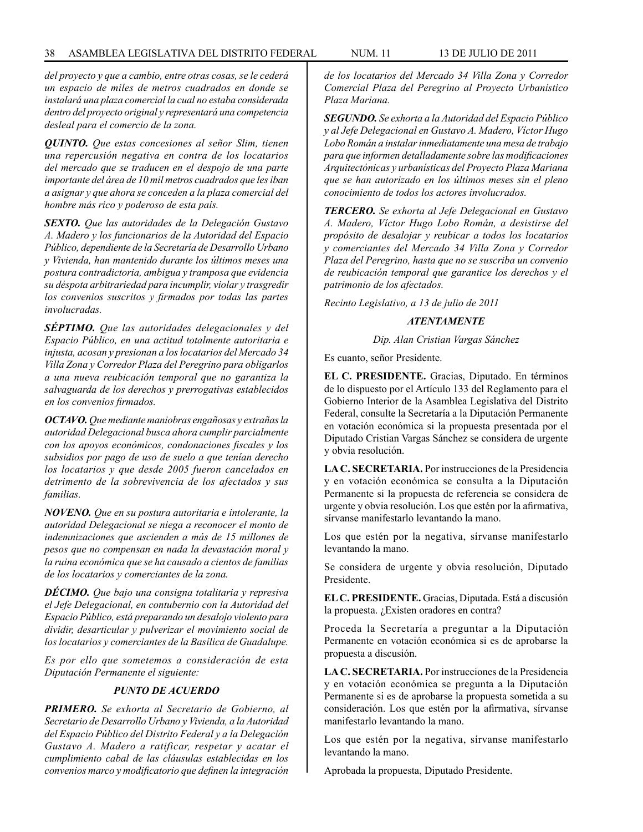*del proyecto y que a cambio, entre otras cosas, se le cederá un espacio de miles de metros cuadrados en donde se instalará una plaza comercial la cual no estaba considerada dentro del proyecto original y representará una competencia desleal para el comercio de la zona.*

*QUINTO. Que estas concesiones al señor Slim, tienen una repercusión negativa en contra de los locatarios del mercado que se traducen en el despojo de una parte importante del área de 10 mil metros cuadrados que les iban a asignar y que ahora se conceden a la plaza comercial del hombre más rico y poderoso de esta país.*

*SEXTO. Que las autoridades de la Delegación Gustavo A. Madero y los funcionarios de la Autoridad del Espacio Público, dependiente de la Secretaría de Desarrollo Urbano y Vivienda, han mantenido durante los últimos meses una postura contradictoria, ambigua y tramposa que evidencia su déspota arbitrariedad para incumplir, violar y trasgredir los convenios suscritos y firmados por todas las partes involucradas.*

*SÉPTIMO. Que las autoridades delegacionales y del Espacio Público, en una actitud totalmente autoritaria e injusta, acosan y presionan a los locatarios del Mercado 34 Villa Zona y Corredor Plaza del Peregrino para obligarlos a una nueva reubicación temporal que no garantiza la salvaguarda de los derechos y prerrogativas establecidos en los convenios firmados.*

*OCTAVO. Que mediante maniobras engañosas y extrañas la autoridad Delegacional busca ahora cumplir parcialmente con los apoyos económicos, condonaciones fiscales y los subsidios por pago de uso de suelo a que tenían derecho los locatarios y que desde 2005 fueron cancelados en detrimento de la sobrevivencia de los afectados y sus familias.*

*NOVENO. Que en su postura autoritaria e intolerante, la autoridad Delegacional se niega a reconocer el monto de indemnizaciones que ascienden a más de 15 millones de pesos que no compensan en nada la devastación moral y la ruina económica que se ha causado a cientos de familias de los locatarios y comerciantes de la zona.*

*DÉCIMO. Que bajo una consigna totalitaria y represiva el Jefe Delegacional, en contubernio con la Autoridad del Espacio Público, está preparando un desalojo violento para dividir, desarticular y pulverizar el movimiento social de los locatarios y comerciantes de la Basílica de Guadalupe.*

*Es por ello que sometemos a consideración de esta Diputación Permanente el siguiente:*

# *PUNTO DE ACUERDO*

*PRIMERO. Se exhorta al Secretario de Gobierno, al Secretario de Desarrollo Urbano y Vivienda, a la Autoridad del Espacio Público del Distrito Federal y a la Delegación Gustavo A. Madero a ratificar, respetar y acatar el cumplimiento cabal de las cláusulas establecidas en los convenios marco y modificatorio que definen la integración* 

*de los locatarios del Mercado 34 Villa Zona y Corredor Comercial Plaza del Peregrino al Proyecto Urbanístico Plaza Mariana.*

*SEGUNDO. Se exhorta a la Autoridad del Espacio Público y al Jefe Delegacional en Gustavo A. Madero, Víctor Hugo Lobo Román a instalar inmediatamente una mesa de trabajo para que informen detalladamente sobre las modificaciones Arquitectónicas y urbanísticas del Proyecto Plaza Mariana que se han autorizado en los últimos meses sin el pleno conocimiento de todos los actores involucrados.*

*TERCERO. Se exhorta al Jefe Delegacional en Gustavo A. Madero, Víctor Hugo Lobo Román, a desistirse del propósito de desalojar y reubicar a todos los locatarios y comerciantes del Mercado 34 Villa Zona y Corredor Plaza del Peregrino, hasta que no se suscriba un convenio de reubicación temporal que garantice los derechos y el patrimonio de los afectados.*

*Recinto Legislativo, a 13 de julio de 2011*

### *ATENTAMENTE*

*Dip. Alan Cristian Vargas Sánchez*

Es cuanto, señor Presidente.

**EL C. PRESIDENTE.** Gracias, Diputado. En términos de lo dispuesto por el Artículo 133 del Reglamento para el Gobierno Interior de la Asamblea Legislativa del Distrito Federal, consulte la Secretaría a la Diputación Permanente en votación económica si la propuesta presentada por el Diputado Cristian Vargas Sánchez se considera de urgente y obvia resolución.

**LA C. SECRETARIA.** Por instrucciones de la Presidencia y en votación económica se consulta a la Diputación Permanente si la propuesta de referencia se considera de urgente y obvia resolución. Los que estén por la afirmativa, sírvanse manifestarlo levantando la mano.

Los que estén por la negativa, sírvanse manifestarlo levantando la mano.

Se considera de urgente y obvia resolución, Diputado Presidente.

**EL C. PRESIDENTE.** Gracias, Diputada. Está a discusión la propuesta. ¿Existen oradores en contra?

Proceda la Secretaría a preguntar a la Diputación Permanente en votación económica si es de aprobarse la propuesta a discusión.

**LA C. SECRETARIA.** Por instrucciones de la Presidencia y en votación económica se pregunta a la Diputación Permanente si es de aprobarse la propuesta sometida a su consideración. Los que estén por la afirmativa, sírvanse manifestarlo levantando la mano.

Los que estén por la negativa, sírvanse manifestarlo levantando la mano.

Aprobada la propuesta, Diputado Presidente.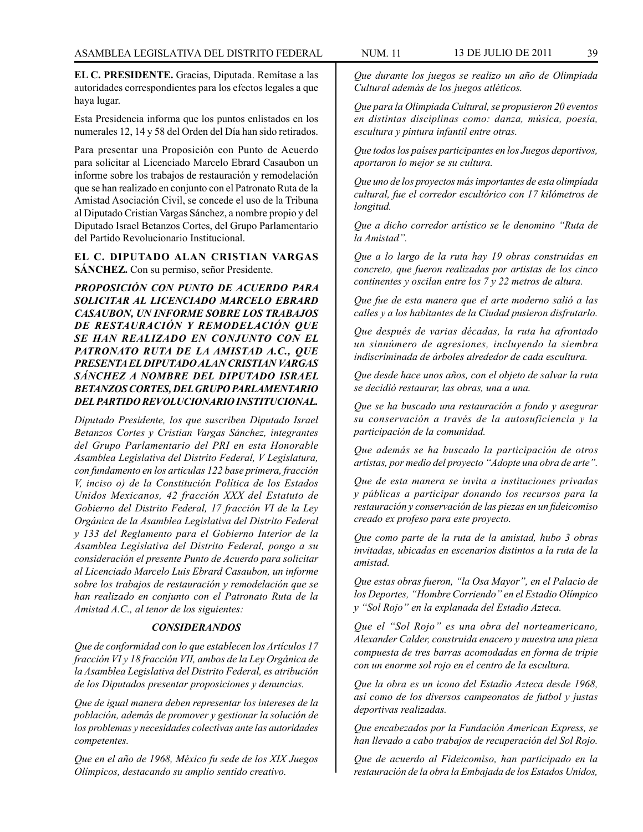**EL C. PRESIDENTE.** Gracias, Diputada. Remítase a las autoridades correspondientes para los efectos legales a que haya lugar.

Esta Presidencia informa que los puntos enlistados en los numerales 12, 14 y 58 del Orden del Día han sido retirados.

Para presentar una Proposición con Punto de Acuerdo para solicitar al Licenciado Marcelo Ebrard Casaubon un informe sobre los trabajos de restauración y remodelación que se han realizado en conjunto con el Patronato Ruta de la Amistad Asociación Civil, se concede el uso de la Tribuna al Diputado Cristian Vargas Sánchez, a nombre propio y del Diputado Israel Betanzos Cortes, del Grupo Parlamentario del Partido Revolucionario Institucional.

**EL C. DIPUTADO ALAN CRISTIAN VARGAS SÁNCHEZ.** Con su permiso, señor Presidente.

*PROPOSICIÓN CON PUNTO DE ACUERDO PARA SOLICITAR AL LICENCIADO MARCELO EBRARD CASAUBON, UN INFORME SOBRE LOS TRABAJOS DE RESTAURACIÓN Y REMODELACIÓN QUE SE HAN REALIZADO EN CONJUNTO CON EL PATRONATO RUTA DE LA AMISTAD A.C., QUE PRESENTA EL DIPUTADO ALAN CRISTIAN VARGAS SÁNCHEZ A NOMBRE DEL DIPUTADO ISRAEL BETANZOS CORTES, DEL GRUPO PARLAMENTARIO DEL PARTIDO REVOLUCIONARIO INSTITUCIONAL.*

*Diputado Presidente, los que suscriben Diputado Israel Betanzos Cortes y Cristian Vargas Sánchez, integrantes del Grupo Parlamentario del PRI en esta Honorable Asamblea Legislativa del Distrito Federal, V Legislatura, con fundamento en los articulas 122 base primera, fracción V, inciso o) de la Constitución Política de los Estados Unidos Mexicanos, 42 fracción XXX del Estatuto de Gobierno del Distrito Federal, 17 fracción VI de la Ley Orgánica de la Asamblea Legislativa del Distrito Federal y 133 del Reglamento para el Gobierno Interior de la Asamblea Legislativa del Distrito Federal, pongo a su consideración el presente Punto de Acuerdo para solicitar al Licenciado Marcelo Luis Ebrard Casaubon, un informe sobre los trabajos de restauración y remodelación que se han realizado en conjunto con el Patronato Ruta de la Amistad A.C., al tenor de los siguientes:*

### *CONSIDERANDOS*

*Que de conformidad con lo que establecen los Artículos 17 fracción VI y 18 fracción VII, ambos de la Ley Orgánica de la Asamblea Legislativa del Distrito Federal, es atribución de los Diputados presentar proposiciones y denuncias.*

*Que de igual manera deben representar los intereses de la población, además de promover y gestionar la solución de los problemas y necesidades colectivas ante las autoridades competentes.* 

*Que en el año de 1968, México fu sede de los XIX Juegos Olímpicos, destacando su amplio sentido creativo.*

*Que durante los juegos se realizo un año de Olimpiada Cultural además de los juegos atléticos.*

*Que para la Olimpiada Cultural, se propusieron 20 eventos en distintas disciplinas como: danza, música, poesía, escultura y pintura infantil entre otras.*

*Que todos los países participantes en los Juegos deportivos, aportaron lo mejor se su cultura.*

*Que uno de los proyectos más importantes de esta olimpíada cultural, fue el corredor escultórico con 17 kilómetros de longitud.*

*Que a dicho corredor artístico se le denomino "Ruta de la Amistad".*

*Que a lo largo de la ruta hay 19 obras construidas en concreto, que fueron realizadas por artistas de los cinco continentes y oscilan entre los 7 y 22 metros de altura.*

*Que fue de esta manera que el arte moderno salió a las calles y a los habitantes de la Ciudad pusieron disfrutarlo.*

*Que después de varias décadas, la ruta ha afrontado un sinnúmero de agresiones, incluyendo la siembra indiscriminada de árboles alrededor de cada escultura.*

*Que desde hace unos años, con el objeto de salvar la ruta se decidió restaurar, las obras, una a una.*

*Que se ha buscado una restauración a fondo y asegurar su conservación a través de la autosuficiencia y la participación de la comunidad.*

*Que además se ha buscado la participación de otros artistas, por medio del proyecto "Adopte una obra de arte".*

*Que de esta manera se invita a instituciones privadas y públicas a participar donando los recursos para la restauración y conservación de las piezas en un fideicomiso creado ex profeso para este proyecto.*

*Que como parte de la ruta de la amistad, hubo 3 obras invitadas, ubicadas en escenarios distintos a la ruta de la amistad.*

*Que estas obras fueron, "la Osa Mayor", en el Palacio de los Deportes, "Hombre Corriendo" en el Estadio Olímpico y "Sol Rojo" en la explanada del Estadio Azteca.*

*Que el "Sol Rojo" es una obra del norteamericano, Alexander Calder, construida enacero y muestra una pieza compuesta de tres barras acomodadas en forma de tripie con un enorme sol rojo en el centro de la escultura.*

*Que la obra es un icono del Estadio Azteca desde 1968, así como de los diversos campeonatos de futbol y justas deportivas realizadas.*

*Que encabezados por la Fundación American Express, se han llevado a cabo trabajos de recuperación del Sol Rojo.*

*Que de acuerdo al Fideicomiso, han participado en la restauración de la obra la Embajada de los Estados Unidos,*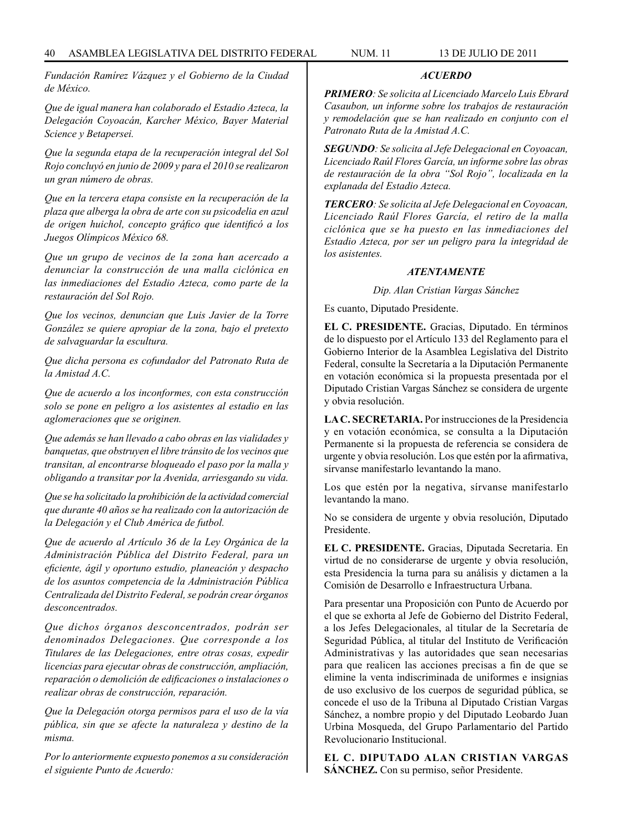*Fundación Ramírez Vázquez y el Gobierno de la Ciudad de México.*

*Que de igual manera han colaborado el Estadio Azteca, la Delegación Coyoacán, Karcher México, Bayer Material Science y Betapersei.*

*Que la segunda etapa de la recuperación integral del Sol Rojo concluyó en junio de 2009 y para el 2010 se realizaron un gran número de obras.*

*Que en la tercera etapa consiste en la recuperación de la plaza que alberga la obra de arte con su psicodelia en azul de origen huichol, concepto gráfico que identificó a los Juegos Olímpicos México 68.*

*Que un grupo de vecinos de la zona han acercado a denunciar la construcción de una malla ciclónica en las inmediaciones del Estadio Azteca, como parte de la restauración del Sol Rojo.*

*Que los vecinos, denuncian que Luis Javier de la Torre González se quiere apropiar de la zona, bajo el pretexto de salvaguardar la escultura.*

*Que dicha persona es cofundador del Patronato Ruta de la Amistad A.C.*

*Que de acuerdo a los inconformes, con esta construcción solo se pone en peligro a los asistentes al estadio en las aglomeraciones que se originen.*

*Que además se han llevado a cabo obras en las vialidades y banquetas, que obstruyen el libre tránsito de los vecinos que transitan, al encontrarse bloqueado el paso por la malla y obligando a transitar por la Avenida, arriesgando su vida.*

*Que se ha solicitado la prohibición de la actividad comercial que durante 40 años se ha realizado con la autorización de la Delegación y el Club América de futbol.*

*Que de acuerdo al Artículo 36 de la Ley Orgánica de la Administración Pública del Distrito Federal, para un eficiente, ágil y oportuno estudio, planeación y despacho de los asuntos competencia de la Administración Pública Centralizada del Distrito Federal, se podrán crear órganos desconcentrados.*

*Que dichos órganos desconcentrados, podrán ser denominados Delegaciones. Que corresponde a los Titulares de las Delegaciones, entre otras cosas, expedir licencias para ejecutar obras de construcción, ampliación, reparación o demolición de edificaciones o instalaciones o realizar obras de construcción, reparación.*

*Que la Delegación otorga permisos para el uso de la vía pública, sin que se afecte la naturaleza y destino de la misma.*

*Por lo anteriormente expuesto ponemos a su consideración el siguiente Punto de Acuerdo:*

# *ACUERDO*

*PRIMERO: Se solicita al Licenciado Marcelo Luis Ebrard Casaubon, un informe sobre los trabajos de restauración y remodelación que se han realizado en conjunto con el Patronato Ruta de la Amistad A.C.*

*SEGUNDO: Se solicita al Jefe Delegacional en Coyoacan, Licenciado Raúl Flores García, un informe sobre las obras de restauración de la obra "Sol Rojo", localizada en la explanada del Estadio Azteca.*

*TERCERO: Se solicita al Jefe Delegacional en Coyoacan, Licenciado Raúl Flores García, el retiro de la malla ciclónica que se ha puesto en las inmediaciones del Estadio Azteca, por ser un peligro para la integridad de los asistentes.*

## *ATENTAMENTE*

*Dip. Alan Cristian Vargas Sánchez*

Es cuanto, Diputado Presidente.

**EL C. PRESIDENTE.** Gracias, Diputado. En términos de lo dispuesto por el Artículo 133 del Reglamento para el Gobierno Interior de la Asamblea Legislativa del Distrito Federal, consulte la Secretaría a la Diputación Permanente en votación económica si la propuesta presentada por el Diputado Cristian Vargas Sánchez se considera de urgente y obvia resolución.

**LA C. SECRETARIA.** Por instrucciones de la Presidencia y en votación económica, se consulta a la Diputación Permanente si la propuesta de referencia se considera de urgente y obvia resolución. Los que estén por la afirmativa, sírvanse manifestarlo levantando la mano.

Los que estén por la negativa, sírvanse manifestarlo levantando la mano.

No se considera de urgente y obvia resolución, Diputado Presidente.

**EL C. PRESIDENTE.** Gracias, Diputada Secretaria. En virtud de no considerarse de urgente y obvia resolución, esta Presidencia la turna para su análisis y dictamen a la Comisión de Desarrollo e Infraestructura Urbana.

Para presentar una Proposición con Punto de Acuerdo por el que se exhorta al Jefe de Gobierno del Distrito Federal, a los Jefes Delegacionales, al titular de la Secretaría de Seguridad Pública, al titular del Instituto de Verificación Administrativas y las autoridades que sean necesarias para que realicen las acciones precisas a fin de que se elimine la venta indiscriminada de uniformes e insignias de uso exclusivo de los cuerpos de seguridad pública, se concede el uso de la Tribuna al Diputado Cristian Vargas Sánchez, a nombre propio y del Diputado Leobardo Juan Urbina Mosqueda, del Grupo Parlamentario del Partido Revolucionario Institucional.

**EL C. DIPUTADO ALAN CRISTIAN VARGAS SÁNCHEZ.** Con su permiso, señor Presidente.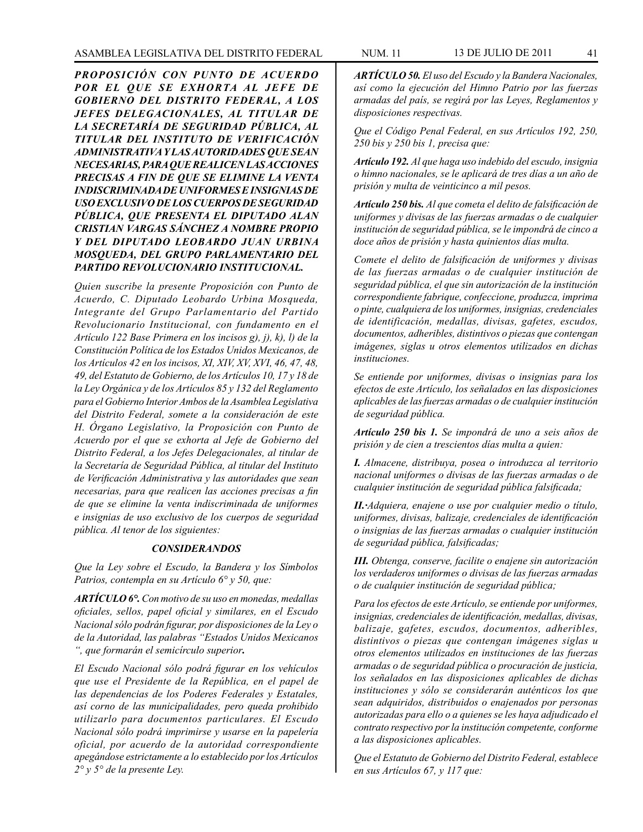*PROPOSICIÓN CON PUNTO DE ACUERDO POR EL QUE SE EXHORTA AL JEFE DE GOBIERNO DEL DISTRITO FEDERAL, A LOS JEFES DELEGACIONALES, AL TITULAR DE LA SECRETARÍA DE SEGURIDAD PÚBLICA, AL TITULAR DEL INSTITUTO DE VERIFICACIÓN ADMINISTRATIVA Y LAS AUTORIDADES QUE SEAN NECESARIAS, PARA QUE REALICEN LAS ACCIONES PRECISAS A FIN DE QUE SE ELIMINE LA VENTA INDISCRIMINADA DE UNIFORMES E INSIGNIAS DE USO EXCLUSIVO DE LOS CUERPOS DE SEGURIDAD PÚBLICA, QUE PRESENTA EL DIPUTADO ALAN CRISTIAN VARGAS SÁNCHEZ A NOMBRE PROPIO Y DEL DIPUTADO LEOBARDO JUAN URBINA MOSQUEDA, DEL GRUPO PARLAMENTARIO DEL PARTIDO REVOLUCIONARIO INSTITUCIONAL.*

*Quien suscribe la presente Proposición con Punto de Acuerdo, C. Diputado Leobardo Urbina Mosqueda, Integrante del Grupo Parlamentario del Partido Revolucionario Institucional, con fundamento en el Artículo 122 Base Primera en los incisos g), j), k), l) de la Constitución Política de los Estados Unidos Mexicanos, de los Artículos 42 en los incisos, XI, XIV, XV, XVI, 46, 47, 48, 49, del Estatuto de Gobierno, de los Artículos 10, 17 y 18 de la Ley Orgánica y de los Artículos 85 y 132 del Reglamento para el Gobierno Interior Ambos de la Asamblea Legislativa del Distrito Federal, somete a la consideración de este H. Órgano Legislativo, la Proposición con Punto de Acuerdo por el que se exhorta al Jefe de Gobierno del Distrito Federal, a los Jefes Delegacionales, al titular de la Secretaría de Seguridad Pública, al titular del Instituto de Verificación Administrativa y las autoridades que sean necesarias, para que realicen las acciones precisas a fin de que se elimine la venta indiscriminada de uniformes e insignias de uso exclusivo de los cuerpos de seguridad pública. Al tenor de los siguientes:*

## *CONSIDERANDOS*

*Que la Ley sobre el Escudo, la Bandera y los Símbolos Patrios, contempla en su Artículo 6° y 50, que:*

*ARTÍCULO 6°. Con motivo de su uso en monedas, medallas oficiales, sellos, papel oficial y similares, en el Escudo Nacional sólo podrán figurar, por disposiciones de la Ley o de la Autoridad, las palabras "Estados Unidos Mexicanos ", que formarán el semicírculo superior.*

*El Escudo Nacional sólo podrá figurar en los vehículos que use el Presidente de la República, en el papel de las dependencias de los Poderes Federales y Estatales, así corno de las municipalidades, pero queda prohibido utilizarlo para documentos particulares. El Escudo Nacional sólo podrá imprimirse y usarse en la papelería oficial, por acuerdo de la autoridad correspondiente apegándose estrictamente a lo establecido por los Artículos 2° y 5° de la presente Ley.*

*ARTÍCULO 50. El uso del Escudo y la Bandera Nacionales, así como la ejecución del Himno Patrio por las fuerzas armadas del país, se regirá por las Leyes, Reglamentos y disposiciones respectivas.*

*Que el Código Penal Federal, en sus Artículos 192, 250, 250 bis y 250 bis 1, precisa que:*

*Artículo 192. Al que haga uso indebido del escudo, insignia o himno nacionales, se le aplicará de tres días a un año de prisión y multa de veinticinco a mil pesos.*

*Artículo 250 bis. Al que cometa el delito de falsificación de uniformes y divisas de las fuerzas armadas o de cualquier institución de seguridad pública, se le impondrá de cinco a doce años de prisión y hasta quinientos días multa.* 

*Comete el delito de falsificación de uniformes y divisas de las fuerzas armadas o de cualquier institución de seguridad pública, el que sin autorización de la institución correspondiente fabrique, confeccione, produzca, imprima o pinte, cualquiera de los uniformes, insignias, credenciales de identificación, medallas, divisas, gafetes, escudos, documentos, adheribles, distintivos o piezas que contengan imágenes, siglas u otros elementos utilizados en dichas instituciones.*

*Se entiende por uniformes, divisas o insignias para los efectos de este Artículo, los señalados en las disposiciones aplicables de las fuerzas armadas o de cualquier institución de seguridad pública.*

*Artículo 250 bis 1. Se impondrá de uno a seis años de prisión y de cien a trescientos días multa a quien:*

*I. Almacene, distribuya, posea o introduzca al territorio nacional uniformes o divisas de las fuerzas armadas o de cualquier institución de seguridad pública falsificada;*

*II.·Adquiera, enajene o use por cualquier medio o título, uniformes, divisas, balizaje, credenciales de identificación o insignias de las fuerzas armadas o cualquier institución de seguridad pública, falsificadas;*

*III. Obtenga, conserve, facilite o enajene sin autorización los verdaderos uniformes o divisas de las fuerzas armadas o de cualquier institución de seguridad pública;*

*Para los efectos de este Artículo, se entiende por uniformes, insignias, credenciales de identificación, medallas, divisas, balizaje, gafetes, escudos, documentos, adheribles, distintivos o piezas que contengan imágenes siglas u otros elementos utilizados en instituciones de las fuerzas armadas o de seguridad pública o procuración de justicia, los señalados en las disposiciones aplicables de dichas instituciones y sólo se considerarán auténticos los que sean adquiridos, distribuidos o enajenados por personas autorizadas para ello o a quienes se les haya adjudicado el contrato respectivo por la institución competente, conforme a las disposiciones aplicables.*

*Que el Estatuto de Gobierno del Distrito Federal, establece en sus Artículos 67, y 117 que:*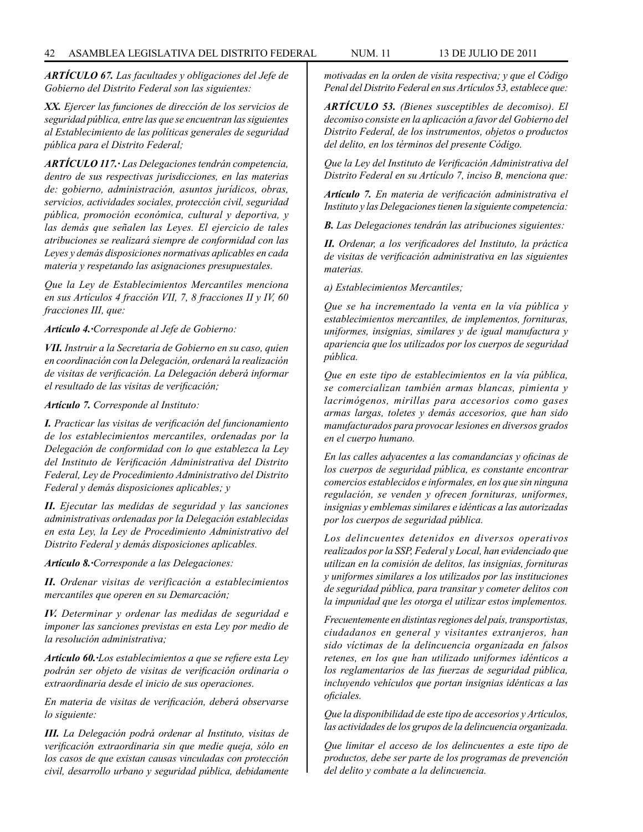*ARTÍCULO 67. Las facultades y obligaciones del Jefe de Gobierno del Distrito Federal son las siguientes:*

*XX. Ejercer las funciones de dirección de los servicios de seguridad pública, entre las que se encuentran las siguientes al Establecimiento de las políticas generales de seguridad pública para el Distrito Federal;*

*ARTÍCULO 117.· Las Delegaciones tendrán competencia, dentro de sus respectivas jurisdicciones, en las materias de: gobierno, administración, asuntos jurídicos, obras, servicios, actividades sociales, protección civil, seguridad pública, promoción económica, cultural y deportiva, y las demás que señalen las Leyes. El ejercicio de tales atribuciones se realizará siempre de conformidad con las Leyes y demás disposiciones normativas aplicables en cada materia y respetando las asignaciones presupuestales.*

*Que la Ley de Establecimientos Mercantiles menciona en sus Artículos 4 fracción VII, 7, 8 fracciones II y IV, 60 fracciones III, que:*

*Artículo 4.·Corresponde al Jefe de Gobierno:*

*VII. Instruir a la Secretaría de Gobierno en su caso, quien en coordinación con la Delegación, ordenará la realización de visitas de verificación. La Delegación deberá informar el resultado de las visitas de verificación;*

*Artículo 7. Corresponde al Instituto:*

*I. Practicar las visitas de verificación del funcionamiento de los establecimientos mercantiles, ordenadas por la Delegación de conformidad con lo que establezca la Ley del Instituto de Verificación Administrativa del Distrito Federal, Ley de Procedimiento Administrativo del Distrito Federal y demás disposiciones aplicables; y*

*II. Ejecutar las medidas de seguridad y las sanciones administrativas ordenadas por la Delegación establecidas en esta Ley, la Ley de Procedimiento Administrativo del Distrito Federal y demás disposiciones aplicables.*

*Artículo 8.·Corresponde a las Delegaciones:*

*II. Ordenar visitas de verificación a establecimientos mercantiles que operen en su Demarcación;*

*IV. Determinar y ordenar las medidas de seguridad e imponer las sanciones previstas en esta Ley por medio de la resolución administrativa;*

*Artículo 60.·Los establecimientos a que se refiere esta Ley podrán ser objeto de visitas de verificación ordinaria o extraordinaria desde el inicio de sus operaciones.*

*En materia de visitas de verificación, deberá observarse lo siguiente:* 

*III. La Delegación podrá ordenar al Instituto, visitas de verificación extraordinaria sin que medie queja, sólo en los casos de que existan causas vinculadas con protección civil, desarrollo urbano y seguridad pública, debidamente* 

*motivadas en la orden de visita respectiva; y que el Código Penal del Distrito Federal en sus Artículos 53, establece que:*

*ARTÍCULO 53. (Bienes susceptibles de decomiso). El decomiso consiste en la aplicación a favor del Gobierno del Distrito Federal, de los instrumentos, objetos o productos del delito, en los términos del presente Código.*

*Que la Ley del Instituto de Verificación Administrativa del Distrito Federal en su Artículo 7, inciso B, menciona que:*

*Artículo 7. En materia de verificación administrativa el Instituto y las Delegaciones tienen la siguiente competencia:*

*B. Las Delegaciones tendrán las atribuciones siguientes:*

*II. Ordenar, a los verificadores del Instituto, la práctica de visitas de verificación administrativa en las siguientes materias.*

*a) Establecimientos Mercantiles;*

*Que se ha incrementado la venta en la vía pública y establecimientos mercantiles, de implementos, fornituras, uniformes, insignias, similares y de igual manufactura y apariencia que los utilizados por los cuerpos de seguridad pública.*

*Que en este tipo de establecimientos en la vía pública, se comercializan también armas blancas, pimienta y lacrimógenos, mirillas para accesorios como gases armas largas, toletes y demás accesorios, que han sido manufacturados para provocar lesiones en diversos grados en el cuerpo humano.*

*En las calles adyacentes a las comandancias y oficinas de los cuerpos de seguridad pública, es constante encontrar comercios establecidos e informales, en los que sin ninguna regulación, se venden y ofrecen fornituras, uniformes, insignias y emblemas similares e idénticas a las autorizadas por los cuerpos de seguridad pública.*

*Los delincuentes detenidos en diversos operativos realizados por la SSP, Federal y Local, han evidenciado que utilizan en la comisión de delitos, las insignias, fornituras y uniformes similares a los utilizados por las instituciones de seguridad pública, para transitar y cometer delitos con la impunidad que les otorga el utilizar estos implementos.*

*Frecuentemente en distintas regiones del país, transportistas, ciudadanos en general y visitantes extranjeros, han sido víctimas de la delincuencia organizada en falsos retenes, en los que han utilizado uniformes idénticos a los reglamentarios de las fuerzas de seguridad pública, incluyendo vehículos que portan insignias idénticas a las oficiales.*

*Que la disponibilidad de este tipo de accesorios y Artículos, las actividades de los grupos de la delincuencia organizada.*

*Que limitar el acceso de los delincuentes a este tipo de productos, debe ser parte de los programas de prevención del delito y combate a la delincuencia.*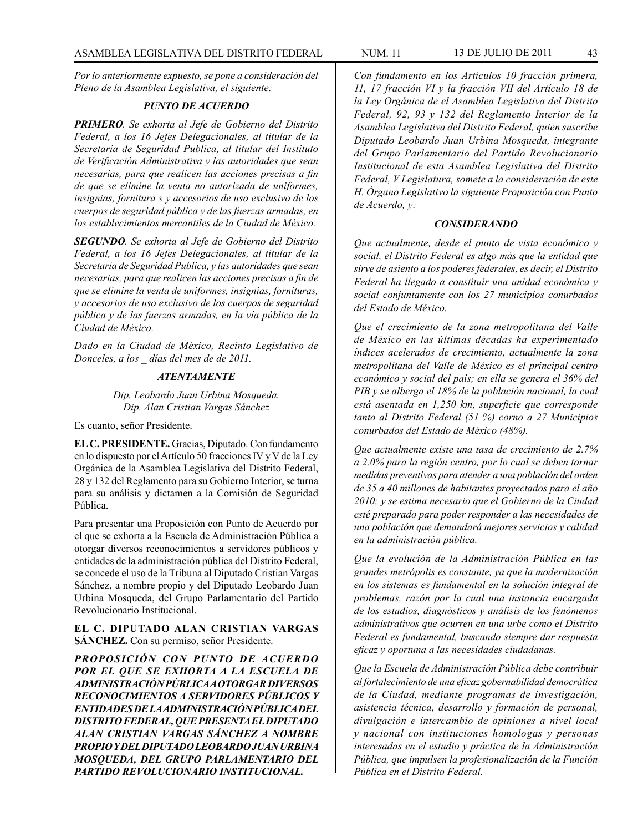*Por lo anteriormente expuesto, se pone a consideración del Pleno de la Asamblea Legislativa, el siguiente:*

### *PUNTO DE ACUERDO*

*PRIMERO. Se exhorta al Jefe de Gobierno del Distrito Federal, a los 16 Jefes Delegacionales, al titular de la Secretaría de Seguridad Publica, al titular del Instituto de Verificación Administrativa y las autoridades que sean necesarias, para que realicen las acciones precisas a fin de que se elimine la venta no autorizada de uniformes, insignias, fornitura s y accesorios de uso exclusivo de los cuerpos de seguridad pública y de las fuerzas armadas, en los establecimientos mercantiles de la Ciudad de México.*

*SEGUNDO. Se exhorta al Jefe de Gobierno del Distrito Federal, a los 16 Jefes Delegacionales, al titular de la Secretaría de Seguridad Publica, y las autoridades que sean necesarias, para que realicen las acciones precisas a fin de que se elimine la venta de uniformes, insignias, fornituras, y accesorios de uso exclusivo de los cuerpos de seguridad pública y de las fuerzas armadas, en la vía pública de la Ciudad de México.*

*Dado en la Ciudad de México, Recinto Legislativo de Donceles, a los \_ días del mes de de 2011.*

### *ATENTAMENTE*

*Dip. Leobardo Juan Urbina Mosqueda. Dip. Alan Cristian Vargas Sánchez*

Es cuanto, señor Presidente.

**EL C. PRESIDENTE.** Gracias, Diputado. Con fundamento en lo dispuesto por el Artículo 50 fracciones IV y V de la Ley Orgánica de la Asamblea Legislativa del Distrito Federal, 28 y 132 del Reglamento para su Gobierno Interior, se turna para su análisis y dictamen a la Comisión de Seguridad Pública.

Para presentar una Proposición con Punto de Acuerdo por el que se exhorta a la Escuela de Administración Pública a otorgar diversos reconocimientos a servidores públicos y entidades de la administración pública del Distrito Federal, se concede el uso de la Tribuna al Diputado Cristian Vargas Sánchez, a nombre propio y del Diputado Leobardo Juan Urbina Mosqueda, del Grupo Parlamentario del Partido Revolucionario Institucional.

**EL C. DIPUTADO ALAN CRISTIAN VARGAS SÁNCHEZ.** Con su permiso, señor Presidente.

*PROPOSICIÓN CON PUNTO DE ACUERDO POR EL QUE SE EXHORTA A LA ESCUELA DE ADMINISTRACIÓN PÚBLICA A OTORGAR DIVERSOS RECONOCIMIENTOS A SERVIDORES PÚBLICOS Y ENTIDADES DE LA ADMINISTRACIÓN PÚBLICA DEL DISTRITO FEDERAL, QUE PRESENTA EL DIPUTADO ALAN CRISTIAN VARGAS SÁNCHEZ A NOMBRE PROPIO Y DEL DIPUTADO LEOBARDO JUAN URBINA MOSQUEDA, DEL GRUPO PARLAMENTARIO DEL PARTIDO REVOLUCIONARIO INSTITUCIONAL.*

*Con fundamento en los Artículos 10 fracción primera, 11, 17 fracción VI y la fracción VII del Artículo 18 de la Ley Orgánica de el Asamblea Legislativa del Distrito Federal, 92, 93 y 132 del Reglamento Interior de la Asamblea Legislativa del Distrito Federal, quien suscribe Diputado Leobardo Juan Urbina Mosqueda, integrante del Grupo Parlamentario del Partido Revolucionario Institucional de esta Asamblea Legislativa del Distrito Federal, V Legislatura, somete a la consideración de este H. Órgano Legislativo la siguiente Proposición con Punto de Acuerdo, y:*

## *CONSIDERANDO*

*Que actualmente, desde el punto de vista económico y social, el Distrito Federal es algo más que la entidad que sirve de asiento a los poderes federales, es decir, el Distrito Federal ha llegado a constituir una unidad económica y social conjuntamente con los 27 municipios conurbados del Estado de México.*

*Que el crecimiento de la zona metropolitana del Valle de México en las últimas décadas ha experimentado índices acelerados de crecimiento, actualmente la zona metropolitana del Valle de México es el principal centro económico y social del país; en ella se genera el 36% del PIB y se alberga el 18% de la población nacional, la cual está asentada en 1,250 km, superficie que corresponde tanto al Distrito Federal (51 %) corno a 27 Municipios conurbados del Estado de México (48%).*

*Que actualmente existe una tasa de crecimiento de 2.7% a 2.0% para la región centro, por lo cual se deben tornar medidas preventivas para atender a una población del orden de 35 a 40 millones de habitantes proyectados para el año 2010; y se estima necesario que el Gobierno de la Ciudad esté preparado para poder responder a las necesidades de una población que demandará mejores servicios y calidad en la administración pública.*

*Que la evolución de la Administración Pública en las grandes metrópolis es constante, ya que la modernización en los sistemas es fundamental en la solución integral de problemas, razón por la cual una instancia encargada de los estudios, diagnósticos y análisis de los fenómenos administrativos que ocurren en una urbe como el Distrito Federal es fundamental, buscando siempre dar respuesta eficaz y oportuna a las necesidades ciudadanas.*

*Que la Escuela de Administración Pública debe contribuir al fortalecimiento de una eficaz gobernabilidad democrática de la Ciudad, mediante programas de investigación, asistencia técnica, desarrollo y formación de personal, divulgación e intercambio de opiniones a nivel local y nacional con instituciones homologas y personas interesadas en el estudio y práctica de la Administración Pública, que impulsen la profesionalización de la Función Pública en el Distrito Federal.*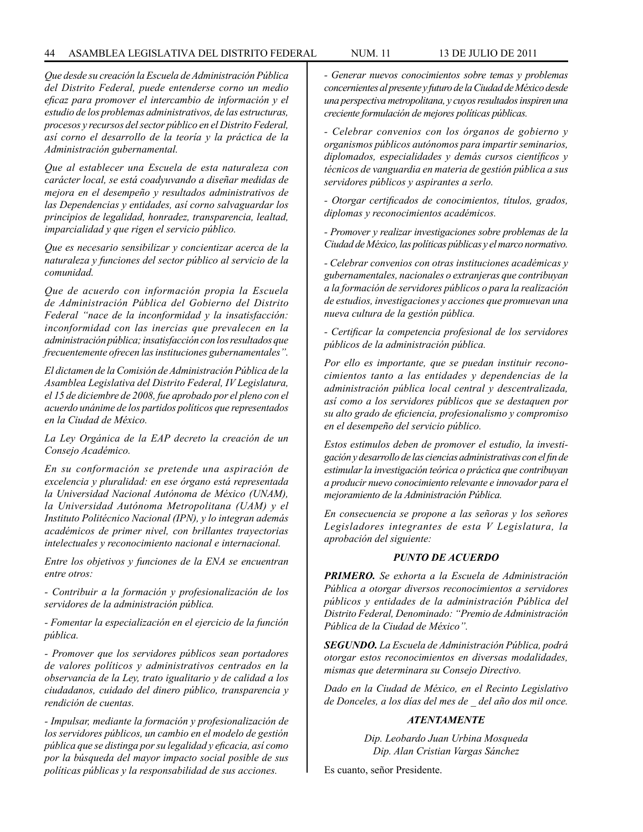### 44 ASAMBLEA LEGISLATIVA DEL DISTRITO FEDERAL NUM. 11 13 de JUlIO de 2011

*Que desde su creación la Escuela de Administración Pública del Distrito Federal, puede entenderse corno un medio eficaz para promover el intercambio de información y el estudio de los problemas administrativos, de las estructuras, procesos y recursos del sector público en el Distrito Federal, así corno el desarrollo de la teoría y la práctica de la Administración gubernamental.*

*Que al establecer una Escuela de esta naturaleza con carácter local, se está coadyuvando a diseñar medidas de mejora en el desempeño y resultados administrativos de las Dependencias y entidades, así corno salvaguardar los principios de legalidad, honradez, transparencia, lealtad, imparcialidad y que rigen el servicio público.*

*Que es necesario sensibilizar y concientizar acerca de la naturaleza y funciones del sector público al servicio de la comunidad.*

*Que de acuerdo con información propia la Escuela de Administración Pública del Gobierno del Distrito Federal "nace de la inconformidad y la insatisfacción: inconformidad con las inercias que prevalecen en la administración pública; insatisfacción con los resultados que frecuentemente ofrecen las instituciones gubernamentales".*

*El dictamen de la Comisión de Administración Pública de la Asamblea Legislativa del Distrito Federal, IV Legislatura, el 15 de diciembre de 2008, fue aprobado por el pleno con el acuerdo unánime de los partidos políticos que representados en la Ciudad de México.*

*La Ley Orgánica de la EAP decreto la creación de un Consejo Académico.* 

*En su conformación se pretende una aspiración de excelencia y pluralidad: en ese órgano está representada la Universidad Nacional Autónoma de México (UNAM), la Universidad Autónoma Metropolitana (UAM) y el Instituto Politécnico Nacional (IPN), y lo integran además académicos de primer nivel, con brillantes trayectorias intelectuales y reconocimiento nacional e internacional.*

*Entre los objetivos y funciones de la ENA se encuentran entre otros:*

*- Contribuir a la formación y profesionalización de los servidores de la administración pública.*

*- Fomentar la especialización en el ejercicio de la función pública.*

*- Promover que los servidores públicos sean portadores de valores políticos y administrativos centrados en la observancia de la Ley, trato igualitario y de calidad a los ciudadanos, cuidado del dinero público, transparencia y rendición de cuentas.*

*- Impulsar, mediante la formación y profesionalización de los servidores públicos, un cambio en el modelo de gestión pública que se distinga por su legalidad y eficacia, así como por la búsqueda del mayor impacto social posible de sus políticas públicas y la responsabilidad de sus acciones.*

*- Generar nuevos conocimientos sobre temas y problemas concernientes al presente y futuro de la Ciudad de México desde una perspectiva metropolitana, y cuyos resultados inspiren una creciente formulación de mejores políticas públicas.*

*- Celebrar convenios con los órganos de gobierno y organismos públicos autónomos para impartir seminarios, diplomados, especialidades y demás cursos científicos y técnicos de vanguardia en materia de gestión pública a sus servidores públicos y aspirantes a serlo.*

*- Otorgar certificados de conocimientos, títulos, grados, diplomas y reconocimientos académicos.*

*- Promover y realizar investigaciones sobre problemas de la Ciudad de México, las políticas públicas y el marco normativo.* 

*- Celebrar convenios con otras instituciones académicas y gubernamentales, nacionales o extranjeras que contribuyan a la formación de servidores públicos o para la realización de estudios, investigaciones y acciones que promuevan una nueva cultura de la gestión pública.*

*- Certificar la competencia profesional de los servidores públicos de la administración pública.*

*Por ello es importante, que se puedan instituir reconocimientos tanto a las entidades y dependencias de la administración pública local central y descentralizada, así como a los servidores públicos que se destaquen por su alto grado de eficiencia, profesionalismo y compromiso en el desempeño del servicio público.*

*Estos estimulos deben de promover el estudio, la investigación y desarrollo de las ciencias administrativas con el fin de estimular la investigación teórica o práctica que contribuyan a producir nuevo conocimiento relevante e innovador para el mejoramiento de la Administración Pública.*

*En consecuencia se propone a las señoras y los señores Legisladores integrantes de esta V Legislatura, la aprobación del siguiente:*

### *PUNTO DE ACUERDO*

*PRIMERO. Se exhorta a la Escuela de Administración Pública a otorgar diversos reconocimientos a servidores públicos y entidades de la administración Pública del Distrito Federal, Denominado: "Premio de Administración Pública de la Ciudad de México".*

*SEGUNDO. La Escuela de Administración Pública, podrá otorgar estos reconocimientos en diversas modalidades, mismas que determinara su Consejo Directivo.*

*Dado en la Ciudad de México, en el Recinto Legislativo de Donceles, a los días del mes de \_ del año dos mil once.*

# *ATENTAMENTE*

*Dip. Leobardo Juan Urbina Mosqueda Dip. Alan Cristian Vargas Sánchez*

Es cuanto, señor Presidente.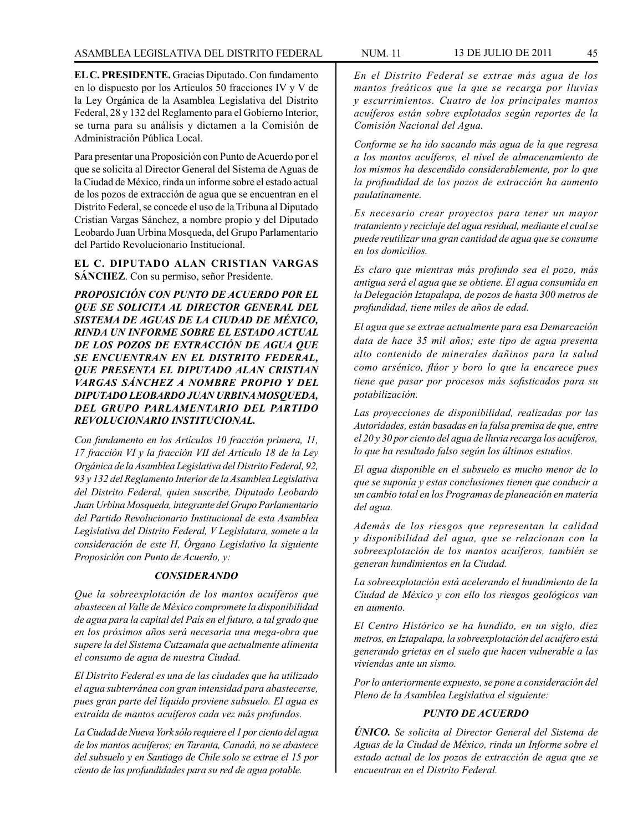**EL C. PRESIDENTE.** Gracias Diputado. Con fundamento en lo dispuesto por los Artículos 50 fracciones IV y V de la Ley Orgánica de la Asamblea Legislativa del Distrito Federal, 28 y 132 del Reglamento para el Gobierno Interior, se turna para su análisis y dictamen a la Comisión de Administración Pública Local.

Para presentar una Proposición con Punto de Acuerdo por el que se solicita al Director General del Sistema de Aguas de la Ciudad de México, rinda un informe sobre el estado actual de los pozos de extracción de agua que se encuentran en el Distrito Federal, se concede el uso de la Tribuna al Diputado Cristian Vargas Sánchez, a nombre propio y del Diputado Leobardo Juan Urbina Mosqueda, del Grupo Parlamentario del Partido Revolucionario Institucional.

## **EL C. DIPUTADO ALAN CRISTIAN VARGAS SÁNCHEZ**. Con su permiso, señor Presidente.

*PROPOSICIÓN CON PUNTO DE ACUERDO POR EL QUE SE SOLICITA AL DIRECTOR GENERAL DEL SISTEMA DE AGUAS DE LA CIUDAD DE MÉXICO, RINDA UN INFORME SOBRE EL ESTADO ACTUAL DE LOS POZOS DE EXTRACCIÓN DE AGUA QUE SE ENCUENTRAN EN EL DISTRITO FEDERAL, QUE PRESENTA EL DIPUTADO ALAN CRISTIAN VARGAS SÁNCHEZ A NOMBRE PROPIO Y DEL DIPUTADO LEOBARDO JUAN URBINA MOSQUEDA, DEL GRUPO PARLAMENTARIO DEL PARTIDO REVOLUCIONARIO INSTITUCIONAL.*

*Con fundamento en los Artículos 10 fracción primera, 11, 17 fracción VI y la fracción VII del Artículo 18 de la Ley Orgánica de la Asamblea Legislativa del Distrito Federal, 92, 93 y 132 del Reglamento Interior de la Asamblea Legislativa del Distrito Federal, quien suscribe, Diputado Leobardo Juan Urbina Mosqueda, integrante del Grupo Parlamentario del Partido Revolucionario Institucional de esta Asamblea Legislativa del Distrito Federal, V Legislatura, somete a la consideración de este H, Órgano Legislativo la siguiente Proposición con Punto de Acuerdo, y:*

## *CONSIDERANDO*

*Que la sobreexplotación de los mantos acuíferos que abastecen al Valle de México compromete la disponibilidad de agua para la capital del País en el futuro, a tal grado que en los próximos años será necesaria una mega-obra que supere la del Sistema Cutzamala que actualmente alimenta el consumo de agua de nuestra Ciudad.*

*El Distrito Federal es una de las ciudades que ha utilizado el agua subterránea con gran intensidad para abastecerse, pues gran parte del líquido proviene subsuelo. El agua es extraída de mantos acuíferos cada vez más profundos.*

*La Ciudad de Nueva York sólo requiere el 1 por ciento del agua de los mantos acuíferos; en Taranta, Canadá, no se abastece del subsuelo y en Santiago de Chile solo se extrae el 15 por ciento de las profundidades para su red de agua potable.*

*En el Distrito Federal se extrae más agua de los mantos freáticos que la que se recarga por lluvias y escurrimientos. Cuatro de los principales mantos acuíferos están sobre explotados según reportes de la Comisión Nacional del Agua.*

*Conforme se ha ido sacando más agua de la que regresa a los mantos acuíferos, el nivel de almacenamiento de los mismos ha descendido considerablemente, por lo que la profundidad de los pozos de extracción ha aumento paulatinamente.*

*Es necesario crear proyectos para tener un mayor tratamiento y reciclaje del agua residual, mediante el cual se puede reutilizar una gran cantidad de agua que se consume en los domicilios.*

*Es claro que mientras más profundo sea el pozo, más antigua será el agua que se obtiene. El agua consumida en la Delegación Iztapalapa, de pozos de hasta 300 metros de profundidad, tiene miles de años de edad.*

*El agua que se extrae actualmente para esa Demarcación data de hace 35 mil años; este tipo de agua presenta alto contenido de minerales dañinos para la salud como arsénico, flúor y boro lo que la encarece pues tiene que pasar por procesos más sofisticados para su potabilización.*

*Las proyecciones de disponibilidad, realizadas por las Autoridades, están basadas en la falsa premisa de que, entre el 20 y 30 por ciento del agua de lluvia recarga los acuíferos, lo que ha resultado falso según los últimos estudios.*

*El agua disponible en el subsuelo es mucho menor de lo que se suponía y estas conclusiones tienen que conducir a un cambio total en los Programas de planeación en materia del agua.*

*Además de los riesgos que representan la calidad y disponibilidad del agua, que se relacionan con la sobreexplotación de los mantos acuíferos, también se generan hundimientos en la Ciudad.*

*La sobreexplotación está acelerando el hundimiento de la Ciudad de México y con ello los riesgos geológicos van en aumento.* 

*El Centro Histórico se ha hundido, en un siglo, diez metros, en Iztapalapa, la sobreexplotación del acuífero está generando grietas en el suelo que hacen vulnerable a las viviendas ante un sismo.*

*Por lo anteriormente expuesto, se pone a consideración del Pleno de la Asamblea Legislativa el siguiente:*

# *PUNTO DE ACUERDO*

*ÚNICO. Se solicita al Director General del Sistema de Aguas de la Ciudad de México, rinda un Informe sobre el estado actual de los pozos de extracción de agua que se encuentran en el Distrito Federal.*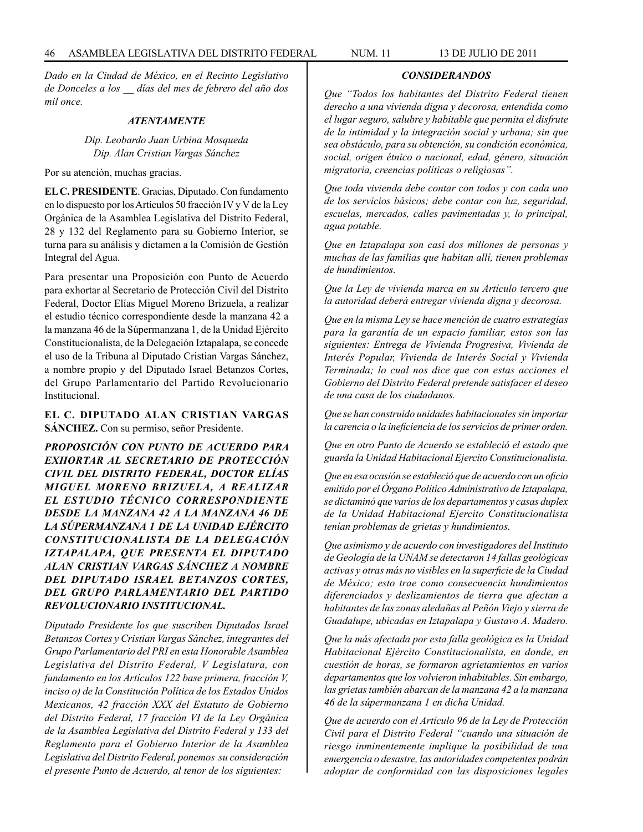*Dado en la Ciudad de México, en el Recinto Legislativo de Donceles a los \_\_ días del mes de febrero del año dos mil once.*

### *ATENTAMENTE*

*Dip. Leobardo Juan Urbina Mosqueda Dip. Alan Cristian Vargas Sánchez*

Por su atención, muchas gracias.

**EL C. PRESIDENTE**. Gracias, Diputado. Con fundamento en lo dispuesto por los Artículos 50 fracción IV y V de la Ley Orgánica de la Asamblea Legislativa del Distrito Federal, 28 y 132 del Reglamento para su Gobierno Interior, se turna para su análisis y dictamen a la Comisión de Gestión Integral del Agua.

Para presentar una Proposición con Punto de Acuerdo para exhortar al Secretario de Protección Civil del Distrito Federal, Doctor Elías Miguel Moreno Brizuela, a realizar el estudio técnico correspondiente desde la manzana 42 a la manzana 46 de la Súpermanzana 1, de la Unidad Ejército Constitucionalista, de la Delegación Iztapalapa, se concede el uso de la Tribuna al Diputado Cristian Vargas Sánchez, a nombre propio y del Diputado Israel Betanzos Cortes, del Grupo Parlamentario del Partido Revolucionario Institucional.

**EL C. DIPUTADO ALAN CRISTIAN VARGAS SÁNCHEZ.** Con su permiso, señor Presidente.

*PROPOSICIÓN CON PUNTO DE ACUERDO PARA EXHORTAR AL SECRETARIO DE PROTECCIÓN CIVIL DEL DISTRITO FEDERAL, DOCTOR ELÍAS MIGUEL MORENO BRIZUELA, A REALIZAR EL ESTUDIO TÉCNICO CORRESPONDIENTE DESDE LA MANZANA 42 A LA MANZANA 46 DE LA SÚPERMANZANA 1 DE LA UNIDAD EJÉRCITO CONSTITUCIONALISTA DE LA DELEGACIÓN IZTAPALAPA, QUE PRESENTA EL DIPUTADO ALAN CRISTIAN VARGAS SÁNCHEZ A NOMBRE DEL DIPUTADO ISRAEL BETANZOS CORTES, DEL GRUPO PARLAMENTARIO DEL PARTIDO REVOLUCIONARIO INSTITUCIONAL.*

*Diputado Presidente los que suscriben Diputados Israel Betanzos Cortes y Cristian Vargas Sánchez, integrantes del Grupo Parlamentario del PRI en esta Honorable Asamblea Legislativa del Distrito Federal, V Legislatura, con fundamento en los Artículos 122 base primera, fracción V, inciso o) de la Constitución Política de los Estados Unidos Mexicanos, 42 fracción XXX del Estatuto de Gobierno del Distrito Federal, 17 fracción VI de la Ley Orgánica de la Asamblea Legislativa del Distrito Federal y 133 del Reglamento para el Gobierno Interior de la Asamblea Legislativa del Distrito Federal, ponemos su consideración el presente Punto de Acuerdo, al tenor de los siguientes:*

*Que "Todos los habitantes del Distrito Federal tienen derecho a una vivienda digna y decorosa, entendida como el lugar seguro, salubre y habitable que permita el disfrute de la intimidad y la integración social y urbana; sin que sea obstáculo, para su obtención, su condición económica, social, origen étnico o nacional, edad, género, situación migratoria, creencias políticas o religiosas".*

*CONSIDERANDOS*

*Que toda vivienda debe contar con todos y con cada uno de los servicios básicos; debe contar con luz, seguridad, escuelas, mercados, calles pavimentadas y, lo principal, agua potable.*

*Que en Iztapalapa son casi dos millones de personas y muchas de las familias que habitan allí, tienen problemas de hundimientos.*

*Que la Ley de vivienda marca en su Artículo tercero que la autoridad deberá entregar vivienda digna y decorosa.*

*Que en la misma Ley se hace mención de cuatro estrategias para la garantía de un espacio familiar, estos son las siguientes: Entrega de Vivienda Progresiva, Vivienda de Interés Popular, Vivienda de Interés Social y Vivienda Terminada; lo cual nos dice que con estas acciones el Gobierno del Distrito Federal pretende satisfacer el deseo de una casa de los ciudadanos.*

*Que se han construido unidades habitacionales sin importar la carencia o la ineficiencia de los servicios de primer orden.*

*Que en otro Punto de Acuerdo se estableció el estado que guarda la Unidad Habitacional Ejercito Constitucionalista.*

*Que en esa ocasión se estableció que de acuerdo con un oficio emitido por el Órgano Político Administrativo de Iztapalapa, se dictaminó que varios de los departamentos y casas duplex de la Unidad Habitacional Ejercito Constitucionalista tenían problemas de grietas y hundimientos.*

*Que asimismo y de acuerdo con investigadores del Instituto de Geología de la UNAM se detectaron 14 fallas geológicas activas y otras más no visibles en la superficie de la Ciudad de México; esto trae como consecuencia hundimientos diferenciados y deslizamientos de tierra que afectan a habitantes de las zonas aledañas al Peñón Viejo y sierra de Guadalupe, ubicadas en Iztapalapa y Gustavo A. Madero.*

*Que la más afectada por esta falla geológica es la Unidad Habitacional Ejército Constitucionalista, en donde, en cuestión de horas, se formaron agrietamientos en varios departamentos que los volvieron inhabitables. Sin embargo, las grietas también abarcan de la manzana 42 a la manzana 46 de la súpermanzana 1 en dicha Unidad.*

*Que de acuerdo con el Artículo 96 de la Ley de Protección Civil para el Distrito Federal "cuando una situación de riesgo inminentemente implique la posibilidad de una emergencia o desastre, las autoridades competentes podrán adoptar de conformidad con las disposiciones legales*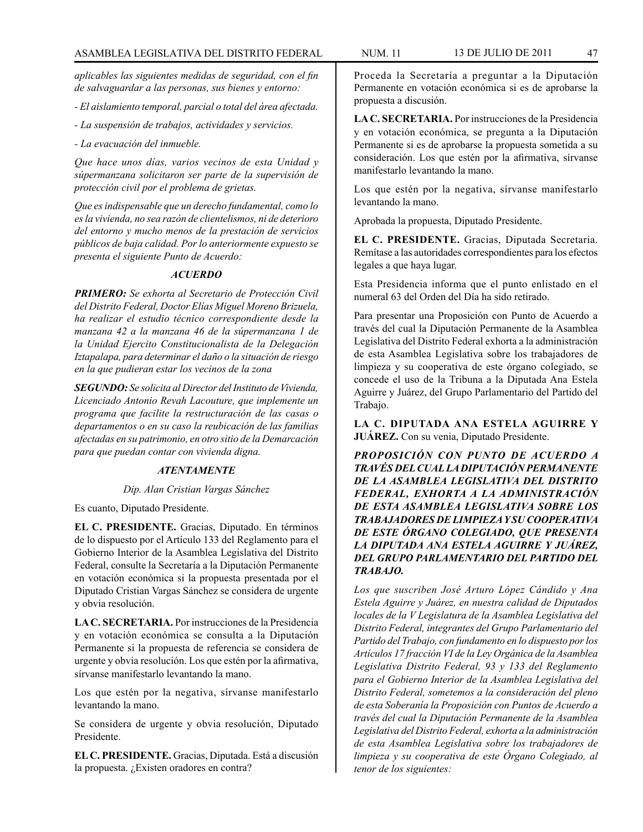*aplicables las siguientes medidas de seguridad, con el fin de salvaguardar a las personas, sus bienes y entorno:*

*- El aislamiento temporal, parcial o total del área afectada.*

- *La suspensión de trabajos, actividades y servicios.*
- *La evacuación del inmueble.*

*Que hace unos días, varios vecinos de esta Unidad y súpermanzana solicitaron ser parte de la supervisión de protección civil por el problema de grietas.* 

*Que es indispensable que un derecho fundamental, como lo es la vivienda, no sea razón de clientelismos, ni de deterioro del entorno y mucho menos de la prestación de servicios públicos de baja calidad. Por lo anteriormente expuesto se presenta el siguiente Punto de Acuerdo:*

## *ACUERDO*

*PRIMERO: Se exhorta al Secretario de Protección Civil del Distrito Federal, Doctor Elías Miguel Moreno Brizuela, ha realizar el estudio técnico correspondiente desde la manzana 42 a la manzana 46 de la súpermanzana 1 de la Unidad Ejercito Constitucionalista de la Delegación Iztapalapa, para determinar el daño o la situación de riesgo en la que pudieran estar los vecinos de la zona*

*SEGUNDO: Se solicita al Director del Instituto de Vivienda, Licenciado Antonio Revah Lacouture, que implemente un programa que facilite la restructuración de las casas o departamentos o en su caso la reubicación de las familias afectadas en su patrimonio, en otro sitio de la Demarcación para que puedan contar con vivienda digna.*

### *ATENTAMENTE*

### *Dip. Alan Cristian Vargas Sánchez*

Es cuanto, Diputado Presidente.

**EL C. PRESIDENTE.** Gracias, Diputado. En términos de lo dispuesto por el Artículo 133 del Reglamento para el Gobierno Interior de la Asamblea Legislativa del Distrito Federal, consulte la Secretaría a la Diputación Permanente en votación económica si la propuesta presentada por el Diputado Cristian Vargas Sánchez se considera de urgente y obvia resolución.

**LA C. SECRETARIA.** Por instrucciones de la Presidencia y en votación económica se consulta a la Diputación Permanente si la propuesta de referencia se considera de urgente y obvia resolución. Los que estén por la afirmativa, sírvanse manifestarlo levantando la mano.

Los que estén por la negativa, sírvanse manifestarlo levantando la mano.

Se considera de urgente y obvia resolución, Diputado Presidente.

**EL C. PRESIDENTE.** Gracias, Diputada. Está a discusión la propuesta. ¿Existen oradores en contra?

Proceda la Secretaría a preguntar a la Diputación Permanente en votación económica si es de aprobarse la propuesta a discusión.

**LA C. SECRETARIA.** Por instrucciones de la Presidencia y en votación económica, se pregunta a la Diputación Permanente si es de aprobarse la propuesta sometida a su consideración. Los que estén por la afirmativa, sírvanse manifestarlo levantando la mano.

Los que estén por la negativa, sírvanse manifestarlo levantando la mano.

Aprobada la propuesta, Diputado Presidente.

**EL C. PRESIDENTE.** Gracias, Diputada Secretaria. Remítase a las autoridades correspondientes para los efectos legales a que haya lugar.

Esta Presidencia informa que el punto enlistado en el numeral 63 del Orden del Día ha sido retirado.

Para presentar una Proposición con Punto de Acuerdo a través del cual la Diputación Permanente de la Asamblea Legislativa del Distrito Federal exhorta a la administración de esta Asamblea Legislativa sobre los trabajadores de limpieza y su cooperativa de este órgano colegiado, se concede el uso de la Tribuna a la Diputada Ana Estela Aguirre y Juárez, del Grupo Parlamentario del Partido del Trabajo.

**LA C. DIPUTADA ANA ESTELA AGUIRRE Y JUÁREZ.** Con su venia, Diputado Presidente.

*PROPOSICIÓN CON PUNTO DE ACUERDO A TRAVÉS DEL CUAL LA DIPUTACIÓN PERMANENTE DE LA ASAMBLEA LEGISLATIVA DEL DISTRITO FEDERAL, EXHORTA A LA ADMINISTRACIÓN DE ESTA ASAMBLEA LEGISLATIVA SOBRE LOS TRABAJADORES DE LIMPIEZA Y SU COOPERATIVA DE ESTE ÓRGANO COLEGIADO, QUE PRESENTA LA DIPUTADA ANA ESTELA AGUIRRE Y JUÁREZ, DEL GRUPO PARLAMENTARIO DEL PARTIDO DEL TRABAJO.*

*Los que suscriben José Arturo López Cándido y Ana Estela Aguirre y Juárez, en nuestra calidad de Diputados locales de la V Legislatura de la Asamblea Legislativa del Distrito Federal, integrantes del Grupo Parlamentario del Partido del Trabajo, con fundamento en lo dispuesto por los Artículos 17 fracción VI de la Ley Orgánica de la Asamblea Legislativa Distrito Federal, 93 y 133 del Reglamento para el Gobierno Interior de la Asamblea Legislativa del Distrito Federal, sometemos a la consideración del pleno de esta Soberanía la Proposición con Puntos de Acuerdo a través del cual la Diputación Permanente de la Asamblea Legislativa del Distrito Federal, exhorta a la administración de esta Asamblea Legislativa sobre los trabajadores de limpieza y su cooperativa de este Órgano Colegiado, al tenor de los siguientes:*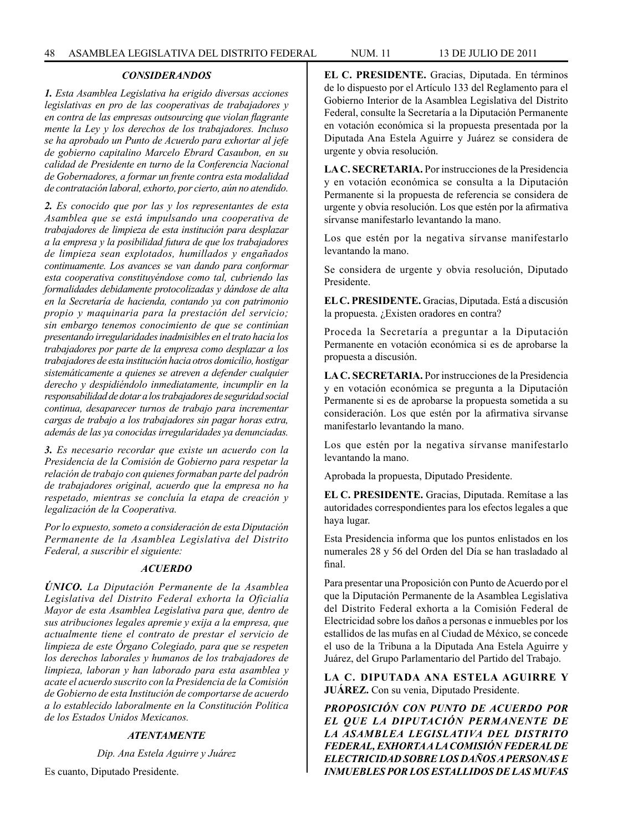# *CONSIDERANDOS*

*1. Esta Asamblea Legislativa ha erigido diversas acciones legislativas en pro de las cooperativas de trabajadores y en contra de las empresas outsourcing que violan flagrante mente la Ley y los derechos de los trabajadores. Incluso se ha aprobado un Punto de Acuerdo para exhortar al jefe de gobierno capitalino Marcelo Ebrard Casaubon, en su calidad de Presidente en turno de la Conferencia Nacional de Gobernadores, a formar un frente contra esta modalidad de contratación laboral, exhorto, por cierto, aún no atendido.*

*2. Es conocido que por las y los representantes de esta Asamblea que se está impulsando una cooperativa de trabajadores de limpieza de esta institución para desplazar a la empresa y la posibilidad futura de que los trabajadores de limpieza sean explotados, humillados y engañados continuamente. Los avances se van dando para conformar esta cooperativa constituyéndose como tal, cubriendo las formalidades debidamente protocolizadas y dándose de alta en la Secretaría de hacienda, contando ya con patrimonio propio y maquinaria para la prestación del servicio; sin embargo tenemos conocimiento de que se continúan presentando irregularidades inadmisibles en el trato hacia los trabajadores por parte de la empresa como desplazar a los trabajadores de esta institución hacia otros domicilio, hostigar sistemáticamente a quienes se atreven a defender cualquier derecho y despidiéndolo inmediatamente, incumplir en la responsabilidad de dotar a los trabajadores de seguridad social continua, desaparecer turnos de trabajo para incrementar cargas de trabajo a los trabajadores sin pagar horas extra, además de las ya conocidas irregularidades ya denunciadas.*

*3. Es necesario recordar que existe un acuerdo con la Presidencia de la Comisión de Gobierno para respetar la relación de trabajo con quienes formaban parte del padrón de trabajadores original, acuerdo que la empresa no ha respetado, mientras se concluía la etapa de creación y legalización de la Cooperativa.*

*Por lo expuesto, someto a consideración de esta Diputación Permanente de la Asamblea Legislativa del Distrito Federal, a suscribir el siguiente:*

### *ACUERDO*

*ÚNICO. La Diputación Permanente de la Asamblea Legislativa del Distrito Federal exhorta la Oficialía Mayor de esta Asamblea Legislativa para que, dentro de sus atribuciones legales apremie y exija a la empresa, que actualmente tiene el contrato de prestar el servicio de limpieza de este Órgano Colegiado, para que se respeten los derechos laborales y humanos de los trabajadores de limpieza, laboran y han laborado para esta asamblea y acate el acuerdo suscrito con la Presidencia de la Comisión de Gobierno de esta Institución de comportarse de acuerdo a lo establecido laboralmente en la Constitución Política de los Estados Unidos Mexicanos.*

## *ATENTAMENTE*

*Dip. Ana Estela Aguirre y Juárez*

Es cuanto, Diputado Presidente.

**EL C. PRESIDENTE.** Gracias, Diputada. En términos de lo dispuesto por el Artículo 133 del Reglamento para el Gobierno Interior de la Asamblea Legislativa del Distrito Federal, consulte la Secretaría a la Diputación Permanente en votación económica si la propuesta presentada por la Diputada Ana Estela Aguirre y Juárez se considera de urgente y obvia resolución.

**LA C. SECRETARIA.** Por instrucciones de la Presidencia y en votación económica se consulta a la Diputación Permanente si la propuesta de referencia se considera de urgente y obvia resolución. Los que estén por la afirmativa sírvanse manifestarlo levantando la mano.

Los que estén por la negativa sírvanse manifestarlo levantando la mano.

Se considera de urgente y obvia resolución, Diputado Presidente.

**EL C. PRESIDENTE.** Gracias, Diputada. Está a discusión la propuesta. ¿Existen oradores en contra?

Proceda la Secretaría a preguntar a la Diputación Permanente en votación económica si es de aprobarse la propuesta a discusión.

**LA C. SECRETARIA.** Por instrucciones de la Presidencia y en votación económica se pregunta a la Diputación Permanente si es de aprobarse la propuesta sometida a su consideración. Los que estén por la afirmativa sírvanse manifestarlo levantando la mano.

Los que estén por la negativa sírvanse manifestarlo levantando la mano.

Aprobada la propuesta, Diputado Presidente.

**EL C. PRESIDENTE.** Gracias, Diputada. Remítase a las autoridades correspondientes para los efectos legales a que haya lugar.

Esta Presidencia informa que los puntos enlistados en los numerales 28 y 56 del Orden del Día se han trasladado al final.

Para presentar una Proposición con Punto de Acuerdo por el que la Diputación Permanente de la Asamblea Legislativa del Distrito Federal exhorta a la Comisión Federal de Electricidad sobre los daños a personas e inmuebles por los estallidos de las mufas en al Ciudad de México, se concede el uso de la Tribuna a la Diputada Ana Estela Aguirre y Juárez, del Grupo Parlamentario del Partido del Trabajo.

**LA C. DIPUTADA ANA ESTELA AGUIRRE Y JUÁREZ.** Con su venia, Diputado Presidente.

*PROPOSICIÓN CON PUNTO DE ACUERDO POR EL QUE LA DIPUTACIÓN PERMANENTE DE LA ASAMBLEA LEGISLATIVA DEL DISTRITO FEDERAL, EXHORTA A LA COMISIÓN FEDERAL DE ELECTRICIDAD SOBRE LOS DAÑOS A PERSONAS E INMUEBLES POR LOS ESTALLIDOS DE LAS MUFAS*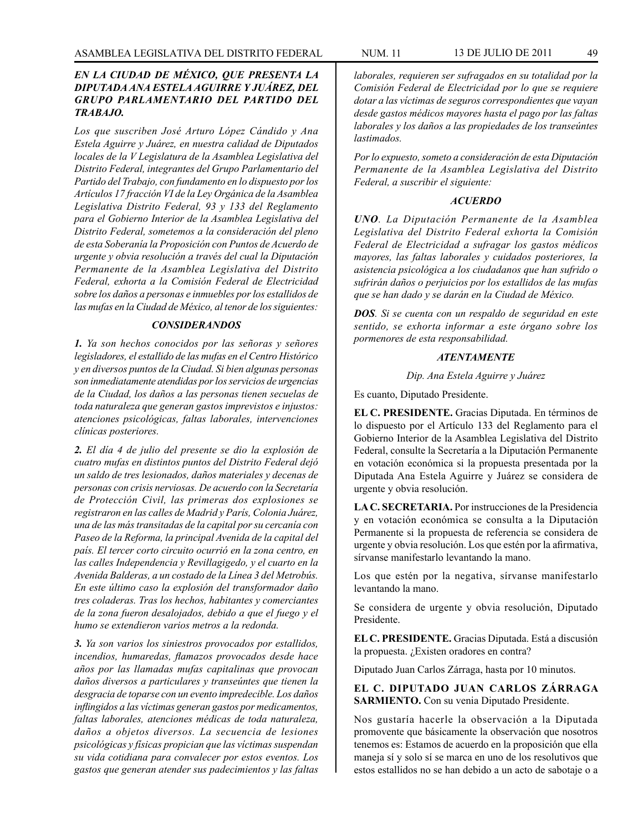# *EN LA CIUDAD DE MÉXICO, QUE PRESENTA LA DIPUTADA ANA ESTELA AGUIRRE Y JUÁREZ, DEL GRUPO PARLAMENTARIO DEL PARTIDO DEL TRABAJO.*

*Los que suscriben José Arturo López Cándido y Ana Estela Aguirre y Juárez, en nuestra calidad de Diputados locales de la V Legislatura de la Asamblea Legislativa del Distrito Federal, integrantes del Grupo Parlamentario del Partido del Trabajo, con fundamento en lo dispuesto por los Artículos 17 fracción VI de la Ley Orgánica de la Asamblea Legislativa Distrito Federal, 93 y 133 del Reglamento para el Gobierno Interior de la Asamblea Legislativa del Distrito Federal, sometemos a la consideración del pleno de esta Soberanía la Proposición con Puntos de Acuerdo de urgente y obvia resolución a través del cual la Diputación Permanente de la Asamblea Legislativa del Distrito Federal, exhorta a la Comisión Federal de Electricidad sobre los daños a personas e inmuebles por los estallidos de las mufas en la Ciudad de México, al tenor de los siguientes:*

### *CONSIDERANDOS*

*1. Ya son hechos conocidos por las señoras y señores legisladores, el estallido de las mufas en el Centro Histórico y en diversos puntos de la Ciudad. Si bien algunas personas son inmediatamente atendidas por los servicios de urgencias de la Ciudad, los daños a las personas tienen secuelas de toda naturaleza que generan gastos imprevistos e injustos: atenciones psicológicas, faltas laborales, intervenciones clínicas posteriores.*

*2. El día 4 de julio del presente se dio la explosión de cuatro mufas en distintos puntos del Distrito Federal dejó un saldo de tres lesionados, daños materiales y decenas de personas con crisis nerviosas. De acuerdo con la Secretaría de Protección Civil, las primeras dos explosiones se registraron en las calles de Madrid y París, Colonia Juárez, una de las más transitadas de la capital por su cercanía con Paseo de la Reforma, la principal Avenida de la capital del país. El tercer corto circuito ocurrió en la zona centro, en las calles Independencia y Revillagigedo, y el cuarto en la Avenida Balderas, a un costado de la Línea 3 del Metrobús. En este último caso la explosión del transformador daño tres coladeras. Tras los hechos, habitantes y comerciantes de la zona fueron desalojados, debido a que el fuego y el humo se extendieron varios metros a la redonda.*

*3. Ya son varios los siniestros provocados por estallidos, incendios, humaredas, flamazos provocados desde hace años por las llamadas mufas capitalinas que provocan daños diversos a particulares y transeúntes que tienen la desgracia de toparse con un evento impredecible. Los daños inflingidos a las víctimas generan gastos por medicamentos, faltas laborales, atenciones médicas de toda naturaleza, daños a objetos diversos. La secuencia de lesiones psicológicas y físicas propician que las víctimas suspendan su vida cotidiana para convalecer por estos eventos. Los gastos que generan atender sus padecimientos y las faltas* 

*laborales, requieren ser sufragados en su totalidad por la Comisión Federal de Electricidad por lo que se requiere dotar a las víctimas de seguros correspondientes que vayan desde gastos médicos mayores hasta el pago por las faltas laborales y los daños a las propiedades de los transeúntes lastimados.*

*Por lo expuesto, someto a consideración de esta Diputación Permanente de la Asamblea Legislativa del Distrito Federal, a suscribir el siguiente:*

### *ACUERDO*

*UNO. La Diputación Permanente de la Asamblea Legislativa del Distrito Federal exhorta la Comisión Federal de Electricidad a sufragar los gastos médicos mayores, las faltas laborales y cuidados posteriores, la asistencia psicológica a los ciudadanos que han sufrido o sufrirán daños o perjuicios por los estallidos de las mufas que se han dado y se darán en la Ciudad de México.*

*DOS. Si se cuenta con un respaldo de seguridad en este sentido, se exhorta informar a este órgano sobre los pormenores de esta responsabilidad.*

## *ATENTAMENTE*

*Dip. Ana Estela Aguirre y Juárez*

Es cuanto, Diputado Presidente.

**EL C. PRESIDENTE.** Gracias Diputada. En términos de lo dispuesto por el Artículo 133 del Reglamento para el Gobierno Interior de la Asamblea Legislativa del Distrito Federal, consulte la Secretaría a la Diputación Permanente en votación económica si la propuesta presentada por la Diputada Ana Estela Aguirre y Juárez se considera de urgente y obvia resolución.

**LA C. SECRETARIA.** Por instrucciones de la Presidencia y en votación económica se consulta a la Diputación Permanente si la propuesta de referencia se considera de urgente y obvia resolución. Los que estén por la afirmativa, sírvanse manifestarlo levantando la mano.

Los que estén por la negativa, sírvanse manifestarlo levantando la mano.

Se considera de urgente y obvia resolución, Diputado Presidente.

**EL C. PRESIDENTE.** Gracias Diputada. Está a discusión la propuesta. ¿Existen oradores en contra?

Diputado Juan Carlos Zárraga, hasta por 10 minutos.

**EL C. DIPUTADO JUAN CARLOS ZÁRRAGA SARMIENTO.** Con su venia Diputado Presidente.

Nos gustaría hacerle la observación a la Diputada promovente que básicamente la observación que nosotros tenemos es: Estamos de acuerdo en la proposición que ella maneja sí y solo sí se marca en uno de los resolutivos que estos estallidos no se han debido a un acto de sabotaje o a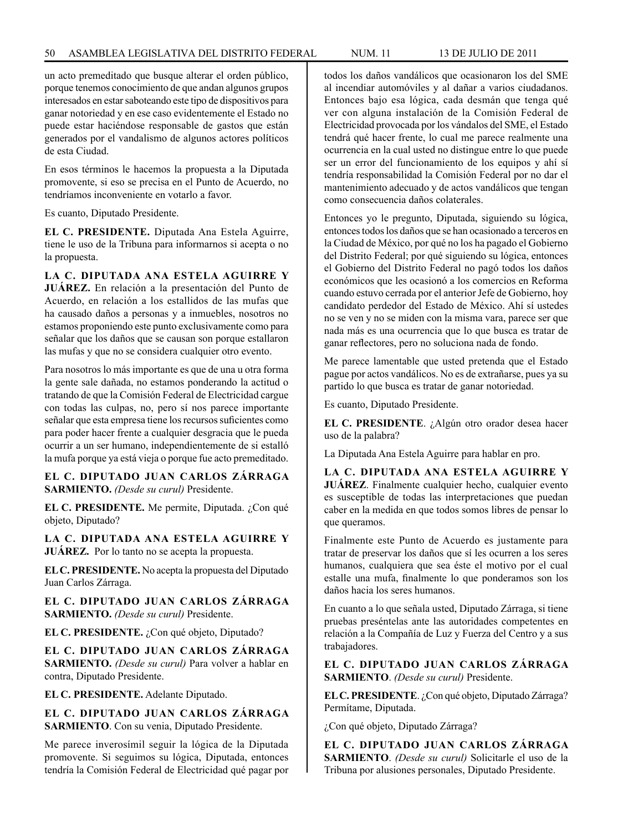un acto premeditado que busque alterar el orden público, porque tenemos conocimiento de que andan algunos grupos interesados en estar saboteando este tipo de dispositivos para ganar notoriedad y en ese caso evidentemente el Estado no puede estar haciéndose responsable de gastos que están generados por el vandalismo de algunos actores políticos de esta Ciudad.

En esos términos le hacemos la propuesta a la Diputada promovente, si eso se precisa en el Punto de Acuerdo, no tendríamos inconveniente en votarlo a favor.

Es cuanto, Diputado Presidente.

**EL C. PRESIDENTE.** Diputada Ana Estela Aguirre, tiene le uso de la Tribuna para informarnos si acepta o no la propuesta.

**LA C. DIPUTADA ANA ESTELA AGUIRRE Y JUÁREZ.** En relación a la presentación del Punto de Acuerdo, en relación a los estallidos de las mufas que ha causado daños a personas y a inmuebles, nosotros no estamos proponiendo este punto exclusivamente como para señalar que los daños que se causan son porque estallaron las mufas y que no se considera cualquier otro evento.

Para nosotros lo más importante es que de una u otra forma la gente sale dañada, no estamos ponderando la actitud o tratando de que la Comisión Federal de Electricidad cargue con todas las culpas, no, pero sí nos parece importante señalar que esta empresa tiene los recursos suficientes como para poder hacer frente a cualquier desgracia que le pueda ocurrir a un ser humano, independientemente de si estalló la mufa porque ya está vieja o porque fue acto premeditado.

**EL C. DIPUTADO JUAN CARLOS ZÁRRAGA SARMIENTO.** *(Desde su curul)* Presidente.

**EL C. PRESIDENTE.** Me permite, Diputada. ¿Con qué objeto, Diputado?

**LA C. DIPUTADA ANA ESTELA AGUIRRE Y JUÁREZ.** Por lo tanto no se acepta la propuesta.

**EL C. PRESIDENTE.** No acepta la propuesta del Diputado Juan Carlos Zárraga.

**EL C. DIPUTADO JUAN CARLOS ZÁRRAGA SARMIENTO.** *(Desde su curul)* Presidente.

**EL C. PRESIDENTE.** ¿Con qué objeto, Diputado?

**EL C. DIPUTADO JUAN CARLOS ZÁRRAGA SARMIENTO.** *(Desde su curul)* Para volver a hablar en contra, Diputado Presidente.

**EL C. PRESIDENTE.** Adelante Diputado.

**EL C. DIPUTADO JUAN CARLOS ZÁRRAGA SARMIENTO**. Con su venia, Diputado Presidente.

Me parece inverosímil seguir la lógica de la Diputada promovente. Si seguimos su lógica, Diputada, entonces tendría la Comisión Federal de Electricidad qué pagar por todos los daños vandálicos que ocasionaron los del SME al incendiar automóviles y al dañar a varios ciudadanos. Entonces bajo esa lógica, cada desmán que tenga qué ver con alguna instalación de la Comisión Federal de Electricidad provocada por los vándalos del SME, el Estado tendrá qué hacer frente, lo cual me parece realmente una ocurrencia en la cual usted no distingue entre lo que puede ser un error del funcionamiento de los equipos y ahí sí tendría responsabilidad la Comisión Federal por no dar el mantenimiento adecuado y de actos vandálicos que tengan como consecuencia daños colaterales.

Entonces yo le pregunto, Diputada, siguiendo su lógica, entonces todos los daños que se han ocasionado a terceros en la Ciudad de México, por qué no los ha pagado el Gobierno del Distrito Federal; por qué siguiendo su lógica, entonces el Gobierno del Distrito Federal no pagó todos los daños económicos que les ocasionó a los comercios en Reforma cuando estuvo cerrada por el anterior Jefe de Gobierno, hoy candidato perdedor del Estado de México. Ahí sí ustedes no se ven y no se miden con la misma vara, parece ser que nada más es una ocurrencia que lo que busca es tratar de ganar reflectores, pero no soluciona nada de fondo.

Me parece lamentable que usted pretenda que el Estado pague por actos vandálicos. No es de extrañarse, pues ya su partido lo que busca es tratar de ganar notoriedad.

Es cuanto, Diputado Presidente.

**EL C. PRESIDENTE**. ¿Algún otro orador desea hacer uso de la palabra?

La Diputada Ana Estela Aguirre para hablar en pro.

**LA C. DIPUTADA ANA ESTELA AGUIRRE Y JUÁREZ**. Finalmente cualquier hecho, cualquier evento es susceptible de todas las interpretaciones que puedan caber en la medida en que todos somos libres de pensar lo que queramos.

Finalmente este Punto de Acuerdo es justamente para tratar de preservar los daños que sí les ocurren a los seres humanos, cualquiera que sea éste el motivo por el cual estalle una mufa, finalmente lo que ponderamos son los daños hacia los seres humanos.

En cuanto a lo que señala usted, Diputado Zárraga, si tiene pruebas preséntelas ante las autoridades competentes en relación a la Compañía de Luz y Fuerza del Centro y a sus trabajadores.

**EL C. DIPUTADO JUAN CARLOS ZÁRRAGA SARMIENTO**. *(Desde su curul)* Presidente.

**EL C. PRESIDENTE**. ¿Con qué objeto, Diputado Zárraga? Permítame, Diputada.

¿Con qué objeto, Diputado Zárraga?

**EL C. DIPUTADO JUAN CARLOS ZÁRRAGA SARMIENTO**. *(Desde su curul)* Solicitarle el uso de la Tribuna por alusiones personales, Diputado Presidente.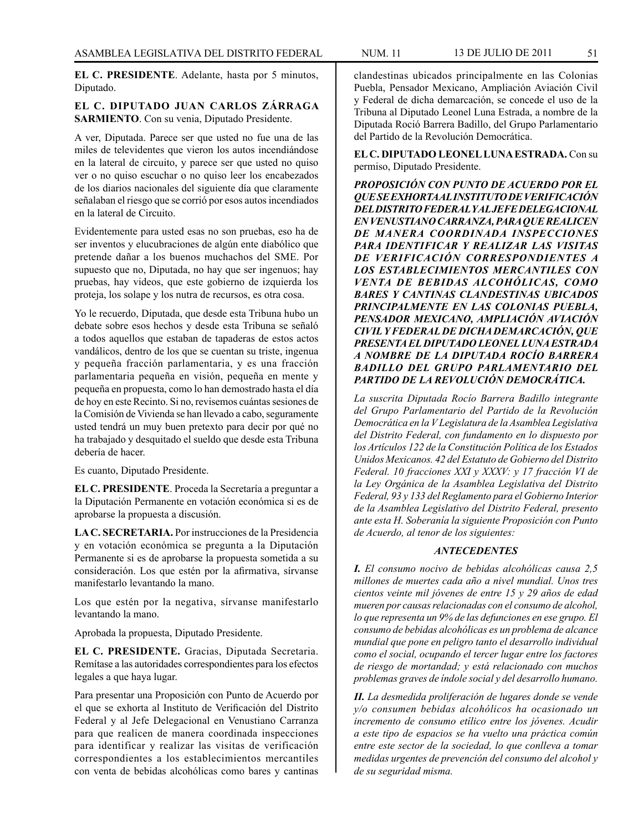**EL C. PRESIDENTE**. Adelante, hasta por 5 minutos, Diputado.

# **EL C. DIPUTADO JUAN CARLOS ZÁRRAGA SARMIENTO**. Con su venia, Diputado Presidente.

A ver, Diputada. Parece ser que usted no fue una de las miles de televidentes que vieron los autos incendiándose en la lateral de circuito, y parece ser que usted no quiso ver o no quiso escuchar o no quiso leer los encabezados de los diarios nacionales del siguiente día que claramente señalaban el riesgo que se corrió por esos autos incendiados en la lateral de Circuito.

Evidentemente para usted esas no son pruebas, eso ha de ser inventos y elucubraciones de algún ente diabólico que pretende dañar a los buenos muchachos del SME. Por supuesto que no, Diputada, no hay que ser ingenuos; hay pruebas, hay videos, que este gobierno de izquierda los proteja, los solape y los nutra de recursos, es otra cosa.

Yo le recuerdo, Diputada, que desde esta Tribuna hubo un debate sobre esos hechos y desde esta Tribuna se señaló a todos aquellos que estaban de tapaderas de estos actos vandálicos, dentro de los que se cuentan su triste, ingenua y pequeña fracción parlamentaria, y es una fracción parlamentaria pequeña en visión, pequeña en mente y pequeña en propuesta, como lo han demostrado hasta el día de hoy en este Recinto. Si no, revisemos cuántas sesiones de la Comisión de Vivienda se han llevado a cabo, seguramente usted tendrá un muy buen pretexto para decir por qué no ha trabajado y desquitado el sueldo que desde esta Tribuna debería de hacer.

Es cuanto, Diputado Presidente.

**EL C. PRESIDENTE**. Proceda la Secretaría a preguntar a la Diputación Permanente en votación económica si es de aprobarse la propuesta a discusión.

**LA C. SECRETARIA.** Por instrucciones de la Presidencia y en votación económica se pregunta a la Diputación Permanente si es de aprobarse la propuesta sometida a su consideración. Los que estén por la afirmativa, sírvanse manifestarlo levantando la mano.

Los que estén por la negativa, sírvanse manifestarlo levantando la mano.

Aprobada la propuesta, Diputado Presidente.

**EL C. PRESIDENTE.** Gracias, Diputada Secretaria. Remítase a las autoridades correspondientes para los efectos legales a que haya lugar.

Para presentar una Proposición con Punto de Acuerdo por el que se exhorta al Instituto de Verificación del Distrito Federal y al Jefe Delegacional en Venustiano Carranza para que realicen de manera coordinada inspecciones para identificar y realizar las visitas de verificación correspondientes a los establecimientos mercantiles con venta de bebidas alcohólicas como bares y cantinas

clandestinas ubicados principalmente en las Colonias Puebla, Pensador Mexicano, Ampliación Aviación Civil y Federal de dicha demarcación, se concede el uso de la Tribuna al Diputado Leonel Luna Estrada, a nombre de la Diputada Roció Barrera Badillo, del Grupo Parlamentario del Partido de la Revolución Democrática.

**EL C. DIPUTADO LEONEL LUNA ESTRADA.** Con su permiso, Diputado Presidente.

*PROPOSICIÓN CON PUNTO DE ACUERDO POR EL QUE SE EXHORTA AL INSTITUTO DE VERIFICACIÓN DEL DISTRITO FEDERAL Y AL JEFE DELEGACIONAL EN VENUSTIANO CARRANZA, PARA QUE REALICEN DE MANERA COORDINADA INSPECCIONES PARA IDENTIFICAR Y REALIZAR LAS VISITAS DE VERIFICACIÓN CORRESPONDIENTES A LOS ESTABLECIMIENTOS MERCANTILES CON VENTA DE BEBIDAS ALCOHÓLICAS, COMO BARES Y CANTINAS CLANDESTINAS UBICADOS PRINCIPALMENTE EN LAS COLONIAS PUEBLA, PENSADOR MEXICANO, AMPLIACIÓN AVIACIÓN CIVIL Y FEDERAL DE DICHA DEMARCACIÓN, QUE PRESENTA EL DIPUTADO LEONEL LUNA ESTRADA A NOMBRE DE LA DIPUTADA ROCÍO BARRERA BADILLO DEL GRUPO PARLAMENTARIO DEL PARTIDO DE LA REVOLUCIÓN DEMOCRÁTICA.*

*La suscrita Diputada Rocío Barrera Badillo integrante del Grupo Parlamentario del Partido de la Revolución Democrática en la V Legislatura de la Asamblea Legislativa del Distrito Federal, con fundamento en lo dispuesto por los Artículos 122 de la Constitución Política de los Estados Unidos Mexicanos. 42 del Estatuto de Gobierno del Distrito Federal. 10 fracciones XXI y XXXV: y 17 fracción VI de la Ley Orgánica de la Asamblea Legislativa del Distrito Federal, 93 y 133 del Reglamento para el Gobierno Interior de la Asamblea Legislativo del Distrito Federal, presento ante esta H. Soberanía la siguiente Proposición con Punto de Acuerdo, al tenor de los siguientes:*

# *ANTECEDENTES*

*I. El consumo nocivo de bebidas alcohólicas causa 2,5 millones de muertes cada año a nivel mundial. Unos tres cientos veinte mil jóvenes de entre 15 y 29 años de edad mueren por causas relacionadas con el consumo de alcohol, lo que representa un 9% de las defunciones en ese grupo. El consumo de bebidas alcohólicas es un problema de alcance mundial que pone en peligro tanto el desarrollo individual como el social, ocupando el tercer lugar entre los factores de riesgo de mortandad; y está relacionado con muchos problemas graves de índole social y del desarrollo humano.*

*II. La desmedida proliferación de lugares donde se vende y/o consumen bebidas alcohólicos ha ocasionado un incremento de consumo etílico entre los jóvenes. Acudir a este tipo de espacios se ha vuelto una práctica común entre este sector de la sociedad, lo que conlleva a tomar medidas urgentes de prevención del consumo del alcohol y de su seguridad misma.*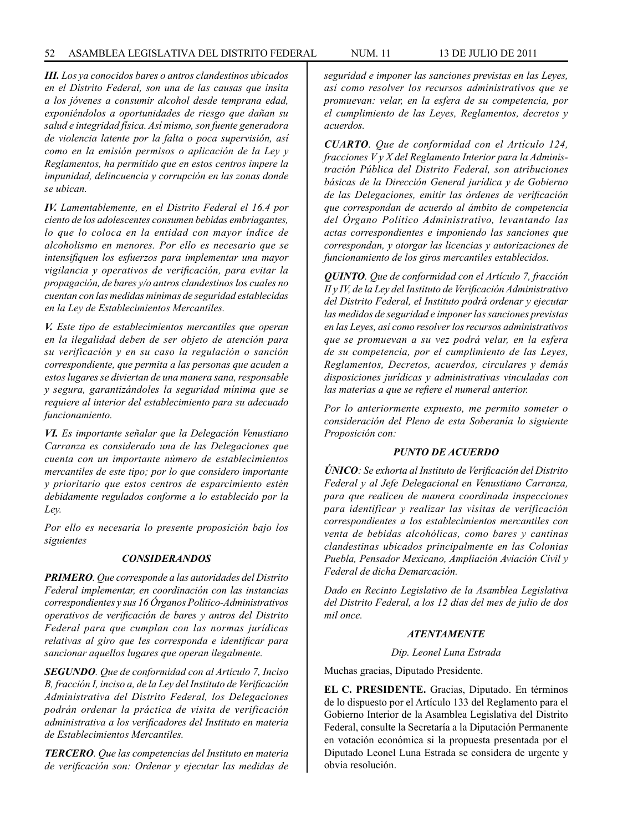*III. Los ya conocidos bares o antros clandestinos ubicados en el Distrito Federal, son una de las causas que insita a los jóvenes a consumir alcohol desde temprana edad, exponiéndolos a oportunidades de riesgo que dañan su salud e integridad física. Así mismo, son fuente generadora de violencia latente por la falta o poca supervisión, así como en la emisión permisos o aplicación de la Ley y Reglamentos, ha permitido que en estos centros impere la impunidad, delincuencia y corrupción en las zonas donde se ubican.*

*IV. Lamentablemente, en el Distrito Federal el 16.4 por ciento de los adolescentes consumen bebidas embriagantes, lo que lo coloca en la entidad con mayor índice de alcoholismo en menores. Por ello es necesario que se intensifiquen los esfuerzos para implementar una mayor vigilancia y operativos de verificación, para evitar la propagación, de bares y/o antros clandestinos los cuales no cuentan con las medidas mínimas de seguridad establecidas en la Ley de Establecimientos Mercantiles.*

*V. Este tipo de establecimientos mercantiles que operan en la ilegalidad deben de ser objeto de atención para su verificación y en su caso la regulación o sanción correspondiente, que permita a las personas que acuden a estos lugares se diviertan de una manera sana, responsable y segura, garantizándoles la seguridad mínima que se requiere al interior del establecimiento para su adecuado funcionamiento.*

*VI. Es importante señalar que la Delegación Venustiano Carranza es considerado una de las Delegaciones que cuenta con un importante número de establecimientos mercantiles de este tipo; por lo que considero importante y prioritario que estos centros de esparcimiento estén debidamente regulados conforme a lo establecido por la Ley.*

*Por ello es necesaria lo presente proposición bajo los siguientes*

### *CONSIDERANDOS*

*PRIMERO. Que corresponde a las autoridades del Distrito Federal implementar, en coordinación con las instancias correspondientes y sus 16 Órganos Político-Administrativos operativos de verificación de bares y antros del Distrito Federal para que cumplan con las normas jurídicas relativas al giro que les corresponda e identificar para sancionar aquellos lugares que operan ilegalmente.*

*SEGUNDO. Que de conformidad con al Artículo 7, Inciso B, fracción I, inciso a, de la Ley del Instituto de Verificación Administrativa del Distrito Federal, los Delegaciones podrán ordenar la práctica de visita de verificación administrativa a los verificadores del Instituto en materia de Establecimientos Mercantiles.*

*TERCERO. Que las competencias del Instituto en materia de verificación son: Ordenar y ejecutar las medidas de* 

*seguridad e imponer las sanciones previstas en las Leyes, así como resolver los recursos administrativos que se promuevan: velar, en la esfera de su competencia, por el cumplimiento de las Leyes, Reglamentos, decretos y acuerdos.* 

*CUARTO. Que de conformidad con el Artículo 124, fracciones V y X del Reglamento Interior para la Administración Pública del Distrito Federal, son atribuciones básicas de la Dirección General jurídica y de Gobierno de las Delegaciones, emitir las órdenes de verificación que correspondan de acuerdo al ámbito de competencia del Órgano Político Administrativo, levantando las actas correspondientes e imponiendo las sanciones que correspondan, y otorgar las licencias y autorizaciones de funcionamiento de los giros mercantiles establecidos.*

*QUINTO. Que de conformidad con el Artículo 7, fracción II y IV, de la Ley del Instituto de Verificación Administrativo del Distrito Federal, el Instituto podrá ordenar y ejecutar las medidos de seguridad e imponer las sanciones previstas en las Leyes, así como resolver los recursos administrativos que se promuevan a su vez podrá velar, en la esfera de su competencia, por el cumplimiento de las Leyes, Reglamentos, Decretos, acuerdos, circulares y demás disposiciones jurídicas y administrativas vinculadas con las materias a que se refiere el numeral anterior.*

*Por lo anteriormente expuesto, me permito someter o consideración del Pleno de esta Soberanía lo siguiente Proposición con:*

### *PUNTO DE ACUERDO*

*ÚNICO: Se exhorta al Instituto de Verificación del Distrito Federal y al Jefe Delegacional en Venustiano Carranza, para que realicen de manera coordinada inspecciones para identificar y realizar las visitas de verificación correspondientes a los establecimientos mercantiles con venta de bebidas alcohólicas, como bares y cantinas clandestinas ubicados principalmente en las Colonias Puebla, Pensador Mexicano, Ampliación Aviación Civil y Federal de dicha Demarcación.*

*Dado en Recinto Legislativo de la Asamblea Legislativa del Distrito Federal, a los 12 días del mes de julio de dos mil once.*

### *ATENTAMENTE*

*Dip. Leonel Luna Estrada*

Muchas gracias, Diputado Presidente.

**EL C. PRESIDENTE.** Gracias, Diputado. En términos de lo dispuesto por el Artículo 133 del Reglamento para el Gobierno Interior de la Asamblea Legislativa del Distrito Federal, consulte la Secretaría a la Diputación Permanente en votación económica si la propuesta presentada por el Diputado Leonel Luna Estrada se considera de urgente y obvia resolución.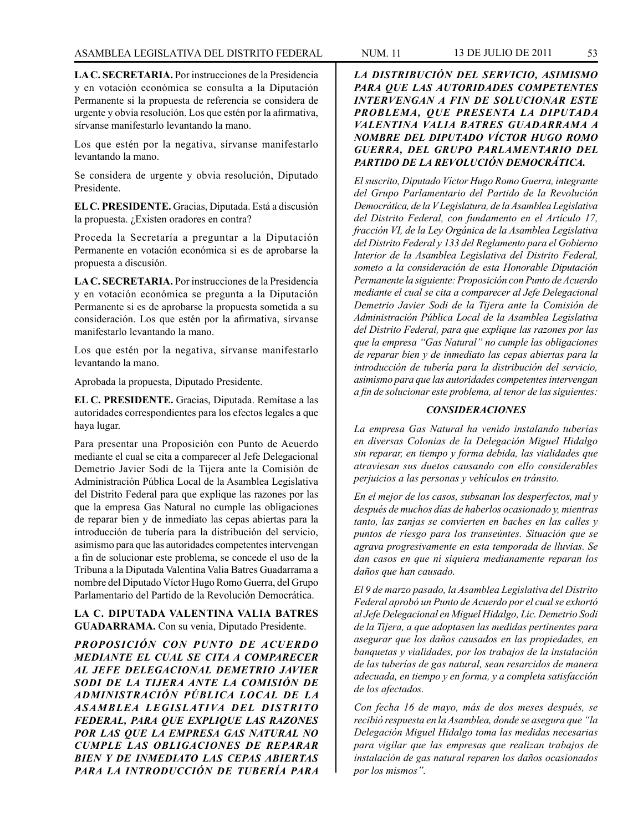**LA C. SECRETARIA.** Por instrucciones de la Presidencia y en votación económica se consulta a la Diputación Permanente si la propuesta de referencia se considera de urgente y obvia resolución. Los que estén por la afirmativa, sírvanse manifestarlo levantando la mano.

Los que estén por la negativa, sírvanse manifestarlo levantando la mano.

Se considera de urgente y obvia resolución, Diputado Presidente.

**EL C. PRESIDENTE.** Gracias, Diputada. Está a discusión la propuesta. ¿Existen oradores en contra?

Proceda la Secretaría a preguntar a la Diputación Permanente en votación económica si es de aprobarse la propuesta a discusión.

**LA C. SECRETARIA.** Por instrucciones de la Presidencia y en votación económica se pregunta a la Diputación Permanente si es de aprobarse la propuesta sometida a su consideración. Los que estén por la afirmativa, sírvanse manifestarlo levantando la mano.

Los que estén por la negativa, sírvanse manifestarlo levantando la mano.

Aprobada la propuesta, Diputado Presidente.

**EL C. PRESIDENTE.** Gracias, Diputada. Remítase a las autoridades correspondientes para los efectos legales a que haya lugar.

Para presentar una Proposición con Punto de Acuerdo mediante el cual se cita a comparecer al Jefe Delegacional Demetrio Javier Sodi de la Tijera ante la Comisión de Administración Pública Local de la Asamblea Legislativa del Distrito Federal para que explique las razones por las que la empresa Gas Natural no cumple las obligaciones de reparar bien y de inmediato las cepas abiertas para la introducción de tubería para la distribución del servicio, asimismo para que las autoridades competentes intervengan a fin de solucionar este problema, se concede el uso de la Tribuna a la Diputada Valentina Valia Batres Guadarrama a nombre del Diputado Víctor Hugo Romo Guerra, del Grupo Parlamentario del Partido de la Revolución Democrática.

**LA C. DIPUTADA VALENTINA VALIA BATRES GUADARRAMA.** Con su venia, Diputado Presidente.

*PROPOSICIÓN CON PUNTO DE ACUERDO MEDIANTE EL CUAL SE CITA A COMPARECER AL JEFE DELEGACIONAL DEMETRIO JAVIER SODI DE LA TIJERA ANTE LA COMISIÓN DE ADMINISTRACIÓN PÚBLICA LOCAL DE LA ASAMBLEA LEGISLATIVA DEL DISTRITO FEDERAL, PARA QUE EXPLIQUE LAS RAZONES POR LAS QUE LA EMPRESA GAS NATURAL NO CUMPLE LAS OBLIGACIONES DE REPARAR BIEN Y DE INMEDIATO LAS CEPAS ABIERTAS PARA LA INTRODUCCIÓN DE TUBERÍA PARA* 

*GUERRA, DEL GRUPO PARLAMENTARIO DEL PARTIDO DE LA REVOLUCIÓN DEMOCRÁTICA.*

*El suscrito, Diputado Víctor Hugo Romo Guerra, integrante del Grupo Parlamentario del Partido de la Revolución Democrática, de la V Legislatura, de la Asamblea Legislativa del Distrito Federal, con fundamento en el Artículo 17, fracción VI, de la Ley Orgánica de la Asamblea Legislativa del Distrito Federal y 133 del Reglamento para el Gobierno Interior de la Asamblea Legislativa del Distrito Federal, someto a la consideración de esta Honorable Diputación Permanente la siguiente: Proposición con Punto de Acuerdo mediante el cual se cita a comparecer al Jefe Delegacional Demetrio Javier Sodi de la Tijera ante la Comisión de Administración Pública Local de la Asamblea Legislativa del Distrito Federal, para que explique las razones por las que la empresa "Gas Natural" no cumple las obligaciones de reparar bien y de inmediato las cepas abiertas para la introducción de tubería para la distribución del servicio, asimismo para que las autoridades competentes intervengan a fin de solucionar este problema, al tenor de las siguientes:*

# *CONSIDERACIONES*

*La empresa Gas Natural ha venido instalando tuberías en diversas Colonias de la Delegación Miguel Hidalgo sin reparar, en tiempo y forma debida, las vialidades que atraviesan sus duetos causando con ello considerables perjuicios a las personas y vehículos en tránsito.*

*En el mejor de los casos, subsanan los desperfectos, mal y después de muchos días de haberlos ocasionado y, mientras tanto, las zanjas se convierten en baches en las calles y puntos de riesgo para los transeúntes. Situación que se agrava progresivamente en esta temporada de lluvias. Se dan casos en que ni siquiera medianamente reparan los daños que han causado.*

*El 9 de marzo pasado, la Asamblea Legislativa del Distrito Federal aprobó un Punto de Acuerdo por el cual se exhortó al Jefe Delegacional en Miguel Hidalgo, Lic. Demetrio Sodi de la Tijera, a que adoptasen las medidas pertinentes para asegurar que los daños causados en las propiedades, en banquetas y vialidades, por los trabajos de la instalación de las tuberías de gas natural, sean resarcidos de manera adecuada, en tiempo y en forma, y a completa satisfacción de los afectados.*

*Con fecha 16 de mayo, más de dos meses después, se recibió respuesta en la Asamblea, donde se asegura que "la Delegación Miguel Hidalgo toma las medidas necesarias para vigilar que las empresas que realizan trabajos de instalación de gas natural reparen los daños ocasionados por los mismos".*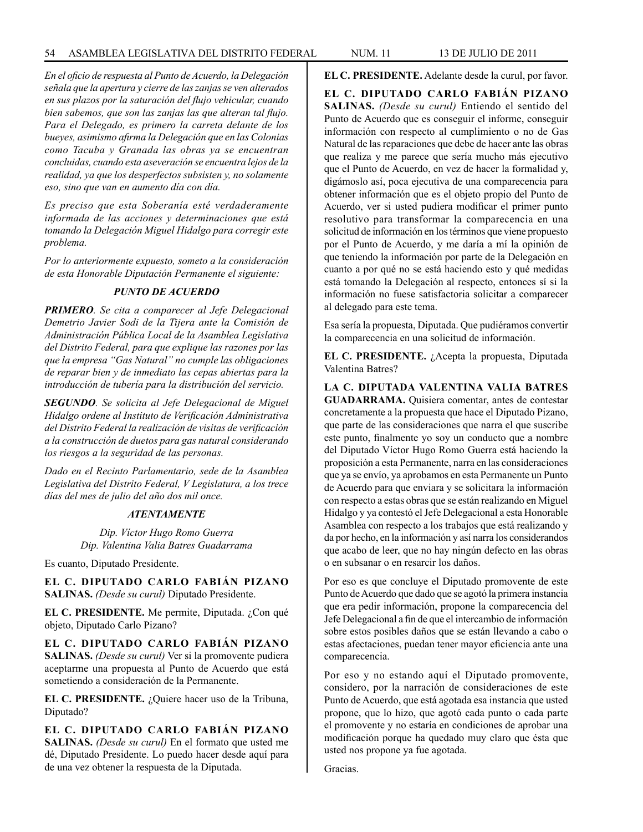*En el oficio de respuesta al Punto de Acuerdo, la Delegación señala que la apertura y cierre de las zanjas se ven alterados en sus plazos por la saturación del flujo vehicular, cuando bien sabemos, que son las zanjas las que alteran tal flujo. Para el Delegado, es primero la carreta delante de los bueyes, asimismo afirma la Delegación que en las Colonias como Tacuba y Granada las obras ya se encuentran concluidas, cuando esta aseveración se encuentra lejos de la realidad, ya que los desperfectos subsisten y, no solamente eso, sino que van en aumento día con día.*

*Es preciso que esta Soberanía esté verdaderamente informada de las acciones y determinaciones que está tomando la Delegación Miguel Hidalgo para corregir este problema.*

*Por lo anteriormente expuesto, someto a la consideración de esta Honorable Diputación Permanente el siguiente:*

## *PUNTO DE ACUERDO*

*PRIMERO. Se cita a comparecer al Jefe Delegacional Demetrio Javier Sodi de la Tijera ante la Comisión de Administración Pública Local de la Asamblea Legislativa del Distrito Federal, para que explique las razones por las que la empresa "Gas Natural" no cumple las obligaciones de reparar bien y de inmediato las cepas abiertas para la introducción de tubería para la distribución del servicio.*

*SEGUNDO. Se solicita al Jefe Delegacional de Miguel Hidalgo ordene al Instituto de Verificación Administrativa del Distrito Federal la realización de visitas de verificación a la construcción de duetos para gas natural considerando los riesgos a la seguridad de las personas.*

*Dado en el Recinto Parlamentario, sede de la Asamblea Legislativa del Distrito Federal, V Legislatura, a los trece días del mes de julio del año dos mil once.*

## *ATENTAMENTE*

*Dip. Víctor Hugo Romo Guerra Dip. Valentina Valia Batres Guadarrama*

Es cuanto, Diputado Presidente.

**EL C. DIPUTADO CARLO FABIÁN PIZANO SALINAS.** *(Desde su curul)* Diputado Presidente.

**EL C. PRESIDENTE.** Me permite, Diputada. ¿Con qué objeto, Diputado Carlo Pizano?

**EL C. DIPUTADO CARLO FABIÁN PIZANO SALINAS.** *(Desde su curul)* Ver si la promovente pudiera aceptarme una propuesta al Punto de Acuerdo que está sometiendo a consideración de la Permanente.

**EL C. PRESIDENTE.** ¿Quiere hacer uso de la Tribuna, Diputado?

**EL C. DIPUTADO CARLO FABIÁN PIZANO SALINAS.** *(Desde su curul)* En el formato que usted me dé, Diputado Presidente. Lo puedo hacer desde aquí para de una vez obtener la respuesta de la Diputada.

**EL C. PRESIDENTE.** Adelante desde la curul, por favor.

**EL C. DIPUTADO CARLO FABIÁN PIZANO SALINAS.** *(Desde su curul)* Entiendo el sentido del Punto de Acuerdo que es conseguir el informe, conseguir información con respecto al cumplimiento o no de Gas Natural de las reparaciones que debe de hacer ante las obras que realiza y me parece que sería mucho más ejecutivo que el Punto de Acuerdo, en vez de hacer la formalidad y, digámoslo así, poca ejecutiva de una comparecencia para obtener información que es el objeto propio del Punto de Acuerdo, ver si usted pudiera modificar el primer punto resolutivo para transformar la comparecencia en una solicitud de información en los términos que viene propuesto por el Punto de Acuerdo, y me daría a mí la opinión de que teniendo la información por parte de la Delegación en cuanto a por qué no se está haciendo esto y qué medidas está tomando la Delegación al respecto, entonces sí si la información no fuese satisfactoria solicitar a comparecer al delegado para este tema.

Esa sería la propuesta, Diputada. Que pudiéramos convertir la comparecencia en una solicitud de información.

**EL C. PRESIDENTE.** ¿Acepta la propuesta, Diputada Valentina Batres?

**LA C. DIPUTADA VALENTINA VALIA BATRES GUADARRAMA.** Quisiera comentar, antes de contestar concretamente a la propuesta que hace el Diputado Pizano, que parte de las consideraciones que narra el que suscribe este punto, finalmente yo soy un conducto que a nombre del Diputado Víctor Hugo Romo Guerra está haciendo la proposición a esta Permanente, narra en las consideraciones que ya se envío, ya aprobamos en esta Permanente un Punto de Acuerdo para que enviara y se solicitara la información con respecto a estas obras que se están realizando en Miguel Hidalgo y ya contestó el Jefe Delegacional a esta Honorable Asamblea con respecto a los trabajos que está realizando y da por hecho, en la información y así narra los considerandos que acabo de leer, que no hay ningún defecto en las obras o en subsanar o en resarcir los daños.

Por eso es que concluye el Diputado promovente de este Punto de Acuerdo que dado que se agotó la primera instancia que era pedir información, propone la comparecencia del Jefe Delegacional a fin de que el intercambio de información sobre estos posibles daños que se están llevando a cabo o estas afectaciones, puedan tener mayor eficiencia ante una comparecencia.

Por eso y no estando aquí el Diputado promovente, considero, por la narración de consideraciones de este Punto de Acuerdo, que está agotada esa instancia que usted propone, que lo hizo, que agotó cada punto o cada parte el promovente y no estaría en condiciones de aprobar una modificación porque ha quedado muy claro que ésta que usted nos propone ya fue agotada.

Gracias.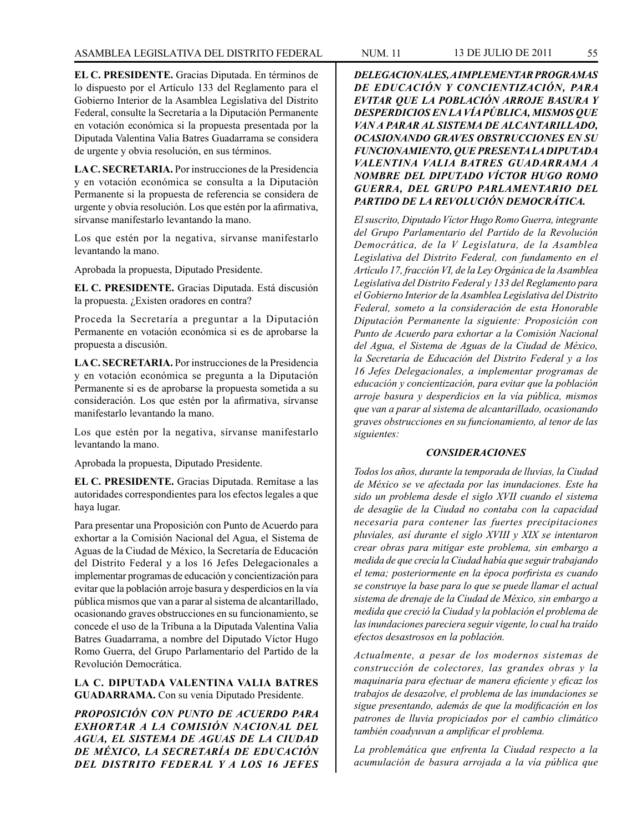**EL C. PRESIDENTE.** Gracias Diputada. En términos de lo dispuesto por el Artículo 133 del Reglamento para el Gobierno Interior de la Asamblea Legislativa del Distrito Federal, consulte la Secretaría a la Diputación Permanente en votación económica si la propuesta presentada por la Diputada Valentina Valia Batres Guadarrama se considera de urgente y obvia resolución, en sus términos.

**LA C. SECRETARIA.** Por instrucciones de la Presidencia y en votación económica se consulta a la Diputación Permanente si la propuesta de referencia se considera de urgente y obvia resolución. Los que estén por la afirmativa, sírvanse manifestarlo levantando la mano.

Los que estén por la negativa, sírvanse manifestarlo levantando la mano.

Aprobada la propuesta, Diputado Presidente.

**EL C. PRESIDENTE.** Gracias Diputada. Está discusión la propuesta. ¿Existen oradores en contra?

Proceda la Secretaría a preguntar a la Diputación Permanente en votación económica si es de aprobarse la propuesta a discusión.

**LA C. SECRETARIA.** Por instrucciones de la Presidencia y en votación económica se pregunta a la Diputación Permanente si es de aprobarse la propuesta sometida a su consideración. Los que estén por la afirmativa, sírvanse manifestarlo levantando la mano.

Los que estén por la negativa, sírvanse manifestarlo levantando la mano.

Aprobada la propuesta, Diputado Presidente.

**EL C. PRESIDENTE.** Gracias Diputada. Remítase a las autoridades correspondientes para los efectos legales a que haya lugar.

Para presentar una Proposición con Punto de Acuerdo para exhortar a la Comisión Nacional del Agua, el Sistema de Aguas de la Ciudad de México, la Secretaría de Educación del Distrito Federal y a los 16 Jefes Delegacionales a implementar programas de educación y concientización para evitar que la población arroje basura y desperdicios en la vía pública mismos que van a parar al sistema de alcantarillado, ocasionando graves obstrucciones en su funcionamiento, se concede el uso de la Tribuna a la Diputada Valentina Valia Batres Guadarrama, a nombre del Diputado Víctor Hugo Romo Guerra, del Grupo Parlamentario del Partido de la Revolución Democrática.

**LA C. DIPUTADA VALENTINA VALIA BATRES GUADARRAMA.** Con su venia Diputado Presidente.

*PROPOSICIÓN CON PUNTO DE ACUERDO PARA EXHORTAR A LA COMISIÓN NACIONAL DEL AGUA, EL SISTEMA DE AGUAS DE LA CIUDAD DE MÉXICO, LA SECRETARÍA DE EDUCACIÓN DEL DISTRITO FEDERAL Y A LOS 16 JEFES* 

*DELEGACIONALES, A IMPLEMENTAR PROGRAMAS DE EDUCACIÓN Y CONCIENTIZACIÓN, PARA EVITAR QUE LA POBLACIÓN ARROJE BASURA Y DESPERDICIOS EN LA VÍA PÚBLICA, MISMOS QUE VAN A PARAR AL SISTEMA DE ALCANTARILLADO, OCASIONANDO GRAVES OBSTRUCCIONES EN SU FUNCIONAMIENTO, QUE PRESENTA LA DIPUTADA VALENTINA VALIA BATRES GUADARRAMA A NOMBRE DEL DIPUTADO VÍCTOR HUGO ROMO GUERRA, DEL GRUPO PARLAMENTARIO DEL PARTIDO DE LA REVOLUCIÓN DEMOCRÁTICA.*

*El suscrito, Diputado Víctor Hugo Romo Guerra, integrante del Grupo Parlamentario del Partido de la Revolución Democrática, de la V Legislatura, de la Asamblea Legislativa del Distrito Federal, con fundamento en el Artículo 17, fracción VI, de la Ley Orgánica de la Asamblea Legislativa del Distrito Federal y 133 del Reglamento para el Gobierno Interior de la Asamblea Legislativa del Distrito Federal, someto a la consideración de esta Honorable Diputación Permanente la siguiente: Proposición con Punto de Acuerdo para exhortar a la Comisión Nacional del Agua, el Sistema de Aguas de la Ciudad de México, la Secretaría de Educación del Distrito Federal y a los 16 Jefes Delegacionales, a implementar programas de educación y concientización, para evitar que la población arroje basura y desperdicios en la vía pública, mismos que van a parar al sistema de alcantarillado, ocasionando graves obstrucciones en su funcionamiento, al tenor de las siguientes:*

### *CONSIDERACIONES*

*Todos los años, durante la temporada de lluvias, la Ciudad de México se ve afectada por las inundaciones. Este ha sido un problema desde el siglo XVII cuando el sistema de desagüe de la Ciudad no contaba con la capacidad necesaria para contener las fuertes precipitaciones pluviales, así durante el siglo XVIII y XIX se intentaron crear obras para mitigar este problema, sin embargo a medida de que crecía la Ciudad había que seguir trabajando el tema; posteriormente en la época porfirista es cuando se construye la base para lo que se puede llamar el actual sistema de drenaje de la Ciudad de México, sin embargo a medida que creció la Ciudad y la población el problema de las inundaciones pareciera seguir vigente, lo cual ha traído efectos desastrosos en la población.*

*Actualmente, a pesar de los modernos sistemas de construcción de colectores, las grandes obras y la maquinaria para efectuar de manera eficiente y eficaz los trabajos de desazolve, el problema de las inundaciones se sigue presentando, además de que la modificación en los patrones de lluvia propiciados por el cambio climático también coadyuvan a amplificar el problema.*

*La problemática que enfrenta la Ciudad respecto a la acumulación de basura arrojada a la vía pública que*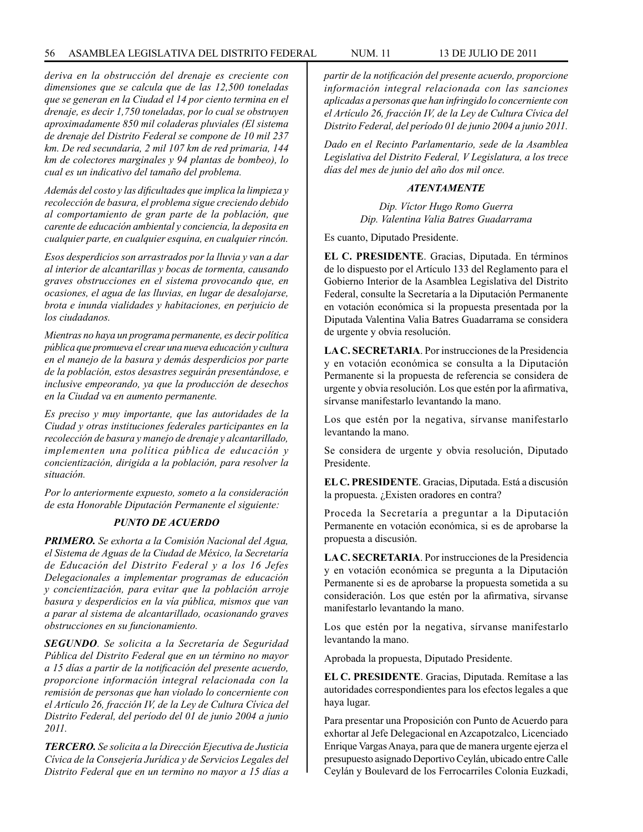*deriva en la obstrucción del drenaje es creciente con dimensiones que se calcula que de las 12,500 toneladas que se generan en la Ciudad el 14 por ciento termina en el drenaje, es decir 1,750 toneladas, por lo cual se obstruyen aproximadamente 850 mil coladeras pluviales (El sistema de drenaje del Distrito Federal se compone de 10 mil 237 km. De red secundaria, 2 mil 107 km de red primaria, 144 km de colectores marginales y 94 plantas de bombeo), lo cual es un indicativo del tamaño del problema.* 

*Además del costo y las dificultades que implica la limpieza y recolección de basura, el problema sigue creciendo debido al comportamiento de gran parte de la población, que carente de educación ambiental y conciencia, la deposita en cualquier parte, en cualquier esquina, en cualquier rincón.*

*Esos desperdicios son arrastrados por la lluvia y van a dar al interior de alcantarillas y bocas de tormenta, causando graves obstrucciones en el sistema provocando que, en ocasiones, el agua de las lluvias, en lugar de desalojarse, brota e inunda vialidades y habitaciones, en perjuicio de los ciudadanos.*

*Mientras no haya un programa permanente, es decir política pública que promueva el crear una nueva educación y cultura en el manejo de la basura y demás desperdicios por parte de la población, estos desastres seguirán presentándose, e inclusive empeorando, ya que la producción de desechos en la Ciudad va en aumento permanente.*

*Es preciso y muy importante, que las autoridades de la Ciudad y otras instituciones federales participantes en la recolección de basura y manejo de drenaje y alcantarillado, implementen una política pública de educación y concientización, dirigida a la población, para resolver la situación.*

*Por lo anteriormente expuesto, someto a la consideración de esta Honorable Diputación Permanente el siguiente:*

# *PUNTO DE ACUERDO*

*PRIMERO. Se exhorta a la Comisión Nacional del Agua, el Sistema de Aguas de la Ciudad de México, la Secretaría de Educación del Distrito Federal y a los 16 Jefes Delegacionales a implementar programas de educación y concientización, para evitar que la población arroje basura y desperdicios en la vía pública, mismos que van a parar al sistema de alcantarillado, ocasionando graves obstrucciones en su funcionamiento.*

*SEGUNDO. Se solicita a la Secretaría de Seguridad Pública del Distrito Federal que en un término no mayor a 15 días a partir de la notificación del presente acuerdo, proporcione información integral relacionada con la remisión de personas que han violado lo concerniente con el Artículo 26, fracción IV, de la Ley de Cultura Cívica del Distrito Federal, del período del 01 de junio 2004 a junio 2011.*

*TERCERO. Se solicita a la Dirección Ejecutiva de Justicia Cívica de la Consejería Jurídica y de Servicios Legales del Distrito Federal que en un termino no mayor a 15 días a* 

*partir de la notificación del presente acuerdo, proporcione información integral relacionada con las sanciones aplicadas a personas que han infringido lo concerniente con el Artículo 26, fracción IV, de la Ley de Cultura Cívica del Distrito Federal, del período 01 de junio 2004 a junio 2011.*

*Dado en el Recinto Parlamentario, sede de la Asamblea Legislativa del Distrito Federal, V Legislatura, a los trece días del mes de junio del año dos mil once.*

### *ATENTAMENTE*

*Dip. Víctor Hugo Romo Guerra Dip. Valentina Valia Batres Guadarrama*

Es cuanto, Diputado Presidente.

**EL C. PRESIDENTE**. Gracias, Diputada. En términos de lo dispuesto por el Artículo 133 del Reglamento para el Gobierno Interior de la Asamblea Legislativa del Distrito Federal, consulte la Secretaría a la Diputación Permanente en votación económica si la propuesta presentada por la Diputada Valentina Valia Batres Guadarrama se considera de urgente y obvia resolución.

**LA C. SECRETARIA**. Por instrucciones de la Presidencia y en votación económica se consulta a la Diputación Permanente si la propuesta de referencia se considera de urgente y obvia resolución. Los que estén por la afirmativa, sírvanse manifestarlo levantando la mano.

Los que estén por la negativa, sírvanse manifestarlo levantando la mano.

Se considera de urgente y obvia resolución, Diputado Presidente.

**EL C. PRESIDENTE**. Gracias, Diputada. Está a discusión la propuesta. ¿Existen oradores en contra?

Proceda la Secretaría a preguntar a la Diputación Permanente en votación económica, si es de aprobarse la propuesta a discusión.

**LA C. SECRETARIA**. Por instrucciones de la Presidencia y en votación económica se pregunta a la Diputación Permanente si es de aprobarse la propuesta sometida a su consideración. Los que estén por la afirmativa, sírvanse manifestarlo levantando la mano.

Los que estén por la negativa, sírvanse manifestarlo levantando la mano.

Aprobada la propuesta, Diputado Presidente.

**EL C. PRESIDENTE**. Gracias, Diputada. Remítase a las autoridades correspondientes para los efectos legales a que haya lugar.

Para presentar una Proposición con Punto de Acuerdo para exhortar al Jefe Delegacional en Azcapotzalco, Licenciado Enrique Vargas Anaya, para que de manera urgente ejerza el presupuesto asignado Deportivo Ceylán, ubicado entre Calle Ceylán y Boulevard de los Ferrocarriles Colonia Euzkadi,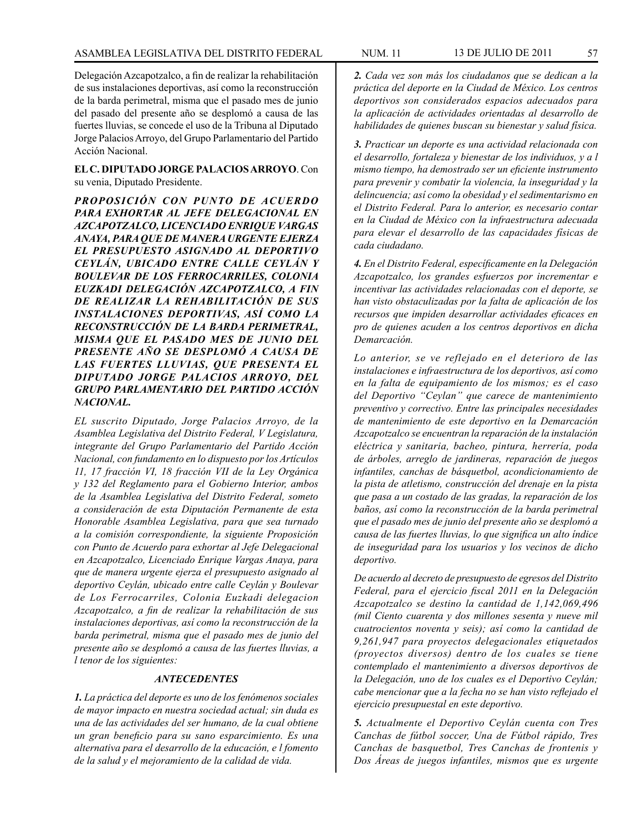Delegación Azcapotzalco, a fin de realizar la rehabilitación de sus instalaciones deportivas, así como la reconstrucción de la barda perimetral, misma que el pasado mes de junio del pasado del presente año se desplomó a causa de las fuertes lluvias, se concede el uso de la Tribuna al Diputado Jorge Palacios Arroyo, del Grupo Parlamentario del Partido Acción Nacional.

**EL C. DIPUTADO JORGE PALACIOS ARROYO**. Con su venia, Diputado Presidente.

*PROPOSICIÓN CON PUNTO DE ACUERDO PARA EXHORTAR AL JEFE DELEGACIONAL EN AZCAPOTZALCO, LICENCIADO ENRIQUE VARGAS ANAYA, PARA QUE DE MANERA URGENTE EJERZA EL PRESUPUESTO ASIGNADO AL DEPORTIVO CEYLÁN, UBICADO ENTRE CALLE CEYLÁN Y BOULEVAR DE LOS FERROCARRILES, COLONIA EUZKADI DELEGACIÓN AZCAPOTZALCO, A FIN DE REALIZAR LA REHABILITACIÓN DE SUS INSTALACIONES DEPORTIVAS, ASÍ COMO LA RECONSTRUCCIÓN DE LA BARDA PERIMETRAL, MISMA QUE EL PASADO MES DE JUNIO DEL PRESENTE AÑO SE DESPLOMÓ A CAUSA DE LAS FUERTES LLUVIAS, QUE PRESENTA EL DIPUTADO JORGE PALACIOS ARROYO, DEL GRUPO PARLAMENTARIO DEL PARTIDO ACCIÓN NACIONAL.*

*EL suscrito Diputado, Jorge Palacios Arroyo, de la Asamblea Legislativa del Distrito Federal, V Legislatura, integrante del Grupo Parlamentario del Partido Acción Nacional, con fundamento en lo dispuesto por los Artículos 11, 17 fracción VI, 18 fracción VII de la Ley Orgánica y 132 del Reglamento para el Gobierno Interior, ambos de la Asamblea Legislativa del Distrito Federal, someto a consideración de esta Diputación Permanente de esta Honorable Asamblea Legislativa, para que sea turnado a la comisión correspondiente, la siguiente Proposición con Punto de Acuerdo para exhortar al Jefe Delegacional en Azcapotzalco, Licenciado Enrique Vargas Anaya, para que de manera urgente ejerza el presupuesto asignado al deportivo Ceylán, ubicado entre calle Ceylán y Boulevar de Los Ferrocarriles, Colonia Euzkadi delegacion Azcapotzalco, a fin de realizar la rehabilitación de sus instalaciones deportivas, así como la reconstrucción de la barda perimetral, misma que el pasado mes de junio del presente año se desplomó a causa de las fuertes lluvias, a l tenor de los siguientes:*

### *ANTECEDENTES*

*1. La práctica del deporte es uno de los fenómenos sociales de mayor impacto en nuestra sociedad actual; sin duda es una de las actividades del ser humano, de la cual obtiene un gran beneficio para su sano esparcimiento. Es una alternativa para el desarrollo de la educación, e l fomento de la salud y el mejoramiento de la calidad de vida.*

*2. Cada vez son más los ciudadanos que se dedican a la práctica del deporte en la Ciudad de México. Los centros deportivos son considerados espacios adecuados para la aplicación de actividades orientadas al desarrollo de habilidades de quienes buscan su bienestar y salud física.*

*3. Practicar un deporte es una actividad relacionada con el desarrollo, fortaleza y bienestar de los individuos, y a l mismo tiempo, ha demostrado ser un eficiente instrumento para prevenir y combatir la violencia, la inseguridad y la delincuencia; así como la obesidad y el sedimentarismo en el Distrito Federal. Para lo anterior, es necesario contar en la Ciudad de México con la infraestructura adecuada para elevar el desarrollo de las capacidades físicas de cada ciudadano.*

*4. En el Distrito Federal, específicamente en la Delegación Azcapotzalco, los grandes esfuerzos por incrementar e incentivar las actividades relacionadas con el deporte, se han visto obstaculizadas por la falta de aplicación de los recursos que impiden desarrollar actividades eficaces en pro de quienes acuden a los centros deportivos en dicha Demarcación.*

*Lo anterior, se ve reflejado en el deterioro de las instalaciones e infraestructura de los deportivos, así como en la falta de equipamiento de los mismos; es el caso del Deportivo "Ceylan" que carece de mantenimiento preventivo y correctivo. Entre las principales necesidades de mantenimiento de este deportivo en la Demarcación Azcapotzalco se encuentran la reparación de la instalación eléctrica y sanitaria, bacheo, pintura, herrería, poda de árboles, arreglo de jardineras, reparación de juegos infantiles, canchas de básquetbol, acondicionamiento de la pista de atletismo, construcción del drenaje en la pista que pasa a un costado de las gradas, la reparación de los baños, así como la reconstrucción de la barda perimetral que el pasado mes de junio del presente año se desplomó a causa de las fuertes lluvias, lo que significa un alto índice de inseguridad para los usuarios y los vecinos de dicho deportivo.* 

*De acuerdo al decreto de presupuesto de egresos del Distrito Federal, para el ejercicio fiscal 2011 en la Delegación Azcapotzalco se destino la cantidad de 1,142,069,496 (mil Ciento cuarenta y dos millones sesenta y nueve mil cuatrocientos noventa y seis); así como la cantidad de 9,261,947 para proyectos delegacionales etiquetados (proyectos diversos) dentro de los cuales se tiene contemplado el mantenimiento a diversos deportivos de la Delegación, uno de los cuales es el Deportivo Ceylán; cabe mencionar que a la fecha no se han visto reflejado el ejercicio presupuestal en este deportivo.*

*5. Actualmente el Deportivo Ceylán cuenta con Tres Canchas de fútbol soccer, Una de Fútbol rápido, Tres Canchas de basquetbol, Tres Canchas de frontenis y Dos Áreas de juegos infantiles, mismos que es urgente*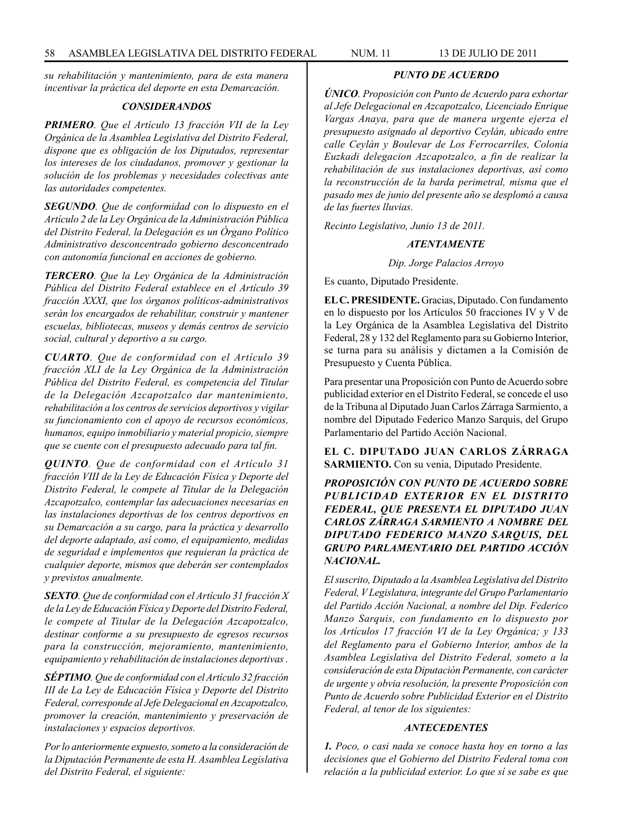*su rehabilitación y mantenimiento, para de esta manera incentivar la práctica del deporte en esta Demarcación.*

## *CONSIDERANDOS*

*PRIMERO. Que el Artículo 13 fracción VII de la Ley Orgánica de la Asamblea Legislativa del Distrito Federal, dispone que es obligación de los Diputados, representar los intereses de los ciudadanos, promover y gestionar la solución de los problemas y necesidades colectivas ante las autoridades competentes.*

*SEGUNDO. Que de conformidad con lo dispuesto en el Artículo 2 de la Ley Orgánica de la Administración Pública del Distrito Federal, la Delegación es un Órgano Político Administrativo desconcentrado gobierno desconcentrado con autonomía funcional en acciones de gobierno.*

*TERCERO. Que la Ley Orgánica de la Administración Pública del Distrito Federal establece en el Artículo 39 fracción XXXI, que los órganos políticos-administrativos serán los encargados de rehabilitar, construir y mantener escuelas, bibliotecas, museos y demás centros de servicio social, cultural y deportivo a su cargo.*

*CUARTO. Que de conformidad con el Artículo 39 fracción XLI de la Ley Orgánica de la Administración Pública del Distrito Federal, es competencia del Titular de la Delegación Azcapotzalco dar mantenimiento, rehabilitación a los centros de servicios deportivos y vigilar su funcionamiento con el apoyo de recursos económicos, humanos, equipo inmobiliario y material propicio, siempre que se cuente con el presupuesto adecuado para tal fin.*

*QUINTO. Que de conformidad con el Artículo 31 fracción VIII de la Ley de Educación Física y Deporte del Distrito Federal, le compete al Titular de la Delegación Azcapotzalco, contemplar las adecuaciones necesarias en las instalaciones deportivas de los centros deportivos en su Demarcación a su cargo, para la práctica y desarrollo del deporte adaptado, así como, el equipamiento, medidas de seguridad e implementos que requieran la práctica de cualquier deporte, mismos que deberán ser contemplados y previstos anualmente.*

*SEXTO. Que de conformidad con el Artículo 31 fracción X de la Ley de Educación Física y Deporte del Distrito Federal, le compete al Titular de la Delegación Azcapotzalco, destinar conforme a su presupuesto de egresos recursos para la construcción, mejoramiento, mantenimiento, equipamiento y rehabilitación de instalaciones deportivas .*

*SÉPTIMO. Que de conformidad con el Artículo 32 fracción III de La Ley de Educación Física y Deporte del Distrito Federal, corresponde al Jefe Delegacional en Azcapotzalco, promover la creación, mantenimiento y preservación de instalaciones y espacios deportivos.*

*Por lo anteriormente expuesto, someto a la consideración de la Diputación Permanente de esta H. Asamblea Legislativa del Distrito Federal, el siguiente:*

## *PUNTO DE ACUERDO*

*ÚNICO. Proposición con Punto de Acuerdo para exhortar al Jefe Delegacional en Azcapotzalco, Licenciado Enrique Vargas Anaya, para que de manera urgente ejerza el presupuesto asignado al deportivo Ceylán, ubicado entre calle Ceylán y Boulevar de Los Ferrocarriles, Colonia Euzkadi delegacion Azcapotzalco, a fin de realizar la rehabilitación de sus instalaciones deportivas, así como la reconstrucción de la barda perimetral, misma que el pasado mes de junio del presente año se desplomó a causa de las fuertes lluvias.*

*Recinto Legislativo, Junio 13 de 2011.*

### *ATENTAMENTE*

*Dip. Jorge Palacios Arroyo*

Es cuanto, Diputado Presidente.

**EL C. PRESIDENTE.** Gracias, Diputado. Con fundamento en lo dispuesto por los Artículos 50 fracciones IV y V de la Ley Orgánica de la Asamblea Legislativa del Distrito Federal, 28 y 132 del Reglamento para su Gobierno Interior, se turna para su análisis y dictamen a la Comisión de Presupuesto y Cuenta Pública.

Para presentar una Proposición con Punto de Acuerdo sobre publicidad exterior en el Distrito Federal, se concede el uso de la Tribuna al Diputado Juan Carlos Zárraga Sarmiento, a nombre del Diputado Federico Manzo Sarquis, del Grupo Parlamentario del Partido Acción Nacional.

**EL C. DIPUTADO JUAN CARLOS ZÁRRAGA SARMIENTO.** Con su venia, Diputado Presidente.

*PROPOSICIÓN CON PUNTO DE ACUERDO SOBRE PUBLICIDAD EXTERIOR EN EL DISTRITO FEDERAL, QUE PRESENTA EL DIPUTADO JUAN CARLOS ZÁRRAGA SARMIENTO A NOMBRE DEL DIPUTADO FEDERICO MANZO SARQUIS, DEL GRUPO PARLAMENTARIO DEL PARTIDO ACCIÓN NACIONAL.*

*El suscrito, Diputado a la Asamblea Legislativa del Distrito Federal, V Legislatura, integrante del Grupo Parlamentario del Partido Acción Nacional, a nombre del Dip. Federico Manzo Sarquis, con fundamento en lo dispuesto por los Artículos 17 fracción VI de la Ley Orgánica; y 133 del Reglamento para el Gobierno Interior, ambos de la Asamblea Legislativa del Distrito Federal, someto a la consideración de esta Diputación Permanente, con carácter de urgente y obvia resolución, la presente Proposición con Punto de Acuerdo sobre Publicidad Exterior en el Distrito Federal, al tenor de los siguientes:*

## *ANTECEDENTES*

*1. Poco, o casi nada se conoce hasta hoy en torno a las decisiones que el Gobierno del Distrito Federal toma con relación a la publicidad exterior. Lo que sí se sabe es que*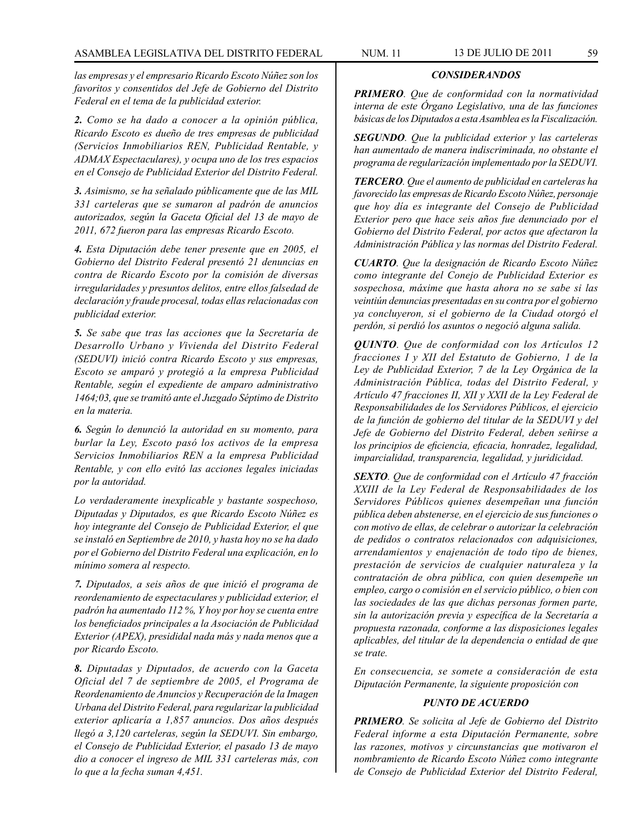*las empresas y el empresario Ricardo Escoto Núñez son los favoritos y consentidos del Jefe de Gobierno del Distrito Federal en el tema de la publicidad exterior.*

*2. Como se ha dado a conocer a la opinión pública, Ricardo Escoto es dueño de tres empresas de publicidad (Servicios Inmobiliarios REN, Publicidad Rentable, y ADMAX Espectaculares), y ocupa uno de los tres espacios en el Consejo de Publicidad Exterior del Distrito Federal.* 

*3. Asimismo, se ha señalado públicamente que de las MIL 331 carteleras que se sumaron al padrón de anuncios autorizados, según la Gaceta Oficial del 13 de mayo de 2011, 672 fueron para las empresas Ricardo Escoto.*

*4. Esta Diputación debe tener presente que en 2005, el Gobierno del Distrito Federal presentó 21 denuncias en contra de Ricardo Escoto por la comisión de diversas irregularidades y presuntos delitos, entre ellos falsedad de declaración y fraude procesal, todas ellas relacionadas con publicidad exterior.*

*5. Se sabe que tras las acciones que la Secretaría de Desarrollo Urbano y Vivienda del Distrito Federal (SEDUVI) inició contra Ricardo Escoto y sus empresas, Escoto se amparó y protegió a la empresa Publicidad Rentable, según el expediente de amparo administrativo 1464;03, que se tramitó ante el Juzgado Séptimo de Distrito en la materia.*

*6. Según lo denunció la autoridad en su momento, para burlar la Ley, Escoto pasó los activos de la empresa Servicios Inmobiliarios REN a la empresa Publicidad Rentable, y con ello evitó las acciones legales iniciadas por la autoridad.* 

*Lo verdaderamente inexplicable y bastante sospechoso, Diputadas y Diputados, es que Ricardo Escoto Núñez es hoy integrante del Consejo de Publicidad Exterior, el que se instaló en Septiembre de 2010, y hasta hoy no se ha dado por el Gobierno del Distrito Federal una explicación, en lo mínimo somera al respecto.*

*7. Diputados, a seis años de que inició el programa de reordenamiento de espectaculares y publicidad exterior, el padrón ha aumentado 112 %, Y hoy por hoy se cuenta entre los beneficiados principales a la Asociación de Publicidad Exterior (APEX), presididal nada más y nada menos que a por Ricardo Escoto.*

*8. Diputadas y Diputados, de acuerdo con la Gaceta Oficial del 7 de septiembre de 2005, el Programa de Reordenamiento de Anuncios y Recuperación de la Imagen Urbana del Distrito Federal, para regularizar la publicidad exterior aplicaría a 1,857 anuncios. Dos años después llegó a 3,120 carteleras, según la SEDUVI. Sin embargo, el Consejo de Publicidad Exterior, el pasado 13 de mayo dio a conocer el ingreso de MIL 331 carteleras más, con lo que a la fecha suman 4,451.*

# *CONSIDERANDOS*

*PRIMERO. Que de conformidad con la normatividad interna de este Órgano Legislativo, una de las funciones básicas de los Diputados a esta Asamblea es la Fiscalización.*

*SEGUNDO. Que la publicidad exterior y las carteleras han aumentado de manera indiscriminada, no obstante el programa de regularización implementado por la SEDUVI.*

*TERCERO. Que el aumento de publicidad en carteleras ha favorecido las empresas de Ricardo Escoto Núñez, personaje que hoy día es integrante del Consejo de Publicidad Exterior pero que hace seis años fue denunciado por el Gobierno del Distrito Federal, por actos que afectaron la Administración Pública y las normas del Distrito Federal.*

*CUARTO. Que la designación de Ricardo Escoto Núñez como integrante del Conejo de Publicidad Exterior es sospechosa, máxime que hasta ahora no se sabe si las veintiún denuncias presentadas en su contra por el gobierno ya concluyeron, si el gobierno de la Ciudad otorgó el perdón, si perdió los asuntos o negoció alguna salida.*

*QUINTO. Que de conformidad con los Artículos 12 fracciones I y XII del Estatuto de Gobierno, 1 de la Ley de Publicidad Exterior, 7 de la Ley Orgánica de la Administración Pública, todas del Distrito Federal, y Artículo 47 fracciones II, XII y XXII de la Ley Federal de Responsabilidades de los Servidores Públicos, el ejercicio de la función de gobierno del titular de la SEDUVI y del Jefe de Gobierno del Distrito Federal, deben señirse a los principios de eficiencia, eficacia, honradez, legalidad, imparcialidad, transparencia, legalidad, y juridicidad.*

*SEXTO. Que de conformidad con el Artículo 47 fracción XXIII de la Ley Federal de Responsabilidades de los Servidores Públicos quienes desempeñan una función pública deben abstenerse, en el ejercicio de sus funciones o con motivo de ellas, de celebrar o autorizar la celebración de pedidos o contratos relacionados con adquisiciones, arrendamientos y enajenación de todo tipo de bienes, prestación de servicios de cualquier naturaleza y la contratación de obra pública, con quien desempeñe un empleo, cargo o comisión en el servicio público, o bien con las sociedades de las que dichas personas formen parte, sin la autorización previa y específica de la Secretaría a propuesta razonada, conforme a las disposiciones legales aplicables, del titular de la dependencia o entidad de que se trate.*

*En consecuencia, se somete a consideración de esta Diputación Permanente, la siguiente proposición con*

## *PUNTO DE ACUERDO*

*PRIMERO. Se solicita al Jefe de Gobierno del Distrito Federal informe a esta Diputación Permanente, sobre las razones, motivos y circunstancias que motivaron el nombramiento de Ricardo Escoto Núñez como integrante de Consejo de Publicidad Exterior del Distrito Federal,*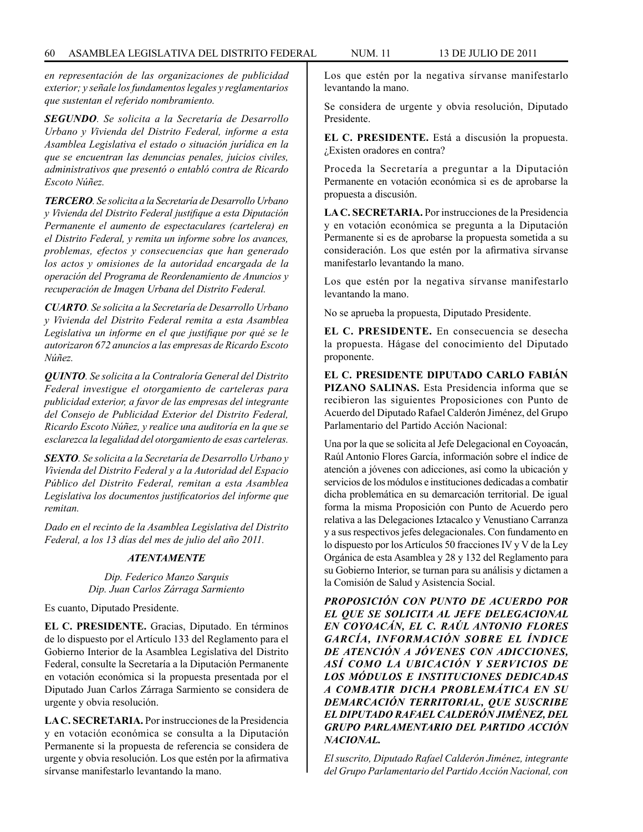*en representación de las organizaciones de publicidad exterior; y señale los fundamentos legales y reglamentarios que sustentan el referido nombramiento.*

*SEGUNDO. Se solicita a la Secretaría de Desarrollo Urbano y Vivienda del Distrito Federal, informe a esta Asamblea Legislativa el estado o situación jurídica en la que se encuentran las denuncias penales, juicios civiles, administrativos que presentó o entabló contra de Ricardo Escoto Núñez.*

*TERCERO. Se solicita a la Secretaría de Desarrollo Urbano y Vivienda del Distrito Federal justifique a esta Diputación Permanente el aumento de espectaculares (cartelera) en el Distrito Federal, y remita un informe sobre los avances, problemas, efectos y consecuencias que han generado los actos y omisiones de la autoridad encargada de la operación del Programa de Reordenamiento de Anuncios y recuperación de Imagen Urbana del Distrito Federal.*

*CUARTO. Se solicita a la Secretaría de Desarrollo Urbano y Vivienda del Distrito Federal remita a esta Asamblea Legislativa un informe en el que justifique por qué se le autorizaron 672 anuncios a las empresas de Ricardo Escoto Núñez.*

*QUINTO. Se solicita a la Contraloría General del Distrito Federal investigue el otorgamiento de carteleras para publicidad exterior, a favor de las empresas del integrante del Consejo de Publicidad Exterior del Distrito Federal, Ricardo Escoto Núñez, y realice una auditoría en la que se esclarezca la legalidad del otorgamiento de esas carteleras.*

*SEXTO. Se solicita a la Secretaría de Desarrollo Urbano y Vivienda del Distrito Federal y a la Autoridad del Espacio Público del Distrito Federal, remitan a esta Asamblea Legislativa los documentos justificatorios del informe que remitan.*

*Dado en el recinto de la Asamblea Legislativa del Distrito Federal, a los 13 días del mes de julio del año 2011.*

### *ATENTAMENTE*

*Dip. Federico Manzo Sarquis Dip. Juan Carlos Zárraga Sarmiento*

Es cuanto, Diputado Presidente.

**EL C. PRESIDENTE.** Gracias, Diputado. En términos de lo dispuesto por el Artículo 133 del Reglamento para el Gobierno Interior de la Asamblea Legislativa del Distrito Federal, consulte la Secretaría a la Diputación Permanente en votación económica si la propuesta presentada por el Diputado Juan Carlos Zárraga Sarmiento se considera de urgente y obvia resolución.

**LA C. SECRETARIA.** Por instrucciones de la Presidencia y en votación económica se consulta a la Diputación Permanente si la propuesta de referencia se considera de urgente y obvia resolución. Los que estén por la afirmativa sírvanse manifestarlo levantando la mano.

Los que estén por la negativa sírvanse manifestarlo levantando la mano.

Se considera de urgente y obvia resolución, Diputado Presidente.

**EL C. PRESIDENTE.** Está a discusión la propuesta. ¿Existen oradores en contra?

Proceda la Secretaría a preguntar a la Diputación Permanente en votación económica si es de aprobarse la propuesta a discusión.

**LA C. SECRETARIA.** Por instrucciones de la Presidencia y en votación económica se pregunta a la Diputación Permanente si es de aprobarse la propuesta sometida a su consideración. Los que estén por la afirmativa sírvanse manifestarlo levantando la mano.

Los que estén por la negativa sírvanse manifestarlo levantando la mano.

No se aprueba la propuesta, Diputado Presidente.

**EL C. PRESIDENTE.** En consecuencia se desecha la propuesta. Hágase del conocimiento del Diputado proponente.

**EL C. PRESIDENTE DIPUTADO CARLO FABIÁN PIZANO SALINAS.** Esta Presidencia informa que se recibieron las siguientes Proposiciones con Punto de Acuerdo del Diputado Rafael Calderón Jiménez, del Grupo Parlamentario del Partido Acción Nacional:

Una por la que se solicita al Jefe Delegacional en Coyoacán, Raúl Antonio Flores García, información sobre el índice de atención a jóvenes con adicciones, así como la ubicación y servicios de los módulos e instituciones dedicadas a combatir dicha problemática en su demarcación territorial. De igual forma la misma Proposición con Punto de Acuerdo pero relativa a las Delegaciones Iztacalco y Venustiano Carranza y a sus respectivos jefes delegacionales. Con fundamento en lo dispuesto por los Artículos 50 fracciones IV y V de la Ley Orgánica de esta Asamblea y 28 y 132 del Reglamento para su Gobierno Interior, se turnan para su análisis y dictamen a la Comisión de Salud y Asistencia Social.

*PROPOSICIÓN CON PUNTO DE ACUERDO POR EL QUE SE SOLICITA AL JEFE DELEGACIONAL EN COYOACÁN, EL C. RAÚL ANTONIO FLORES GARCÍA, INFORMACIÓN SOBRE EL ÍNDICE DE ATENCIÓN A JÓVENES CON ADICCIONES, ASÍ COMO LA UBICACIÓN Y SERVICIOS DE LOS MÓDULOS E INSTITUCIONES DEDICADAS A COMBATIR DICHA PROBLEMÁTICA EN SU DEMARCACIÓN TERRITORIAL, QUE SUSCRIBE EL DIPUTADO RAFAEL CALDERÓN JIMÉNEZ, DEL GRUPO PARLAMENTARIO DEL PARTIDO ACCIÓN NACIONAL.*

*El suscrito, Diputado Rafael Calderón Jiménez, integrante del Grupo Parlamentario del Partido Acción Nacional, con*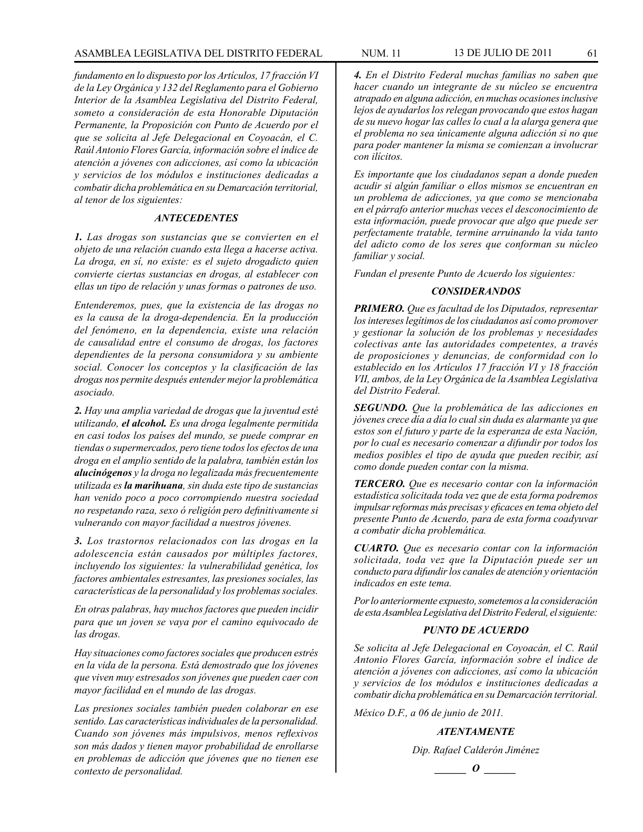*fundamento en lo dispuesto por los Artículos, 17 fracción VI de la Ley Orgánica y 132 del Reglamento para el Gobierno Interior de la Asamblea Legislativa del Distrito Federal, someto a consideración de esta Honorable Diputación Permanente, la Proposición con Punto de Acuerdo por el que se solicita al Jefe Delegacional en Coyoacán, el C. Raúl Antonio Flores García, información sobre el índice de atención a jóvenes con adicciones, así como la ubicación y servicios de los módulos e instituciones dedicadas a combatir dicha problemática en su Demarcación territorial, al tenor de los siguientes:*

### *ANTECEDENTES*

*1. Las drogas son sustancias que se convierten en el objeto de una relación cuando esta llega a hacerse activa. La droga, en sí, no existe: es el sujeto drogadicto quien convierte ciertas sustancias en drogas, al establecer con ellas un tipo de relación y unas formas o patrones de uso.*

*Entenderemos, pues, que la existencia de las drogas no es la causa de la droga-dependencia. En la producción del fenómeno, en la dependencia, existe una relación de causalidad entre el consumo de drogas, los factores dependientes de la persona consumidora y su ambiente social. Conocer los conceptos y la clasificación de las drogas nos permite después entender mejor la problemática asociado.* 

*2. Hay una amplia variedad de drogas que la juventud esté utilizando, el alcohol. Es una droga legalmente permitida en casi todos los países del mundo, se puede comprar en tiendas o supermercados, pero tiene todos los efectos de una droga en el amplio sentido de la palabra, también están los alucinógenos y la droga no legalizada más frecuentemente utilizada es la marihuana, sin duda este tipo de sustancias han venido poco a poco corrompiendo nuestra sociedad no respetando raza, sexo ó religión pero definitivamente si vulnerando con mayor facilidad a nuestros jóvenes.*

*3. Los trastornos relacionados con las drogas en la adolescencia están causados por múltiples factores, incluyendo los siguientes: la vulnerabilidad genética, los factores ambientales estresantes, las presiones sociales, las características de la personalidad y los problemas sociales.*

*En otras palabras, hay muchos factores que pueden incidir para que un joven se vaya por el camino equivocado de las drogas.* 

*Hay situaciones como factores sociales que producen estrés en la vida de la persona. Está demostrado que los jóvenes que viven muy estresados son jóvenes que pueden caer con mayor facilidad en el mundo de las drogas.* 

*Las presiones sociales también pueden colaborar en ese sentido. Las características individuales de la personalidad. Cuando son jóvenes más impulsivos, menos reflexivos son más dados y tienen mayor probabilidad de enrollarse en problemas de adicción que jóvenes que no tienen ese contexto de personalidad.*

*4. En el Distrito Federal muchas familias no saben que hacer cuando un integrante de su núcleo se encuentra atrapado en alguna adicción, en muchas ocasiones inclusive lejos de ayudarlos los relegan provocando que estos hagan de su nuevo hogar las calles lo cual a la alarga genera que el problema no sea únicamente alguna adicción si no que para poder mantener la misma se comienzan a involucrar con ilícitos.*

*Es importante que los ciudadanos sepan a donde pueden acudir si algún familiar o ellos mismos se encuentran en un problema de adicciones, ya que como se mencionaba en el párrafo anterior muchas veces el desconocimiento de esta información, puede provocar que algo que puede ser perfectamente tratable, termine arruinando la vida tanto del adicto como de los seres que conforman su núcleo familiar y social.*

*Fundan el presente Punto de Acuerdo los siguientes:*

# *CONSIDERANDOS*

*PRIMERO. Que es facultad de los Diputados, representar los intereses legítimos de los ciudadanos así como promover y gestionar la solución de los problemas y necesidades colectivas ante las autoridades competentes, a través de proposiciones y denuncias, de conformidad con lo establecido en los Artículos 17 fracción VI y 18 fracción VII, ambos, de la Ley Orgánica de la Asamblea Legislativa del Distrito Federal.*

*SEGUNDO. Que la problemática de las adicciones en jóvenes crece día a día lo cual sin duda es alarmante ya que estos son el futuro y parte de la esperanza de esta Nación, por lo cual es necesario comenzar a difundir por todos los medios posibles el tipo de ayuda que pueden recibir, así como donde pueden contar con la misma.*

*TERCERO. Que es necesario contar con la información estadística solicitada toda vez que de esta forma podremos impulsar reformas más precisas y eficaces en tema objeto del presente Punto de Acuerdo, para de esta forma coadyuvar a combatir dicha problemática.*

*CUARTO. Que es necesario contar con la información solicitada, toda vez que la Diputación puede ser un conducto para difundir los canales de atención y orientación indicados en este tema.*

*Por lo anteriormente expuesto, sometemos a la consideración de esta Asamblea Legislativa del Distrito Federal, el siguiente:* 

# *PUNTO DE ACUERDO*

*Se solicita al Jefe Delegacional en Coyoacán, el C. Raúl Antonio Flores García, información sobre el índice de atención a jóvenes con adicciones, así como la ubicación y servicios de los módulos e instituciones dedicadas a combatir dicha problemática en su Demarcación territorial.*

*México D.F., a 06 de junio de 2011.*

# *ATENTAMENTE*

*Dip. Rafael Calderón Jiménez*

$$
\underline{\hspace{1cm}}\quad o \underline{\hspace{1cm}}
$$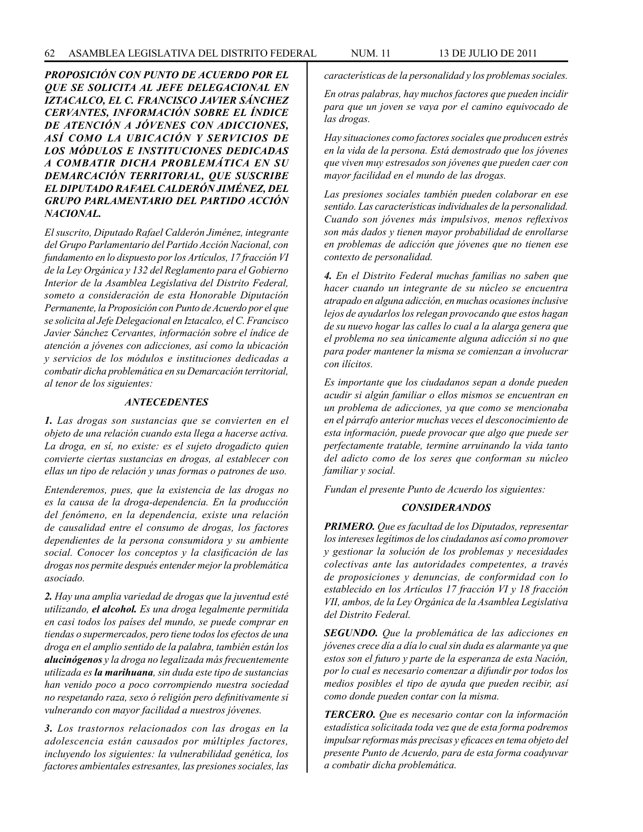*PROPOSICIÓN CON PUNTO DE ACUERDO POR EL QUE SE SOLICITA AL JEFE DELEGACIONAL EN IZTACALCO, EL C. FRANCISCO JAVIER SÁNCHEZ CERVANTES, INFORMACIÓN SOBRE EL ÍNDICE DE ATENCIÓN A JÓVENES CON ADICCIONES, ASÍ COMO LA UBICACIÓN Y SERVICIOS DE LOS MÓDULOS E INSTITUCIONES DEDICADAS A COMBATIR DICHA PROBLEMÁTICA EN SU DEMARCACIÓN TERRITORIAL, QUE SUSCRIBE EL DIPUTADO RAFAEL CALDERÓN JIMÉNEZ, DEL GRUPO PARLAMENTARIO DEL PARTIDO ACCIÓN NACIONAL.*

*El suscrito, Diputado Rafael Calderón Jiménez, integrante del Grupo Parlamentario del Partido Acción Nacional, con fundamento en lo dispuesto por los Artículos, 17 fracción VI de la Ley Orgánica y 132 del Reglamento para el Gobierno Interior de la Asamblea Legislativa del Distrito Federal, someto a consideración de esta Honorable Diputación Permanente, la Proposición con Punto de Acuerdo por el que se solicita al Jefe Delegacional en Iztacalco, el C. Francisco Javier Sánchez Cervantes, información sobre el índice de atención a jóvenes con adicciones, así como la ubicación y servicios de los módulos e instituciones dedicadas a combatir dicha problemática en su Demarcación territorial, al tenor de los siguientes:*

### *ANTECEDENTES*

*1. Las drogas son sustancias que se convierten en el objeto de una relación cuando esta llega a hacerse activa. La droga, en sí, no existe: es el sujeto drogadicto quien convierte ciertas sustancias en drogas, al establecer con ellas un tipo de relación y unas formas o patrones de uso.*

*Entenderemos, pues, que la existencia de las drogas no es la causa de la droga-dependencia. En la producción del fenómeno, en la dependencia, existe una relación de causalidad entre el consumo de drogas, los factores dependientes de la persona consumidora y su ambiente social. Conocer los conceptos y la clasificación de las drogas nos permite después entender mejor la problemática asociado.* 

*2. Hay una amplia variedad de drogas que la juventud esté utilizando, el alcohol. Es una droga legalmente permitida en casi todos los países del mundo, se puede comprar en tiendas o supermercados, pero tiene todos los efectos de una droga en el amplio sentido de la palabra, también están los alucinógenos y la droga no legalizada más frecuentemente utilizada es la marihuana, sin duda este tipo de sustancias han venido poco a poco corrompiendo nuestra sociedad no respetando raza, sexo ó religión pero definitivamente si vulnerando con mayor facilidad a nuestros jóvenes.*

*3. Los trastornos relacionados con las drogas en la adolescencia están causados por múltiples factores, incluyendo los siguientes: la vulnerabilidad genética, los factores ambientales estresantes, las presiones sociales, las* 

*características de la personalidad y los problemas sociales.*

*En otras palabras, hay muchos factores que pueden incidir para que un joven se vaya por el camino equivocado de las drogas.* 

*Hay situaciones como factores sociales que producen estrés en la vida de la persona. Está demostrado que los jóvenes que viven muy estresados son jóvenes que pueden caer con mayor facilidad en el mundo de las drogas.* 

*Las presiones sociales también pueden colaborar en ese sentido. Las características individuales de la personalidad. Cuando son jóvenes más impulsivos, menos reflexivos son más dados y tienen mayor probabilidad de enrollarse en problemas de adicción que jóvenes que no tienen ese contexto de personalidad.*

*4. En el Distrito Federal muchas familias no saben que hacer cuando un integrante de su núcleo se encuentra atrapado en alguna adicción, en muchas ocasiones inclusive lejos de ayudarlos los relegan provocando que estos hagan de su nuevo hogar las calles lo cual a la alarga genera que el problema no sea únicamente alguna adicción si no que para poder mantener la misma se comienzan a involucrar con ilícitos.*

*Es importante que los ciudadanos sepan a donde pueden acudir si algún familiar o ellos mismos se encuentran en un problema de adicciones, ya que como se mencionaba en el párrafo anterior muchas veces el desconocimiento de esta información, puede provocar que algo que puede ser perfectamente tratable, termine arruinando la vida tanto del adicto como de los seres que conforman su núcleo familiar y social.*

*Fundan el presente Punto de Acuerdo los siguientes:*

## *CONSIDERANDOS*

*PRIMERO. Que es facultad de los Diputados, representar los intereses legítimos de los ciudadanos así como promover y gestionar la solución de los problemas y necesidades colectivas ante las autoridades competentes, a través de proposiciones y denuncias, de conformidad con lo establecido en los Artículos 17 fracción VI y 18 fracción VII, ambos, de la Ley Orgánica de la Asamblea Legislativa del Distrito Federal.*

*SEGUNDO. Que la problemática de las adicciones en jóvenes crece día a día lo cual sin duda es alarmante ya que estos son el futuro y parte de la esperanza de esta Nación, por lo cual es necesario comenzar a difundir por todos los medios posibles el tipo de ayuda que pueden recibir, así como donde pueden contar con la misma.*

*TERCERO. Que es necesario contar con la información estadística solicitada toda vez que de esta forma podremos impulsar reformas más precisas y eficaces en tema objeto del presente Punto de Acuerdo, para de esta forma coadyuvar a combatir dicha problemática.*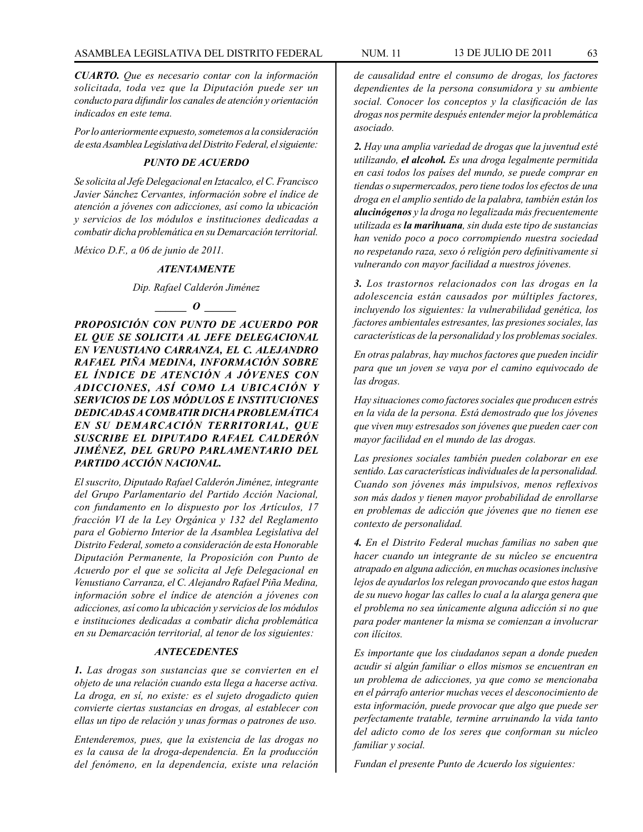*CUARTO. Que es necesario contar con la información solicitada, toda vez que la Diputación puede ser un conducto para difundir los canales de atención y orientación indicados en este tema.*

*Por lo anteriormente expuesto, sometemos a la consideración de esta Asamblea Legislativa del Distrito Federal, el siguiente:*

## *PUNTO DE ACUERDO*

*Se solicita al Jefe Delegacional en Iztacalco, el C. Francisco Javier Sánchez Cervantes, información sobre el índice de atención a jóvenes con adicciones, así como la ubicación y servicios de los módulos e instituciones dedicadas a combatir dicha problemática en su Demarcación territorial.*

*México D.F., a 06 de junio de 2011.*

### *ATENTAMENTE*

*Dip. Rafael Calderón Jiménez*

# $\bm{o}$

*PROPOSICIÓN CON PUNTO DE ACUERDO POR EL QUE SE SOLICITA AL JEFE DELEGACIONAL EN VENUSTIANO CARRANZA, EL C. ALEJANDRO RAFAEL PIÑA MEDINA, INFORMACIÓN SOBRE EL ÍNDICE DE ATENCIÓN A JÓVENES CON ADICCIONES, ASÍ COMO LA UBICACIÓN Y SERVICIOS DE LOS MÓDULOS E INSTITUCIONES DEDICADAS A COMBATIR DICHA PROBLEMÁTICA EN SU DEMARCACIÓN TERRITORIAL, QUE SUSCRIBE EL DIPUTADO RAFAEL CALDERÓN JIMÉNEZ, DEL GRUPO PARLAMENTARIO DEL PARTIDO ACCIÓN NACIONAL.*

*El suscrito, Diputado Rafael Calderón Jiménez, integrante del Grupo Parlamentario del Partido Acción Nacional, con fundamento en lo dispuesto por los Artículos, 17 fracción VI de la Ley Orgánica y 132 del Reglamento para el Gobierno Interior de la Asamblea Legislativa del Distrito Federal, someto a consideración de esta Honorable Diputación Permanente, la Proposición con Punto de Acuerdo por el que se solicita al Jefe Delegacional en Venustiano Carranza, el C. Alejandro Rafael Piña Medina, información sobre el índice de atención a jóvenes con adicciones, así como la ubicación y servicios de los módulos e instituciones dedicadas a combatir dicha problemática en su Demarcación territorial, al tenor de los siguientes:*

## *ANTECEDENTES*

*1. Las drogas son sustancias que se convierten en el objeto de una relación cuando esta llega a hacerse activa. La droga, en sí, no existe: es el sujeto drogadicto quien convierte ciertas sustancias en drogas, al establecer con ellas un tipo de relación y unas formas o patrones de uso.*

*Entenderemos, pues, que la existencia de las drogas no es la causa de la droga-dependencia. En la producción del fenómeno, en la dependencia, existe una relación*  *de causalidad entre el consumo de drogas, los factores dependientes de la persona consumidora y su ambiente social. Conocer los conceptos y la clasificación de las drogas nos permite después entender mejor la problemática asociado.* 

*2. Hay una amplia variedad de drogas que la juventud esté utilizando, el alcohol. Es una droga legalmente permitida en casi todos los países del mundo, se puede comprar en tiendas o supermercados, pero tiene todos los efectos de una droga en el amplio sentido de la palabra, también están los alucinógenos y la droga no legalizada más frecuentemente utilizada es la marihuana, sin duda este tipo de sustancias han venido poco a poco corrompiendo nuestra sociedad no respetando raza, sexo ó religión pero definitivamente si vulnerando con mayor facilidad a nuestros jóvenes.*

*3. Los trastornos relacionados con las drogas en la adolescencia están causados por múltiples factores, incluyendo los siguientes: la vulnerabilidad genética, los factores ambientales estresantes, las presiones sociales, las características de la personalidad y los problemas sociales.*

*En otras palabras, hay muchos factores que pueden incidir para que un joven se vaya por el camino equivocado de las drogas.* 

*Hay situaciones como factores sociales que producen estrés en la vida de la persona. Está demostrado que los jóvenes que viven muy estresados son jóvenes que pueden caer con mayor facilidad en el mundo de las drogas.* 

*Las presiones sociales también pueden colaborar en ese sentido. Las características individuales de la personalidad. Cuando son jóvenes más impulsivos, menos reflexivos son más dados y tienen mayor probabilidad de enrollarse en problemas de adicción que jóvenes que no tienen ese contexto de personalidad.*

*4. En el Distrito Federal muchas familias no saben que hacer cuando un integrante de su núcleo se encuentra atrapado en alguna adicción, en muchas ocasiones inclusive lejos de ayudarlos los relegan provocando que estos hagan de su nuevo hogar las calles lo cual a la alarga genera que el problema no sea únicamente alguna adicción si no que para poder mantener la misma se comienzan a involucrar con ilícitos.*

*Es importante que los ciudadanos sepan a donde pueden acudir si algún familiar o ellos mismos se encuentran en un problema de adicciones, ya que como se mencionaba en el párrafo anterior muchas veces el desconocimiento de esta información, puede provocar que algo que puede ser perfectamente tratable, termine arruinando la vida tanto del adicto como de los seres que conforman su núcleo familiar y social.*

*Fundan el presente Punto de Acuerdo los siguientes:*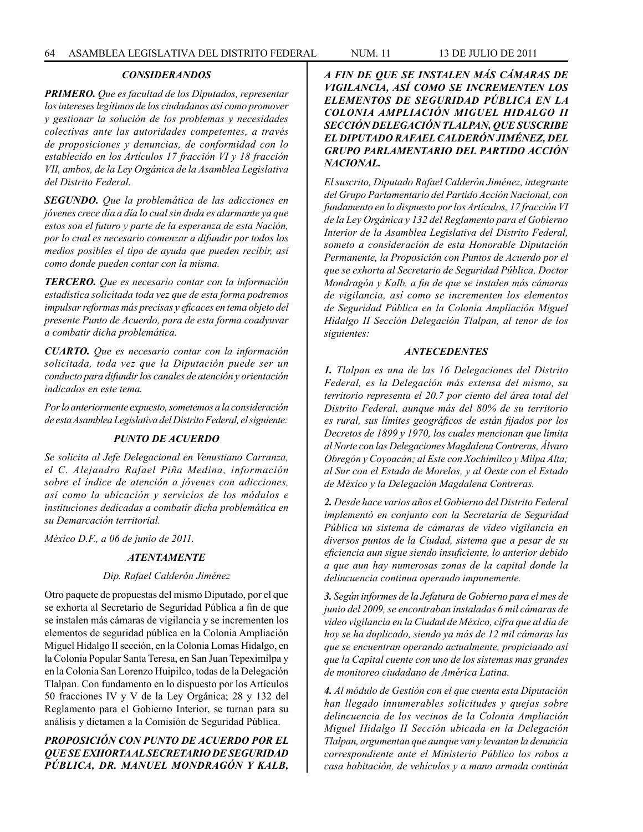### *CONSIDERANDOS*

*PRIMERO. Que es facultad de los Diputados, representar los intereses legítimos de los ciudadanos así como promover y gestionar la solución de los problemas y necesidades colectivas ante las autoridades competentes, a través de proposiciones y denuncias, de conformidad con lo establecido en los Artículos 17 fracción VI y 18 fracción VII, ambos, de la Ley Orgánica de la Asamblea Legislativa del Distrito Federal.*

*SEGUNDO. Que la problemática de las adicciones en jóvenes crece día a día lo cual sin duda es alarmante ya que estos son el futuro y parte de la esperanza de esta Nación, por lo cual es necesario comenzar a difundir por todos los medios posibles el tipo de ayuda que pueden recibir, así como donde pueden contar con la misma.*

*TERCERO. Que es necesario contar con la información estadística solicitada toda vez que de esta forma podremos impulsar reformas más precisas y eficaces en tema objeto del presente Punto de Acuerdo, para de esta forma coadyuvar a combatir dicha problemática.*

*CUARTO. Que es necesario contar con la información solicitada, toda vez que la Diputación puede ser un conducto para difundir los canales de atención y orientación indicados en este tema.*

*Por lo anteriormente expuesto, sometemos a la consideración de esta Asamblea Legislativa del Distrito Federal, el siguiente:* 

## *PUNTO DE ACUERDO*

*Se solicita al Jefe Delegacional en Venustiano Carranza, el C. Alejandro Rafael Piña Medina, información sobre el índice de atención a jóvenes con adicciones, así como la ubicación y servicios de los módulos e instituciones dedicadas a combatir dicha problemática en su Demarcación territorial.*

*México D.F., a 06 de junio de 2011.*

### *ATENTAMENTE*

### *Dip. Rafael Calderón Jiménez*

Otro paquete de propuestas del mismo Diputado, por el que se exhorta al Secretario de Seguridad Pública a fin de que se instalen más cámaras de vigilancia y se incrementen los elementos de seguridad pública en la Colonia Ampliación Miguel Hidalgo II sección, en la Colonia Lomas Hidalgo, en la Colonia Popular Santa Teresa, en San Juan Tepeximilpa y en la Colonia San Lorenzo Huipilco, todas de la Delegación Tlalpan. Con fundamento en lo dispuesto por los Artículos 50 fracciones IV y V de la Ley Orgánica; 28 y 132 del Reglamento para el Gobierno Interior, se turnan para su análisis y dictamen a la Comisión de Seguridad Pública.

# *PROPOSICIÓN CON PUNTO DE ACUERDO POR EL QUE SE EXHORTA AL SECRETARIO DE SEGURIDAD PÚBLICA, DR. MANUEL MONDRAGÓN Y KALB,*

*A FIN DE QUE SE INSTALEN MÁS CÁMARAS DE VIGILANCIA, ASÍ COMO SE INCREMENTEN LOS ELEMENTOS DE SEGURIDAD PÚBLICA EN LA COLONIA AMPLIACIÓN MIGUEL HIDALGO II SECCIÓN DELEGACIÓN TLALPAN, QUE SUSCRIBE EL DIPUTADO RAFAEL CALDERÓN JIMÉNEZ, DEL GRUPO PARLAMENTARIO DEL PARTIDO ACCIÓN NACIONAL.*

*El suscrito, Diputado Rafael Calderón Jiménez, integrante del Grupo Parlamentario del Partido Acción Nacional, con fundamento en lo dispuesto por los Artículos, 17 fracción VI de la Ley Orgánica y 132 del Reglamento para el Gobierno Interior de la Asamblea Legislativa del Distrito Federal, someto a consideración de esta Honorable Diputación Permanente, la Proposición con Puntos de Acuerdo por el que se exhorta al Secretario de Seguridad Pública, Doctor Mondragón y Kalb, a fin de que se instalen más cámaras de vigilancia, así como se incrementen los elementos de Seguridad Pública en la Colonia Ampliación Miguel Hidalgo II Sección Delegación Tlalpan, al tenor de los siguientes:*

### *ANTECEDENTES*

*1. Tlalpan es una de las 16 Delegaciones del Distrito Federal, es la Delegación más extensa del mismo, su territorio representa el 20.7 por ciento del área total del Distrito Federal, aunque más del 80% de su territorio es rural, sus límites geográficos de están fijados por los Decretos de 1899 y 1970, los cuales mencionan que limita al Norte con las Delegaciones Magdalena Contreras, Álvaro Obregón y Coyoacán; al Este con Xochimilco y Milpa Alta; al Sur con el Estado de Morelos, y al Oeste con el Estado de México y la Delegación Magdalena Contreras.*

*2. Desde hace varios años el Gobierno del Distrito Federal implementó en conjunto con la Secretaría de Seguridad Pública un sistema de cámaras de video vigilancia en diversos puntos de la Ciudad, sistema que a pesar de su eficiencia aun sigue siendo insuficiente, lo anterior debido a que aun hay numerosas zonas de la capital donde la delincuencia continua operando impunemente.*

*3. Según informes de la Jefatura de Gobierno para el mes de junio del 2009, se encontraban instaladas 6 mil cámaras de video vigilancia en la Ciudad de México, cifra que al día de hoy se ha duplicado, siendo ya más de 12 mil cámaras las que se encuentran operando actualmente, propiciando así que la Capital cuente con uno de los sistemas mas grandes de monitoreo ciudadano de América Latina.*

*4. Al módulo de Gestión con el que cuenta esta Diputación han llegado innumerables solicitudes y quejas sobre delincuencia de los vecinos de la Colonia Ampliación Miguel Hidalgo II Sección ubicada en la Delegación Tlalpan, argumentan que aunque van y levantan la denuncia correspondiente ante el Ministerio Público los robos a casa habitación, de vehículos y a mano armada continúa*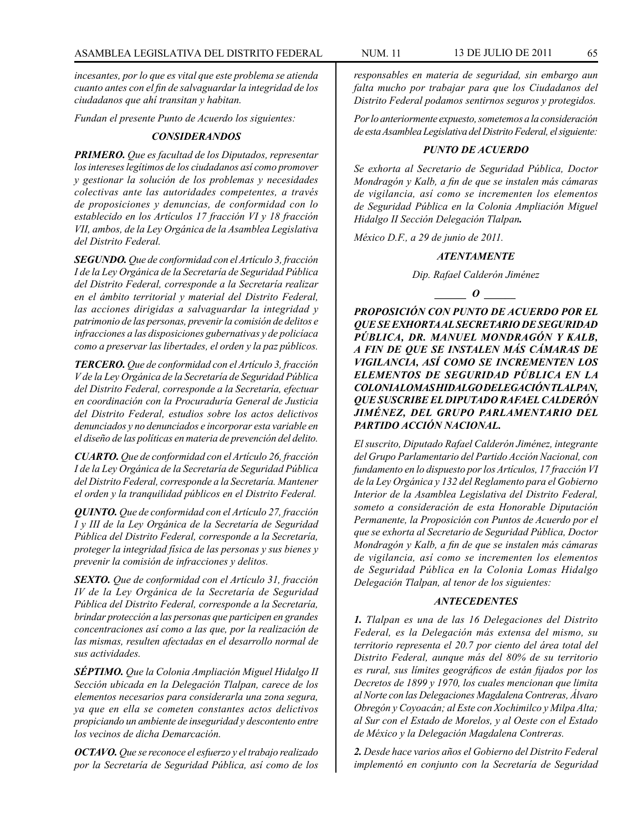*incesantes, por lo que es vital que este problema se atienda cuanto antes con el fin de salvaguardar la integridad de los ciudadanos que ahí transitan y habitan.*

*Fundan el presente Punto de Acuerdo los siguientes:* 

### *CONSIDERANDOS*

*PRIMERO. Que es facultad de los Diputados, representar los intereses legítimos de los ciudadanos así como promover y gestionar la solución de los problemas y necesidades colectivas ante las autoridades competentes, a través de proposiciones y denuncias, de conformidad con lo establecido en los Artículos 17 fracción VI y 18 fracción VII, ambos, de la Ley Orgánica de la Asamblea Legislativa del Distrito Federal.* 

*SEGUNDO. Que de conformidad con el Artículo 3, fracción I de la Ley Orgánica de la Secretaría de Seguridad Pública del Distrito Federal, corresponde a la Secretaría realizar en el ámbito territorial y material del Distrito Federal, las acciones dirigidas a salvaguardar la integridad y patrimonio de las personas, prevenir la comisión de delitos e infracciones a las disposiciones gubernativas y de policíaca como a preservar las libertades, el orden y la paz públicos.*

*TERCERO. Que de conformidad con el Artículo 3, fracción V de la Ley Orgánica de la Secretaría de Seguridad Pública del Distrito Federal, corresponde a la Secretaría, efectuar en coordinación con la Procuraduría General de Justicia del Distrito Federal, estudios sobre los actos delictivos denunciados y no denunciados e incorporar esta variable en el diseño de las políticas en materia de prevención del delito.*

*CUARTO. Que de conformidad con el Artículo 26, fracción I de la Ley Orgánica de la Secretaría de Seguridad Pública del Distrito Federal, corresponde a la Secretaría. Mantener el orden y la tranquilidad públicos en el Distrito Federal.*

*QUINTO. Que de conformidad con el Artículo 27, fracción I y III de la Ley Orgánica de la Secretaría de Seguridad Pública del Distrito Federal, corresponde a la Secretaría, proteger la integridad física de las personas y sus bienes y prevenir la comisión de infracciones y delitos.*

*SEXTO. Que de conformidad con el Artículo 31, fracción IV de la Ley Orgánica de la Secretaría de Seguridad Pública del Distrito Federal, corresponde a la Secretaría, brindar protección a las personas que participen en grandes concentraciones así como a las que, por la realización de las mismas, resulten afectadas en el desarrollo normal de sus actividades.*

*SÉPTIMO. Que la Colonia Ampliación Miguel Hidalgo II Sección ubicada en la Delegación Tlalpan, carece de los elementos necesarios para considerarla una zona segura, ya que en ella se cometen constantes actos delictivos propiciando un ambiente de inseguridad y descontento entre los vecinos de dicha Demarcación.* 

*OCTAVO. Que se reconoce el esfuerzo y el trabajo realizado por la Secretaría de Seguridad Pública, así como de los* 

*responsables en materia de seguridad, sin embargo aun falta mucho por trabajar para que los Ciudadanos del Distrito Federal podamos sentirnos seguros y protegidos.*

*Por lo anteriormente expuesto, sometemos a la consideración de esta Asamblea Legislativa del Distrito Federal, el siguiente:* 

## *PUNTO DE ACUERDO*

*Se exhorta al Secretario de Seguridad Pública, Doctor Mondragón y Kalb, a fin de que se instalen más cámaras de vigilancia, así como se incrementen los elementos de Seguridad Pública en la Colonia Ampliación Miguel Hidalgo II Sección Delegación Tlalpan.*

*México D.F., a 29 de junio de 2011.*

### *ATENTAMENTE*

*Dip. Rafael Calderón Jiménez*

*o*  $\theta$ 

*PROPOSICIÓN CON PUNTO DE ACUERDO POR EL QUE SE EXHORTA AL SECRETARIO DE SEGURIDAD PÚBLICA, DR. MANUEL MONDRAGÓN Y KALB, A FIN DE QUE SE INSTALEN MÁS CÁMARAS DE VIGILANCIA, ASÍ COMO SE INCREMENTEN LOS ELEMENTOS DE SEGURIDAD PÚBLICA EN LA COLONIA LOMAS HIDALGO DELEGACIÓN TLALPAN, QUE SUSCRIBE EL DIPUTADO RAFAEL CALDERÓN JIMÉNEZ, DEL GRUPO PARLAMENTARIO DEL PARTIDO ACCIÓN NACIONAL.*

*El suscrito, Diputado Rafael Calderón Jiménez, integrante del Grupo Parlamentario del Partido Acción Nacional, con fundamento en lo dispuesto por los Artículos, 17 fracción VI de la Ley Orgánica y 132 del Reglamento para el Gobierno Interior de la Asamblea Legislativa del Distrito Federal, someto a consideración de esta Honorable Diputación Permanente, la Proposición con Puntos de Acuerdo por el que se exhorta al Secretario de Seguridad Pública, Doctor Mondragón y Kalb, a fin de que se instalen más cámaras de vigilancia, así como se incrementen los elementos de Seguridad Pública en la Colonia Lomas Hidalgo Delegación Tlalpan, al tenor de los siguientes:*

# *ANTECEDENTES*

*1. Tlalpan es una de las 16 Delegaciones del Distrito Federal, es la Delegación más extensa del mismo, su territorio representa el 20.7 por ciento del área total del Distrito Federal, aunque más del 80% de su territorio es rural, sus límites geográficos de están fijados por los Decretos de 1899 y 1970, los cuales mencionan que limita al Norte con las Delegaciones Magdalena Contreras, Álvaro Obregón y Coyoacán; al Este con Xochimilco y Milpa Alta; al Sur con el Estado de Morelos, y al Oeste con el Estado de México y la Delegación Magdalena Contreras.*

*2. Desde hace varios años el Gobierno del Distrito Federal implementó en conjunto con la Secretaría de Seguridad*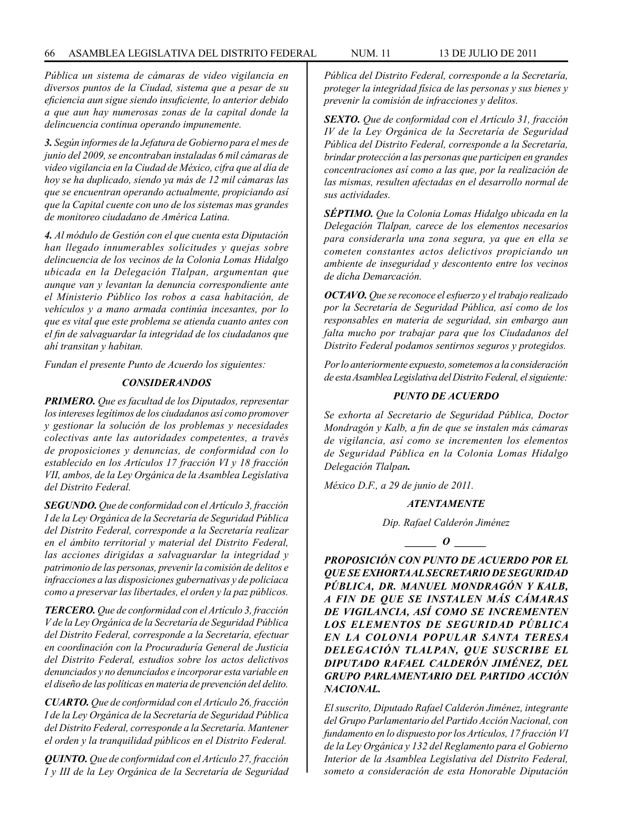*Pública un sistema de cámaras de video vigilancia en diversos puntos de la Ciudad, sistema que a pesar de su eficiencia aun sigue siendo insuficiente, lo anterior debido a que aun hay numerosas zonas de la capital donde la delincuencia continua operando impunemente.*

*3. Según informes de la Jefatura de Gobierno para el mes de junio del 2009, se encontraban instaladas 6 mil cámaras de video vigilancia en la Ciudad de México, cifra que al día de hoy se ha duplicado, siendo ya más de 12 mil cámaras las que se encuentran operando actualmente, propiciando así que la Capital cuente con uno de los sistemas mas grandes de monitoreo ciudadano de América Latina.*

*4. Al módulo de Gestión con el que cuenta esta Diputación han llegado innumerables solicitudes y quejas sobre delincuencia de los vecinos de la Colonia Lomas Hidalgo ubicada en la Delegación Tlalpan, argumentan que aunque van y levantan la denuncia correspondiente ante el Ministerio Público los robos a casa habitación, de vehículos y a mano armada continúa incesantes, por lo que es vital que este problema se atienda cuanto antes con el fin de salvaguardar la integridad de los ciudadanos que ahí transitan y habitan.*

*Fundan el presente Punto de Acuerdo los siguientes:* 

### *CONSIDERANDOS*

*PRIMERO. Que es facultad de los Diputados, representar los intereses legítimos de los ciudadanos así como promover y gestionar la solución de los problemas y necesidades colectivas ante las autoridades competentes, a través de proposiciones y denuncias, de conformidad con lo establecido en los Artículos 17 fracción VI y 18 fracción VII, ambos, de la Ley Orgánica de la Asamblea Legislativa del Distrito Federal.* 

*SEGUNDO. Que de conformidad con el Artículo 3, fracción I de la Ley Orgánica de la Secretaría de Seguridad Pública del Distrito Federal, corresponde a la Secretaría realizar en el ámbito territorial y material del Distrito Federal, las acciones dirigidas a salvaguardar la integridad y patrimonio de las personas, prevenir la comisión de delitos e infracciones a las disposiciones gubernativas y de policíaca como a preservar las libertades, el orden y la paz públicos.*

*TERCERO. Que de conformidad con el Artículo 3, fracción V de la Ley Orgánica de la Secretaría de Seguridad Pública del Distrito Federal, corresponde a la Secretaría, efectuar en coordinación con la Procuraduría General de Justicia del Distrito Federal, estudios sobre los actos delictivos denunciados y no denunciados e incorporar esta variable en el diseño de las políticas en materia de prevención del delito.*

*CUARTO. Que de conformidad con el Artículo 26, fracción I de la Ley Orgánica de la Secretaría de Seguridad Pública del Distrito Federal, corresponde a la Secretaría. Mantener el orden y la tranquilidad públicos en el Distrito Federal.*

*QUINTO. Que de conformidad con el Artículo 27, fracción I y III de la Ley Orgánica de la Secretaría de Seguridad*  *Pública del Distrito Federal, corresponde a la Secretaría, proteger la integridad física de las personas y sus bienes y prevenir la comisión de infracciones y delitos.*

*SEXTO. Que de conformidad con el Artículo 31, fracción IV de la Ley Orgánica de la Secretaría de Seguridad Pública del Distrito Federal, corresponde a la Secretaría, brindar protección a las personas que participen en grandes concentraciones así como a las que, por la realización de las mismas, resulten afectadas en el desarrollo normal de sus actividades.*

*SÉPTIMO. Que la Colonia Lomas Hidalgo ubicada en la Delegación Tlalpan, carece de los elementos necesarios para considerarla una zona segura, ya que en ella se cometen constantes actos delictivos propiciando un ambiente de inseguridad y descontento entre los vecinos de dicha Demarcación.* 

*OCTAVO. Que se reconoce el esfuerzo y el trabajo realizado por la Secretaría de Seguridad Pública, así como de los responsables en materia de seguridad, sin embargo aun falta mucho por trabajar para que los Ciudadanos del Distrito Federal podamos sentirnos seguros y protegidos.*

*Por lo anteriormente expuesto, sometemos a la consideración de esta Asamblea Legislativa del Distrito Federal, el siguiente:* 

### *PUNTO DE ACUERDO*

*Se exhorta al Secretario de Seguridad Pública, Doctor Mondragón y Kalb, a fin de que se instalen más cámaras de vigilancia, así como se incrementen los elementos de Seguridad Pública en la Colonia Lomas Hidalgo Delegación Tlalpan.*

*México D.F., a 29 de junio de 2011.*

#### *ATENTAMENTE*

*Dip. Rafael Calderón Jiménez*

 $\overline{\phantom{a}}$   $\overline{\phantom{a}}$   $\overline{\phantom{a}}$   $\overline{\phantom{a}}$   $\overline{\phantom{a}}$   $\overline{\phantom{a}}$   $\overline{\phantom{a}}$   $\overline{\phantom{a}}$   $\overline{\phantom{a}}$   $\overline{\phantom{a}}$   $\overline{\phantom{a}}$   $\overline{\phantom{a}}$   $\overline{\phantom{a}}$   $\overline{\phantom{a}}$   $\overline{\phantom{a}}$   $\overline{\phantom{a}}$   $\overline{\phantom{a}}$   $\overline{\phantom{a}}$   $\overline{\$ 

*PROPOSICIÓN CON PUNTO DE ACUERDO POR EL QUE SE EXHORTA AL SECRETARIO DE SEGURIDAD PÚBLICA, DR. MANUEL MONDRAGÓN Y KALB, A FIN DE QUE SE INSTALEN MÁS CÁMARAS DE VIGILANCIA, ASÍ COMO SE INCREMENTEN LOS ELEMENTOS DE SEGURIDAD PÚBLICA EN LA COLONIA POPULAR SANTA TERESA DELEGACIÓN TLALPAN, QUE SUSCRIBE EL DIPUTADO RAFAEL CALDERÓN JIMÉNEZ, DEL GRUPO PARLAMENTARIO DEL PARTIDO ACCIÓN NACIONAL.*

*El suscrito, Diputado Rafael Calderón Jiménez, integrante del Grupo Parlamentario del Partido Acción Nacional, con fundamento en lo dispuesto por los Artículos, 17 fracción VI de la Ley Orgánica y 132 del Reglamento para el Gobierno Interior de la Asamblea Legislativa del Distrito Federal, someto a consideración de esta Honorable Diputación*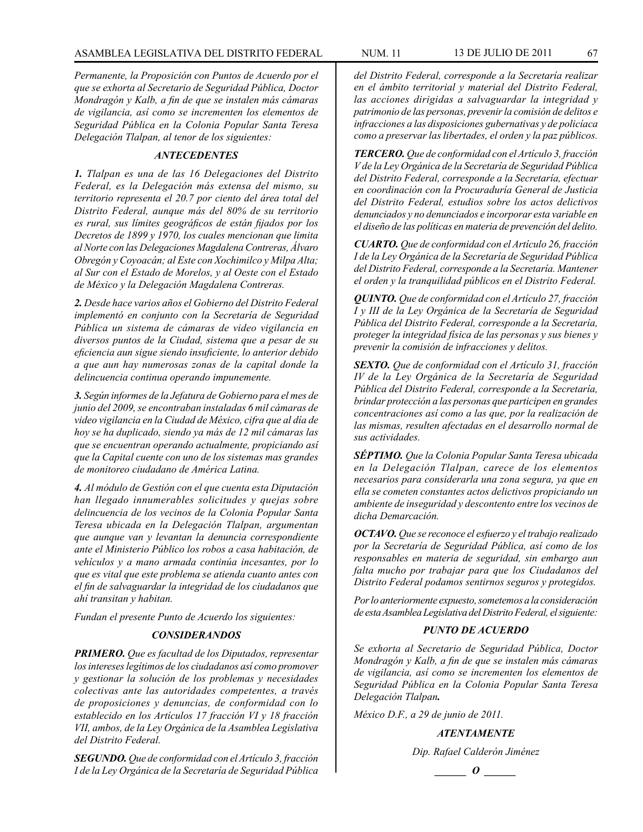*Permanente, la Proposición con Puntos de Acuerdo por el que se exhorta al Secretario de Seguridad Pública, Doctor Mondragón y Kalb, a fin de que se instalen más cámaras de vigilancia, así como se incrementen los elementos de Seguridad Pública en la Colonia Popular Santa Teresa Delegación Tlalpan, al tenor de los siguientes:*

# *ANTECEDENTES*

*1. Tlalpan es una de las 16 Delegaciones del Distrito Federal, es la Delegación más extensa del mismo, su territorio representa el 20.7 por ciento del área total del Distrito Federal, aunque más del 80% de su territorio es rural, sus límites geográficos de están fijados por los Decretos de 1899 y 1970, los cuales mencionan que limita al Norte con las Delegaciones Magdalena Contreras, Álvaro Obregón y Coyoacán; al Este con Xochimilco y Milpa Alta; al Sur con el Estado de Morelos, y al Oeste con el Estado de México y la Delegación Magdalena Contreras.*

*2. Desde hace varios años el Gobierno del Distrito Federal implementó en conjunto con la Secretaría de Seguridad Pública un sistema de cámaras de video vigilancia en diversos puntos de la Ciudad, sistema que a pesar de su eficiencia aun sigue siendo insuficiente, lo anterior debido a que aun hay numerosas zonas de la capital donde la delincuencia continua operando impunemente.*

*3. Según informes de la Jefatura de Gobierno para el mes de junio del 2009, se encontraban instaladas 6 mil cámaras de video vigilancia en la Ciudad de México, cifra que al día de hoy se ha duplicado, siendo ya más de 12 mil cámaras las que se encuentran operando actualmente, propiciando así que la Capital cuente con uno de los sistemas mas grandes de monitoreo ciudadano de América Latina.*

*4. Al módulo de Gestión con el que cuenta esta Diputación han llegado innumerables solicitudes y quejas sobre delincuencia de los vecinos de la Colonia Popular Santa Teresa ubicada en la Delegación Tlalpan, argumentan que aunque van y levantan la denuncia correspondiente ante el Ministerio Público los robos a casa habitación, de vehículos y a mano armada continúa incesantes, por lo que es vital que este problema se atienda cuanto antes con el fin de salvaguardar la integridad de los ciudadanos que ahí transitan y habitan.*

*Fundan el presente Punto de Acuerdo los siguientes:* 

# *CONSIDERANDOS*

*PRIMERO. Que es facultad de los Diputados, representar los intereses legítimos de los ciudadanos así como promover y gestionar la solución de los problemas y necesidades colectivas ante las autoridades competentes, a través de proposiciones y denuncias, de conformidad con lo establecido en los Artículos 17 fracción VI y 18 fracción VII, ambos, de la Ley Orgánica de la Asamblea Legislativa del Distrito Federal.* 

*SEGUNDO. Que de conformidad con el Artículo 3, fracción I de la Ley Orgánica de la Secretaría de Seguridad Pública*  *del Distrito Federal, corresponde a la Secretaría realizar en el ámbito territorial y material del Distrito Federal, las acciones dirigidas a salvaguardar la integridad y patrimonio de las personas, prevenir la comisión de delitos e infracciones a las disposiciones gubernativas y de policíaca como a preservar las libertades, el orden y la paz públicos.*

*TERCERO. Que de conformidad con el Artículo 3, fracción V de la Ley Orgánica de la Secretaría de Seguridad Pública del Distrito Federal, corresponde a la Secretaría, efectuar en coordinación con la Procuraduría General de Justicia del Distrito Federal, estudios sobre los actos delictivos denunciados y no denunciados e incorporar esta variable en el diseño de las políticas en materia de prevención del delito.*

*CUARTO. Que de conformidad con el Artículo 26, fracción I de la Ley Orgánica de la Secretaría de Seguridad Pública del Distrito Federal, corresponde a la Secretaría. Mantener el orden y la tranquilidad públicos en el Distrito Federal.*

*QUINTO. Que de conformidad con el Artículo 27, fracción I y III de la Ley Orgánica de la Secretaría de Seguridad Pública del Distrito Federal, corresponde a la Secretaría, proteger la integridad física de las personas y sus bienes y prevenir la comisión de infracciones y delitos.*

*SEXTO. Que de conformidad con el Artículo 31, fracción IV de la Ley Orgánica de la Secretaría de Seguridad Pública del Distrito Federal, corresponde a la Secretaría, brindar protección a las personas que participen en grandes concentraciones así como a las que, por la realización de las mismas, resulten afectadas en el desarrollo normal de sus actividades.*

*SÉPTIMO. Que la Colonia Popular Santa Teresa ubicada en la Delegación Tlalpan, carece de los elementos necesarios para considerarla una zona segura, ya que en ella se cometen constantes actos delictivos propiciando un ambiente de inseguridad y descontento entre los vecinos de dicha Demarcación.* 

*OCTAVO. Que se reconoce el esfuerzo y el trabajo realizado por la Secretaría de Seguridad Pública, así como de los responsables en materia de seguridad, sin embargo aun falta mucho por trabajar para que los Ciudadanos del Distrito Federal podamos sentirnos seguros y protegidos.*

*Por lo anteriormente expuesto, sometemos a la consideración de esta Asamblea Legislativa del Distrito Federal, el siguiente:* 

## *PUNTO DE ACUERDO*

*Se exhorta al Secretario de Seguridad Pública, Doctor Mondragón y Kalb, a fin de que se instalen más cámaras de vigilancia, así como se incrementen los elementos de Seguridad Pública en la Colonia Popular Santa Teresa Delegación Tlalpan.*

*México D.F., a 29 de junio de 2011.*

*ATENTAMENTE*

*Dip. Rafael Calderón Jiménez*

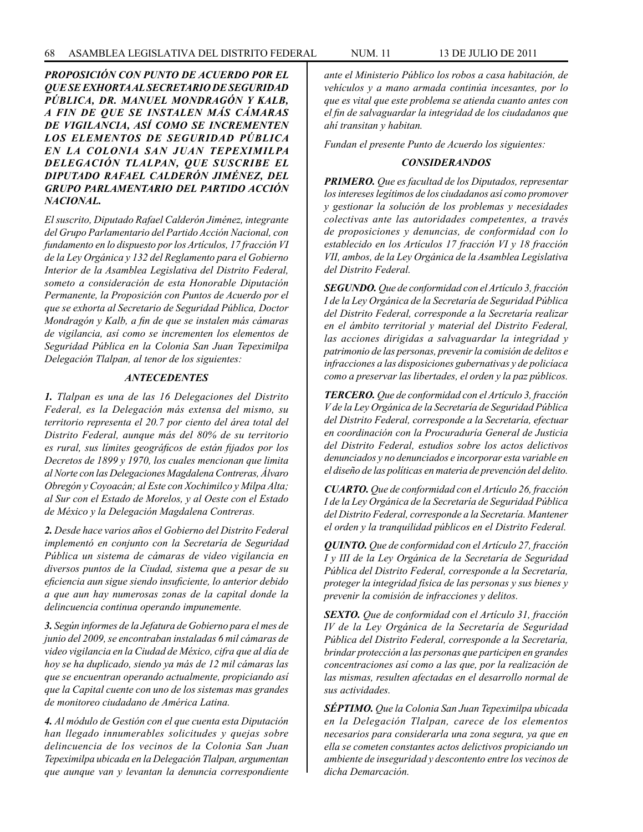*PROPOSICIÓN CON PUNTO DE ACUERDO POR EL QUE SE EXHORTA AL SECRETARIO DE SEGURIDAD PÚBLICA, DR. MANUEL MONDRAGÓN Y KALB, A FIN DE QUE SE INSTALEN MÁS CÁMARAS DE VIGILANCIA, ASÍ COMO SE INCREMENTEN LOS ELEMENTOS DE SEGURIDAD PÚBLICA EN LA COLONIA SAN JUAN TEPEXIMILPA DELEGACIÓN TLALPAN, QUE SUSCRIBE EL DIPUTADO RAFAEL CALDERÓN JIMÉNEZ, DEL GRUPO PARLAMENTARIO DEL PARTIDO ACCIÓN NACIONAL.*

*El suscrito, Diputado Rafael Calderón Jiménez, integrante del Grupo Parlamentario del Partido Acción Nacional, con fundamento en lo dispuesto por los Artículos, 17 fracción VI de la Ley Orgánica y 132 del Reglamento para el Gobierno Interior de la Asamblea Legislativa del Distrito Federal, someto a consideración de esta Honorable Diputación Permanente, la Proposición con Puntos de Acuerdo por el que se exhorta al Secretario de Seguridad Pública, Doctor Mondragón y Kalb, a fin de que se instalen más cámaras de vigilancia, así como se incrementen los elementos de Seguridad Pública en la Colonia San Juan Tepeximilpa Delegación Tlalpan, al tenor de los siguientes:*

## *ANTECEDENTES*

*1. Tlalpan es una de las 16 Delegaciones del Distrito Federal, es la Delegación más extensa del mismo, su territorio representa el 20.7 por ciento del área total del Distrito Federal, aunque más del 80% de su territorio es rural, sus límites geográficos de están fijados por los Decretos de 1899 y 1970, los cuales mencionan que limita al Norte con las Delegaciones Magdalena Contreras, Álvaro Obregón y Coyoacán; al Este con Xochimilco y Milpa Alta; al Sur con el Estado de Morelos, y al Oeste con el Estado de México y la Delegación Magdalena Contreras.*

*2. Desde hace varios años el Gobierno del Distrito Federal implementó en conjunto con la Secretaría de Seguridad Pública un sistema de cámaras de video vigilancia en diversos puntos de la Ciudad, sistema que a pesar de su eficiencia aun sigue siendo insuficiente, lo anterior debido a que aun hay numerosas zonas de la capital donde la delincuencia continua operando impunemente.*

*3. Según informes de la Jefatura de Gobierno para el mes de junio del 2009, se encontraban instaladas 6 mil cámaras de video vigilancia en la Ciudad de México, cifra que al día de hoy se ha duplicado, siendo ya más de 12 mil cámaras las que se encuentran operando actualmente, propiciando así que la Capital cuente con uno de los sistemas mas grandes de monitoreo ciudadano de América Latina.*

*4. Al módulo de Gestión con el que cuenta esta Diputación han llegado innumerables solicitudes y quejas sobre delincuencia de los vecinos de la Colonia San Juan Tepeximilpa ubicada en la Delegación Tlalpan, argumentan que aunque van y levantan la denuncia correspondiente* 

*ante el Ministerio Público los robos a casa habitación, de vehículos y a mano armada continúa incesantes, por lo que es vital que este problema se atienda cuanto antes con el fin de salvaguardar la integridad de los ciudadanos que ahí transitan y habitan.*

*Fundan el presente Punto de Acuerdo los siguientes:* 

## *CONSIDERANDOS*

*PRIMERO. Que es facultad de los Diputados, representar los intereses legítimos de los ciudadanos así como promover y gestionar la solución de los problemas y necesidades colectivas ante las autoridades competentes, a través de proposiciones y denuncias, de conformidad con lo establecido en los Artículos 17 fracción VI y 18 fracción VII, ambos, de la Ley Orgánica de la Asamblea Legislativa del Distrito Federal.* 

*SEGUNDO. Que de conformidad con el Artículo 3, fracción I de la Ley Orgánica de la Secretaría de Seguridad Pública del Distrito Federal, corresponde a la Secretaría realizar en el ámbito territorial y material del Distrito Federal, las acciones dirigidas a salvaguardar la integridad y patrimonio de las personas, prevenir la comisión de delitos e infracciones a las disposiciones gubernativas y de policíaca como a preservar las libertades, el orden y la paz públicos.*

*TERCERO. Que de conformidad con el Artículo 3, fracción V de la Ley Orgánica de la Secretaría de Seguridad Pública del Distrito Federal, corresponde a la Secretaría, efectuar en coordinación con la Procuraduría General de Justicia del Distrito Federal, estudios sobre los actos delictivos denunciados y no denunciados e incorporar esta variable en el diseño de las políticas en materia de prevención del delito.*

*CUARTO. Que de conformidad con el Artículo 26, fracción I de la Ley Orgánica de la Secretaría de Seguridad Pública del Distrito Federal, corresponde a la Secretaría. Mantener el orden y la tranquilidad públicos en el Distrito Federal.*

*QUINTO. Que de conformidad con el Artículo 27, fracción I y III de la Ley Orgánica de la Secretaría de Seguridad Pública del Distrito Federal, corresponde a la Secretaría, proteger la integridad física de las personas y sus bienes y prevenir la comisión de infracciones y delitos.*

*SEXTO. Que de conformidad con el Artículo 31, fracción IV de la Ley Orgánica de la Secretaría de Seguridad Pública del Distrito Federal, corresponde a la Secretaría, brindar protección a las personas que participen en grandes concentraciones así como a las que, por la realización de las mismas, resulten afectadas en el desarrollo normal de sus actividades.*

*SÉPTIMO. Que la Colonia San Juan Tepeximilpa ubicada en la Delegación Tlalpan, carece de los elementos necesarios para considerarla una zona segura, ya que en ella se cometen constantes actos delictivos propiciando un ambiente de inseguridad y descontento entre los vecinos de dicha Demarcación.*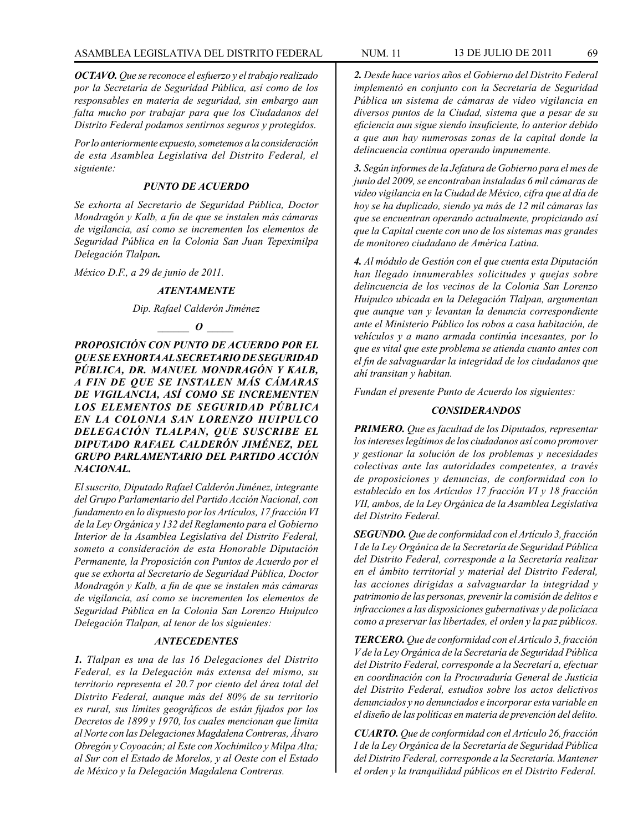*OCTAVO. Que se reconoce el esfuerzo y el trabajo realizado por la Secretaría de Seguridad Pública, así como de los responsables en materia de seguridad, sin embargo aun falta mucho por trabajar para que los Ciudadanos del Distrito Federal podamos sentirnos seguros y protegidos.*

*Por lo anteriormente expuesto, sometemos a la consideración de esta Asamblea Legislativa del Distrito Federal, el siguiente:* 

# *PUNTO DE ACUERDO*

*Se exhorta al Secretario de Seguridad Pública, Doctor Mondragón y Kalb, a fin de que se instalen más cámaras de vigilancia, así como se incrementen los elementos de Seguridad Pública en la Colonia San Juan Tepeximilpa Delegación Tlalpan.*

*México D.F., a 29 de junio de 2011.*

### *ATENTAMENTE*

### *Dip. Rafael Calderón Jiménez*

### *\_\_\_\_\_\_ O \_\_\_\_\_*

*PROPOSICIÓN CON PUNTO DE ACUERDO POR EL QUE SE EXHORTA AL SECRETARIO DE SEGURIDAD PÚBLICA, DR. MANUEL MONDRAGÓN Y KALB, A FIN DE QUE SE INSTALEN MÁS CÁMARAS DE VIGILANCIA, ASÍ COMO SE INCREMENTEN LOS ELEMENTOS DE SEGURIDAD PÚBLICA EN LA COLONIA SAN LORENZO HUIPULCO DELEGACIÓN TLALPAN, QUE SUSCRIBE EL DIPUTADO RAFAEL CALDERÓN JIMÉNEZ, DEL GRUPO PARLAMENTARIO DEL PARTIDO ACCIÓN NACIONAL.*

*El suscrito, Diputado Rafael Calderón Jiménez, integrante del Grupo Parlamentario del Partido Acción Nacional, con fundamento en lo dispuesto por los Artículos, 17 fracción VI de la Ley Orgánica y 132 del Reglamento para el Gobierno Interior de la Asamblea Legislativa del Distrito Federal, someto a consideración de esta Honorable Diputación Permanente, la Proposición con Puntos de Acuerdo por el que se exhorta al Secretario de Seguridad Pública, Doctor Mondragón y Kalb, a fin de que se instalen más cámaras de vigilancia, así como se incrementen los elementos de Seguridad Pública en la Colonia San Lorenzo Huipulco Delegación Tlalpan, al tenor de los siguientes:*

# *ANTECEDENTES*

*1. Tlalpan es una de las 16 Delegaciones del Distrito Federal, es la Delegación más extensa del mismo, su territorio representa el 20.7 por ciento del área total del Distrito Federal, aunque más del 80% de su territorio es rural, sus límites geográficos de están fijados por los Decretos de 1899 y 1970, los cuales mencionan que limita al Norte con las Delegaciones Magdalena Contreras, Álvaro Obregón y Coyoacán; al Este con Xochimilco y Milpa Alta; al Sur con el Estado de Morelos, y al Oeste con el Estado de México y la Delegación Magdalena Contreras.*

*2. Desde hace varios años el Gobierno del Distrito Federal implementó en conjunto con la Secretaría de Seguridad Pública un sistema de cámaras de video vigilancia en diversos puntos de la Ciudad, sistema que a pesar de su eficiencia aun sigue siendo insuficiente, lo anterior debido a que aun hay numerosas zonas de la capital donde la delincuencia continua operando impunemente.*

*3. Según informes de la Jefatura de Gobierno para el mes de junio del 2009, se encontraban instaladas 6 mil cámaras de video vigilancia en la Ciudad de México, cifra que al día de hoy se ha duplicado, siendo ya más de 12 mil cámaras las que se encuentran operando actualmente, propiciando así que la Capital cuente con uno de los sistemas mas grandes de monitoreo ciudadano de América Latina.*

*4. Al módulo de Gestión con el que cuenta esta Diputación han llegado innumerables solicitudes y quejas sobre delincuencia de los vecinos de la Colonia San Lorenzo Huipulco ubicada en la Delegación Tlalpan, argumentan que aunque van y levantan la denuncia correspondiente ante el Ministerio Público los robos a casa habitación, de vehículos y a mano armada continúa incesantes, por lo que es vital que este problema se atienda cuanto antes con el fin de salvaguardar la integridad de los ciudadanos que ahí transitan y habitan.*

*Fundan el presente Punto de Acuerdo los siguientes:* 

## *CONSIDERANDOS*

*PRIMERO. Que es facultad de los Diputados, representar los intereses legítimos de los ciudadanos así como promover y gestionar la solución de los problemas y necesidades colectivas ante las autoridades competentes, a través de proposiciones y denuncias, de conformidad con lo establecido en los Artículos 17 fracción VI y 18 fracción VII, ambos, de la Ley Orgánica de la Asamblea Legislativa del Distrito Federal.* 

*SEGUNDO. Que de conformidad con el Artículo 3, fracción I de la Ley Orgánica de la Secretaría de Seguridad Pública del Distrito Federal, corresponde a la Secretaría realizar en el ámbito territorial y material del Distrito Federal, las acciones dirigidas a salvaguardar la integridad y patrimonio de las personas, prevenir la comisión de delitos e infracciones a las disposiciones gubernativas y de policíaca como a preservar las libertades, el orden y la paz públicos.*

*TERCERO. Que de conformidad con el Artículo 3, fracción V de la Ley Orgánica de la Secretaría de Seguridad Pública del Distrito Federal, corresponde a la Secretarí a, efectuar en coordinación con la Procuraduría General de Justicia del Distrito Federal, estudios sobre los actos delictivos denunciados y no denunciados e incorporar esta variable en el diseño de las políticas en materia de prevención del delito.*

*CUARTO. Que de conformidad con el Artículo 26, fracción I de la Ley Orgánica de la Secretaría de Seguridad Pública del Distrito Federal, corresponde a la Secretaría. Mantener el orden y la tranquilidad públicos en el Distrito Federal.*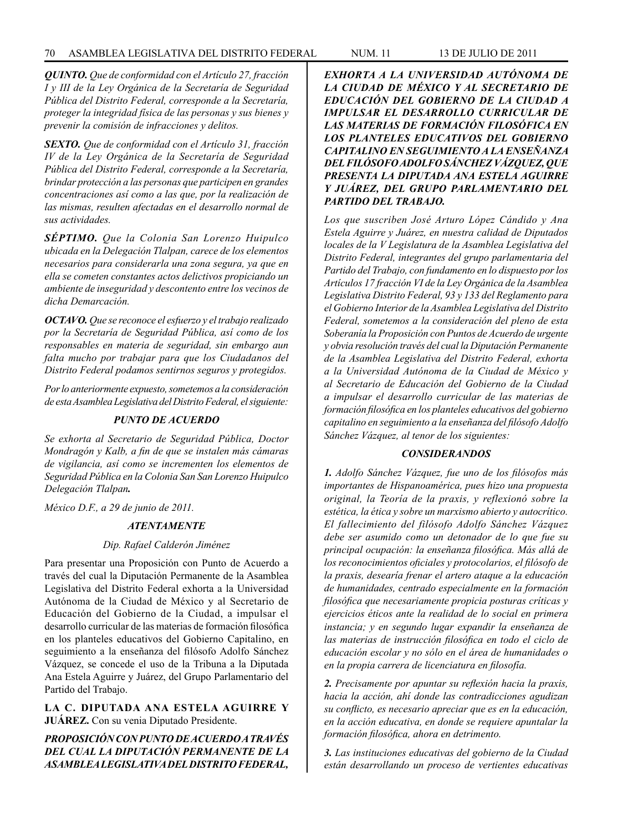*QUINTO. Que de conformidad con el Artículo 27, fracción I y III de la Ley Orgánica de la Secretaría de Seguridad Pública del Distrito Federal, corresponde a la Secretaría, proteger la integridad física de las personas y sus bienes y prevenir la comisión de infracciones y delitos.*

*SEXTO. Que de conformidad con el Artículo 31, fracción IV de la Ley Orgánica de la Secretaría de Seguridad Pública del Distrito Federal, corresponde a la Secretaría, brindar protección a las personas que participen en grandes concentraciones así como a las que, por la realización de las mismas, resulten afectadas en el desarrollo normal de sus actividades.*

*SÉPTIMO. Que la Colonia San Lorenzo Huipulco ubicada en la Delegación Tlalpan, carece de los elementos necesarios para considerarla una zona segura, ya que en ella se cometen constantes actos delictivos propiciando un ambiente de inseguridad y descontento entre los vecinos de dicha Demarcación.* 

*OCTAVO. Que se reconoce el esfuerzo y el trabajo realizado por la Secretaría de Seguridad Pública, así como de los responsables en materia de seguridad, sin embargo aun falta mucho por trabajar para que los Ciudadanos del Distrito Federal podamos sentirnos seguros y protegidos.*

*Por lo anteriormente expuesto, sometemos a la consideración de esta Asamblea Legislativa del Distrito Federal, el siguiente:* 

## *PUNTO DE ACUERDO*

*Se exhorta al Secretario de Seguridad Pública, Doctor Mondragón y Kalb, a fin de que se instalen más cámaras de vigilancia, así como se incrementen los elementos de Seguridad Pública en la Colonia San San Lorenzo Huipulco Delegación Tlalpan.*

*México D.F., a 29 de junio de 2011.*

### *ATENTAMENTE*

*Dip. Rafael Calderón Jiménez*

Para presentar una Proposición con Punto de Acuerdo a través del cual la Diputación Permanente de la Asamblea Legislativa del Distrito Federal exhorta a la Universidad Autónoma de la Ciudad de México y al Secretario de Educación del Gobierno de la Ciudad, a impulsar el desarrollo curricular de las materias de formación filosófica en los planteles educativos del Gobierno Capitalino, en seguimiento a la enseñanza del filósofo Adolfo Sánchez Vázquez, se concede el uso de la Tribuna a la Diputada Ana Estela Aguirre y Juárez, del Grupo Parlamentario del Partido del Trabajo.

**LA C. DIPUTADA ANA ESTELA AGUIRRE Y JUÁREZ.** Con su venia Diputado Presidente.

*PROPOSICIÓN CON PUNTO DE ACUERDO A TRAVÉS DEL CUAL LA DIPUTACIÓN PERMANENTE DE LA ASAMBLEA LEGISLATIVA DEL DISTRITO FEDERAL,* 

*EXHORTA A LA UNIVERSIDAD AUTÓNOMA DE LA CIUDAD DE MÉXICO Y AL SECRETARIO DE EDUCACIÓN DEL GOBIERNO DE LA CIUDAD A IMPULSAR EL DESARROLLO CURRICULAR DE LAS MATERIAS DE FORMACIÓN FILOSÓFICA EN LOS PLANTELES EDUCATIVOS DEL GOBIERNO CAPITALINO EN SEGUIMIENTO A LA ENSEÑANZA DEL FILÓSOFO ADOLFO SÁNCHEZ VÁZQUEZ, QUE PRESENTA LA DIPUTADA ANA ESTELA AGUIRRE Y JUÁREZ, DEL GRUPO PARLAMENTARIO DEL PARTIDO DEL TRABAJO.*

*Los que suscriben José Arturo López Cándido y Ana Estela Aguirre y Juárez, en nuestra calidad de Diputados locales de la V Legislatura de la Asamblea Legislativa del Distrito Federal, integrantes del grupo parlamentaria del Partido del Trabajo, con fundamento en lo dispuesto por los Artículos 17 fracción VI de la Ley Orgánica de la Asamblea Legislativa Distrito Federal, 93 y 133 del Reglamento para el Gobierno Interior de la Asamblea Legislativa del Distrito Federal, sometemos a la consideración del pleno de esta Soberanía la Proposición con Puntos de Acuerdo de urgente y obvia resolución través del cual la Diputación Permanente de la Asamblea Legislativa del Distrito Federal, exhorta a la Universidad Autónoma de la Ciudad de México y al Secretario de Educación del Gobierno de la Ciudad a impulsar el desarrollo curricular de las materias de formación filosófica en los planteles educativos del gobierno capitalino en seguimiento a la enseñanza del filósofo Adolfo Sánchez Vázquez, al tenor de los siguientes:*

### *CONSIDERANDOS*

*1. Adolfo Sánchez Vázquez, fue uno de los filósofos más importantes de Hispanoamérica, pues hizo una propuesta original, la Teoría de la praxis, y reflexionó sobre la estética, la ética y sobre un marxismo abierto y autocrítico. El fallecimiento del filósofo Adolfo Sánchez Vázquez debe ser asumido como un detonador de lo que fue su principal ocupación: la enseñanza filosófica. Más allá de los reconocimientos oficiales y protocolarios, el filósofo de la praxis, desearía frenar el artero ataque a la educación de humanidades, centrado especialmente en la formación filosófica que necesariamente propicia posturas críticas y ejercicios éticos ante la realidad de lo social en primera instancia; y en segundo lugar expandir la enseñanza de las materias de instrucción filosófica en todo el ciclo de educación escolar y no sólo en el área de humanidades o en la propia carrera de licenciatura en filosofía.* 

*2. Precisamente por apuntar su reflexión hacia la praxis, hacia la acción, ahí donde las contradicciones agudizan su conflicto, es necesario apreciar que es en la educación, en la acción educativa, en donde se requiere apuntalar la formación filosófica, ahora en detrimento.*

*3. Las instituciones educativas del gobierno de la Ciudad están desarrollando un proceso de vertientes educativas*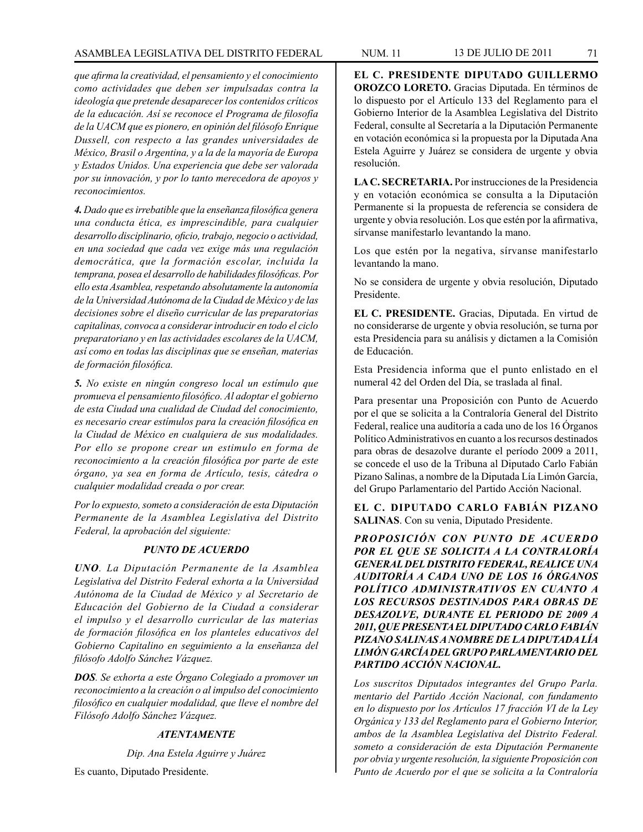# ASAMBLEA LEGISLATIVA DEL DISTRITO FEDERAL NUM. 11 13 DE JULIO DE 2011 71

*que afirma la creatividad, el pensamiento y el conocimiento como actividades que deben ser impulsadas contra la ideología que pretende desaparecer los contenidos críticos de la educación. Así se reconoce el Programa de filosofía de la UACM que es pionero, en opinión del filósofo Enrique Dussell, con respecto a las grandes universidades de México, Brasil o Argentina, y a la de la mayoría de Europa y Estados Unidos. Una experiencia que debe ser valorada por su innovación, y por lo tanto merecedora de apoyos y reconocimientos.* 

*4. Dado que es irrebatible que la enseñanza filosófica genera una conducta ética, es imprescindible, para cualquier desarrollo disciplinario, oficio, trabajo, negocio o actividad, en una sociedad que cada vez exige más una regulación democrática, que la formación escolar, incluida la temprana, posea el desarrollo de habilidades filosóficas. Por ello esta Asamblea, respetando absolutamente la autonomía de la Universidad Autónoma de la Ciudad de México y de las decisiones sobre el diseño curricular de las preparatorias capitalinas, convoca a considerar introducir en todo el ciclo preparatoriano y en las actividades escolares de la UACM, así como en todas las disciplinas que se enseñan, materias de formación filosófica.*

*5. No existe en ningún congreso local un estímulo que promueva el pensamiento filosófico. Al adoptar el gobierno de esta Ciudad una cualidad de Ciudad del conocimiento, es necesario crear estímulos para la creación filosófica en la Ciudad de México en cualquiera de sus modalidades. Por ello se propone crear un estimulo en forma de reconocimiento a la creación filosófica por parte de este órgano, ya sea en forma de Artículo, tesis, cátedra o cualquier modalidad creada o por crear.*

*Por lo expuesto, someto a consideración de esta Diputación Permanente de la Asamblea Legislativa del Distrito Federal, la aprobación del siguiente:*

# *PUNTO DE ACUERDO*

*UNO. La Diputación Permanente de la Asamblea Legislativa del Distrito Federal exhorta a la Universidad Autónoma de la Ciudad de México y al Secretario de Educación del Gobierno de la Ciudad a considerar el impulso y el desarrollo curricular de las materias de formación filosófica en los planteles educativos del Gobierno Capitalino en seguimiento a la enseñanza del filósofo Adolfo Sánchez Vázquez.*

*DOS. Se exhorta a este Órgano Colegiado a promover un reconocimiento a la creación o al impulso del conocimiento filosófico en cualquier modalidad, que lleve el nombre del Filósofo Adolfo Sánchez Vázquez.*

# *ATENTAMENTE*

*Dip. Ana Estela Aguirre y Juárez*

Es cuanto, Diputado Presidente.

**EL C. PRESIDENTE DIPUTADO GUILLERMO OROZCO LORETO.** Gracias Diputada. En términos de lo dispuesto por el Artículo 133 del Reglamento para el Gobierno Interior de la Asamblea Legislativa del Distrito Federal, consulte al Secretaría a la Diputación Permanente en votación económica si la propuesta por la Diputada Ana Estela Aguirre y Juárez se considera de urgente y obvia resolución.

**LA C. SECRETARIA.** Por instrucciones de la Presidencia y en votación económica se consulta a la Diputación Permanente si la propuesta de referencia se considera de urgente y obvia resolución. Los que estén por la afirmativa, sírvanse manifestarlo levantando la mano.

Los que estén por la negativa, sírvanse manifestarlo levantando la mano.

No se considera de urgente y obvia resolución, Diputado Presidente.

**EL C. PRESIDENTE.** Gracias, Diputada. En virtud de no considerarse de urgente y obvia resolución, se turna por esta Presidencia para su análisis y dictamen a la Comisión de Educación.

Esta Presidencia informa que el punto enlistado en el numeral 42 del Orden del Día, se traslada al final.

Para presentar una Proposición con Punto de Acuerdo por el que se solicita a la Contraloría General del Distrito Federal, realice una auditoría a cada uno de los 16 Órganos Político Administrativos en cuanto a los recursos destinados para obras de desazolve durante el período 2009 a 2011, se concede el uso de la Tribuna al Diputado Carlo Fabián Pizano Salinas, a nombre de la Diputada Lía Limón García, del Grupo Parlamentario del Partido Acción Nacional.

**EL C. DIPUTADO CARLO FABIÁN PIZANO SALINAS**. Con su venia, Diputado Presidente.

*PROPOSICIÓN CON PUNTO DE ACUERDO POR EL QUE SE SOLICITA A LA CONTRALORÍA GENERAL DEL DISTRITO FEDERAL, REALICE UNA AUDITORÍA A CADA UNO DE LOS 16 ÓRGANOS POLÍTICO ADMINISTRATIVOS EN CUANTO A LOS RECURSOS DESTINADOS PARA OBRAS DE DESAZOLVE, DURANTE EL PERIODO DE 2009 A 2011, QUE PRESENTA EL DIPUTADO CARLO FABIÁN PIZANO SALINAS A NOMBRE DE LA DIPUTADA LÍA LIMÓN GARCÍA DEL GRUPO PARLAMENTARIO DEL PARTIDO ACCIÓN NACIONAL.*

*Los suscritos Diputados integrantes del Grupo Parla. mentario del Partido Acción Nacional, con fundamento en lo dispuesto por los Artículos 17 fracción VI de la Ley Orgánica y 133 del Reglamento para el Gobierno Interior, ambos de la Asamblea Legislativa del Distrito Federal. someto a consideración de esta Diputación Permanente por obvia y urgente resolución, la siguiente Proposición con Punto de Acuerdo por el que se solicita a la Contraloría*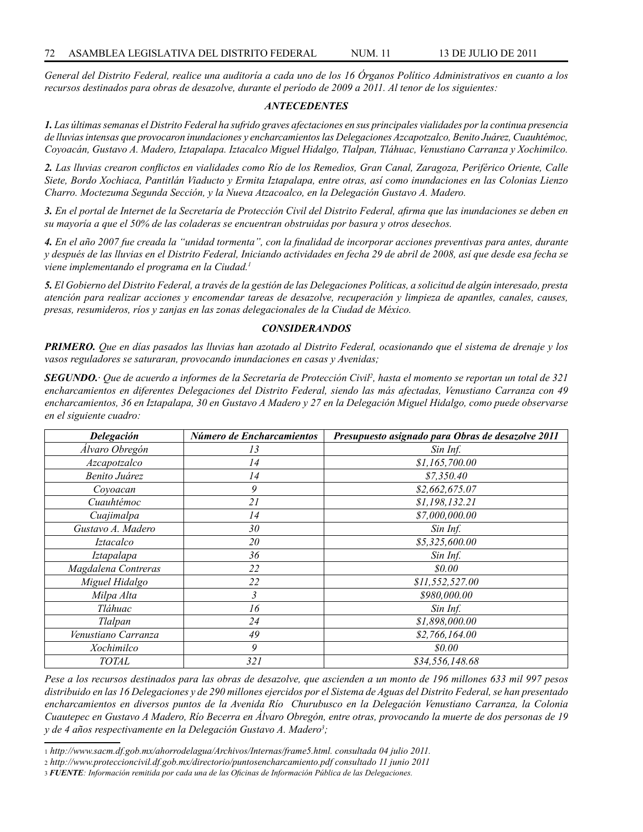*General del Distrito Federal, realice una auditoría a cada uno de los 16 Órganos Político Administrativos en cuanto a los recursos destinados para obras de desazolve, durante el período de 2009 a 2011. Al tenor de los siguientes:*

### *ANTECEDENTES*

*1. Las últimas semanas el Distrito Federal ha sufrido graves afectaciones en sus principales vialidades por la continua presencia de lluvias intensas que provocaron inundaciones y encharcamientos las Delegaciones Azcapotzalco, Benito Juárez, Cuauhtémoc, Coyoacán, Gustavo A. Madero, Iztapalapa. Iztacalco Miguel Hidalgo, Tlalpan, Tláhuac, Venustiano Carranza y Xochimilco.* 

*2. Las lluvias crearon conflictos en vialidades como Río de los Remedios, Gran Canal, Zaragoza, Periférico Oriente, Calle Siete, Bordo Xochiaca, Pantitlán Viaducto y Ermita Iztapalapa, entre otras, así como inundaciones en las Colonias Lienzo Charro. Moctezuma Segunda Sección, y la Nueva Atzacoalco, en la Delegación Gustavo A. Madero.*

*3. En el portal de Internet de la Secretaría de Protección Civil del Distrito Federal, afirma que las inundaciones se deben en su mayoría a que el 50% de las coladeras se encuentran obstruidas por basura y otros desechos.*

*4. En el año 2007 fue creada la "unidad tormenta", con la finalidad de incorporar acciones preventivas para antes, durante y después de las lluvias en el Distrito Federal, Iniciando actividades en fecha 29 de abril de 2008, así que desde esa fecha se viene implementando el programa en la Ciudad.1*

*5. El Gobierno del Distrito Federal, a través de la gestión de las Delegaciones Políticas, a solicitud de algún interesado, presta atención para realizar acciones y encomendar tareas de desazolve, recuperación y limpieza de apantles, canales, causes, presas, resumideros, ríos y zanjas en las zonas delegacionales de la Ciudad de México.*

## *CONSIDERANDOS*

*PRIMERO. Que en días pasados las lluvias han azotado al Distrito Federal, ocasionando que el sistema de drenaje y los vasos reguladores se saturaran, provocando inundaciones en casas y Avenidas;*

*SEGUNDO.· Que de acuerdo a informes de la Secretaría de Protección Civil2 , hasta el momento se reportan un total de 321 encharcamientos en diferentes Delegaciones del Distrito Federal, siendo las más afectadas, Venustiano Carranza con 49 encharcamientos, 36 en Iztapalapa, 30 en Gustavo A Madero y 27 en la Delegación Miguel Hidalgo, como puede observarse en el siguiente cuadro:*

| Delegación          | Número de Encharcamientos | Presupuesto asignado para Obras de desazolve 2011 |
|---------------------|---------------------------|---------------------------------------------------|
| Álvaro Obregón      | 13                        | Sin Inf.                                          |
| Azcapotzalco        | 14                        | \$1,165,700.00                                    |
| Benito Juárez       | 14                        | \$7,350.40                                        |
| Coyoacan            | 9                         | \$2,662,675.07                                    |
| Cuauhtémoc          | 21                        | \$1,198,132.21                                    |
| Cuajimalpa          | 14                        | \$7,000,000.00                                    |
| Gustavo A. Madero   | 30                        | Sin Inf.                                          |
| <i>Iztacalco</i>    | 20                        | \$5,325,600.00                                    |
| Iztapalapa          | 36                        | Sin Inf.                                          |
| Magdalena Contreras | 22                        | \$0.00                                            |
| Miguel Hidalgo      | 22                        | \$11,552,527.00                                   |
| Milpa Alta          | 3                         | \$980,000.00                                      |
| Tláhuac             | 16                        | Sin Inf.                                          |
| Tlalpan             | 24                        | \$1,898,000.00                                    |
| Venustiano Carranza | 49                        | \$2,766,164.00                                    |
| Xochimilco          | 9                         | \$0.00                                            |
| <b>TOTAL</b>        | 321                       | \$34,556,148.68                                   |

*Pese a los recursos destinados para las obras de desazolve, que ascienden a un monto de 196 millones 633 mil 997 pesos distribuido en las 16 Delegaciones y de 290 millones ejercidos por el Sistema de Aguas del Distrito Federal, se han presentado encharcamientos en diversos puntos de la Avenida Río Churubusco en la Delegación Venustiano Carranza, la Colonia Cuautepec en Gustavo A Madero, Río Becerra en Álvaro Obregón, entre otras, provocando la muerte de dos personas de 19 y de 4 años respectivamente en la Delegación Gustavo A. Madero3 ;*

<sup>1</sup> *http://www.sacm.df.gob.mx/ahorrodelagua/Archivos/Internas/frame5.html. consultada 04 julio 2011.*

<sup>2</sup> *http://www.proteccioncivil.df.gob.mx/directorio/puntosencharcamiento.pdf consultado 11 junio 2011*

<sup>3</sup> *FUENTE: Información remitida por cada una de las Oficinas de Información Pública de las Delegaciones.*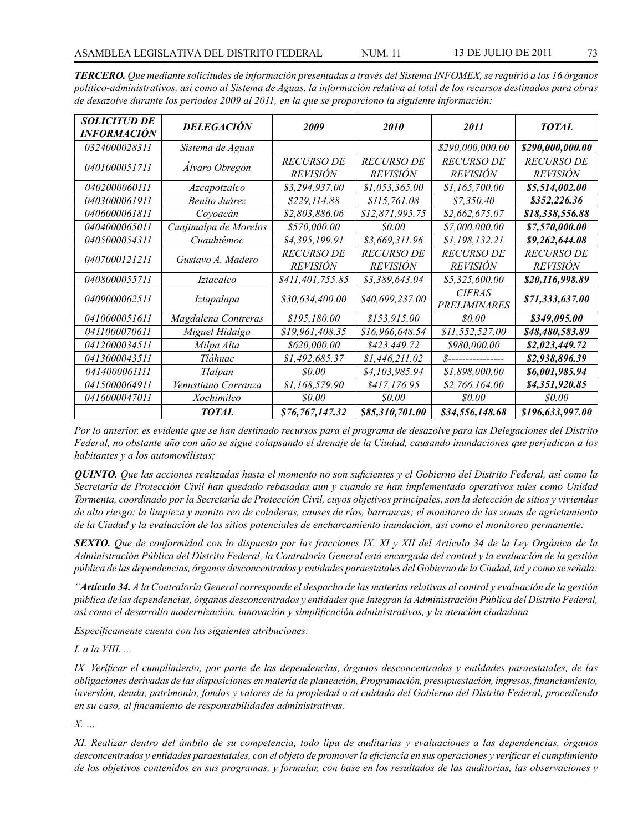| <b>SOLICITUD DE</b><br>INFORMACIÓN | <b>DELEGACIÓN</b>     | 2009              | <i>2010</i>       | 2011                | <b>TOTAL</b>      |
|------------------------------------|-----------------------|-------------------|-------------------|---------------------|-------------------|
| 0324000028311                      | Sistema de Aguas      |                   |                   | \$290,000,000.00    | \$290,000,000.00  |
| 0401000051711                      | Álvaro Obregón        | <b>RECURSO DE</b> | <b>RECURSO DE</b> | <b>RECURSO DE</b>   | <i>RECURSO DE</i> |
|                                    |                       | <i>REVISIÓN</i>   | <b>REVISIÓN</b>   | <b>REVISIÓN</b>     | <b>REVISIÓN</b>   |
| 0402000060111                      | Azcapotzalco          | \$3,294,937.00    | \$1,053,365.00    | \$1,165,700.00      | \$5,514,002.00    |
| <i>0403000061911</i>               | Benito Juárez         | \$229,114.88      | \$115,761.08      | \$7,350.40          | \$352,226.36      |
| 0406000061811                      | Coyoacán              | \$2,803,886.06    | \$12,871,995.75   | \$2,662,675.07      | \$18,338,556.88   |
| 0404000065011                      | Cuajimalpa de Morelos | \$570,000.00      | \$0.00            | \$7,000,000.00      | \$7,570,000.00    |
| 0405000054311                      | Cuauhtémoc            | \$4,395,199.91    | \$3,669,311.96    | \$1,198,132.21      | \$9,262,644.08    |
| 0407000121211                      | Gustavo A. Madero     | <b>RECURSO DE</b> | <b>RECURSO DE</b> | <b>RECURSO DE</b>   | <i>RECURSO DE</i> |
|                                    |                       | <b>REVISIÓN</b>   | <b>REVISIÓN</b>   | <b>REVISIÓN</b>     | <b>REVISIÓN</b>   |
| 0408000055711                      | <i>Iztacalco</i>      | \$411,401,755.85  | \$3,389,643.04    | \$5,325,600.00      | \$20,116,998.89   |
| 0409000062511                      | Iztapalapa            | \$30,634,400.00   | \$40,699,237.00   | <b>CIFRAS</b>       | \$71,333,637.00   |
|                                    |                       |                   |                   | <b>PRELIMINARES</b> |                   |
| 0410000051611                      | Magdalena Contreras   | \$195,180.00      | \$153,915.00      | <i>80.00</i>        | \$349,095.00      |
| 0411000070611                      | Miguel Hidalgo        | \$19,961,408.35   | \$16,966,648.54   | \$11,552,527.00     | \$48,480,583.89   |
| 0412000034511                      | Milpa Alta            | \$620,000.00      | \$423,449.72      | \$980,000.00        | \$2,023,449.72    |
| 0413000043511                      | Tláhuac               | \$1,492,685.37    | \$1,446,211.02    | 8----------------   | \$2,938,896.39    |
| 0414000061111                      | Tlalpan               | \$0.00            | \$4,103,985.94    | \$1,898,000.00      | \$6,001,985.94    |
| 0415000064911                      | Venustiano Carranza   | \$1,168,579.90    | \$417,176.95      | \$2,766.164.00      | \$4,351,920.85    |
| 0416000047011                      | Xochimilco            | <i>so.oo</i>      | <i>so.oo</i>      | <i>so.oo</i>        | \$0.00            |
|                                    | <b>TOTAL</b>          | \$76,767,147.32   | \$85,310,701.00   | \$34,556,148.68     | \$196,633,997.00  |

*TERCERO. Que mediante solicitudes de información presentadas a través del Sistema INFOMEX, se requirió a los 16 órganos político-administrativos, así como al Sistema de Aguas. la información relativa al total de los recursos destinados para obras de desazolve durante los períodos 2009 al 2011, en la que se proporciono la siguiente información:*

*Por lo anterior, es evidente que se han destinado recursos para el programa de desazolve para las Delegaciones del Distrito Federal, no obstante año con año se sigue colapsando el drenaje de la Ciudad, causando inundaciones que perjudican a los habitantes y a los automovilistas;*

*QUINTO. Que las acciones realizadas hasta el momento no son suficientes y el Gobierno del Distrito Federal, así como la Secretaría de Protección Civil han quedado rebasadas aun y cuando se han implementado operativos tales como Unidad Tormenta, coordinado por la Secretaría de Protección Civil, cuyos objetivos principales, son la detección de sitios y viviendas de alto riesgo: la limpieza y manito reo de coladeras, causes de ríos, barrancas; el monitoreo de las zonas de agrietamiento de la Ciudad y la evaluación de los sitios potenciales de encharcamiento inundación, así como el monitoreo permanente:*

*SEXTO. Que de conformidad con lo dispuesto por las fracciones IX, XI y XII del Artículo 34 de la Ley Orgánica de la Administración Pública del Distrito Federal, la Contraloría General está encargada del control y la evaluación de la gestión pública de las dependencias, órganos desconcentrados y entidades paraestatales del Gobierno de la Ciudad, tal y como se señala:*

*"Artículo 34. A la Contraloría General corresponde el despacho de las materias relativas al control y evaluación de la gestión pública de las dependencias, órganos desconcentrados y entidades que Integran la Administración Pública del Distrito Federal, así como el desarrollo modernización, innovación y simplificación administrativos, y la atención ciudadana* 

*Específicamente cuenta con las siguientes atribuciones:*

*I. a la VIII. ...*

*IX. Verificar el cumplimiento, por parte de las dependencias, órganos desconcentrados y entidades paraestatales, de las obligaciones derivadas de las disposiciones en materia de planeación, Programación, presupuestación, ingresos, financiamiento, inversión, deuda, patrimonio, fondos y valores de la propiedad o al cuidado del Gobierno del Distrito Federal, procediendo en su caso, al fincamiento de responsabilidades administrativas.*

*X. …*

*XI. Realizar dentro del ámbito de su competencia, todo lipa de auditarlas y evaluaciones a las dependencias, órganos desconcentrados y entidades paraestatales, con el objeto de promover la eficiencia en sus operaciones y verificar el cumplimiento de los objetivos contenidos en sus programas, y formular, con base en los resultados de las auditorías, las observaciones y*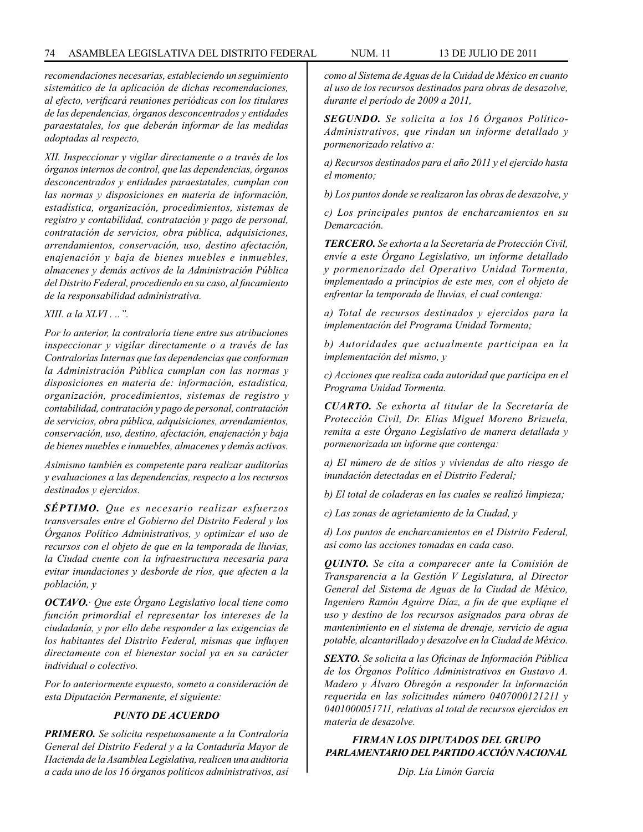*recomendaciones necesarias, estableciendo un seguimiento sistemático de la aplicación de dichas recomendaciones, al efecto, verificará reuniones periódicas con los titulares de las dependencias, órganos desconcentrados y entidades paraestatales, los que deberán informar de las medidas adoptadas al respecto,* 

*XII. Inspeccionar y vigilar directamente o a través de los órganos internos de control, que las dependencias, órganos desconcentrados y entidades paraestatales, cumplan con las normas y disposiciones en materia de información, estadística, organización, procedimientos, sistemas de registro y contabilidad, contratación y pago de personal, contratación de servicios, obra pública, adquisiciones, arrendamientos, conservación, uso, destino afectación, enajenación y baja de bienes muebles e inmuebles, almacenes y demás activos de la Administración Pública del Distrito Federal, procediendo en su caso, al fincamiento de la responsabilidad administrativa.*

*XIII. a la XLVI . ..".*

*Por lo anterior, la contraloría tiene entre sus atribuciones inspeccionar y vigilar directamente o a través de las Contralorías Internas que las dependencias que conforman la Administración Pública cumplan con las normas y disposiciones en materia de: información, estadística, organización, procedimientos, sistemas de registro y contabilidad, contratación y pago de personal, contratación de servicios, obra pública, adquisiciones, arrendamientos, conservación, uso, destino, afectación, enajenación y baja de bienes muebles e inmuebles, almacenes y demás activos.*

*Asimismo también es competente para realizar auditorías y evaluaciones a las dependencias, respecto a los recursos destinados y ejercidos.* 

*SÉPTIMO. Que es necesario realizar esfuerzos transversales entre el Gobierno del Distrito Federal y los Órganos Político Administrativos, y optimizar el uso de recursos con el objeto de que en la temporada de lluvias, la Ciudad cuente con la infraestructura necesaria para evitar inundaciones y desborde de ríos, que afecten a la población, y*

*OCTAVO.· Que este Órgano Legislativo local tiene como función primordial el representar los intereses de la ciudadanía, y por ello debe responder a las exigencias de los habitantes del Distrito Federal, mismas que influyen directamente con el bienestar social ya en su carácter individual o colectivo.* 

*Por lo anteriormente expuesto, someto a consideración de esta Diputación Permanente, el siguiente:*

### *PUNTO DE ACUERDO*

*PRIMERO. Se solicita respetuosamente a la Contraloría General del Distrito Federal y a la Contaduría Mayor de Hacienda de la Asamblea Legislativa, realicen una auditoria a cada uno de los 16 órganos políticos administrativos, así*  *como al Sistema de Aguas de la Cuidad de México en cuanto al uso de los recursos destinados para obras de desazolve, durante el período de 2009 a 2011,*

*SEGUNDO. Se solicita a los 16 Órganos Político-Administrativos, que rindan un informe detallado y pormenorizado relativo a:*

*a) Recursos destinados para el año 2011 y el ejercido hasta el momento;*

*b) Los puntos donde se realizaron las obras de desazolve, y*

*c) Los principales puntos de encharcamientos en su Demarcación.*

*TERCERO. Se exhorta a la Secretaría de Protección Civil, envíe a este Órgano Legislativo, un informe detallado y pormenorizado del Operativo Unidad Tormenta, implementado a principios de este mes, con el objeto de enfrentar la temporada de lluvias, el cual contenga:*

*a) Total de recursos destinados y ejercidos para la implementación del Programa Unidad Tormenta;*

*b) Autoridades que actualmente participan en la implementación del mismo, y* 

*c) Acciones que realiza cada autoridad que participa en el Programa Unidad Tormenta.*

*CUARTO. Se exhorta al titular de la Secretaría de Protección Civil, Dr. Elías Miguel Moreno Brizuela, remita a este Órgano Legislativo de manera detallada y pormenorizada un informe que contenga:*

*a) El número de de sitios y viviendas de alto riesgo de inundación detectadas en el Distrito Federal;*

*b) El total de coladeras en las cuales se realizó limpieza;*

*c) Las zonas de agrietamiento de la Ciudad, y*

*d) Los puntos de encharcamientos en el Distrito Federal, así como las acciones tomadas en cada caso.* 

*QUINTO. Se cita a comparecer ante la Comisión de Transparencia a la Gestión V Legislatura, al Director General del Sistema de Aguas de la Ciudad de México, Ingeniero Ramón Aguirre Díaz, a fin de que explique el uso y destino de los recursos asignados para obras de mantenimiento en el sistema de drenaje, servicio de agua potable, alcantarillado y desazolve en la Ciudad de México.*

*SEXTO. Se solicita a las Oficinas de Información Pública de los Órganos Político Administrativos en Gustavo A. Madero y Álvaro Obregón a responder la información requerida en las solicitudes número 0407000121211 y 0401000051711, relativas al total de recursos ejercidos en materia de desazolve.*

# *FIRMAN LOS DIPUTADOS DEL GRUPO PARLAMENTARIO DEL PARTIDO ACCIÓN NACIONAL*

*Dip. Lía Limón García*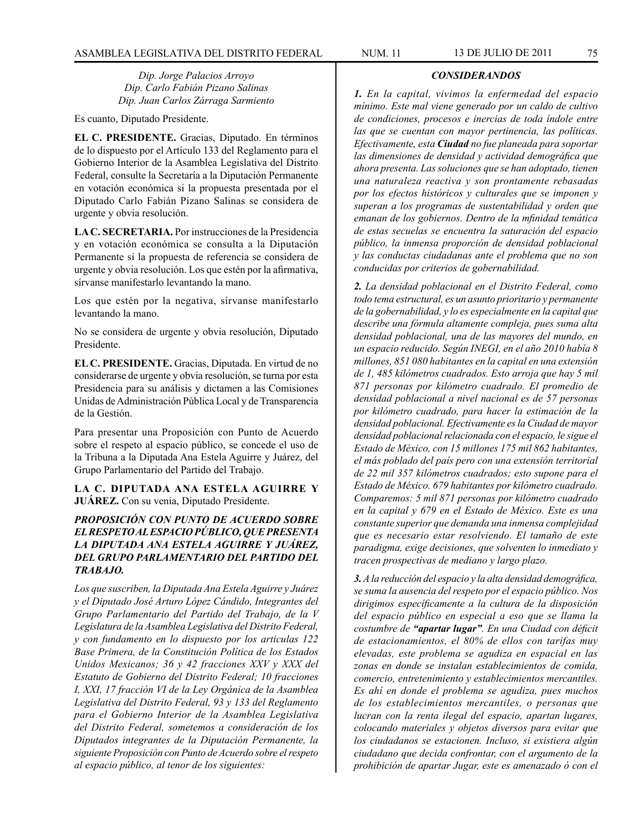*Dip. Jorge Palacios Arroyo Dip. Carlo Fabián Pizano Salinas Dip. Juan Carlos Zárraga Sarmiento*

Es cuanto, Diputado Presidente.

**EL C. PRESIDENTE.** Gracias, Diputado. En términos de lo dispuesto por el Artículo 133 del Reglamento para el Gobierno Interior de la Asamblea Legislativa del Distrito Federal, consulte la Secretaría a la Diputación Permanente en votación económica si la propuesta presentada por el Diputado Carlo Fabián Pizano Salinas se considera de urgente y obvia resolución.

**LA C. SECRETARIA.** Por instrucciones de la Presidencia y en votación económica se consulta a la Diputación Permanente si la propuesta de referencia se considera de urgente y obvia resolución. Los que estén por la afirmativa, sírvanse manifestarlo levantando la mano.

Los que estén por la negativa, sírvanse manifestarlo levantando la mano.

No se considera de urgente y obvia resolución, Diputado Presidente.

**EL C. PRESIDENTE.** Gracias, Diputada. En virtud de no considerarse de urgente y obvia resolución, se turna por esta Presidencia para su análisis y dictamen a las Comisiones Unidas de Administración Pública Local y de Transparencia de la Gestión.

Para presentar una Proposición con Punto de Acuerdo sobre el respeto al espacio público, se concede el uso de la Tribuna a la Diputada Ana Estela Aguirre y Juárez, del Grupo Parlamentario del Partido del Trabajo.

**LA C. DIPUTADA ANA ESTELA AGUIRRE Y JUÁREZ.** Con su venia, Diputado Presidente.

# *PROPOSICIÓN CON PUNTO DE ACUERDO SOBRE EL RESPETO AL ESPACIO PÚBLICO, QUE PRESENTA LA DIPUTADA ANA ESTELA AGUIRRE Y JUÁREZ, DEL GRUPO PARLAMENTARIO DEL PARTIDO DEL TRABAJO.*

*Los que suscriben, la Diputada Ana Estela Aguirre y Juárez y el Diputado José Arturo López Cándido, Integrantes del Grupo Parlamentario del Partido del Trabajo, de la V Legislatura de la Asamblea Legislativa del Distrito Federal, y con fundamento en lo dispuesto por los articulas 122 Base Primera, de la Constitución Política de los Estados Unidos Mexicanos; 36 y 42 fracciones XXV y XXX del Estatuto de Gobierno del Distrito Federal; 10 fracciones I, XXI, 17 fracción VI de la Ley Orgánica de la Asamblea Legislativa del Distrito Federal, 93 y 133 del Reglamento para el Gobierno Interior de la Asamblea Legislativa del Distrito Federal, sometemos a consideración de los Diputados integrantes de la Diputación Permanente, la siguiente Proposición con Punto de Acuerdo sobre el respeto al espacio público, al tenor de los siguientes:*

### *CONSIDERANDOS*

*1. En la capital, vivimos la enfermedad del espacio mínimo. Este mal viene generado por un caldo de cultivo de condiciones, procesos e inercias de toda índole entre las que se cuentan con mayor pertinencia, las políticas. Efectivamente, esta Ciudad no fue planeada para soportar las dimensiones de densidad y actividad demográfica que ahora presenta. Las soluciones que se han adoptado, tienen una naturaleza reactiva y son prontamente rebasadas por los efectos históricos y culturales que se imponen y superan a los programas de sustentabilidad y orden que emanan de los gobiernos. Dentro de la mfinidad temática de estas secuelas se encuentra la saturación del espacio público, la inmensa proporción de densidad poblacional y las conductas ciudadanas ante el problema que no son conducidas por criterios de gobernabilidad.*

*2. La densidad poblacional en el Distrito Federal, como todo tema estructural, es un asunto prioritario y permanente de la gobernabilidad, y lo es especialmente en la capital que describe una fórmula altamente compleja, pues suma alta densidad poblacional, una de las mayores del mundo, en un espacio reducido. Según INEGI, en el año 2010 había 8 millones, 851 080 habitantes en la capital en una extensión de 1, 485 kilómetros cuadrados. Esto arroja que hay 5 mil 871 personas por kilómetro cuadrado. El promedio de densidad poblacional a nivel nacional es de 57 personas por kilómetro cuadrado, para hacer la estimación de la densidad poblacional. Efectivamente es la Ciudad de mayor densidad poblacional relacionada con el espacio, le sigue el Estado de México, con 15 millones 175 mil 862 habitantes, el más poblado del país pero con una extensión territorial de 22 mil 357 kilómetros cuadrados; esto supone para el Estado de México. 679 habitantes por kilómetro cuadrado. Comparemos: 5 mil 871 personas por kilómetro cuadrado en la capital y 679 en el Estado de México. Este es una constante superior que demanda una inmensa complejidad que es necesario estar resolviendo. El tamaño de este paradigma, exige decisiones, que solventen lo inmediato y tracen prospectivas de mediano y largo plazo.* 

*3. A la reducción del espacio y la alta densidad demográfica, se suma la ausencia del respeto por el espacio público. Nos dirigimos específicamente a la cultura de la disposición del espacio público en especial a eso que se llama la costumbre de "apartar lugar". En una Ciudad con déficit de estacionamientos, el 80% de ellos con tarifas muy elevadas, este problema se agudiza en espacial en las zonas en donde se instalan establecimientos de comida, comercio, entretenimiento y establecimientos mercantiles. Es ahí en donde el problema se agudiza, pues muchos de los establecimientos mercantiles, o personas que lucran con la renta ilegal del espacio, apartan lugares, colocando materiales y objetos diversos para evitar que los ciudadanos se estacionen. Incluso, si existiera algún ciudadano que decida confrontar, con el argumento de la prohibición de apartar Jugar, este es amenazado ó con el*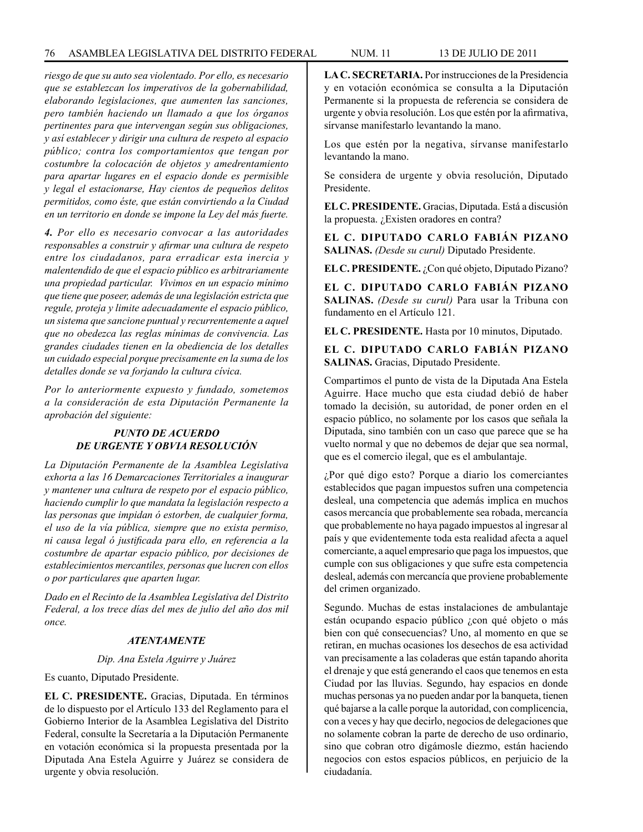*riesgo de que su auto sea violentado. Por ello, es necesario que se establezcan los imperativos de la gobernabilidad, elaborando legislaciones, que aumenten las sanciones, pero también haciendo un llamado a que los órganos pertinentes para que intervengan según sus obligaciones, y así establecer y dirigir una cultura de respeto al espacio público; contra los comportamientos que tengan por costumbre la colocación de objetos y amedrentamiento para apartar lugares en el espacio donde es permisible y legal el estacionarse, Hay cientos de pequeños delitos permitidos, como éste, que están convirtiendo a la Ciudad en un territorio en donde se impone la Ley del más fuerte.* 

*4. Por ello es necesario convocar a las autoridades responsables a construir y afirmar una cultura de respeto entre los ciudadanos, para erradicar esta inercia y malentendido de que el espacio público es arbitrariamente una propiedad particular. Vivimos en un espacio mínimo que tiene que poseer, además de una legislación estricta que regule, proteja y limite adecuadamente el espacio público, un sistema que sancione puntual y recurrentemente a aquel que no obedezca las reglas mínimas de convivencia. Las grandes ciudades tienen en la obediencia de los detalles un cuidado especial porque precisamente en la suma de los detalles donde se va forjando la cultura cívica.* 

*Por lo anteriormente expuesto y fundado, sometemos a la consideración de esta Diputación Permanente la aprobación del siguiente:*

# *PUNTO DE ACUERDO DE URGENTE Y OBVIA RESOLUCIÓN*

*La Diputación Permanente de la Asamblea Legislativa exhorta a las 16 Demarcaciones Territoriales a inaugurar y mantener una cultura de respeto por el espacio público, haciendo cumplir lo que mandata la legislación respecto a las personas que impidan ó estorben, de cualquier forma, el uso de la vía pública, siempre que no exista permiso, ni causa legal ó justificada para ello, en referencia a la costumbre de apartar espacio público, por decisiones de establecimientos mercantiles, personas que lucren con ellos o por particulares que aparten lugar.*

*Dado en el Recinto de la Asamblea Legislativa del Distrito Federal, a los trece días del mes de julio del año dos mil once.*

### *ATENTAMENTE*

### *Dip. Ana Estela Aguirre y Juárez*

Es cuanto, Diputado Presidente.

**EL C. PRESIDENTE.** Gracias, Diputada. En términos de lo dispuesto por el Artículo 133 del Reglamento para el Gobierno Interior de la Asamblea Legislativa del Distrito Federal, consulte la Secretaría a la Diputación Permanente en votación económica si la propuesta presentada por la Diputada Ana Estela Aguirre y Juárez se considera de urgente y obvia resolución.

**LA C. SECRETARIA.** Por instrucciones de la Presidencia y en votación económica se consulta a la Diputación Permanente si la propuesta de referencia se considera de urgente y obvia resolución. Los que estén por la afirmativa, sírvanse manifestarlo levantando la mano.

Los que estén por la negativa, sírvanse manifestarlo levantando la mano.

Se considera de urgente y obvia resolución, Diputado Presidente.

**EL C. PRESIDENTE.** Gracias, Diputada. Está a discusión la propuesta. ¿Existen oradores en contra?

**EL C. DIPUTADO CARLO FABIÁN PIZANO SALINAS.** *(Desde su curul)* Diputado Presidente.

**EL C. PRESIDENTE.** ¿Con qué objeto, Diputado Pizano?

**EL C. DIPUTADO CARLO FABIÁN PIZANO SALINAS.** *(Desde su curul)* Para usar la Tribuna con fundamento en el Artículo 121.

**EL C. PRESIDENTE.** Hasta por 10 minutos, Diputado.

**EL C. DIPUTADO CARLO FABIÁN PIZANO SALINAS.** Gracias, Diputado Presidente.

Compartimos el punto de vista de la Diputada Ana Estela Aguirre. Hace mucho que esta ciudad debió de haber tomado la decisión, su autoridad, de poner orden en el espacio público, no solamente por los casos que señala la Diputada, sino también con un caso que parece que se ha vuelto normal y que no debemos de dejar que sea normal, que es el comercio ilegal, que es el ambulantaje.

¿Por qué digo esto? Porque a diario los comerciantes establecidos que pagan impuestos sufren una competencia desleal, una competencia que además implica en muchos casos mercancía que probablemente sea robada, mercancía que probablemente no haya pagado impuestos al ingresar al país y que evidentemente toda esta realidad afecta a aquel comerciante, a aquel empresario que paga los impuestos, que cumple con sus obligaciones y que sufre esta competencia desleal, además con mercancía que proviene probablemente del crimen organizado.

Segundo. Muchas de estas instalaciones de ambulantaje están ocupando espacio público ¿con qué objeto o más bien con qué consecuencias? Uno, al momento en que se retiran, en muchas ocasiones los desechos de esa actividad van precisamente a las coladeras que están tapando ahorita el drenaje y que está generando el caos que tenemos en esta Ciudad por las lluvias. Segundo, hay espacios en donde muchas personas ya no pueden andar por la banqueta, tienen qué bajarse a la calle porque la autoridad, con complicencia, con a veces y hay que decirlo, negocios de delegaciones que no solamente cobran la parte de derecho de uso ordinario, sino que cobran otro digámosle diezmo, están haciendo negocios con estos espacios públicos, en perjuicio de la ciudadanía.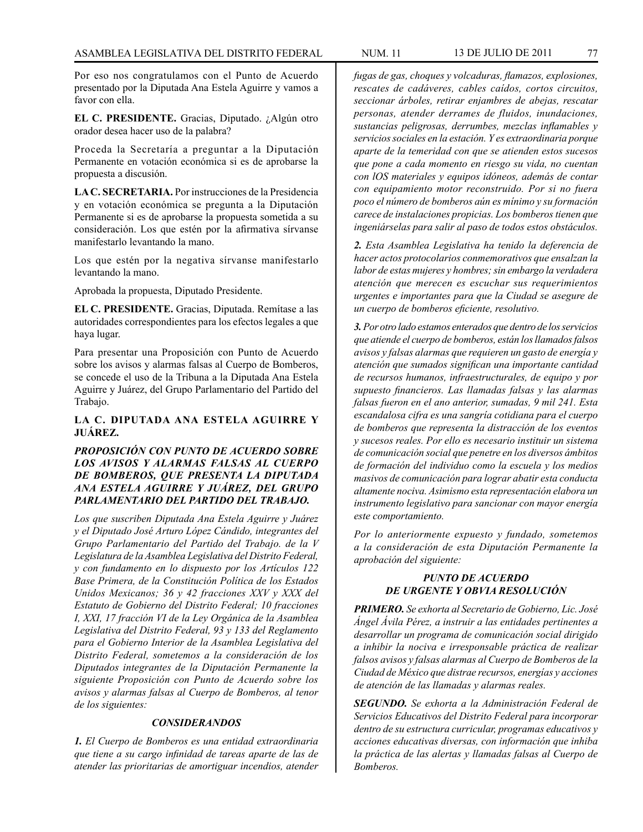Por eso nos congratulamos con el Punto de Acuerdo presentado por la Diputada Ana Estela Aguirre y vamos a favor con ella.

**EL C. PRESIDENTE.** Gracias, Diputado. ¿Algún otro orador desea hacer uso de la palabra?

Proceda la Secretaría a preguntar a la Diputación Permanente en votación económica si es de aprobarse la propuesta a discusión.

**LA C. SECRETARIA.** Por instrucciones de la Presidencia y en votación económica se pregunta a la Diputación Permanente si es de aprobarse la propuesta sometida a su consideración. Los que estén por la afirmativa sírvanse manifestarlo levantando la mano.

Los que estén por la negativa sírvanse manifestarlo levantando la mano.

Aprobada la propuesta, Diputado Presidente.

**EL C. PRESIDENTE.** Gracias, Diputada. Remítase a las autoridades correspondientes para los efectos legales a que haya lugar.

Para presentar una Proposición con Punto de Acuerdo sobre los avisos y alarmas falsas al Cuerpo de Bomberos, se concede el uso de la Tribuna a la Diputada Ana Estela Aguirre y Juárez, del Grupo Parlamentario del Partido del Trabajo.

## **LA C. DIPUTADA ANA ESTELA AGUIRRE Y JUÁREZ.**

# *PROPOSICIÓN CON PUNTO DE ACUERDO SOBRE LOS AVISOS Y ALARMAS FALSAS AL CUERPO DE BOMBEROS, QUE PRESENTA LA DIPUTADA ANA ESTELA AGUIRRE Y JUÁREZ, DEL GRUPO PARLAMENTARIO DEL PARTIDO DEL TRABAJO.*

*Los que suscriben Diputada Ana Estela Aguirre y Juárez y el Diputado José Arturo López Cándido, integrantes del Grupo Parlamentario del Partido del Trabajo. de la V Legislatura de la Asamblea Legislativa del Distrito Federal, y con fundamento en lo dispuesto por los Artículos 122 Base Primera, de la Constitución Política de los Estados Unidos Mexicanos; 36 y 42 fracciones XXV y XXX del Estatuto de Gobierno del Distrito Federal; 10 fracciones I, XXI, 17 fracción VI de la Ley Orgánica de la Asamblea Legislativa del Distrito Federal, 93 y 133 del Reglamento para el Gobierno Interior de la Asamblea Legislativa del Distrito Federal, sometemos a la consideración de los Diputados integrantes de la Diputación Permanente la siguiente Proposición con Punto de Acuerdo sobre los avisos y alarmas falsas al Cuerpo de Bomberos, al tenor de los siguientes:*

### *CONSIDERANDOS*

*1. El Cuerpo de Bomberos es una entidad extraordinaria que tiene a su cargo infinidad de tareas aparte de las de atender las prioritarias de amortiguar incendios, atender*  *fugas de gas, choques y volcaduras, flamazos, explosiones, rescates de cadáveres, cables caídos, cortos circuitos, seccionar árboles, retirar enjambres de abejas, rescatar personas, atender derrames de fluidos, inundaciones, sustancias peligrosas, derrumbes, mezclas inflamables y servicios sociales en la estación. Y es extraordinaria porque aparte de la temeridad con que se atienden estos sucesos que pone a cada momento en riesgo su vida, no cuentan con lOS materiales y equipos idóneos, además de contar con equipamiento motor reconstruido. Por si no fuera poco el número de bomberos aún es mínimo y su formación carece de instalaciones propicias. Los bomberos tienen que ingeniárselas para salir al paso de todos estos obstáculos.*

*2. Esta Asamblea Legislativa ha tenido la deferencia de hacer actos protocolarios conmemorativos que ensalzan la labor de estas mujeres y hombres; sin embargo la verdadera atención que merecen es escuchar sus requerimientos urgentes e importantes para que la Ciudad se asegure de un cuerpo de bomberos eficiente, resolutivo.*

*3. Por otro lado estamos enterados que dentro de los servicios que atiende el cuerpo de bomberos, están los llamados falsos avisos y falsas alarmas que requieren un gasto de energía y atención que sumados significan una importante cantidad de recursos humanos, infraestructurales, de equipo y por supuesto financieros. Las llamadas falsas y las alarmas falsas fueron en el ano anterior, sumadas, 9 mil 241. Esta escandalosa cifra es una sangría cotidiana para el cuerpo de bomberos que representa la distracción de los eventos y sucesos reales. Por ello es necesario instituir un sistema de comunicación social que penetre en los diversos ámbitos de formación del individuo como la escuela y los medios masivos de comunicación para lograr abatir esta conducta altamente nociva. Asimismo esta representación elabora un instrumento legislativo para sancionar con mayor energía este comportamiento.*

*Por lo anteriormente expuesto y fundado, sometemos a la consideración de esta Diputación Permanente la aprobación del siguiente:* 

### *PUNTO DE ACUERDO DE URGENTE Y OBVIA RESOLUCIÓN*

*PRIMERO. Se exhorta al Secretario de Gobierno, Lic. José Ángel Ávila Pérez, a instruir a las entidades pertinentes a desarrollar un programa de comunicación social dirigido a inhibir la nociva e irresponsable práctica de realizar falsos avisos y falsas alarmas al Cuerpo de Bomberos de la Ciudad de México que distrae recursos, energías y acciones de atención de las llamadas y alarmas reales.*

*SEGUNDO. Se exhorta a la Administración Federal de Servicios Educativos del Distrito Federal para incorporar dentro de su estructura curricular, programas educativos y acciones educativas diversas, con información que inhiba la práctica de las alertas y llamadas falsas al Cuerpo de Bomberos.*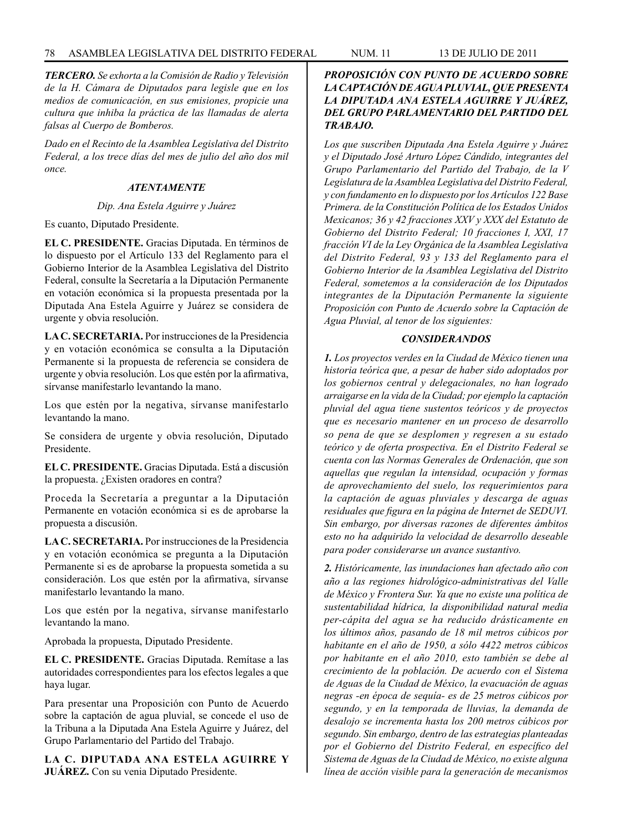*TERCERO. Se exhorta a la Comisión de Radio y Televisión de la H. Cámara de Diputados para legisle que en los medios de comunicación, en sus emisiones, propicie una cultura que inhiba la práctica de las llamadas de alerta falsas al Cuerpo de Bomberos.*

*Dado en el Recinto de la Asamblea Legislativa del Distrito Federal, a los trece días del mes de julio del año dos mil once.*

### *ATENTAMENTE*

### *Dip. Ana Estela Aguirre y Juárez*

Es cuanto, Diputado Presidente.

**EL C. PRESIDENTE.** Gracias Diputada. En términos de lo dispuesto por el Artículo 133 del Reglamento para el Gobierno Interior de la Asamblea Legislativa del Distrito Federal, consulte la Secretaría a la Diputación Permanente en votación económica si la propuesta presentada por la Diputada Ana Estela Aguirre y Juárez se considera de urgente y obvia resolución.

**LA C. SECRETARIA.** Por instrucciones de la Presidencia y en votación económica se consulta a la Diputación Permanente si la propuesta de referencia se considera de urgente y obvia resolución. Los que estén por la afirmativa, sírvanse manifestarlo levantando la mano.

Los que estén por la negativa, sírvanse manifestarlo levantando la mano.

Se considera de urgente y obvia resolución, Diputado Presidente.

**EL C. PRESIDENTE.** Gracias Diputada. Está a discusión la propuesta. ¿Existen oradores en contra?

Proceda la Secretaría a preguntar a la Diputación Permanente en votación económica si es de aprobarse la propuesta a discusión.

**LA C. SECRETARIA.** Por instrucciones de la Presidencia y en votación económica se pregunta a la Diputación Permanente si es de aprobarse la propuesta sometida a su consideración. Los que estén por la afirmativa, sírvanse manifestarlo levantando la mano.

Los que estén por la negativa, sírvanse manifestarlo levantando la mano.

Aprobada la propuesta, Diputado Presidente.

**EL C. PRESIDENTE.** Gracias Diputada. Remítase a las autoridades correspondientes para los efectos legales a que haya lugar.

Para presentar una Proposición con Punto de Acuerdo sobre la captación de agua pluvial, se concede el uso de la Tribuna a la Diputada Ana Estela Aguirre y Juárez, del Grupo Parlamentario del Partido del Trabajo.

**LA C. DIPUTADA ANA ESTELA AGUIRRE Y JUÁREZ.** Con su venia Diputado Presidente.

# *PROPOSICIÓN CON PUNTO DE ACUERDO SOBRE LA CAPTACIÓN DE AGUA PLUVIAL, QUE PRESENTA LA DIPUTADA ANA ESTELA AGUIRRE Y JUÁREZ, DEL GRUPO PARLAMENTARIO DEL PARTIDO DEL TRABAJO.*

*Los que suscriben Diputada Ana Estela Aguirre y Juárez y el Diputado José Arturo López Cándido, integrantes del Grupo Parlamentario del Partido del Trabajo, de la V Legislatura de la Asamblea Legislativa del Distrito Federal, y con fundamento en lo dispuesto por los Artículos 122 Base Primera. de la Constitución Política de los Estados Unidos Mexicanos; 36 y 42 fracciones XXV y XXX del Estatuto de Gobierno del Distrito Federal; 10 fracciones I, XXI, 17 fracción VI de la Ley Orgánica de la Asamblea Legislativa del Distrito Federal, 93 y 133 del Reglamento para el Gobierno Interior de la Asamblea Legislativa del Distrito Federal, sometemos a la consideración de los Diputados integrantes de la Diputación Permanente la siguiente Proposición con Punto de Acuerdo sobre la Captación de Agua Pluvial, al tenor de los siguientes:*

# *CONSIDERANDOS*

*1. Los proyectos verdes en la Ciudad de México tienen una historia teórica que, a pesar de haber sido adoptados por los gobiernos central y delegacionales, no han logrado arraigarse en la vida de la Ciudad; por ejemplo la captación pluvial del agua tiene sustentos teóricos y de proyectos que es necesario mantener en un proceso de desarrollo so pena de que se desplomen y regresen a su estado teórico y de oferta prospectiva. En el Distrito Federal se cuenta con las Normas Generales de Ordenación, que son aquellas que regulan la intensidad, ocupación y formas de aprovechamiento del suelo, los requerimientos para la captación de aguas pluviales y descarga de aguas residuales que figura en la página de Internet de SEDUVI. Sin embargo, por diversas razones de diferentes ámbitos esto no ha adquirido la velocidad de desarrollo deseable para poder considerarse un avance sustantivo.*

*2. Históricamente, las inundaciones han afectado año con año a las regiones hidrológico-administrativas del Valle de México y Frontera Sur. Ya que no existe una política de sustentabilidad hídrica, la disponibilidad natural media per-cápita del agua se ha reducido drásticamente en los últimos años, pasando de 18 mil metros cúbicos por habitante en el año de 1950, a sólo 4422 metros cúbicos por habitante en el año 2010, esto también se debe al crecimiento de la población. De acuerdo con el Sistema de Aguas de la Ciudad de México, la evacuación de aguas negras -en época de sequía- es de 25 metros cúbicos por segundo, y en la temporada de lluvias, la demanda de desalojo se incrementa hasta los 200 metros cúbicos por segundo. Sin embargo, dentro de las estrategias planteadas por el Gobierno del Distrito Federal, en específico del Sistema de Aguas de la Ciudad de México, no existe alguna línea de acción visible para la generación de mecanismos*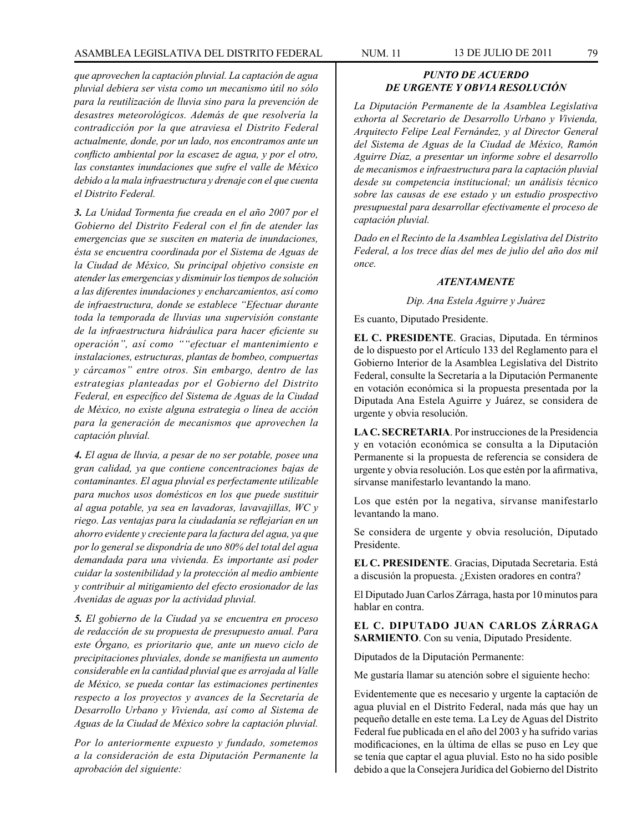*que aprovechen la captación pluvial. La captación de agua pluvial debiera ser vista como un mecanismo útil no sólo para la reutilización de lluvia sino para la prevención de desastres meteorológicos. Además de que resolvería la contradicción por la que atraviesa el Distrito Federal actualmente, donde, por un lado, nos encontramos ante un conflicto ambiental por la escasez de agua, y por el otro, las constantes inundaciones que sufre el valle de México debido a la mala infraestructura y drenaje con el que cuenta el Distrito Federal.*

*3. La Unidad Tormenta fue creada en el año 2007 por el Gobierno del Distrito Federal con el fin de atender las emergencias que se susciten en materia de inundaciones, ésta se encuentra coordinada por el Sistema de Aguas de la Ciudad de México, Su principal objetivo consiste en atender las emergencias y disminuir los tiempos de solución a las diferentes inundaciones y encharcamientos, así como de infraestructura, donde se establece "Efectuar durante toda la temporada de lluvias una supervisión constante de la infraestructura hidráulica para hacer eficiente su operación", así como ""efectuar el mantenimiento e instalaciones, estructuras, plantas de bombeo, compuertas y cárcamos" entre otros. Sin embargo, dentro de las estrategias planteadas por el Gobierno del Distrito Federal, en específico del Sistema de Aguas de la Ciudad de México, no existe alguna estrategia o línea de acción para la generación de mecanismos que aprovechen la captación pluvial.*

*4. El agua de lluvia, a pesar de no ser potable, posee una gran calidad, ya que contiene concentraciones bajas de contaminantes. El agua pluvial es perfectamente utilizable para muchos usos domésticos en los que puede sustituir al agua potable, ya sea en lavadoras, lavavajillas, WC y riego. Las ventajas para la ciudadanía se reflejarían en un ahorro evidente y creciente para la factura del agua, ya que por lo general se dispondría de uno 80% del total del agua demandada para una vivienda. Es importante así poder cuidar la sostenibilidad y la protección al medio ambiente y contribuir al mitigamiento del efecto erosionador de las Avenidas de aguas por la actividad pluvial.*

*5. El gobierno de la Ciudad ya se encuentra en proceso de redacción de su propuesta de presupuesto anual. Para este Órgano, es prioritario que, ante un nuevo ciclo de precipitaciones pluviales, donde se manifiesta un aumento considerable en la cantidad pluvial que es arrojada al Valle de México, se pueda contar las estimaciones pertinentes respecto a los proyectos y avances de la Secretaría de Desarrollo Urbano y Vivienda, así como al Sistema de Aguas de la Ciudad de México sobre la captación pluvial.* 

*Por lo anteriormente expuesto y fundado, sometemos a la consideración de esta Diputación Permanente la aprobación del siguiente:*

## *PUNTO DE ACUERDO DE URGENTE Y OBVIA RESOLUCIÓN*

*La Diputación Permanente de la Asamblea Legislativa exhorta al Secretario de Desarrollo Urbano y Vivienda, Arquitecto Felipe Leal Fernández, y al Director General del Sistema de Aguas de la Ciudad de México, Ramón Aguirre Díaz, a presentar un informe sobre el desarrollo de mecanismos e infraestructura para la captación pluvial desde su competencia institucional; un análisis técnico sobre las causas de ese estado y un estudio prospectivo presupuestal para desarrollar efectivamente el proceso de captación pluvial.*

*Dado en el Recinto de la Asamblea Legislativa del Distrito Federal, a los trece días del mes de julio del año dos mil once.*

#### *ATENTAMENTE*

*Dip. Ana Estela Aguirre y Juárez*

Es cuanto, Diputado Presidente.

**EL C. PRESIDENTE**. Gracias, Diputada. En términos de lo dispuesto por el Artículo 133 del Reglamento para el Gobierno Interior de la Asamblea Legislativa del Distrito Federal, consulte la Secretaría a la Diputación Permanente en votación económica si la propuesta presentada por la Diputada Ana Estela Aguirre y Juárez, se considera de urgente y obvia resolución.

**LA C. SECRETARIA**. Por instrucciones de la Presidencia y en votación económica se consulta a la Diputación Permanente si la propuesta de referencia se considera de urgente y obvia resolución. Los que estén por la afirmativa, sírvanse manifestarlo levantando la mano.

Los que estén por la negativa, sírvanse manifestarlo levantando la mano.

Se considera de urgente y obvia resolución, Diputado Presidente.

**EL C. PRESIDENTE**. Gracias, Diputada Secretaria. Está a discusión la propuesta. ¿Existen oradores en contra?

El Diputado Juan Carlos Zárraga, hasta por 10 minutos para hablar en contra.

**EL C. DIPUTADO JUAN CARLOS ZÁRRAGA SARMIENTO**. Con su venia, Diputado Presidente.

Diputados de la Diputación Permanente:

Me gustaría llamar su atención sobre el siguiente hecho:

Evidentemente que es necesario y urgente la captación de agua pluvial en el Distrito Federal, nada más que hay un pequeño detalle en este tema. La Ley de Aguas del Distrito Federal fue publicada en el año del 2003 y ha sufrido varias modificaciones, en la última de ellas se puso en Ley que se tenía que captar el agua pluvial. Esto no ha sido posible debido a que la Consejera Jurídica del Gobierno del Distrito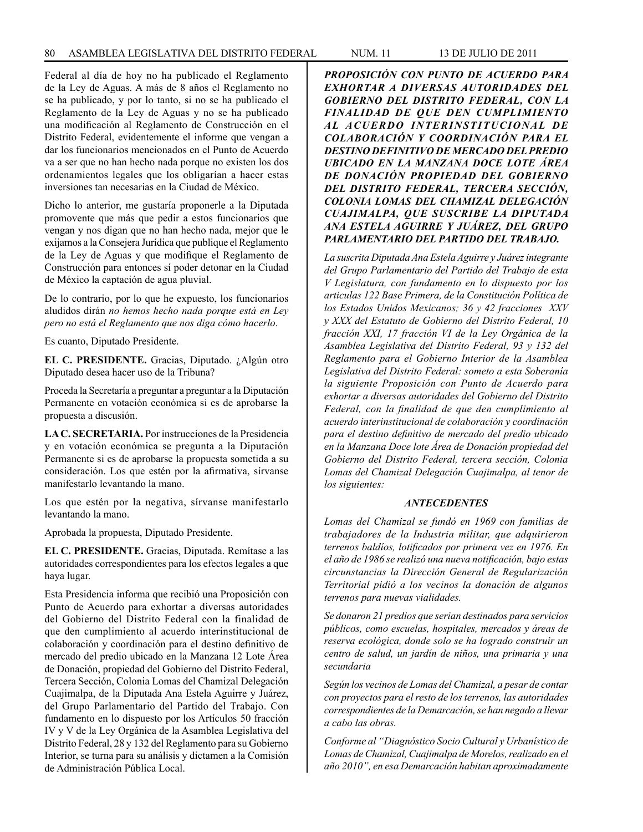Federal al día de hoy no ha publicado el Reglamento de la Ley de Aguas. A más de 8 años el Reglamento no se ha publicado, y por lo tanto, si no se ha publicado el Reglamento de la Ley de Aguas y no se ha publicado una modificación al Reglamento de Construcción en el Distrito Federal, evidentemente el informe que vengan a dar los funcionarios mencionados en el Punto de Acuerdo va a ser que no han hecho nada porque no existen los dos ordenamientos legales que los obligarían a hacer estas inversiones tan necesarias en la Ciudad de México.

Dicho lo anterior, me gustaría proponerle a la Diputada promovente que más que pedir a estos funcionarios que vengan y nos digan que no han hecho nada, mejor que le exijamos a la Consejera Jurídica que publique el Reglamento de la Ley de Aguas y que modifique el Reglamento de Construcción para entonces sí poder detonar en la Ciudad de México la captación de agua pluvial.

De lo contrario, por lo que he expuesto, los funcionarios aludidos dirán *no hemos hecho nada porque está en Ley pero no está el Reglamento que nos diga cómo hacerlo*.

Es cuanto, Diputado Presidente.

**EL C. PRESIDENTE.** Gracias, Diputado. ¿Algún otro Diputado desea hacer uso de la Tribuna?

Proceda la Secretaría a preguntar a preguntar a la Diputación Permanente en votación económica si es de aprobarse la propuesta a discusión.

**LA C. SECRETARIA.** Por instrucciones de la Presidencia y en votación económica se pregunta a la Diputación Permanente si es de aprobarse la propuesta sometida a su consideración. Los que estén por la afirmativa, sírvanse manifestarlo levantando la mano.

Los que estén por la negativa, sírvanse manifestarlo levantando la mano.

Aprobada la propuesta, Diputado Presidente.

**EL C. PRESIDENTE.** Gracias, Diputada. Remítase a las autoridades correspondientes para los efectos legales a que haya lugar.

Esta Presidencia informa que recibió una Proposición con Punto de Acuerdo para exhortar a diversas autoridades del Gobierno del Distrito Federal con la finalidad de que den cumplimiento al acuerdo interinstitucional de colaboración y coordinación para el destino definitivo de mercado del predio ubicado en la Manzana 12 Lote Área de Donación, propiedad del Gobierno del Distrito Federal, Tercera Sección, Colonia Lomas del Chamizal Delegación Cuajimalpa, de la Diputada Ana Estela Aguirre y Juárez, del Grupo Parlamentario del Partido del Trabajo. Con fundamento en lo dispuesto por los Artículos 50 fracción IV y V de la Ley Orgánica de la Asamblea Legislativa del Distrito Federal, 28 y 132 del Reglamento para su Gobierno Interior, se turna para su análisis y dictamen a la Comisión de Administración Pública Local.

*PROPOSICIÓN CON PUNTO DE ACUERDO PARA EXHORTAR A DIVERSAS AUTORIDADES DEL GOBIERNO DEL DISTRITO FEDERAL, CON LA FINALIDAD DE QUE DEN CUMPLIMIENTO AL ACUERDO INTERINSTITUCIONAL DE COLABORACIÓN Y COORDINACIÓN PARA EL DESTINO DEFINITIVO DE MERCADO DEL PREDIO UBICADO EN LA MANZANA DOCE LOTE ÁREA DE DONACIÓN PROPIEDAD DEL GOBIERNO DEL DISTRITO FEDERAL, TERCERA SECCIÓN, COLONIA LOMAS DEL CHAMIZAL DELEGACIÓN CUAJIMALPA, QUE SUSCRIBE LA DIPUTADA ANA ESTELA AGUIRRE Y JUÁREZ, DEL GRUPO PARLAMENTARIO DEL PARTIDO DEL TRABAJO.*

*La suscrita Diputada Ana Estela Aguirre y Juárez integrante del Grupo Parlamentario del Partido del Trabajo de esta V Legislatura, con fundamento en lo dispuesto por los articulas 122 Base Primera, de la Constitución Política de los Estados Unidos Mexicanos; 36 y 42 fracciones XXV y XXX del Estatuto de Gobierno del Distrito Federal, 10 fracción XXI, 17 fracción VI de la Ley Orgánica de la Asamblea Legislativa del Distrito Federal, 93 y 132 del Reglamento para el Gobierno Interior de la Asamblea Legislativa del Distrito Federal: someto a esta Soberanía la siguiente Proposición con Punto de Acuerdo para exhortar a diversas autoridades del Gobierno del Distrito Federal, con la finalidad de que den cumplimiento al acuerdo interinstitucional de colaboración y coordinación para el destino definitivo de mercado del predio ubicado en la Manzana Doce lote Área de Donación propiedad del Gobierno del Distrito Federal, tercera sección, Colonia Lomas del Chamizal Delegación Cuajimalpa, al tenor de los siguientes:* 

### *ANTECEDENTES*

*Lomas del Chamizal se fundó en 1969 con familias de trabajadores de la Industria militar, que adquirieron terrenos baldíos, lotificados por primera vez en 1976. En el año de 1986 se realizó una nueva notificación, bajo estas circunstancias la Dirección General de Regularización Territorial pidió a los vecinos la donación de algunos terrenos para nuevas vialidades.*

*Se donaron 21 predios que serian destinados para servicios públicos, como escuelas, hospitales, mercados y áreas de reserva ecológica, donde solo se ha logrado construir un centro de salud, un jardín de niños, una primaria y una secundaria*

*Según los vecinos de Lomas del Chamizal, a pesar de contar con proyectos para el resto de los terrenos, las autoridades correspondientes de la Demarcación, se han negado a llevar a cabo las obras.*

*Conforme al "Diagnóstico Socio Cultural y Urbanístico de Lomas de Chamizal, Cuajimalpa de Morelos, realizado en el año 2010", en esa Demarcación habitan aproximadamente*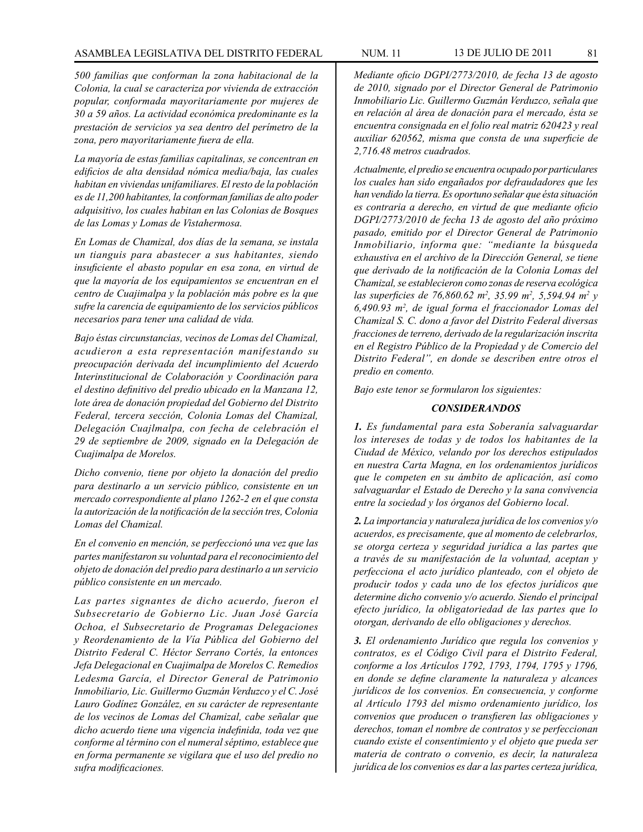*500 familias que conforman la zona habitacional de la Colonia, la cual se caracteriza por vivienda de extracción popular, conformada mayoritariamente por mujeres de 30 a 59 años. La actividad económica predominante es la prestación de servicios ya sea dentro del perímetro de la zona, pero mayoritariamente fuera de ella.* 

*La mayoría de estas familias capitalinas, se concentran en edificios de alta densidad nómica media/baja, las cuales habitan en viviendas unifamiliares. El resto de la población es de 11,200 habitantes, la conforman familias de alto poder adquisitivo, los cuales habitan en las Colonias de Bosques de las Lomas y Lomas de Vistahermosa.*

*En Lomas de Chamizal, dos días de la semana, se instala un tianguis para abastecer a sus habitantes, siendo insuficiente el abasto popular en esa zona, en virtud de que la mayoría de los equipamientos se encuentran en el centro de Cuajimalpa y la población más pobre es la que sufre la carencia de equipamiento de los servicios públicos necesarios para tener una calidad de vida.*

*Bajo éstas circunstancias, vecinos de Lomas del Chamizal, acudieron a esta representación manifestando su preocupación derivada del incumplimiento del Acuerdo Interinstitucional de Colaboración y Coordinación para el destino definitivo del predio ubicado en la Manzana 12, lote área de donación propiedad del Gobierno del Distrito Federal, tercera sección, Colonia Lomas del Chamizal, Delegación Cuajlmalpa, con fecha de celebración el 29 de septiembre de 2009, signado en la Delegación de Cuajimalpa de Morelos.*

*Dicho convenio, tiene por objeto la donación del predio para destinarlo a un servicio público, consistente en un mercado correspondiente al plano 1262-2 en el que consta la autorización de la notificación de la sección tres, Colonia Lomas del Chamizal.*

*En el convenio en mención, se perfeccionó una vez que las partes manifestaron su voluntad para el reconocimiento del objeto de donación del predio para destinarlo a un servicio público consistente en un mercado.*

*Las partes signantes de dicho acuerdo, fueron el Subsecretario de Gobierno Lic. Juan José García Ochoa, el Subsecretario de Programas Delegaciones y Reordenamiento de la Vía Pública del Gobierno del Distrito Federal C. Héctor Serrano Cortés, la entonces Jefa Delegacional en Cuajimalpa de Morelos C. Remedios Ledesma García, el Director General de Patrimonio Inmobiliario, Lic. Guillermo Guzmán Verduzco y el C. José Lauro Godínez González, en su carácter de representante de los vecinos de Lomas del Chamizal, cabe señalar que dicho acuerdo tiene una vigencia indefinida, toda vez que conforme al término con el numeral séptimo, establece que en forma permanente se vigilara que el uso del predio no sufra modificaciones.*

*Mediante oficio DGPI/2773/2010, de fecha 13 de agosto de 2010, signado por el Director General de Patrimonio Inmobiliario Lic. Guillermo Guzmán Verduzco, señala que en relación al área de donación para el mercado, ésta se encuentra consignada en el folio real matriz 620423 y real auxiliar 620562, misma que consta de una superficie de 2,716.48 metros cuadrados.* 

*Actualmente, el predio se encuentra ocupado por particulares los cuales han sido engañados por defraudadores que les han vendido la tierra. Es oportuno señalar que ésta situación es contraria a derecho, en virtud de que mediante oficio DGPI/2773/2010 de fecha 13 de agosto del año próximo pasado, emitido por el Director General de Patrimonio Inmobiliario, informa que: "mediante la búsqueda exhaustiva en el archivo de la Dirección General, se tiene que derivado de la notificación de la Colonia Lomas del Chamizal, se establecieron como zonas de reserva ecológica las superficies de 76,860.62 m2 , 35.99 m2 , 5,594.94 m2 y 6,490.93 m2 , de igual forma el fraccionador Lomas del Chamizal S. C. dono a favor del Distrito Federal diversas fracciones de terreno, derivado de la regularización inscrita en el Registro Público de la Propiedad y de Comercio del Distrito Federal", en donde se describen entre otros el predio en comento.*

*Bajo este tenor se formularon los siguientes:*

#### *CONSIDERANDOS*

*1. Es fundamental para esta Soberanía salvaguardar los intereses de todas y de todos los habitantes de la Ciudad de México, velando por los derechos estipulados en nuestra Carta Magna, en los ordenamientos jurídicos que le competen en su ámbito de aplicación, así como salvaguardar el Estado de Derecho y la sana convivencia entre la sociedad y los órganos del Gobierno local.*

*2. La importancia y naturaleza jurídica de los convenios y/o acuerdos, es precisamente, que al momento de celebrarlos, se otorga certeza y seguridad jurídica a las partes que a través de su manifestación de la voluntad, aceptan y perfecciona el acto jurídico planteado, con el objeto de producir todos y cada uno de los efectos jurídicos que determine dicho convenio y/o acuerdo. Siendo el principal efecto jurídico, la obligatoriedad de las partes que lo otorgan, derivando de ello obligaciones y derechos.* 

*3. El ordenamiento Jurídico que regula los convenios y contratos, es el Código Civil para el Distrito Federal, conforme a los Artículos 1792, 1793, 1794, 1795 y 1796, en donde se define claramente la naturaleza y alcances jurídicos de los convenios. En consecuencia, y conforme al Artículo 1793 del mismo ordenamiento jurídico, los convenios que producen o transfieren las obligaciones y derechos, toman el nombre de contratos y se perfeccionan cuando existe el consentimiento y el objeto que pueda ser materia de contrato o convenio, es decir, la naturaleza jurídica de los convenios es dar a las partes certeza jurídica,*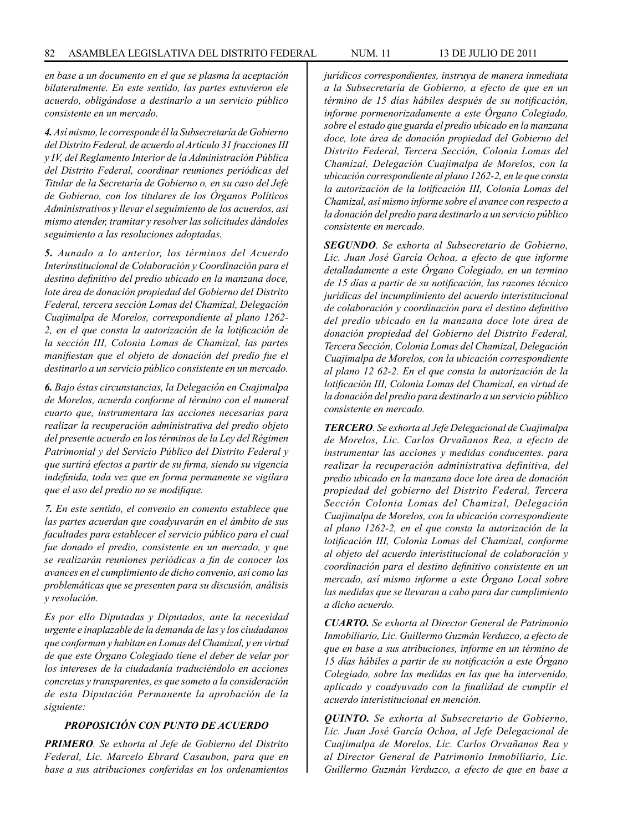*en base a un documento en el que se plasma la aceptación bilateralmente. En este sentido, las partes estuvieron ele acuerdo, obligándose a destinarlo a un servicio público consistente en un mercado.*

*4. Así mismo, le corresponde él la Subsecretaría de Gobierno del Distrito Federal, de acuerdo al Artículo 31 fracciones III y IV, del Reglamento Interior de la Administración Pública del Distrito Federal, coordinar reuniones periódicas del Titular de la Secretaría de Gobierno o, en su caso del Jefe de Gobierno, con los titulares de los Órganos Políticos Administrativos y llevar el seguimiento de los acuerdos, así mismo atender, tramitar y resolver las solicitudes dándoles seguimiento a las resoluciones adoptadas.* 

*5. Aunado a lo anterior, los términos del Acuerdo Interinstitucional de Colaboración y Coordinación para el destino definitivo del predio ubicado en la manzana doce, lote área de donación propiedad del Gobierno del Distrito Federal, tercera sección Lomas del Chamizal, Delegación Cuajimalpa de Morelos, correspondiente al plano 1262- 2, en el que consta la autorización de la lotificación de la sección III, Colonia Lomas de Chamizal, las partes manifiestan que el objeto de donación del predio fue el destinarlo a un servicio público consistente en un mercado.* 

*6. Bajo éstas circunstancias, la Delegación en Cuajimalpa de Morelos, acuerda conforme al término con el numeral cuarto que, instrumentara las acciones necesarias para realizar la recuperación administrativa del predio objeto del presente acuerdo en los términos de la Ley del Régimen Patrimonial y del Servicio Público del Distrito Federal y que surtirá efectos a partir de su firma, siendo su vigencia indefinida, toda vez que en forma permanente se vigilara que el uso del predio no se modifique.*

*7. En este sentido, el convenio en comento establece que las partes acuerdan que coadyuvarán en el ámbito de sus facultades para establecer el servicio público para el cual fue donado el predio, consistente en un mercado, y que se realizarán reuniones periódicas a fin de conocer los avances en el cumplimiento de dicho convenio, así como las problemáticas que se presenten para su discusión, análisis y resolución.* 

*Es por ello Diputadas y Diputados, ante la necesidad urgente e inaplazable de la demanda de las y los ciudadanos que conforman y habitan en Lomas del Chamizal, y en virtud de que este Órgano Colegiado tiene el deber de velar por los intereses de la ciudadanía traduciéndolo en acciones concretas y transparentes, es que someto a la consideración de esta Diputación Permanente la aprobación de la siguiente:*

### *PROPOSICIÓN CON PUNTO DE ACUERDO*

*PRIMERO. Se exhorta al Jefe de Gobierno del Distrito Federal, Lic. Marcelo Ebrard Casaubon, para que en base a sus atribuciones conferidas en los ordenamientos* 

*jurídicos correspondientes, instruya de manera inmediata a la Subsecretaría de Gobierno, a efecto de que en un término de 15 días hábiles después de su notificación, informe pormenorizadamente a este Órgano Colegiado, sobre el estado que guarda el predio ubicado en la manzana doce, lote área de donación propiedad del Gobierno del Distrito Federal, Tercera Sección, Colonia Lomas del Chamizal, Delegación Cuajimalpa de Morelos, con la ubicación correspondiente al plano 1262-2, en le que consta la autorización de la lotificación III, Colonia Lomas del Chamizal, así mismo informe sobre el avance con respecto a la donación del predio para destinarlo a un servicio público consistente en mercado.*

*SEGUNDO. Se exhorta al Subsecretario de Gobierno, Lic. Juan José García Ochoa, a efecto de que informe detalladamente a este Órgano Colegiado, en un termino de 15 días a partir de su notificación, las razones técnico jurídicas del incumplimiento del acuerdo interistitucional de colaboración y coordinación para el destino definitivo del predio ubicado en la manzana doce lote área de donación propiedad del Gobierno del Distrito Federal, Tercera Sección, Colonia Lomas del Chamizal, Delegación Cuajimalpa de Morelos, con la ubicación correspondiente al plano 12 62-2. En el que consta la autorización de la lotificación III, Colonia Lomas del Chamizal, en virtud de la donación del predio para destinarlo a un servicio público consistente en mercado.*

*TERCERO. Se exhorta al Jefe Delegacional de Cuajimalpa de Morelos, Lic. Carlos Orvañanos Rea, a efecto de instrumentar las acciones y medidas conducentes. para realizar la recuperación administrativa definitiva, del predio ubicado en la manzana doce lote área de donación propiedad del gobierno del Distrito Federal, Tercera Sección Colonia Lomas del Chamizal, Delegación Cuajimalpa de Morelos, con la ubicación correspondiente al plano 1262-2, en el que consta la autorización de la lotificación III, Colonia Lomas del Chamizal, conforme al objeto del acuerdo interistitucional de colaboración y coordinación para el destino definitivo consistente en un mercado, así mismo informe a este Órgano Local sobre las medidas que se llevaran a cabo para dar cumplimiento a dicho acuerdo.*

*CUARTO. Se exhorta al Director General de Patrimonio Inmobiliario, Lic. Guillermo Guzmán Verduzco, a efecto de que en base a sus atribuciones, informe en un término de 15 días hábiles a partir de su notificación a este Órgano Colegiado, sobre las medidas en las que ha intervenido, aplicado y coadyuvado con la finalidad de cumplir el acuerdo interistitucional en mención.* 

*QUINTO. Se exhorta al Subsecretario de Gobierno, Lic. Juan José García Ochoa, al Jefe Delegacional de Cuajimalpa de Morelos, Lic. Carlos Orvañanos Rea y al Director General de Patrimonio Inmobiliario, Lic. Guillermo Guzmán Verduzco, a efecto de que en base a*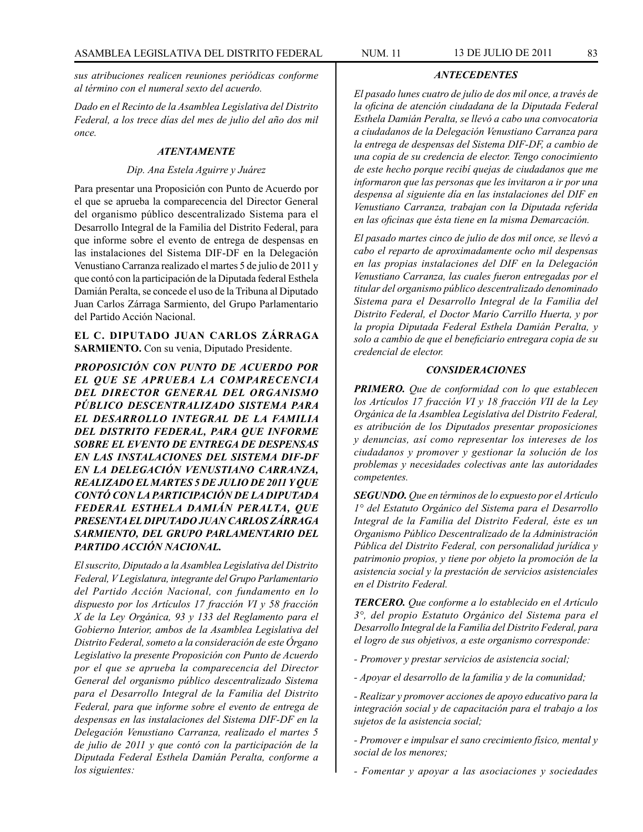*sus atribuciones realicen reuniones periódicas conforme al término con el numeral sexto del acuerdo.*

*Dado en el Recinto de la Asamblea Legislativa del Distrito Federal, a los trece días del mes de julio del año dos mil once.*

## *ATENTAMENTE*

#### *Dip. Ana Estela Aguirre y Juárez*

Para presentar una Proposición con Punto de Acuerdo por el que se aprueba la comparecencia del Director General del organismo público descentralizado Sistema para el Desarrollo Integral de la Familia del Distrito Federal, para que informe sobre el evento de entrega de despensas en las instalaciones del Sistema DIF-DF en la Delegación Venustiano Carranza realizado el martes 5 de julio de 2011 y que contó con la participación de la Diputada federal Esthela Damián Peralta, se concede el uso de la Tribuna al Diputado Juan Carlos Zárraga Sarmiento, del Grupo Parlamentario del Partido Acción Nacional.

**EL C. DIPUTADO JUAN CARLOS ZÁRRAGA SARMIENTO.** Con su venia, Diputado Presidente.

*PROPOSICIÓN CON PUNTO DE ACUERDO POR EL QUE SE APRUEBA LA COMPARECENCIA DEL DIRECTOR GENERAL DEL ORGANISMO PÚBLICO DESCENTRALIZADO SISTEMA PARA EL DESARROLLO INTEGRAL DE LA FAMILIA DEL DISTRITO FEDERAL, PARA QUE INFORME SOBRE EL EVENTO DE ENTREGA DE DESPENSAS EN LAS INSTALACIONES DEL SISTEMA DIF-DF EN LA DELEGACIÓN VENUSTIANO CARRANZA, REALIZADO EL MARTES 5 DE JULIO DE 2011 Y QUE CONTÓ CON LA PARTICIPACIÓN DE LA DIPUTADA FEDERAL ESTHELA DAMIÁN PERALTA, QUE PRESENTA EL DIPUTADO JUAN CARLOS ZÁRRAGA SARMIENTO, DEL GRUPO PARLAMENTARIO DEL PARTIDO ACCIÓN NACIONAL.*

*El suscrito, Diputado a la Asamblea Legislativa del Distrito Federal, V Legislatura, integrante del Grupo Parlamentario del Partido Acción Nacional, con fundamento en lo dispuesto por los Artículos 17 fracción VI y 58 fracción X de la Ley Orgánica, 93 y 133 del Reglamento para el Gobierno Interior, ambos de la Asamblea Legislativa del Distrito Federal, someto a la consideración de este Órgano Legislativo la presente Proposición con Punto de Acuerdo por el que se aprueba la comparecencia del Director General del organismo público descentralizado Sistema para el Desarrollo Integral de la Familia del Distrito Federal, para que informe sobre el evento de entrega de despensas en las instalaciones del Sistema DIF-DF en la Delegación Venustiano Carranza, realizado el martes 5 de julio de 2011 y que contó con la participación de la Diputada Federal Esthela Damián Peralta, conforme a los siguientes:*

*El pasado lunes cuatro de julio de dos mil once, a través de la oficina de atención ciudadana de la Diputada Federal Esthela Damián Peralta, se llevó a cabo una convocatoria a ciudadanos de la Delegación Venustiano Carranza para la entrega de despensas del Sistema DIF-DF, a cambio de una copia de su credencia de elector. Tengo conocimiento de este hecho porque recibí quejas de ciudadanos que me informaron que las personas que les invitaron a ir por una despensa al siguiente día en las instalaciones del DIF en Venustiano Carranza, trabajan con la Diputada referida en las oficinas que ésta tiene en la misma Demarcación.*

*ANTECEDENTES*

*El pasado martes cinco de julio de dos mil once, se llevó a cabo el reparto de aproximadamente ocho mil despensas en las propias instalaciones del DIF en la Delegación Venustiano Carranza, las cuales fueron entregadas por el titular del organismo público descentralizado denominado Sistema para el Desarrollo Integral de la Familia del Distrito Federal, el Doctor Mario Carrillo Huerta, y por la propia Diputada Federal Esthela Damián Peralta, y solo a cambio de que el beneficiario entregara copia de su credencial de elector.*

### *CONSIDERACIONES*

*PRIMERO. Que de conformidad con lo que establecen los Artículos 17 fracción VI y 18 fracción VII de la Ley Orgánica de la Asamblea Legislativa del Distrito Federal, es atribución de los Diputados presentar proposiciones y denuncias, así como representar los intereses de los ciudadanos y promover y gestionar la solución de los problemas y necesidades colectivas ante las autoridades competentes.*

*SEGUNDO. Que en términos de lo expuesto por el Artículo 1° del Estatuto Orgánico del Sistema para el Desarrollo Integral de la Familia del Distrito Federal, éste es un Organismo Público Descentralizado de la Administración Pública del Distrito Federal, con personalidad jurídica y patrimonio propios, y tiene por objeto la promoción de la asistencia social y la prestación de servicios asistenciales en el Distrito Federal.* 

*TERCERO. Que conforme a lo establecido en el Artículo 3°, del propio Estatuto Orgánico del Sistema para el Desarrollo Integral de la Familia del Distrito Federal, para el logro de sus objetivos, a este organismo corresponde:*

- *Promover y prestar servicios de asistencia social;*
- *Apoyar el desarrollo de la familia y de la comunidad;*
- *Realizar y promover acciones de apoyo educativo para la integración social y de capacitación para el trabajo a los sujetos de la asistencia social;*

*- Promover e impulsar el sano crecimiento físico, mental y social de los menores;*

*- Fomentar y apoyar a las asociaciones y sociedades*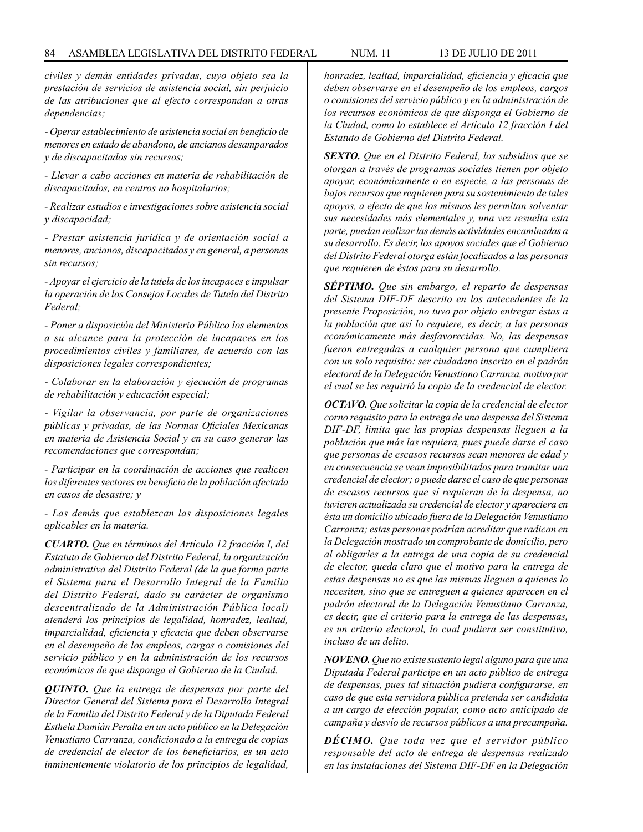*civiles y demás entidades privadas, cuyo objeto sea la prestación de servicios de asistencia social, sin perjuicio de las atribuciones que al efecto correspondan a otras dependencias;*

*- Operar establecimiento de asistencia social en beneficio de menores en estado de abandono, de ancianos desamparados y de discapacitados sin recursos;*

*- Llevar a cabo acciones en materia de rehabilitación de discapacitados, en centros no hospitalarios;*

*- Realizar estudios e investigaciones sobre asistencia social y discapacidad;*

*- Prestar asistencia jurídica y de orientación social a menores, ancianos, discapacitados y en general, a personas sin recursos;*

*- Apoyar el ejercicio de la tutela de los incapaces e impulsar la operación de los Consejos Locales de Tutela del Distrito Federal;*

*- Poner a disposición del Ministerio Público los elementos a su alcance para la protección de incapaces en los procedimientos civiles y familiares, de acuerdo con las disposiciones legales correspondientes;*

*- Colaborar en la elaboración y ejecución de programas de rehabilitación y educación especial;*

*- Vigilar la observancia, por parte de organizaciones públicas y privadas, de las Normas Oficiales Mexicanas en materia de Asistencia Social y en su caso generar las recomendaciones que correspondan;*

*- Participar en la coordinación de acciones que realicen los diferentes sectores en beneficio de la población afectada en casos de desastre; y* 

*- Las demás que establezcan las disposiciones legales aplicables en la materia.*

*CUARTO. Que en términos del Artículo 12 fracción I, del Estatuto de Gobierno del Distrito Federal, la organización administrativa del Distrito Federal (de la que forma parte el Sistema para el Desarrollo Integral de la Familia del Distrito Federal, dado su carácter de organismo descentralizado de la Administración Pública local) atenderá los principios de legalidad, honradez, lealtad, imparcialidad, eficiencia y eficacia que deben observarse en el desempeño de los empleos, cargos o comisiones del servicio público y en la administración de los recursos económicos de que disponga el Gobierno de la Ciudad.*

*QUINTO. Que la entrega de despensas por parte del Director General del Sistema para el Desarrollo Integral de la Familia del Distrito Federal y de la Diputada Federal Esthela Damián Peralta en un acto público en la Delegación Venustiano Carranza, condicionado a la entrega de copias de credencial de elector de los beneficiarios, es un acto inminentemente violatorio de los principios de legalidad,* 

*honradez, lealtad, imparcialidad, eficiencia y eficacia que deben observarse en el desempeño de los empleos, cargos o comisiones del servicio público y en la administración de los recursos económicos de que disponga el Gobierno de la Ciudad, como lo establece el Artículo 12 fracción I del Estatuto de Gobierno del Distrito Federal.*

*SEXTO. Que en el Distrito Federal, los subsidios que se otorgan a través de programas sociales tienen por objeto apoyar, económicamente o en especie, a las personas de bajos recursos que requieren para su sostenimiento de tales apoyos, a efecto de que los mismos les permitan solventar sus necesidades más elementales y, una vez resuelta esta parte, puedan realizar las demás actividades encaminadas a su desarrollo. Es decir, los apoyos sociales que el Gobierno del Distrito Federal otorga están focalizados a las personas que requieren de éstos para su desarrollo.* 

*SÉPTIMO. Que sin embargo, el reparto de despensas del Sistema DIF-DF descrito en los antecedentes de la presente Proposición, no tuvo por objeto entregar éstas a la población que así lo requiere, es decir, a las personas económicamente más desfavorecidas. No, las despensas fueron entregadas a cualquier persona que cumpliera con un solo requisito: ser ciudadano inscrito en el padrón electoral de la Delegación Venustiano Carranza, motivo por el cual se les requirió la copia de la credencial de elector.*

*OCTAVO. Que solicitar la copia de la credencial de elector corno requisito para la entrega de una despensa del Sistema DIF-DF, limita que las propias despensas lleguen a la población que más las requiera, pues puede darse el caso que personas de escasos recursos sean menores de edad y en consecuencia se vean imposibilitados para tramitar una credencial de elector; o puede darse el caso de que personas de escasos recursos que sí requieran de la despensa, no tuvieren actualizada su credencial de elector y apareciera en ésta un domicilio ubicado fuera de la Delegación Venustiano Carranza; estas personas podrían acreditar que radican en la Delegación mostrado un comprobante de domicilio, pero al obligarles a la entrega de una copia de su credencial de elector, queda claro que el motivo para la entrega de estas despensas no es que las mismas lleguen a quienes lo necesiten, sino que se entreguen a quienes aparecen en el padrón electoral de la Delegación Venustiano Carranza, es decir, que el criterio para la entrega de las despensas, es un criterio electoral, lo cual pudiera ser constitutivo, incluso de un delito.*

*NOVENO. Que no existe sustento legal alguno para que una Diputada Federal participe en un acto público de entrega de despensas, pues tal situación pudiera configurarse, en caso de que esta servidora pública pretenda ser candidata a un cargo de elección popular, como acto anticipado de campaña y desvío de recursos públicos a una precampaña.*

*DÉCIMO. Que toda vez que el servidor público responsable del acto de entrega de despensas realizado en las instalaciones del Sistema DIF-DF en la Delegación*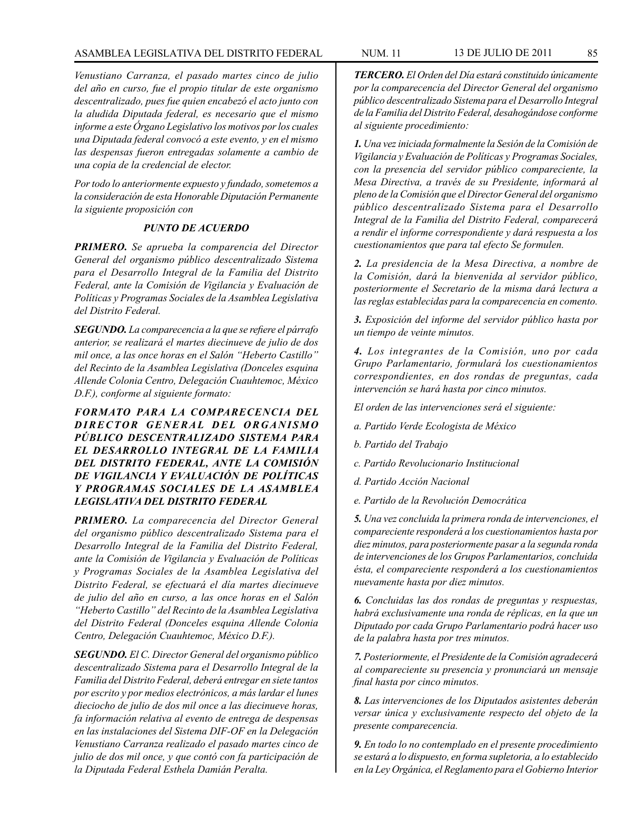*Venustiano Carranza, el pasado martes cinco de julio del año en curso, fue el propio titular de este organismo descentralizado, pues fue quien encabezó el acto junto con la aludida Diputada federal, es necesario que el mismo informe a este Órgano Legislativo los motivos por los cuales una Diputada federal convocó a este evento, y en el mismo las despensas fueron entregadas solamente a cambio de una copia de la credencial de elector.*

*Por todo lo anteriormente expuesto y fundado, sometemos a la consideración de esta Honorable Diputación Permanente la siguiente proposición con*

### *PUNTO DE ACUERDO*

*PRIMERO. Se aprueba la comparencia del Director General del organismo público descentralizado Sistema para el Desarrollo Integral de la Familia del Distrito Federal, ante la Comisión de Vigilancia y Evaluación de Políticas y Programas Sociales de la Asamblea Legislativa del Distrito Federal.*

*SEGUNDO. La comparecencia a la que se refiere el párrafo anterior, se realizará el martes diecinueve de julio de dos mil once, a las once horas en el Salón "Heberto Castillo" del Recinto de la Asamblea Legislativa (Donceles esquina Allende Colonia Centro, Delegación Cuauhtemoc, México D.F.), conforme al siguiente formato:*

*FORMATO PARA LA COMPARECENCIA DEL*  **DIRECTOR GENERAL DEL ORGANISMO** *PÚBLICO DESCENTRALIZADO SISTEMA PARA EL DESARROLLO INTEGRAL DE LA FAMILIA DEL DISTRITO FEDERAL, ANTE LA COMISIÓN DE VIGILANCIA Y EVALUACIÓN DE POLÍTICAS Y PROGRAMAS SOCIALES DE LA ASAMBLEA LEGISLATIVA DEL DISTRITO FEDERAL*

*PRIMERO. La comparecencia del Director General del organismo público descentralizado Sistema para el Desarrollo Integral de la Familia del Distrito Federal, ante la Comisión de Vigilancia y Evaluación de Políticas y Programas Sociales de la Asamblea Legislativa del Distrito Federal, se efectuará el día martes diecinueve de julio del año en curso, a las once horas en el Salón "Heberto Castillo" del Recinto de la Asamblea Legislativa del Distrito Federal (Donceles esquina Allende Colonia Centro, Delegación Cuauhtemoc, México D.F.).*

*SEGUNDO. El C. Director General del organismo público descentralizado Sistema para el Desarrollo Integral de la Familia del Distrito Federal, deberá entregar en siete tantos por escrito y por medios electrónicos, a más lardar el lunes dieciocho de julio de dos mil once a las diecinueve horas, fa información relativa al evento de entrega de despensas en las instalaciones del Sistema DIF-OF en la Delegación Venustiano Carranza realizado el pasado martes cinco de julio de dos mil once, y que contó con fa participación de la Diputada Federal Esthela Damián Peralta.* 

*TERCERO. El Orden del Día estará constituido únicamente por la comparecencia del Director General del organismo público descentralizado Sistema para el Desarrollo Integral de la Familia del Distrito Federal, desahogándose conforme al siguiente procedimiento:* 

*1. Una vez iniciada formalmente la Sesión de la Comisión de Vigilancia y Evaluación de Políticas y Programas Sociales, con la presencia del servidor público compareciente, la Mesa Directiva, a través de su Presidente, informará al pleno de la Comisión que el Director General del organismo público descentralizado Sistema para el Desarrollo Integral de la Familia del Distrito Federal, comparecerá a rendir el informe correspondiente y dará respuesta a los cuestionamientos que para tal efecto Se formulen.*

*2. La presidencia de la Mesa Directiva, a nombre de la Comisión, dará la bienvenida al servidor público, posteriormente el Secretario de la misma dará lectura a las reglas establecidas para la comparecencia en comento.*

*3. Exposición del informe del servidor público hasta por un tiempo de veinte minutos.*

*4. Los integrantes de la Comisión, uno por cada Grupo Parlamentario, formulará los cuestionamientos correspondientes, en dos rondas de preguntas, cada intervención se hará hasta por cinco minutos.* 

*El orden de las intervenciones será el siguiente:*

- *a. Partido Verde Ecologista de México*
- *b. Partido del Trabajo*
- *c. Partido Revolucionario Institucional*
- *d. Partido Acción Nacional*
- *e. Partido de la Revolución Democrática*

*5. Una vez concluida la primera ronda de intervenciones, el compareciente responderá a los cuestionamientos hasta por diez minutos, para posteriormente pasar a la segunda ronda de intervenciones de los Grupos Parlamentarios, concluida ésta, el compareciente responderá a los cuestionamientos nuevamente hasta por diez minutos.*

*6. Concluidas las dos rondas de preguntas y respuestas, habrá exclusivamente una ronda de réplicas, en la que un Diputado por cada Grupo Parlamentario podrá hacer uso de la palabra hasta por tres minutos.*

*7. Posteriormente, el Presidente de la Comisión agradecerá al compareciente su presencia y pronunciará un mensaje final hasta por cinco minutos.*

*8. Las intervenciones de los Diputados asistentes deberán versar única y exclusivamente respecto del objeto de la presente comparecencia.*

*9. En todo lo no contemplado en el presente procedimiento se estará a lo dispuesto, en forma supletoria, a lo establecido en la Ley Orgánica, el Reglamento para el Gobierno Interior*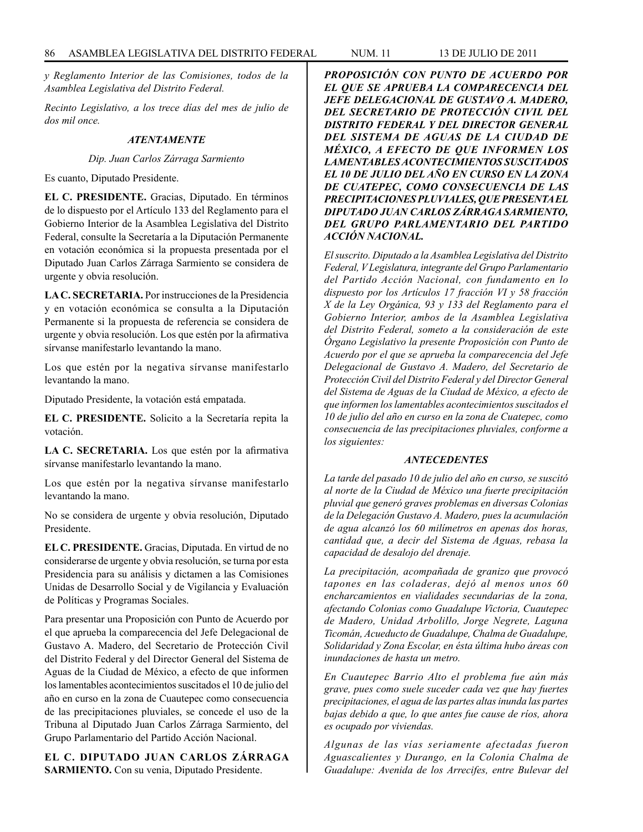*y Reglamento Interior de las Comisiones, todos de la Asamblea Legislativa del Distrito Federal.*

*Recinto Legislativo, a los trece días del mes de julio de dos mil once.*

### *ATENTAMENTE*

*Dip. Juan Carlos Zárraga Sarmiento*

Es cuanto, Diputado Presidente.

**EL C. PRESIDENTE.** Gracias, Diputado. En términos de lo dispuesto por el Artículo 133 del Reglamento para el Gobierno Interior de la Asamblea Legislativa del Distrito Federal, consulte la Secretaría a la Diputación Permanente en votación económica si la propuesta presentada por el Diputado Juan Carlos Zárraga Sarmiento se considera de urgente y obvia resolución.

**LA C. SECRETARIA.** Por instrucciones de la Presidencia y en votación económica se consulta a la Diputación Permanente si la propuesta de referencia se considera de urgente y obvia resolución. Los que estén por la afirmativa sírvanse manifestarlo levantando la mano.

Los que estén por la negativa sírvanse manifestarlo levantando la mano.

Diputado Presidente, la votación está empatada.

**EL C. PRESIDENTE.** Solicito a la Secretaría repita la votación.

**LA C. SECRETARIA.** Los que estén por la afirmativa sírvanse manifestarlo levantando la mano.

Los que estén por la negativa sírvanse manifestarlo levantando la mano.

No se considera de urgente y obvia resolución, Diputado Presidente.

**EL C. PRESIDENTE.** Gracias, Diputada. En virtud de no considerarse de urgente y obvia resolución, se turna por esta Presidencia para su análisis y dictamen a las Comisiones Unidas de Desarrollo Social y de Vigilancia y Evaluación de Políticas y Programas Sociales.

Para presentar una Proposición con Punto de Acuerdo por el que aprueba la comparecencia del Jefe Delegacional de Gustavo A. Madero, del Secretario de Protección Civil del Distrito Federal y del Director General del Sistema de Aguas de la Ciudad de México, a efecto de que informen los lamentables acontecimientos suscitados el 10 de julio del año en curso en la zona de Cuautepec como consecuencia de las precipitaciones pluviales, se concede el uso de la Tribuna al Diputado Juan Carlos Zárraga Sarmiento, del Grupo Parlamentario del Partido Acción Nacional.

**EL C. DIPUTADO JUAN CARLOS ZÁRRAGA SARMIENTO.** Con su venia, Diputado Presidente.

*PROPOSICIÓN CON PUNTO DE ACUERDO POR EL QUE SE APRUEBA LA COMPARECENCIA DEL JEFE DELEGACIONAL DE GUSTAVO A. MADERO, DEL SECRETARIO DE PROTECCIÓN CIVIL DEL DISTRITO FEDERAL Y DEL DIRECTOR GENERAL DEL SISTEMA DE AGUAS DE LA CIUDAD DE MÉXICO, A EFECTO DE QUE INFORMEN LOS LAMENTABLES ACONTECIMIENTOS SUSCITADOS EL 10 DE JULIO DEL AÑO EN CURSO EN LA ZONA DE CUATEPEC, COMO CONSECUENCIA DE LAS PRECIPITACIONES PLUVIALES, QUE PRESENTA EL DIPUTADO JUAN CARLOS ZÁRRAGA SARMIENTO, DEL GRUPO PARLAMENTARIO DEL PARTIDO ACCIÓN NACIONAL.*

*El suscrito. Diputado a la Asamblea Legislativa del Distrito Federal, V Legislatura, integrante del Grupo Parlamentario del Partido Acción Nacional, con fundamento en lo dispuesto por los Artículos 17 fracción VI y 58 fracción X de la Ley Orgánica, 93 y 133 del Reglamento para el Gobierno Interior, ambos de la Asamblea Legislativa del Distrito Federal, someto a la consideración de este Órgano Legislativo la presente Proposición con Punto de Acuerdo por el que se aprueba la comparecencia del Jefe Delegacional de Gustavo A. Madero, del Secretario de Protección Civil del Distrito Federal y del Director General del Sistema de Aguas de la Ciudad de México, a efecto de que informen los lamentables acontecimientos suscitados el 10 de julio del año en curso en la zona de Cuatepec, como consecuencia de las precipitaciones pluviales, conforme a los siguientes:*

### *ANTECEDENTES*

*La tarde del pasado 10 de julio del año en curso, se suscitó al norte de la Ciudad de México una fuerte precipitación pluvial que generó graves problemas en diversas Colonias de la Delegación Gustavo A. Madero, pues la acumulación de agua alcanzó los 60 milímetros en apenas dos horas, cantidad que, a decir del Sistema de Aguas, rebasa la capacidad de desalojo del drenaje.*

*La precipitación, acompañada de granizo que provocó tapones en las coladeras, dejó al menos unos 60 encharcamientos en vialidades secundarias de la zona, afectando Colonias como Guadalupe Victoria, Cuautepec de Madero, Unidad Arbolillo, Jorge Negrete, Laguna Ticomán, Acueducto de Guadalupe, Chalma de Guadalupe, Solidaridad y Zona Escolar, en ésta última hubo áreas con inundaciones de hasta un metro.*

*En Cuautepec Barrio Alto el problema fue aún más grave, pues como suele suceder cada vez que hay fuertes precipitaciones, el agua de las partes altas inunda las partes bajas debido a que, lo que antes fue cause de ríos, ahora es ocupado por viviendas.* 

*Algunas de las vías seriamente afectadas fueron Aguascalientes y Durango, en la Colonia Chalma de Guadalupe: Avenida de los Arrecifes, entre Bulevar del*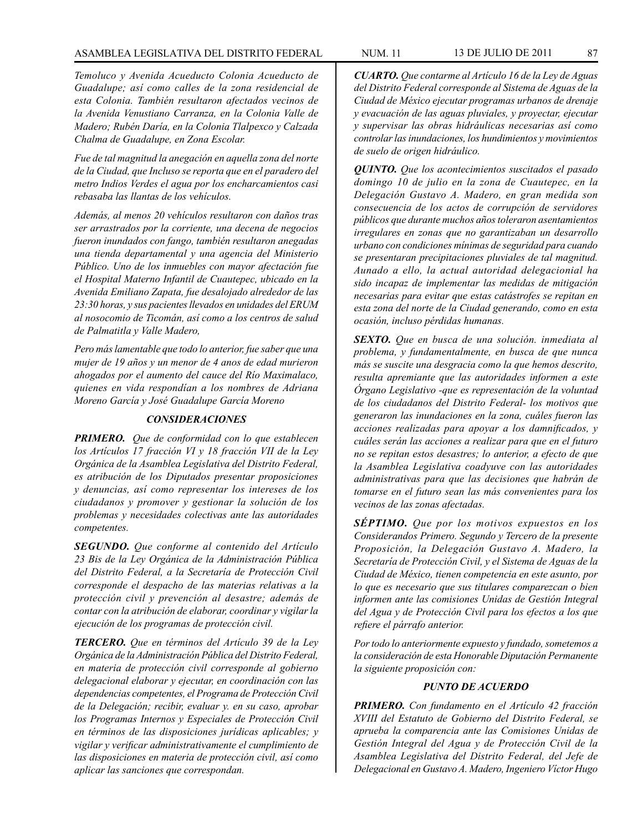*Temoluco y Avenida Acueducto Colonia Acueducto de Guadalupe; así como calles de la zona residencial de esta Colonia. También resultaron afectados vecinos de la Avenida Venustiano Carranza, en la Colonia Valle de Madero; Rubén Daría, en la Colonia Tlalpexco y Calzada Chalma de Guadalupe, en Zona Escolar.*

*Fue de tal magnitud la anegación en aquella zona del norte de la Ciudad, que Incluso se reporta que en el paradero del metro Indios Verdes el agua por los encharcamientos casi rebasaba las llantas de los vehículos.*

*Además, al menos 20 vehículos resultaron con daños tras ser arrastrados por la corriente, una decena de negocios fueron inundados con fango, también resultaron anegadas una tienda departamental y una agencia del Ministerio Público. Uno de los inmuebles con mayor afectación fue el Hospital Materno Infantil de Cuautepec, ubicado en la Avenida Emiliano Zapata, fue desalojado alrededor de las 23:30 horas, y sus pacientes llevados en unidades del ERUM al nosocomio de Ticomán, así como a los centros de salud de Palmatitla y Valle Madero,* 

*Pero más lamentable que todo lo anterior, fue saber que una mujer de 19 años y un menor de 4 anos de edad murieron ahogados por el aumento del cauce del Río Maximalaco, quienes en vida respondían a los nombres de Adriana Moreno García y José Guadalupe García Moreno* 

### *CONSIDERACIONES*

*PRIMERO. Que de conformidad con lo que establecen los Artículos 17 fracción VI y 18 fracción VII de la Ley Orgánica de la Asamblea Legislativa del Distrito Federal, es atribución de los Diputados presentar proposiciones y denuncias, así como representar los intereses de los ciudadanos y promover y gestionar la solución de los problemas y necesidades colectivas ante las autoridades competentes.*

*SEGUNDO. Que conforme al contenido del Artículo 23 Bis de la Ley Orgánica de la Administración Pública del Distrito Federal, a la Secretaría de Protección Civil corresponde el despacho de las materias relativas a la protección civil y prevención al desastre; además de contar con la atribución de elaborar, coordinar y vigilar la ejecución de los programas de protección civil.* 

*TERCERO. Que en términos del Artículo 39 de la Ley Orgánica de la Administración Pública del Distrito Federal, en materia de protección civil corresponde al gobierno delegacional elaborar y ejecutar, en coordinación con las dependencias competentes, el Programa de Protección Civil de la Delegación; recibir, evaluar y. en su caso, aprobar los Programas Internos y Especiales de Protección Civil en términos de las disposiciones jurídicas aplicables; y vigilar y verificar administrativamente el cumplimiento de las disposiciones en materia de protección civil, así como aplicar las sanciones que correspondan.*

*CUARTO. Que contarme al Artículo 16 de la Ley de Aguas del Distrito Federal corresponde al Sistema de Aguas de la Ciudad de México ejecutar programas urbanos de drenaje y evacuación de las aguas pluviales, y proyectar, ejecutar y supervisar las obras hidráulicas necesarias así como controlar las inundaciones, los hundimientos y movimientos de suelo de origen hidráulico.*

*QUINTO. Que los acontecimientos suscitados el pasado domingo 10 de julio en la zona de Cuautepec, en la Delegación Gustavo A. Madero, en gran medida son consecuencia de los actos de corrupción de servidores públicos que durante muchos años toleraron asentamientos irregulares en zonas que no garantizaban un desarrollo urbano con condiciones mínimas de seguridad para cuando se presentaran precipitaciones pluviales de tal magnitud. Aunado a ello, la actual autoridad delegacionial ha sido incapaz de implementar las medidas de mitigación necesarias para evitar que estas catástrofes se repitan en esta zona del norte de la Ciudad generando, como en esta ocasión, incluso pérdidas humanas.*

*SEXTO. Que en busca de una solución. inmediata al problema, y fundamentalmente, en busca de que nunca más se suscite una desgracia como la que hemos descrito, resulta apremiante que las autoridades informen a este Órgano Legislativo -que es representación de la voluntad de los ciudadanos del Distrito Federal- los motivos que generaron las inundaciones en la zona, cuáles fueron las acciones realizadas para apoyar a los damnificados, y cuáles serán las acciones a realizar para que en el futuro no se repitan estos desastres; lo anterior, a efecto de que la Asamblea Legislativa coadyuve con las autoridades administrativas para que las decisiones que habrán de tomarse en el futuro sean las más convenientes para los vecinos de las zonas afectadas.*

*SÉPTIMO. Que por los motivos expuestos en los Considerandos Primero. Segundo y Tercero de la presente Proposición, la Delegación Gustavo A. Madero, la Secretaría de Protección Civil, y el Sistema de Aguas de la Ciudad de México, tienen competencia en este asunto, por lo que es necesario que sus titulares comparezcan o bien informen ante las comisiones Unidas de Gestión Integral del Agua y de Protección Civil para los efectos a los que refiere el párrafo anterior.*

*Por todo lo anteriormente expuesto y fundado, sometemos a la consideración de esta Honorable Diputación Permanente la siguiente proposición con:*

#### *PUNTO DE ACUERDO*

*PRIMERO. Con fundamento en el Artículo 42 fracción XVIII del Estatuto de Gobierno del Distrito Federal, se aprueba la comparencia ante las Comisiones Unidas de Gestión Integral del Agua y de Protección Civil de la Asamblea Legislativa del Distrito Federal, del Jefe de Delegacional en Gustavo A. Madero, Ingeniero Víctor Hugo*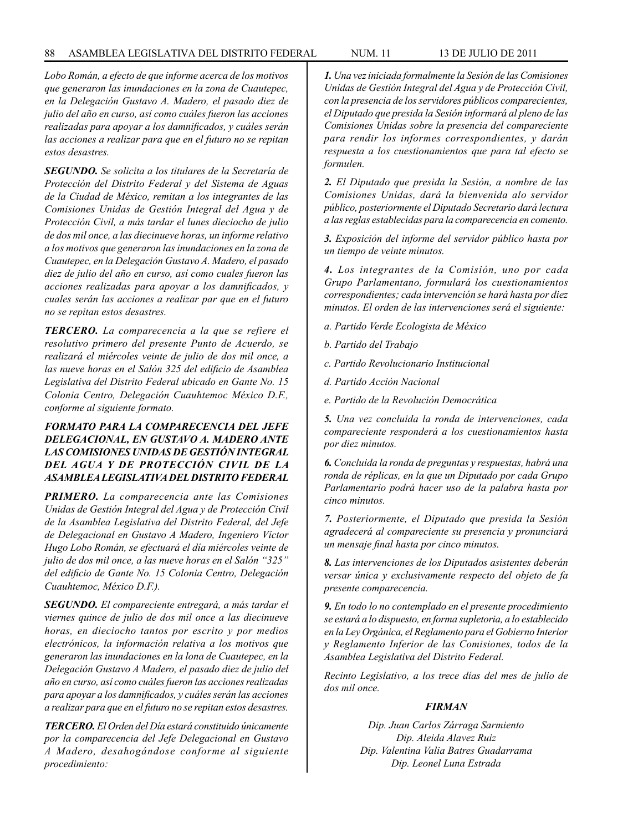*Lobo Román, a efecto de que informe acerca de los motivos que generaron las inundaciones en la zona de Cuautepec, en la Delegación Gustavo A. Madero, el pasado diez de julio del año en curso, así como cuáles fueron las acciones realizadas para apoyar a los damnificados, y cuáles serán las acciones a realizar para que en el futuro no se repitan estos desastres.*

*SEGUNDO. Se solicita a los titulares de la Secretaría de Protección del Distrito Federal y del Sistema de Aguas de la Ciudad de México, remitan a los integrantes de las Comisiones Unidas de Gestión Integral del Agua y de Protección Civil, a más tardar el lunes dieciocho de julio de dos mil once, a las diecinueve horas, un informe relativo a los motivos que generaron las inundaciones en la zona de Cuautepec, en la Delegación Gustavo A. Madero, el pasado diez de julio del año en curso, así como cuales fueron las acciones realizadas para apoyar a los damnificados, y cuales serán las acciones a realizar par que en el futuro no se repitan estos desastres.*

*TERCERO. La comparecencia a la que se refiere el resolutivo primero del presente Punto de Acuerdo, se realizará el miércoles veinte de julio de dos mil once, a las nueve horas en el Salón 325 del edificio de Asamblea Legislativa del Distrito Federal ubicado en Gante No. 15 Colonia Centro, Delegación Cuauhtemoc México D.F., conforme al siguiente formato.* 

# *FORMATO PARA LA COMPARECENCIA DEL JEFE DELEGACIONAL, EN GUSTAVO A. MADERO ANTE LAS COMISIONES UNIDAS DE GESTIÓN INTEGRAL DEL AGUA Y DE PROTECCIÓN CIVIL DE LA ASAMBLEA LEGISLATIVA DEL DISTRITO FEDERAL*

*PRIMERO. La comparecencia ante las Comisiones Unidas de Gestión Integral del Agua y de Protección Civil de la Asamblea Legislativa del Distrito Federal, del Jefe de Delegacional en Gustavo A Madero, Ingeniero Víctor Hugo Lobo Román, se efectuará el día miércoles veinte de julio de dos mil once, a las nueve horas en el Salón "325" del edificio de Gante No. 15 Colonia Centro, Delegación Cuauhtemoc, México D.F.).*

*SEGUNDO. El compareciente entregará, a más tardar el viernes quince de julio de dos mil once a las diecinueve horas, en dieciocho tantos por escrito y por medios electrónicos, la información relativa a los motivos que generaron las inundaciones en la lona de Cuautepec, en la Delegación Gustavo A Madero, el pasado diez de julio del año en curso, así como cuáles fueron las acciones realizadas para apoyar a los damnificados, y cuáles serán las acciones a realizar para que en el futuro no se repitan estos desastres.*

*TERCERO. El Orden del Día estará constituido únicamente por la comparecencia del Jefe Delegacional en Gustavo A Madero, desahogándose conforme al siguiente procedimiento:* 

*1. Una vez iniciada formalmente la Sesión de las Comisiones Unidas de Gestión Integral del Agua y de Protección Civil, con la presencia de los servidores públicos comparecientes, el Diputado que presida la Sesión informará al pleno de las Comisiones Unidas sobre la presencia del compareciente para rendir los informes correspondientes, y darán respuesta a los cuestionamientos que para tal efecto se formulen.*

*2. El Diputado que presida la Sesión, a nombre de las Comisiones Unidas, dará la bienvenida alo servidor público, posteriormente el Diputado Secretario dará lectura a las reglas establecidas para la comparecencia en comento.* 

*3. Exposición del informe del servidor público hasta por un tiempo de veinte minutos.*

*4. Los integrantes de la Comisión, uno por cada Grupo Parlamentano, formulará los cuestionamientos correspondientes; cada intervención se hará hasta por diez minutos. El orden de las intervenciones será el siguiente:*

- *a. Partido Verde Ecologista de México*
- *b. Partido del Trabajo*
- *c. Partido Revolucionario Institucional*
- *d. Partido Acción Nacional*
- *e. Partido de la Revolución Democrática*

*5. Una vez concluida la ronda de intervenciones, cada compareciente responderá a los cuestionamientos hasta por diez minutos.*

*6. Concluida la ronda de preguntas y respuestas, habrá una ronda de réplicas, en la que un Diputado por cada Grupo Parlamentario podrá hacer uso de la palabra hasta por cinco minutos.*

*7. Posteriormente, el Diputado que presida la Sesión agradecerá al compareciente su presencia y pronunciará un mensaje final hasta por cinco minutos.*

*8. Las intervenciones de los Diputados asistentes deberán versar única y exclusivamente respecto del objeto de fa presente comparecencia.*

*9. En todo lo no contemplado en el presente procedimiento se estará a lo dispuesto, en forma supletoria, a lo establecido en la Ley Orgánica, el Reglamento para el Gobierno Interior y Reglamento Inferior de las Comisiones, todos de la Asamblea Legislativa del Distrito Federal.*

*Recinto Legislativo, a los trece días del mes de julio de dos mil once.*

# *FIRMAN*

*Dip. Juan Carlos Zárraga Sarmiento Dip. Aleida Alavez Ruiz Dip. Valentina Valia Batres Guadarrama Dip. Leonel Luna Estrada*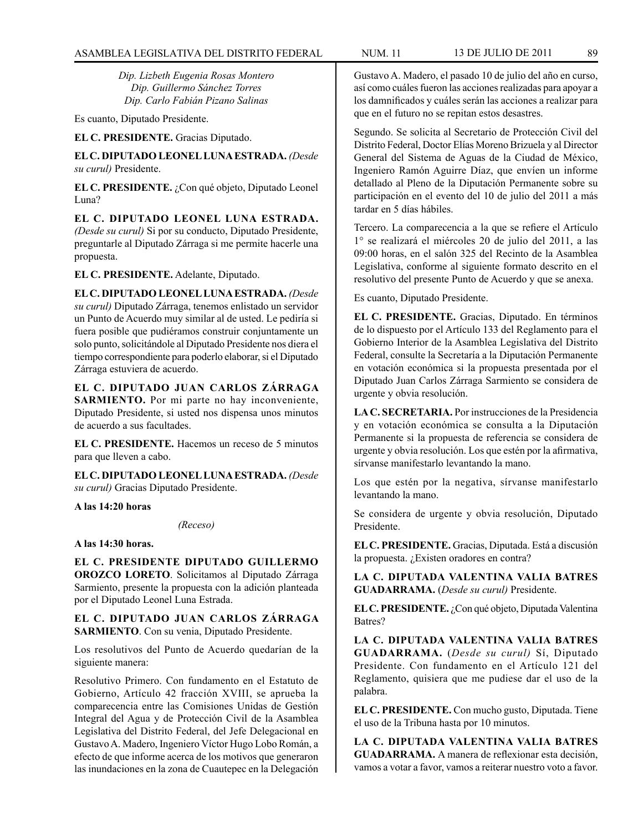*Dip. Lizbeth Eugenia Rosas Montero Dip. Guillermo Sánchez Torres Dip. Carlo Fabián Pizano Salinas*

Es cuanto, Diputado Presidente.

**EL C. PRESIDENTE.** Gracias Diputado.

**EL C. DIPUTADO LEONEL LUNA ESTRADA.** *(Desde su curul)* Presidente.

**EL C. PRESIDENTE.** ¿Con qué objeto, Diputado Leonel Luna?

**EL C. DIPUTADO LEONEL LUNA ESTRADA.**  *(Desde su curul)* Si por su conducto, Diputado Presidente, preguntarle al Diputado Zárraga si me permite hacerle una propuesta.

**EL C. PRESIDENTE.** Adelante, Diputado.

**EL C. DIPUTADO LEONEL LUNA ESTRADA.** *(Desde su curul)* Diputado Zárraga, tenemos enlistado un servidor un Punto de Acuerdo muy similar al de usted. Le pediría si fuera posible que pudiéramos construir conjuntamente un solo punto, solicitándole al Diputado Presidente nos diera el tiempo correspondiente para poderlo elaborar, si el Diputado Zárraga estuviera de acuerdo.

**EL C. DIPUTADO JUAN CARLOS ZÁRRAGA SARMIENTO.** Por mi parte no hay inconveniente, Diputado Presidente, si usted nos dispensa unos minutos de acuerdo a sus facultades.

**EL C. PRESIDENTE.** Hacemos un receso de 5 minutos para que lleven a cabo.

**EL C. DIPUTADO LEONEL LUNA ESTRADA.** *(Desde su curul)* Gracias Diputado Presidente.

**A las 14:20 horas**

*(Receso)*

**A las 14:30 horas.**

**EL C. PRESIDENTE DIPUTADO GUILLERMO OROZCO LORETO**. Solicitamos al Diputado Zárraga Sarmiento, presente la propuesta con la adición planteada por el Diputado Leonel Luna Estrada.

**EL C. DIPUTADO JUAN CARLOS ZÁRRAGA SARMIENTO**. Con su venia, Diputado Presidente.

Los resolutivos del Punto de Acuerdo quedarían de la siguiente manera:

Resolutivo Primero. Con fundamento en el Estatuto de Gobierno, Artículo 42 fracción XVIII, se aprueba la comparecencia entre las Comisiones Unidas de Gestión Integral del Agua y de Protección Civil de la Asamblea Legislativa del Distrito Federal, del Jefe Delegacional en Gustavo A. Madero, Ingeniero Víctor Hugo Lobo Román, a efecto de que informe acerca de los motivos que generaron las inundaciones en la zona de Cuautepec en la Delegación

Gustavo A. Madero, el pasado 10 de julio del año en curso, así como cuáles fueron las acciones realizadas para apoyar a los damnificados y cuáles serán las acciones a realizar para que en el futuro no se repitan estos desastres.

Segundo. Se solicita al Secretario de Protección Civil del Distrito Federal, Doctor Elías Moreno Brizuela y al Director General del Sistema de Aguas de la Ciudad de México, Ingeniero Ramón Aguirre Díaz, que envíen un informe detallado al Pleno de la Diputación Permanente sobre su participación en el evento del 10 de julio del 2011 a más tardar en 5 días hábiles.

Tercero. La comparecencia a la que se refiere el Artículo 1° se realizará el miércoles 20 de julio del 2011, a las 09:00 horas, en el salón 325 del Recinto de la Asamblea Legislativa, conforme al siguiente formato descrito en el resolutivo del presente Punto de Acuerdo y que se anexa.

Es cuanto, Diputado Presidente.

**EL C. PRESIDENTE.** Gracias, Diputado. En términos de lo dispuesto por el Artículo 133 del Reglamento para el Gobierno Interior de la Asamblea Legislativa del Distrito Federal, consulte la Secretaría a la Diputación Permanente en votación económica si la propuesta presentada por el Diputado Juan Carlos Zárraga Sarmiento se considera de urgente y obvia resolución.

**LA C. SECRETARIA.** Por instrucciones de la Presidencia y en votación económica se consulta a la Diputación Permanente si la propuesta de referencia se considera de urgente y obvia resolución. Los que estén por la afirmativa, sírvanse manifestarlo levantando la mano.

Los que estén por la negativa, sírvanse manifestarlo levantando la mano.

Se considera de urgente y obvia resolución, Diputado Presidente.

**EL C. PRESIDENTE.** Gracias, Diputada. Está a discusión la propuesta. ¿Existen oradores en contra?

**LA C. DIPUTADA VALENTINA VALIA BATRES GUADARRAMA.** (*Desde su curul)* Presidente.

**EL C. PRESIDENTE.** ¿Con qué objeto, Diputada Valentina Batres?

**LA C. DIPUTADA VALENTINA VALIA BATRES GUADARRAMA.** (*Desde su curul)* Sí, Diputado Presidente. Con fundamento en el Artículo 121 del Reglamento, quisiera que me pudiese dar el uso de la palabra.

**EL C. PRESIDENTE.** Con mucho gusto, Diputada. Tiene el uso de la Tribuna hasta por 10 minutos.

**LA C. DIPUTADA VALENTINA VALIA BATRES GUADARRAMA.** A manera de reflexionar esta decisión, vamos a votar a favor, vamos a reiterar nuestro voto a favor.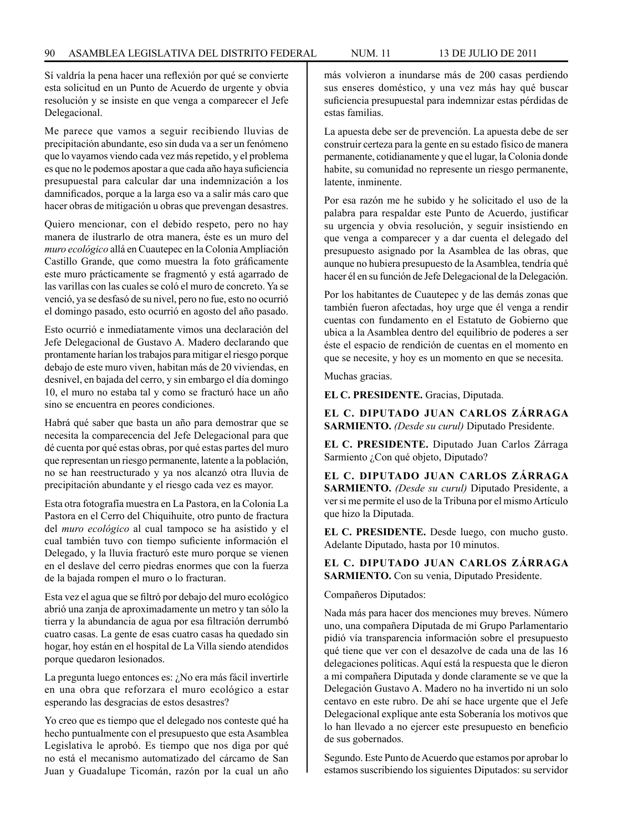Sí valdría la pena hacer una reflexión por qué se convierte esta solicitud en un Punto de Acuerdo de urgente y obvia resolución y se insiste en que venga a comparecer el Jefe Delegacional.

Me parece que vamos a seguir recibiendo lluvias de precipitación abundante, eso sin duda va a ser un fenómeno que lo vayamos viendo cada vez más repetido, y el problema es que no le podemos apostar a que cada año haya suficiencia presupuestal para calcular dar una indemnización a los damnificados, porque a la larga eso va a salir más caro que hacer obras de mitigación u obras que prevengan desastres.

Quiero mencionar, con el debido respeto, pero no hay manera de ilustrarlo de otra manera, éste es un muro del *muro ecológico* allá en Cuautepec en la Colonia Ampliación Castillo Grande, que como muestra la foto gráficamente este muro prácticamente se fragmentó y está agarrado de las varillas con las cuales se coló el muro de concreto. Ya se venció, ya se desfasó de su nivel, pero no fue, esto no ocurrió el domingo pasado, esto ocurrió en agosto del año pasado.

Esto ocurrió e inmediatamente vimos una declaración del Jefe Delegacional de Gustavo A. Madero declarando que prontamente harían los trabajos para mitigar el riesgo porque debajo de este muro viven, habitan más de 20 viviendas, en desnivel, en bajada del cerro, y sin embargo el día domingo 10, el muro no estaba tal y como se fracturó hace un año sino se encuentra en peores condiciones.

Habrá qué saber que basta un año para demostrar que se necesita la comparecencia del Jefe Delegacional para que dé cuenta por qué estas obras, por qué estas partes del muro que representan un riesgo permanente, latente a la población, no se han reestructurado y ya nos alcanzó otra lluvia de precipitación abundante y el riesgo cada vez es mayor.

Esta otra fotografía muestra en La Pastora, en la Colonia La Pastora en el Cerro del Chiquihuite, otro punto de fractura del *muro ecológico* al cual tampoco se ha asistido y el cual también tuvo con tiempo suficiente información el Delegado, y la lluvia fracturó este muro porque se vienen en el deslave del cerro piedras enormes que con la fuerza de la bajada rompen el muro o lo fracturan.

Esta vez el agua que se filtró por debajo del muro ecológico abrió una zanja de aproximadamente un metro y tan sólo la tierra y la abundancia de agua por esa filtración derrumbó cuatro casas. La gente de esas cuatro casas ha quedado sin hogar, hoy están en el hospital de La Villa siendo atendidos porque quedaron lesionados.

La pregunta luego entonces es: ¿No era más fácil invertirle en una obra que reforzara el muro ecológico a estar esperando las desgracias de estos desastres?

Yo creo que es tiempo que el delegado nos conteste qué ha hecho puntualmente con el presupuesto que esta Asamblea Legislativa le aprobó. Es tiempo que nos diga por qué no está el mecanismo automatizado del cárcamo de San Juan y Guadalupe Ticomán, razón por la cual un año más volvieron a inundarse más de 200 casas perdiendo sus enseres doméstico, y una vez más hay qué buscar suficiencia presupuestal para indemnizar estas pérdidas de estas familias.

La apuesta debe ser de prevención. La apuesta debe de ser construir certeza para la gente en su estado físico de manera permanente, cotidianamente y que el lugar, la Colonia donde habite, su comunidad no represente un riesgo permanente, latente, inminente.

Por esa razón me he subido y he solicitado el uso de la palabra para respaldar este Punto de Acuerdo, justificar su urgencia y obvia resolución, y seguir insistiendo en que venga a comparecer y a dar cuenta el delegado del presupuesto asignado por la Asamblea de las obras, que aunque no hubiera presupuesto de la Asamblea, tendría qué hacer él en su función de Jefe Delegacional de la Delegación.

Por los habitantes de Cuautepec y de las demás zonas que también fueron afectadas, hoy urge que él venga a rendir cuentas con fundamento en el Estatuto de Gobierno que ubica a la Asamblea dentro del equilibrio de poderes a ser éste el espacio de rendición de cuentas en el momento en que se necesite, y hoy es un momento en que se necesita.

Muchas gracias.

**EL C. PRESIDENTE.** Gracias, Diputada.

**EL C. DIPUTADO JUAN CARLOS ZÁRRAGA SARMIENTO.** *(Desde su curul)* Diputado Presidente.

**EL C. PRESIDENTE.** Diputado Juan Carlos Zárraga Sarmiento ¿Con qué objeto, Diputado?

**EL C. DIPUTADO JUAN CARLOS ZÁRRAGA SARMIENTO.** *(Desde su curul)* Diputado Presidente, a ver si me permite el uso de la Tribuna por el mismo Artículo que hizo la Diputada.

**EL C. PRESIDENTE.** Desde luego, con mucho gusto. Adelante Diputado, hasta por 10 minutos.

**EL C. DIPUTADO JUAN CARLOS ZÁRRAGA SARMIENTO.** Con su venia, Diputado Presidente.

### Compañeros Diputados:

Nada más para hacer dos menciones muy breves. Número uno, una compañera Diputada de mi Grupo Parlamentario pidió vía transparencia información sobre el presupuesto qué tiene que ver con el desazolve de cada una de las 16 delegaciones políticas. Aquí está la respuesta que le dieron a mi compañera Diputada y donde claramente se ve que la Delegación Gustavo A. Madero no ha invertido ni un solo centavo en este rubro. De ahí se hace urgente que el Jefe Delegacional explique ante esta Soberanía los motivos que lo han llevado a no ejercer este presupuesto en beneficio de sus gobernados.

Segundo. Este Punto de Acuerdo que estamos por aprobar lo estamos suscribiendo los siguientes Diputados: su servidor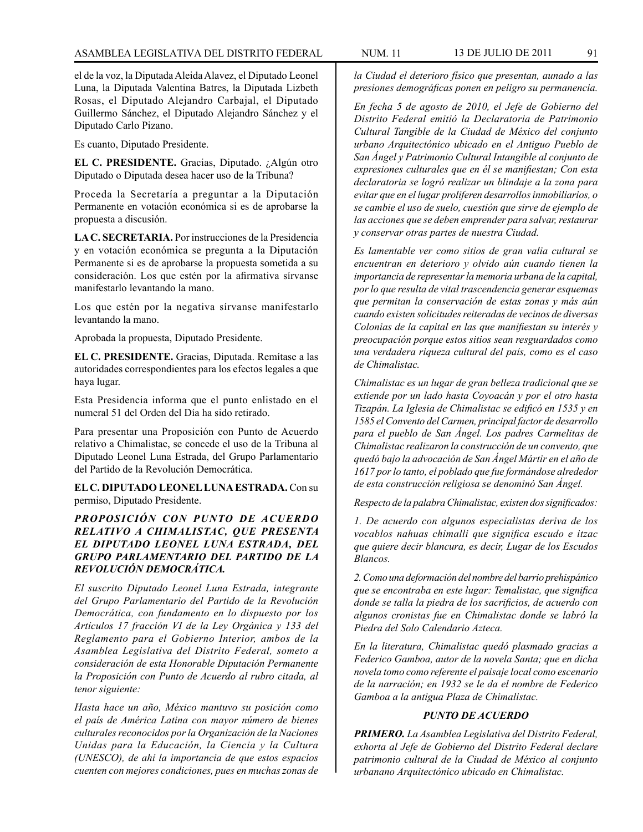el de la voz, la Diputada Aleida Alavez, el Diputado Leonel Luna, la Diputada Valentina Batres, la Diputada Lizbeth Rosas, el Diputado Alejandro Carbajal, el Diputado Guillermo Sánchez, el Diputado Alejandro Sánchez y el Diputado Carlo Pizano.

Es cuanto, Diputado Presidente.

**EL C. PRESIDENTE.** Gracias, Diputado. ¿Algún otro Diputado o Diputada desea hacer uso de la Tribuna?

Proceda la Secretaría a preguntar a la Diputación Permanente en votación económica si es de aprobarse la propuesta a discusión.

**LA C. SECRETARIA.** Por instrucciones de la Presidencia y en votación económica se pregunta a la Diputación Permanente si es de aprobarse la propuesta sometida a su consideración. Los que estén por la afirmativa sírvanse manifestarlo levantando la mano.

Los que estén por la negativa sírvanse manifestarlo levantando la mano.

Aprobada la propuesta, Diputado Presidente.

**EL C. PRESIDENTE.** Gracias, Diputada. Remítase a las autoridades correspondientes para los efectos legales a que haya lugar.

Esta Presidencia informa que el punto enlistado en el numeral 51 del Orden del Día ha sido retirado.

Para presentar una Proposición con Punto de Acuerdo relativo a Chimalistac, se concede el uso de la Tribuna al Diputado Leonel Luna Estrada, del Grupo Parlamentario del Partido de la Revolución Democrática.

**EL C. DIPUTADO LEONEL LUNA ESTRADA.** Con su permiso, Diputado Presidente.

# *PROPOSICIÓN CON PUNTO DE ACUERDO RELATIVO A CHIMALISTAC, QUE PRESENTA EL DIPUTADO LEONEL LUNA ESTRADA, DEL GRUPO PARLAMENTARIO DEL PARTIDO DE LA REVOLUCIÓN DEMOCRÁTICA.*

*El suscrito Diputado Leonel Luna Estrada, integrante del Grupo Parlamentario del Partido de la Revolución Democrática, con fundamento en lo dispuesto por los Artículos 17 fracción VI de la Ley Orgánica y 133 del Reglamento para el Gobierno Interior, ambos de la Asamblea Legislativa del Distrito Federal, someto a consideración de esta Honorable Diputación Permanente la Proposición con Punto de Acuerdo al rubro citada, al tenor siguiente:*

*Hasta hace un año, México mantuvo su posición como el país de América Latina con mayor número de bienes culturales reconocidos por la Organización de la Naciones Unidas para la Educación, la Ciencia y la Cultura (UNESCO), de ahí la importancia de que estos espacios cuenten con mejores condiciones, pues en muchas zonas de* 

*la Ciudad el deterioro físico que presentan, aunado a las presiones demográficas ponen en peligro su permanencia.*

*En fecha 5 de agosto de 2010, el Jefe de Gobierno del Distrito Federal emitió la Declaratoria de Patrimonio Cultural Tangible de la Ciudad de México del conjunto urbano Arquitectónico ubicado en el Antiguo Pueblo de San Ángel y Patrimonio Cultural Intangible al conjunto de expresiones culturales que en él se manifiestan; Con esta declaratoria se logró realizar un blindaje a la zona para evitar que en el lugar proliferen desarrollos inmobiliarios, o se cambie el uso de suelo, cuestión que sirve de ejemplo de las acciones que se deben emprender para salvar, restaurar y conservar otras partes de nuestra Ciudad.*

*Es lamentable ver como sitios de gran valia cultural se encuentran en deterioro y olvido aún cuando tienen la importancia de representar la memoria urbana de la capital, por lo que resulta de vital trascendencia generar esquemas que permitan la conservación de estas zonas y más aún cuando existen solicitudes reiteradas de vecinos de diversas Colonias de la capital en las que manifiestan su interés y preocupación porque estos sitios sean resguardados como una verdadera riqueza cultural del país, como es el caso de Chimalistac.*

*Chimalistac es un lugar de gran belleza tradicional que se extiende por un lado hasta Coyoacán y por el otro hasta Tizapán. La Iglesia de Chimalistac se edificó en 1535 y en 1585 el Convento del Carmen, principal factor de desarrollo para el pueblo de San Ángel. Los padres Carmelitas de Chimalistac realizaron la construcción de un convento, que quedó bajo la advocación de San Ángel Mártir en el año de 1617 por lo tanto, el poblado que fue formándose alrededor de esta construcción religiosa se denominó San Ángel.*

*Respecto de la palabra Chimalistac, existen dos significados:* 

*1. De acuerdo con algunos especialistas deriva de los vocablos nahuas chimalli que significa escudo e itzac que quiere decir blancura, es decir, Lugar de los Escudos Blancos.*

*2. Como una deformación del nombre del barrio prehispánico que se encontraba en este lugar: Temalistac, que significa donde se talla la piedra de los sacrificios, de acuerdo con algunos cronistas fue en Chimalistac donde se labró la Piedra del Solo Calendario Azteca.*

*En la literatura, Chimalistac quedó plasmado gracias a Federico Gamboa, autor de la novela Santa; que en dicha novela tomo como referente el paisaje local como escenario de la narración; en 1932 se le da el nombre de Federico Gamboa a la antigua Plaza de Chimalistac.*

# *PUNTO DE ACUERDO*

*PRIMERO. La Asamblea Legislativa del Distrito Federal, exhorta al Jefe de Gobierno del Distrito Federal declare patrimonio cultural de la Ciudad de México al conjunto urbanano Arquitectónico ubicado en Chimalistac.*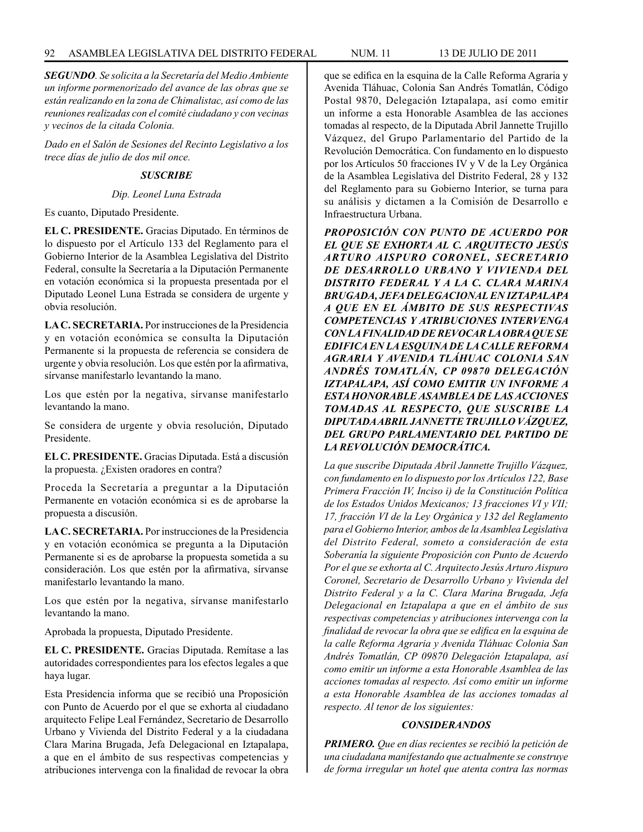*SEGUNDO. Se solicita a la Secretaría del Medio Ambiente un informe pormenorizado del avance de las obras que se están realizando en la zona de Chimalistac, así como de las reuniones realizadas con el comité ciudadano y con vecinas y vecinos de la citada Colonia.*

*Dado en el Salón de Sesiones del Recinto Legislativo a los trece días de julio de dos mil once.*

## *SUSCRIBE*

### *Dip. Leonel Luna Estrada*

Es cuanto, Diputado Presidente.

**EL C. PRESIDENTE.** Gracias Diputado. En términos de lo dispuesto por el Artículo 133 del Reglamento para el Gobierno Interior de la Asamblea Legislativa del Distrito Federal, consulte la Secretaría a la Diputación Permanente en votación económica si la propuesta presentada por el Diputado Leonel Luna Estrada se considera de urgente y obvia resolución.

**LA C. SECRETARIA.** Por instrucciones de la Presidencia y en votación económica se consulta la Diputación Permanente si la propuesta de referencia se considera de urgente y obvia resolución. Los que estén por la afirmativa, sírvanse manifestarlo levantando la mano.

Los que estén por la negativa, sírvanse manifestarlo levantando la mano.

Se considera de urgente y obvia resolución, Diputado Presidente.

**EL C. PRESIDENTE.** Gracias Diputada. Está a discusión la propuesta. ¿Existen oradores en contra?

Proceda la Secretaría a preguntar a la Diputación Permanente en votación económica si es de aprobarse la propuesta a discusión.

**LA C. SECRETARIA.** Por instrucciones de la Presidencia y en votación económica se pregunta a la Diputación Permanente si es de aprobarse la propuesta sometida a su consideración. Los que estén por la afirmativa, sírvanse manifestarlo levantando la mano.

Los que estén por la negativa, sírvanse manifestarlo levantando la mano.

Aprobada la propuesta, Diputado Presidente.

**EL C. PRESIDENTE.** Gracias Diputada. Remítase a las autoridades correspondientes para los efectos legales a que haya lugar.

Esta Presidencia informa que se recibió una Proposición con Punto de Acuerdo por el que se exhorta al ciudadano arquitecto Felipe Leal Fernández, Secretario de Desarrollo Urbano y Vivienda del Distrito Federal y a la ciudadana Clara Marina Brugada, Jefa Delegacional en Iztapalapa, a que en el ámbito de sus respectivas competencias y atribuciones intervenga con la finalidad de revocar la obra que se edifica en la esquina de la Calle Reforma Agraria y Avenida Tláhuac, Colonia San Andrés Tomatlán, Código Postal 9870, Delegación Iztapalapa, así como emitir un informe a esta Honorable Asamblea de las acciones tomadas al respecto, de la Diputada Abril Jannette Trujillo Vázquez, del Grupo Parlamentario del Partido de la Revolución Democrática. Con fundamento en lo dispuesto por los Artículos 50 fracciones IV y V de la Ley Orgánica de la Asamblea Legislativa del Distrito Federal, 28 y 132 del Reglamento para su Gobierno Interior, se turna para su análisis y dictamen a la Comisión de Desarrollo e Infraestructura Urbana.

*PROPOSICIÓN CON PUNTO DE ACUERDO POR EL QUE SE EXHORTA AL C. ARQUITECTO JESÚS ARTURO AISPURO CORONEL, SECRETARIO DE DESARROLLO URBANO Y VIVIENDA DEL DISTRITO FEDERAL Y A LA C. CLARA MARINA BRUGADA, JEFA DELEGACIONAL EN IZTAPALAPA A QUE EN EL ÁMBITO DE SUS RESPECTIVAS COMPETENCIAS Y ATRIBUCIONES INTERVENGA CON LA FINALIDAD DE REVOCAR LA OBRA QUE SE EDIFICA EN LA ESQUINA DE LA CALLE REFORMA AGRARIA Y AVENIDA TLÁHUAC COLONIA SAN ANDRÉS TOMATLÁN, CP 09870 DELEGACIÓN IZTAPALAPA, ASÍ COMO EMITIR UN INFORME A ESTA HONORABLE ASAMBLEA DE LAS ACCIONES TOMADAS AL RESPECTO, QUE SUSCRIBE LA DIPUTADA ABRIL JANNETTE TRUJILLO VÁZQUEZ, DEL GRUPO PARLAMENTARIO DEL PARTIDO DE LA REVOLUCIÓN DEMOCRÁTICA.*

*La que suscribe Diputada Abril Jannette Trujillo Vázquez, con fundamento en lo dispuesto por los Artículos 122, Base Primera Fracción IV, Inciso i) de la Constitución Política de los Estados Unidos Mexicanos; 13 fracciones VI y VII; 17, fracción VI de la Ley Orgánica y 132 del Reglamento para el Gobierno Interior, ambos de la Asamblea Legislativa del Distrito Federal, someto a consideración de esta Soberanía la siguiente Proposición con Punto de Acuerdo Por el que se exhorta al C. Arquitecto Jesús Arturo Aispuro Coronel, Secretario de Desarrollo Urbano y Vivienda del Distrito Federal y a la C. Clara Marina Brugada, Jefa Delegacional en Iztapalapa a que en el ámbito de sus respectivas competencias y atribuciones intervenga con la finalidad de revocar la obra que se edifica en la esquina de la calle Reforma Agraria y Avenida Tláhuac Colonia San Andrés Tomatlán, CP 09870 Delegación Iztapalapa, así como emitir un informe a esta Honorable Asamblea de las acciones tomadas al respecto. Así como emitir un informe a esta Honorable Asamblea de las acciones tomadas al respecto. Al tenor de los siguientes:*

# *CONSIDERANDOS*

*PRIMERO. Que en días recientes se recibió la petición de una ciudadana manifestando que actualmente se construye de forma irregular un hotel que atenta contra las normas*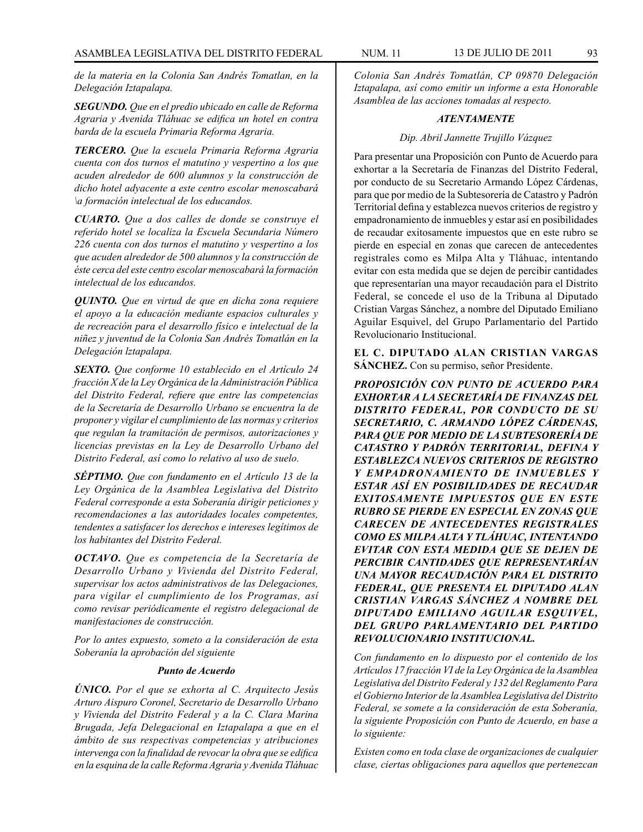*de la materia en la Colonia San Andrés Tomatlan, en la Delegación Iztapalapa.*

*SEGUNDO. Que en el predio ubicado en calle de Reforma Agraria y Avenida Tláhuac se edifica un hotel en contra barda de la escuela Primaria Reforma Agraria.* 

*TERCERO. Que la escuela Primaria Reforma Agraria cuenta con dos turnos el matutino y vespertino a los que acuden alrededor de 600 alumnos y la construcción de dicho hotel adyacente a este centro escolar menoscabará \a formación intelectual de los educandos.* 

*CUARTO. Que a dos calles de donde se construye el referido hotel se localiza la Escuela Secundaria Número 226 cuenta con dos turnos el matutino y vespertino a los que acuden alrededor de 500 alumnos y la construcción de éste cerca del este centro escolar menoscabará la formación intelectual de los educandos.*

*QUINTO. Que en virtud de que en dicha zona requiere el apoyo a la educación mediante espacios culturales y de recreación para el desarrollo físico e intelectual de la niñez y juventud de la Colonia San Andrés Tomatlán en la Delegación lztapalapa.*

*SEXTO. Que conforme 10 establecido en el Artículo 24 fracción X de la Ley Orgánica de la Administración Pública del Distrito Federal, refiere que entre las competencias de la Secretaría de Desarrollo Urbano se encuentra la de proponer y vigilar el cumplimiento de las normas y criterios que regulan la tramitación de permisos, autorizaciones y licencias previstas en la Ley de Desarrollo Urbano del Distrito Federal, así como lo relativo al uso de suelo.* 

*SÉPTIMO. Que con fundamento en el Artículo 13 de la Ley Orgánica de la Asamblea Legislativa del Distrito Federal corresponde a esta Soberanía dirigir peticiones y recomendaciones a las autoridades locales competentes, tendentes a satisfacer los derechos e intereses legítimos de los habitantes del Distrito Federal.*

*OCTAVO. Que es competencia de la Secretaría de Desarrollo Urbano y Vivienda del Distrito Federal, supervisar los actos administrativos de las Delegaciones, para vigilar el cumplimiento de los Programas, así como revisar periódicamente el registro delegacional de manifestaciones de construcción.*

*Por lo antes expuesto, someto a la consideración de esta Soberanía la aprobación del siguiente*

### *Punto de Acuerdo*

*ÚNICO. Por el que se exhorta al C. Arquitecto Jesús Arturo Aispuro Coronel, Secretario de Desarrollo Urbano y Vivienda del Distrito Federal y a la C. Clara Marina Brugada, Jefa Delegacional en Iztapalapa a que en el ámbito de sus respectivas competencias y atribuciones intervenga con la finalidad de revocar la obra que se edifica en la esquina de la calle Reforma Agraria y Avenida Tláhuac* 

*Colonia San Andrés Tomatlán, CP 09870 Delegación Iztapalapa, así como emitir un informe a esta Honorable Asamblea de las acciones tomadas al respecto.*

### *ATENTAMENTE*

### *Dip. Abril Jannette Trujillo Vázquez*

Para presentar una Proposición con Punto de Acuerdo para exhortar a la Secretaría de Finanzas del Distrito Federal, por conducto de su Secretario Armando López Cárdenas, para que por medio de la Subtesorería de Catastro y Padrón Territorial defina y establezca nuevos criterios de registro y empadronamiento de inmuebles y estar así en posibilidades de recaudar exitosamente impuestos que en este rubro se pierde en especial en zonas que carecen de antecedentes registrales como es Milpa Alta y Tláhuac, intentando evitar con esta medida que se dejen de percibir cantidades que representarían una mayor recaudación para el Distrito Federal, se concede el uso de la Tribuna al Diputado Cristian Vargas Sánchez, a nombre del Diputado Emiliano Aguilar Esquivel, del Grupo Parlamentario del Partido Revolucionario Institucional.

**EL C. DIPUTADO ALAN CRISTIAN VARGAS SÁNCHEZ.** Con su permiso, señor Presidente.

*PROPOSICIÓN CON PUNTO DE ACUERDO PARA EXHORTAR A LA SECRETARÍA DE FINANZAS DEL DISTRITO FEDERAL, POR CONDUCTO DE SU SECRETARIO, C. ARMANDO LÓPEZ CÁRDENAS, PARA QUE POR MEDIO DE LA SUBTESORERÍA DE CATASTRO Y PADRÓN TERRITORIAL, DEFINA Y ESTABLEZCA NUEVOS CRITERIOS DE REGISTRO Y EMPADRONAMIENTO DE INMUEBLES Y ESTAR ASÍ EN POSIBILIDADES DE RECAUDAR EXITOSAMENTE IMPUESTOS QUE EN ESTE RUBRO SE PIERDE EN ESPECIAL EN ZONAS QUE CARECEN DE ANTECEDENTES REGISTRALES COMO ES MILPA ALTA Y TLÁHUAC, INTENTANDO EVITAR CON ESTA MEDIDA QUE SE DEJEN DE PERCIBIR CANTIDADES QUE REPRESENTARÍAN UNA MAYOR RECAUDACIÓN PARA EL DISTRITO FEDERAL, QUE PRESENTA EL DIPUTADO ALAN CRISTIAN VARGAS SÁNCHEZ A NOMBRE DEL DIPUTADO EMILIANO AGUILAR ESQUIVEL, DEL GRUPO PARLAMENTARIO DEL PARTIDO REVOLUCIONARIO INSTITUCIONAL.*

*Con fundamento en lo dispuesto por el contenido de los Artículos 17 fracción VI de la Ley Orgánica de la Asamblea Legislativa del Distrito Federal y 132 del Reglamento Para el Gobierno Interior de la Asamblea Legislativa del Distrito Federal, se somete a la consideración de esta Soberanía, la siguiente Proposición con Punto de Acuerdo, en base a lo siguiente:*

*Existen como en toda clase de organizaciones de cualquier clase, ciertas obligaciones para aquellos que pertenezcan*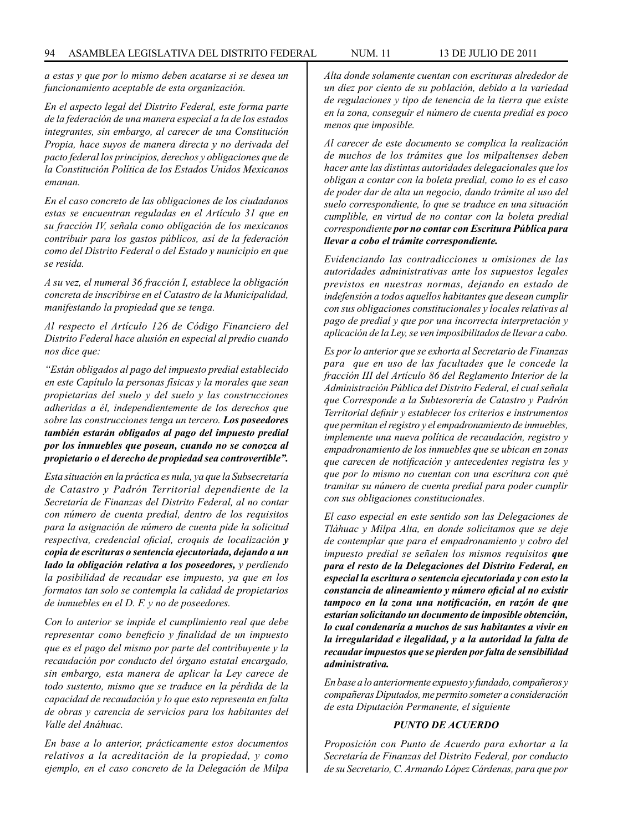*a estas y que por lo mismo deben acatarse si se desea un funcionamiento aceptable de esta organización.*

*En el aspecto legal del Distrito Federal, este forma parte de la federación de una manera especial a la de los estados integrantes, sin embargo, al carecer de una Constitución Propia, hace suyos de manera directa y no derivada del pacto federal los principios, derechos y obligaciones que de la Constitución Política de los Estados Unidos Mexicanos emanan.*

*En el caso concreto de las obligaciones de los ciudadanos estas se encuentran reguladas en el Artículo 31 que en su fracción IV, señala como obligación de los mexicanos contribuir para los gastos públicos, así de la federación como del Distrito Federal o del Estado y municipio en que se resida.*

*A su vez, el numeral 36 fracción I, establece la obligación concreta de inscribirse en el Catastro de la Municipalidad, manifestando la propiedad que se tenga.*

*Al respecto el Artículo 126 de Código Financiero del Distrito Federal hace alusión en especial al predio cuando nos dice que:*

*"Están obligados al pago del impuesto predial establecido en este Capítulo la personas físicas y la morales que sean propietarias del suelo y del suelo y las construcciones adheridas a él, independientemente de los derechos que sobre las construcciones tenga un tercero. Los poseedores también estarán obligados al pago del impuesto predial por los inmuebles que posean, cuando no se conozca al propietario o el derecho de propiedad sea controvertible".*

*Esta situación en la práctica es nula, ya que la Subsecretaría de Catastro y Padrón Territorial dependiente de la Secretaría de Finanzas del Distrito Federal, al no contar con número de cuenta predial, dentro de los requisitos para la asignación de número de cuenta pide la solicitud respectiva, credencial oficial, croquis de localización y copia de escrituras o sentencia ejecutoriada, dejando a un lado la obligación relativa a los poseedores, y perdiendo la posibilidad de recaudar ese impuesto, ya que en los formatos tan solo se contempla la calidad de propietarios de inmuebles en el D. F. y no de poseedores.*

*Con lo anterior se impide el cumplimiento real que debe representar como beneficio y finalidad de un impuesto que es el pago del mismo por parte del contribuyente y la recaudación por conducto del órgano estatal encargado, sin embargo, esta manera de aplicar la Ley carece de todo sustento, mismo que se traduce en la pérdida de la capacidad de recaudación y lo que esto representa en falta de obras y carencia de servicios para los habitantes del Valle del Anáhuac.*

*En base a lo anterior, prácticamente estos documentos relativos a la acreditación de la propiedad, y como ejemplo, en el caso concreto de la Delegación de Milpa* 

*Alta donde solamente cuentan con escrituras alrededor de un diez por ciento de su población, debido a la variedad de regulaciones y tipo de tenencia de la tierra que existe en la zona, conseguir el número de cuenta predial es poco menos que imposible.*

*Al carecer de este documento se complica la realización de muchos de los trámites que los milpaltenses deben hacer ante las distintas autoridades delegacionales que los obligan a contar con la boleta predial, como lo es el caso de poder dar de alta un negocio, dando trámite al uso del suelo correspondiente, lo que se traduce en una situación cumplible, en virtud de no contar con la boleta predial correspondiente por no contar con Escritura Pública para llevar a cobo el trámite correspondiente.*

*Evidenciando las contradicciones u omisiones de las autoridades administrativas ante los supuestos legales previstos en nuestras normas, dejando en estado de indefensión a todos aquellos habitantes que desean cumplir con sus obligaciones constitucionales y locales relativas al pago de predial y que por una incorrecta interpretación y aplicación de la Ley, se ven imposibilitados de llevar a cabo.*

*Es por lo anterior que se exhorta al Secretario de Finanzas para que en uso de las facultades que le concede la fracción III del Artículo 86 del Reglamento Interior de la Administración Pública del Distrito Federal, el cual señala que Corresponde a la Subtesorería de Catastro y Padrón Territorial definir y establecer los criterios e instrumentos que permitan el registro y el empadronamiento de inmuebles, implemente una nueva política de recaudación, registro y empadronamiento de los inmuebles que se ubican en zonas que carecen de notificación y antecedentes registra les y que por lo mismo no cuentan con una escritura con qué tramitar su número de cuenta predial para poder cumplir con sus obligaciones constitucionales.* 

*El caso especial en este sentido son las Delegaciones de Tláhuac y Milpa Alta, en donde solicitamos que se deje de contemplar que para el empadronamiento y cobro del impuesto predial se señalen los mismos requisitos que para el resto de la Delegaciones del Distrito Federal, en especial la escritura o sentencia ejecutoriada y con esto la constancia de alineamiento y número oficial al no existir tampoco en la zona una notificación, en razón de que estarían solicitando un documento de imposible obtención, lo cual condenaría a muchos de sus habitantes a vivir en la irregularidad e ilegalidad, y a la autoridad la falta de recaudar impuestos que se pierden por falta de sensibilidad administrativa.*

*En base a lo anteriormente expuesto y fundado, compañeros y compañeras Diputados, me permito someter a consideración de esta Diputación Permanente, el siguiente* 

### *PUNTO DE ACUERDO*

*Proposición con Punto de Acuerdo para exhortar a la Secretaría de Finanzas del Distrito Federal, por conducto de su Secretario, C. Armando López Cárdenas, para que por*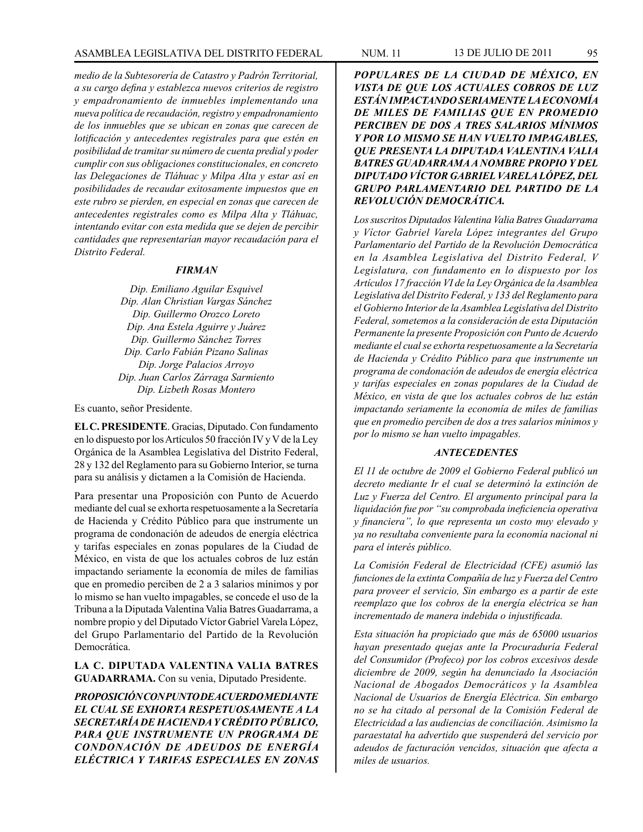*medio de la Subtesorería de Catastro y Padrón Territorial, a su cargo defina y establezca nuevos criterios de registro y empadronamiento de inmuebles implementando una nueva política de recaudación, registro y empadronamiento de los inmuebles que se ubican en zonas que carecen de lotificación y antecedentes registrales para que estén en posibilidad de tramitar su número de cuenta predial y poder cumplir con sus obligaciones constitucionales, en concreto las Delegaciones de Tláhuac y Milpa Alta y estar así en posibilidades de recaudar exitosamente impuestos que en este rubro se pierden, en especial en zonas que carecen de antecedentes registrales como es Milpa Alta y Tláhuac, intentando evitar con esta medida que se dejen de percibir cantidades que representarían mayor recaudación para el Distrito Federal.*

### *FIRMAN*

*Dip. Emiliano Aguilar Esquivel Dip. Alan Christian Vargas Sánchez Dip. Guillermo Orozco Loreto Dip. Ana Estela Aguirre y Juárez Dip. Guillermo Sánchez Torres Dip. Carlo Fabián Pizano Salinas Dip. Jorge Palacios Arroyo Dip. Juan Carlos Zárraga Sarmiento Dip. Lizbeth Rosas Montero*

Es cuanto, señor Presidente.

**EL C. PRESIDENTE**. Gracias, Diputado. Con fundamento en lo dispuesto por los Artículos 50 fracción IV y V de la Ley Orgánica de la Asamblea Legislativa del Distrito Federal, 28 y 132 del Reglamento para su Gobierno Interior, se turna para su análisis y dictamen a la Comisión de Hacienda.

Para presentar una Proposición con Punto de Acuerdo mediante del cual se exhorta respetuosamente a la Secretaría de Hacienda y Crédito Público para que instrumente un programa de condonación de adeudos de energía eléctrica y tarifas especiales en zonas populares de la Ciudad de México, en vista de que los actuales cobros de luz están impactando seriamente la economía de miles de familias que en promedio perciben de 2 a 3 salarios mínimos y por lo mismo se han vuelto impagables, se concede el uso de la Tribuna a la Diputada Valentina Valia Batres Guadarrama, a nombre propio y del Diputado Víctor Gabriel Varela López, del Grupo Parlamentario del Partido de la Revolución Democrática.

**LA C. DIPUTADA VALENTINA VALIA BATRES GUADARRAMA.** Con su venia, Diputado Presidente.

*PROPOSICIÓN CON PUNTO DE ACUERDO MEDIANTE EL CUAL SE EXHORTA RESPETUOSAMENTE A LA SECRETARÍA DE HACIENDA Y CRÉDITO PÚBLICO, PARA QUE INSTRUMENTE UN PROGRAMA DE CONDONACIÓN DE ADEUDOS DE ENERGÍA ELÉCTRICA Y TARIFAS ESPECIALES EN ZONAS* 

*POPULARES DE LA CIUDAD DE MÉXICO, EN VISTA DE QUE LOS ACTUALES COBROS DE LUZ ESTÁN IMPACTANDO SERIAMENTE LA ECONOMÍA DE MILES DE FAMILIAS QUE EN PROMEDIO PERCIBEN DE DOS A TRES SALARIOS MÍNIMOS Y POR LO MISMO SE HAN VUELTO IMPAGABLES, QUE PRESENTA LA DIPUTADA VALENTINA VALIA BATRES GUADARRAMA A NOMBRE PROPIO Y DEL DIPUTADO VÍCTOR GABRIEL VARELA LÓPEZ, DEL GRUPO PARLAMENTARIO DEL PARTIDO DE LA REVOLUCIÓN DEMOCRÁTICA.*

*Los suscritos Diputados Valentina Valia Batres Guadarrama y Víctor Gabriel Varela López integrantes del Grupo Parlamentario del Partido de la Revolución Democrática en la Asamblea Legislativa del Distrito Federal, V Legislatura, con fundamento en lo dispuesto por los Artículos 17 fracción VI de la Ley Orgánica de la Asamblea Legislativa del Distrito Federal, y 133 del Reglamento para el Gobierno Interior de la Asamblea Legislativa del Distrito Federal, sometemos a la consideración de esta Diputación Permanente la presente Proposición con Punto de Acuerdo mediante el cual se exhorta respetuosamente a la Secretaría de Hacienda y Crédito Público para que instrumente un programa de condonación de adeudos de energía eléctrica y tarifas especiales en zonas populares de la Ciudad de México, en vista de que los actuales cobros de luz están impactando seriamente la economía de miles de familias que en promedio perciben de dos a tres salarios mínimos y por lo mismo se han vuelto impagables.*

## *ANTECEDENTES*

*El 11 de octubre de 2009 el Gobierno Federal publicó un decreto mediante Ir el cual se determinó la extinción de Luz y Fuerza del Centro. El argumento principal para la liquidación fue por "su comprobada ineficiencia operativa y financiera", lo que representa un costo muy elevado y ya no resultaba conveniente para la economía nacional ni para el interés público.* 

*La Comisión Federal de Electricidad (CFE) asumió las funciones de la extinta Compañía de luz y Fuerza del Centro para proveer el servicio, Sin embargo es a partir de este reemplazo que los cobros de la energía eléctrica se han incrementado de manera indebida o injustificada.*

*Esta situación ha propiciado que más de 65000 usuarios hayan presentado quejas ante la Procuraduría Federal del Consumidor (Profeco) por los cobros excesivos desde diciembre de 2009, según ha denunciado la Asociación Nacional de Abogados Democráticos y la Asamblea Nacional de Usuarios de Energía Eléctrica. Sin embargo no se ha citado al personal de la Comisión Federal de Electricidad a las audiencias de conciliación. Asimismo la paraestatal ha advertido que suspenderá del servicio por adeudos de facturación vencidos, situación que afecta a miles de usuarios.*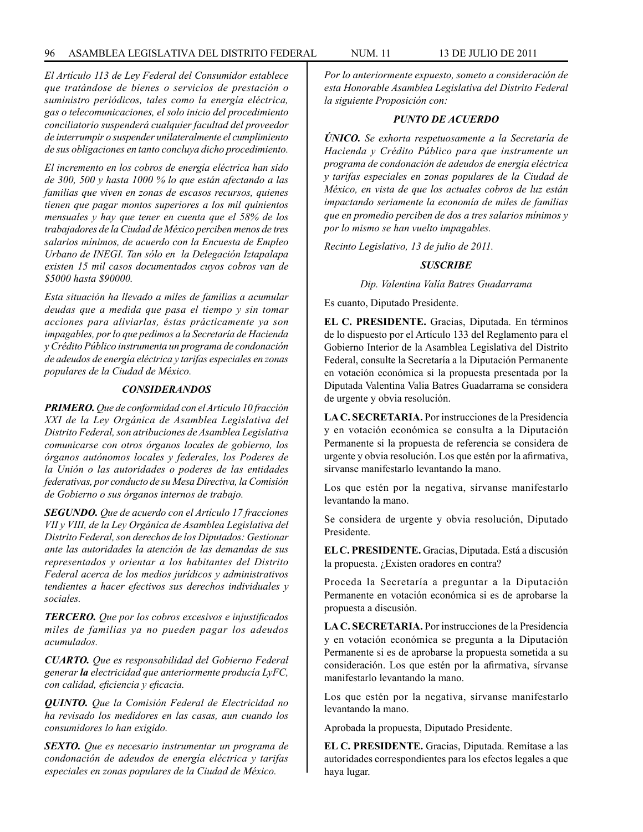*El Artículo 113 de Ley Federal del Consumidor establece que tratándose de bienes o servicios de prestación o suministro periódicos, tales como la energía eléctrica, gas o telecomunicaciones, el solo inicio del procedimiento conciliatorio suspenderá cualquier facultad del proveedor de interrumpir o suspender unilateralmente el cumplimiento de sus obligaciones en tanto concluya dicho procedimiento.*

*El incremento en los cobros de energía eléctrica han sido de 300, 500 y hasta 1000 % lo que están afectando a las familias que viven en zonas de escasos recursos, quienes tienen que pagar montos superiores a los mil quinientos mensuales y hay que tener en cuenta que el 58% de los trabajadores de la Ciudad de México perciben menos de tres salarios mínimos, de acuerdo con la Encuesta de Empleo Urbano de INEGI. Tan sólo en la Delegación Iztapalapa existen 15 mil casos documentados cuyos cobros van de \$5000 hasta \$90000.* 

*Esta situación ha llevado a miles de familias a acumular deudas que a medida que pasa el tiempo y sin tomar acciones para aliviarlas, éstas prácticamente ya son impagables, por lo que pedimos a la Secretaría de Hacienda y Crédito Público instrumenta un programa de condonación de adeudos de energía eléctrica y tarifas especiales en zonas populares de la Ciudad de México.*

### *CONSIDERANDOS*

*PRIMERO. Que de conformidad con el Artículo 10 fracción XXI de la Ley Orgánica de Asamblea Legislativa del Distrito Federal, son atribuciones de Asamblea Legislativa comunicarse con otros órganos locales de gobierno, los órganos autónomos locales y federales, los Poderes de la Unión o las autoridades o poderes de las entidades federativas, por conducto de su Mesa Directiva, la Comisión de Gobierno o sus órganos internos de trabajo.*

*SEGUNDO. Que de acuerdo con el Artículo 17 fracciones VII y VIII, de la Ley Orgánica de Asamblea Legislativa del Distrito Federal, son derechos de los Diputados: Gestionar ante las autoridades la atención de las demandas de sus representados y orientar a los habitantes del Distrito Federal acerca de los medios jurídicos y administrativos tendientes a hacer efectivos sus derechos individuales y sociales.*

*TERCERO. Que por los cobros excesivos e injustificados miles de familias ya no pueden pagar los adeudos acumulados.* 

*CUARTO. Que es responsabilidad del Gobierno Federal generar la electricidad que anteriormente producía LyFC, con calidad, eficiencia y eficacia.*

*QUINTO. Que la Comisión Federal de Electricidad no ha revisado los medidores en las casas, aun cuando los consumidores lo han exigido.* 

*SEXTO. Que es necesario instrumentar un programa de condonación de adeudos de energía eléctrica y tarifas especiales en zonas populares de la Ciudad de México.*

*Por lo anteriormente expuesto, someto a consideración de esta Honorable Asamblea Legislativa del Distrito Federal la siguiente Proposición con:*

#### *PUNTO DE ACUERDO*

*ÚNICO. Se exhorta respetuosamente a la Secretaría de Hacienda y Crédito Público para que instrumente un programa de condonación de adeudos de energía eléctrica y tarifas especiales en zonas populares de la Ciudad de México, en vista de que los actuales cobros de luz están impactando seriamente la economía de miles de familias que en promedio perciben de dos a tres salarios mínimos y por lo mismo se han vuelto impagables.*

*Recinto Legislativo, 13 de julio de 2011.*

### *SUSCRIBE*

*Dip. Valentina Valía Batres Guadarrama*

Es cuanto, Diputado Presidente.

**EL C. PRESIDENTE.** Gracias, Diputada. En términos de lo dispuesto por el Artículo 133 del Reglamento para el Gobierno Interior de la Asamblea Legislativa del Distrito Federal, consulte la Secretaría a la Diputación Permanente en votación económica si la propuesta presentada por la Diputada Valentina Valia Batres Guadarrama se considera de urgente y obvia resolución.

**LA C. SECRETARIA.** Por instrucciones de la Presidencia y en votación económica se consulta a la Diputación Permanente si la propuesta de referencia se considera de urgente y obvia resolución. Los que estén por la afirmativa, sírvanse manifestarlo levantando la mano.

Los que estén por la negativa, sírvanse manifestarlo levantando la mano.

Se considera de urgente y obvia resolución, Diputado Presidente.

**EL C. PRESIDENTE.** Gracias, Diputada. Está a discusión la propuesta. ¿Existen oradores en contra?

Proceda la Secretaría a preguntar a la Diputación Permanente en votación económica si es de aprobarse la propuesta a discusión.

**LA C. SECRETARIA.** Por instrucciones de la Presidencia y en votación económica se pregunta a la Diputación Permanente si es de aprobarse la propuesta sometida a su consideración. Los que estén por la afirmativa, sírvanse manifestarlo levantando la mano.

Los que estén por la negativa, sírvanse manifestarlo levantando la mano.

Aprobada la propuesta, Diputado Presidente.

**EL C. PRESIDENTE.** Gracias, Diputada. Remítase a las autoridades correspondientes para los efectos legales a que haya lugar.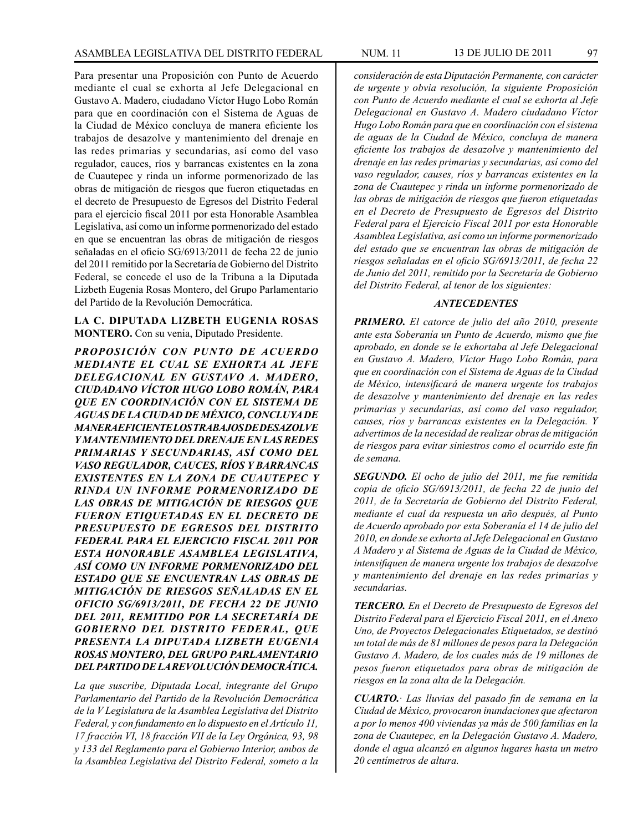Para presentar una Proposición con Punto de Acuerdo mediante el cual se exhorta al Jefe Delegacional en Gustavo A. Madero, ciudadano Víctor Hugo Lobo Román para que en coordinación con el Sistema de Aguas de la Ciudad de México concluya de manera eficiente los trabajos de desazolve y mantenimiento del drenaje en las redes primarias y secundarias, así como del vaso regulador, cauces, ríos y barrancas existentes en la zona de Cuautepec y rinda un informe pormenorizado de las obras de mitigación de riesgos que fueron etiquetadas en el decreto de Presupuesto de Egresos del Distrito Federal para el ejercicio fiscal 2011 por esta Honorable Asamblea Legislativa, así como un informe pormenorizado del estado en que se encuentran las obras de mitigación de riesgos señaladas en el oficio SG/6913/2011 de fecha 22 de junio del 2011 remitido por la Secretaría de Gobierno del Distrito Federal, se concede el uso de la Tribuna a la Diputada Lizbeth Eugenia Rosas Montero, del Grupo Parlamentario del Partido de la Revolución Democrática.

### **LA C. DIPUTADA LIZBETH EUGENIA ROSAS MONTERO.** Con su venia, Diputado Presidente.

*PROPOSICIÓN CON PUNTO DE ACUERDO MEDIANTE EL CUAL SE EXHORTA AL JEFE DELEGACIONAL EN GUSTAVO A. MADERO, CIUDADANO VÍCTOR HUGO LOBO ROMÁN, PARA QUE EN COORDINACIÓN CON EL SISTEMA DE AGUAS DE LA CIUDAD DE MÉXICO, CONCLUYA DE MANERA EFICIENTE LOS TRABAJOS DE DESAZOLVE Y MANTENIMIENTO DEL DRENAJE EN LAS REDES PRIMARIAS Y SECUNDARIAS, ASÍ COMO DEL VASO REGULADOR, CAUCES, RÍOS Y BARRANCAS EXISTENTES EN LA ZONA DE CUAUTEPEC Y RINDA UN INFORME PORMENORIZADO DE LAS OBRAS DE MITIGACIÓN DE RIESGOS QUE FUERON ETIQUETADAS EN EL DECRETO DE PRESUPUESTO DE EGRESOS DEL DISTRITO FEDERAL PARA EL EJERCICIO FISCAL 2011 POR ESTA HONORABLE ASAMBLEA LEGISLATIVA, ASÍ COMO UN INFORME PORMENORIZADO DEL ESTADO QUE SE ENCUENTRAN LAS OBRAS DE MITIGACIÓN DE RIESGOS SEÑALADAS EN EL OFICIO SG/6913/2011, DE FECHA 22 DE JUNIO DEL 2011, REMITIDO POR LA SECRETARÍA DE GOBIERNO DEL DISTRITO FEDERAL, QUE PRESENTA LA DIPUTADA LIZBETH EUGENIA ROSAS MONTERO, DEL GRUPO PARLAMENTARIO DEL PARTIDO DE LA REVOLUCIÓN DEMOCRÁTICA.*

*La que suscribe, Diputada Local, integrante del Grupo Parlamentario del Partido de la Revolución Democrática de la V Legislatura de la Asamblea Legislativa del Distrito Federal, y con fundamento en lo dispuesto en el Artículo 11, 17 fracción VI, 18 fracción VII de la Ley Orgánica, 93, 98 y 133 del Reglamento para el Gobierno Interior, ambos de la Asamblea Legislativa del Distrito Federal, someto a la*  *consideración de esta Diputación Permanente, con carácter de urgente y obvia resolución, la siguiente Proposición con Punto de Acuerdo mediante el cual se exhorta al Jefe Delegacional en Gustavo A. Madero ciudadano Víctor Hugo Lobo Román para que en coordinación con el sistema de aguas de la Ciudad de México, concluya de manera eficiente los trabajos de desazolve y mantenimiento del drenaje en las redes primarias y secundarias, así como del vaso regulador, causes, ríos y barrancas existentes en la zona de Cuautepec y rinda un informe pormenorizado de las obras de mitigación de riesgos que fueron etiquetadas en el Decreto de Presupuesto de Egresos del Distrito Federal para el Ejercicio Fiscal 2011 por esta Honorable Asamblea Legislativa, así como un informe pormenorizado del estado que se encuentran las obras de mitigación de riesgos señaladas en el oficio SG/6913/2011, de fecha 22 de Junio del 2011, remitido por la Secretaría de Gobierno del Distrito Federal, al tenor de los siguientes:*

#### *ANTECEDENTES*

*PRIMERO. El catorce de julio del año 2010, presente ante esta Soberanía un Punto de Acuerdo, mismo que fue aprobado, en donde se le exhortaba al Jefe Delegacional en Gustavo A. Madero, Víctor Hugo Lobo Román, para que en coordinación con el Sistema de Aguas de la Ciudad de México, intensificará de manera urgente los trabajos de desazolve y mantenimiento del drenaje en las redes primarias y secundarias, así como del vaso regulador, causes, ríos y barrancas existentes en la Delegación. Y advertimos de la necesidad de realizar obras de mitigación de riesgos para evitar siniestros como el ocurrido este fin de semana.*

*SEGUNDO. El ocho de julio del 2011, me fue remitida copia de oficio SG/6913/2011, de fecha 22 de junio del 2011, de la Secretaría de Gobierno del Distrito Federal, mediante el cual da respuesta un año después, al Punto de Acuerdo aprobado por esta Soberanía el 14 de julio del 2010, en donde se exhorta al Jefe Delegacional en Gustavo A Madero y al Sistema de Aguas de la Ciudad de México, intensifiquen de manera urgente los trabajos de desazolve y mantenimiento del drenaje en las redes primarias y secundarias.*

*TERCERO. En el Decreto de Presupuesto de Egresos del Distrito Federal para el Ejercicio Fiscal 2011, en el Anexo Uno, de Proyectos Delegacionales Etiquetados, se destinó un total de más de 81 millones de pesos para la Delegación Gustavo A. Madero, de los cuales más de 19 millones de pesos fueron etiquetados para obras de mitigación de riesgos en la zona alta de la Delegación.*

*CUARTO.· Las lluvias del pasado fin de semana en la Ciudad de México, provocaron inundaciones que afectaron a por lo menos 400 viviendas ya más de 500 familias en la zona de Cuautepec, en la Delegación Gustavo A. Madero, donde el agua alcanzó en algunos lugares hasta un metro 20 centímetros de altura.*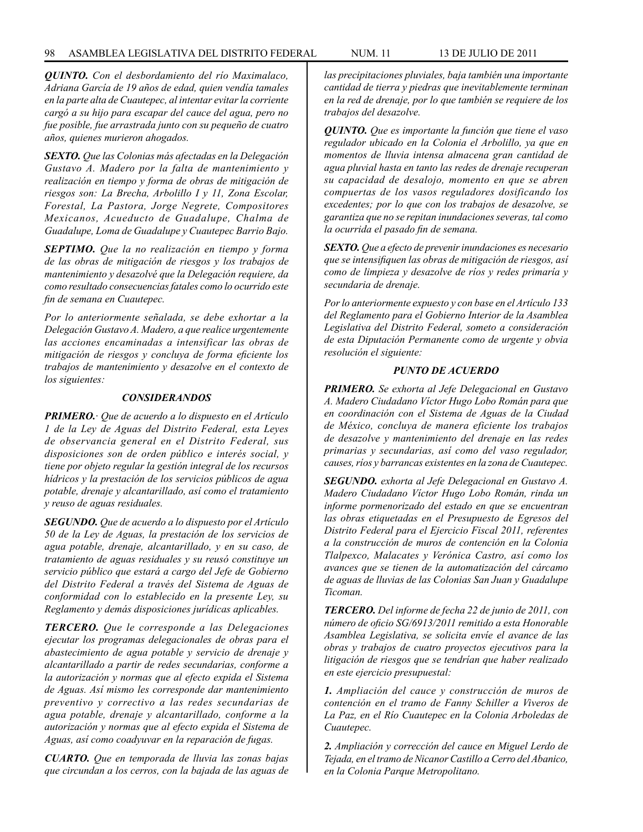#### 98 ASAMBLEA LEGISLATIVA DEL DISTRITO FEDERAL NUM. 11 13 DE JULIO DE 2011

*QUINTO. Con el desbordamiento del río Maximalaco, Adriana García de 19 años de edad, quien vendía tamales en la parte alta de Cuautepec, al intentar evitar la corriente cargó a su hijo para escapar del cauce del agua, pero no fue posible, fue arrastrada junto con su pequeño de cuatro años, quienes murieron ahogados.*

*SEXTO. Que las Colonias más afectadas en la Delegación Gustavo A. Madero por la falta de mantenimiento y realización en tiempo y forma de obras de mitigación de riesgos son: La Brecha, Arbolillo I y 11, Zona Escolar, Forestal, La Pastora, Jorge Negrete, Compositores Mexicanos, Acueducto de Guadalupe, Chalma de Guadalupe, Loma de Guadalupe y Cuautepec Barrio Bajo.*

*SEPTIMO. Que la no realización en tiempo y forma de las obras de mitigación de riesgos y los trabajos de mantenimiento y desazolvé que la Delegación requiere, da como resultado consecuencias fatales como lo ocurrido este fin de semana en Cuautepec.*

*Por lo anteriormente señalada, se debe exhortar a la Delegación Gustavo A. Madero, a que realice urgentemente las acciones encaminadas a intensificar las obras de mitigación de riesgos y concluya de forma eficiente los trabajos de mantenimiento y desazolve en el contexto de los siguientes:*

#### *CONSIDERANDOS*

*PRIMERO.· Que de acuerdo a lo dispuesto en el Artículo 1 de la Ley de Aguas del Distrito Federal, esta Leyes de observancia general en el Distrito Federal, sus disposiciones son de orden público e interés social, y tiene por objeto regular la gestión integral de los recursos hídricos y la prestación de los servicios públicos de agua potable, drenaje y alcantarillado, así como el tratamiento y reuso de aguas residuales.*

*SEGUNDO. Que de acuerdo a lo dispuesto por el Artículo 50 de la Ley de Aguas, la prestación de los servicios de agua potable, drenaje, alcantarillado, y en su caso, de tratamiento de aguas residuales y su reusó constituye un servicio público que estará a cargo del Jefe de Gobierno del Distrito Federal a través del Sistema de Aguas de conformidad con lo establecido en la presente Ley, su Reglamento y demás disposiciones jurídicas aplicables.*

*TERCERO. Que le corresponde a las Delegaciones ejecutar los programas delegacionales de obras para el abastecimiento de agua potable y servicio de drenaje y alcantarillado a partir de redes secundarias, conforme a la autorización y normas que al efecto expida el Sistema de Aguas. Así mismo les corresponde dar mantenimiento preventivo y correctivo a las redes secundarias de agua potable, drenaje y alcantarillado, conforme a la autorización y normas que al efecto expida el Sistema de Aguas, así como coadyuvar en la reparación de fugas.*

*CUARTO. Que en temporada de lluvia las zonas bajas que circundan a los cerros, con la bajada de las aguas de* 

*las precipitaciones pluviales, baja también una importante cantidad de tierra y piedras que inevitablemente terminan en la red de drenaje, por lo que también se requiere de los trabajos del desazolve.*

*QUINTO. Que es importante la función que tiene el vaso regulador ubicado en la Colonia el Arbolillo, ya que en momentos de lluvia intensa almacena gran cantidad de agua pluvial hasta en tanto las redes de drenaje recuperan su capacidad de desalojo, momento en que se abren compuertas de los vasos reguladores dosificando los excedentes; por lo que con los trabajos de desazolve, se garantiza que no se repitan inundaciones severas, tal como la ocurrida el pasado fin de semana.*

*SEXTO. Que a efecto de prevenir inundaciones es necesario que se intensifiquen las obras de mitigación de riesgos, así como de limpieza y desazolve de ríos y redes primaría y secundaria de drenaje.*

*Por lo anteriormente expuesto y con base en el Artículo 133 del Reglamento para el Gobierno Interior de la Asamblea Legislativa del Distrito Federal, someto a consideración de esta Diputación Permanente como de urgente y obvia resolución el siguiente:*

#### *PUNTO DE ACUERDO*

*PRIMERO. Se exhorta al Jefe Delegacional en Gustavo A. Madero Ciudadano Víctor Hugo Lobo Román para que en coordinación con el Sistema de Aguas de la Ciudad de México, concluya de manera eficiente los trabajos de desazolve y mantenimiento del drenaje en las redes primarias y secundarias, así como del vaso regulador, causes, ríos y barrancas existentes en la zona de Cuautepec.*

*SEGUNDO. exhorta al Jefe Delegacional en Gustavo A. Madero Ciudadano Víctor Hugo Lobo Román, rinda un informe pormenorizado del estado en que se encuentran las obras etiquetadas en el Presupuesto de Egresos del Distrito Federal para el Ejercicio Fiscal 2011, referentes a la construcción de muros de contención en la Colonia Tlalpexco, Malacates y Verónica Castro, así como los avances que se tienen de la automatización del cárcamo de aguas de lluvias de las Colonias San Juan y Guadalupe Ticoman.* 

*TERCERO. Del informe de fecha 22 de junio de 2011, con número de oficio SG/6913/2011 remitido a esta Honorable Asamblea Legislativa, se solicita envíe el avance de las obras y trabajos de cuatro proyectos ejecutivos para la litigación de riesgos que se tendrían que haber realizado en este ejercicio presupuestal:*

*1. Ampliación del cauce y construcción de muros de contención en el tramo de Fanny Schiller a Viveros de La Paz, en el Río Cuautepec en la Colonia Arboledas de Cuautepec.*

*2. Ampliación y corrección del cauce en Miguel Lerdo de Tejada, en el tramo de Nicanor Castillo a Cerro del Abanico, en la Colonia Parque Metropolitano.*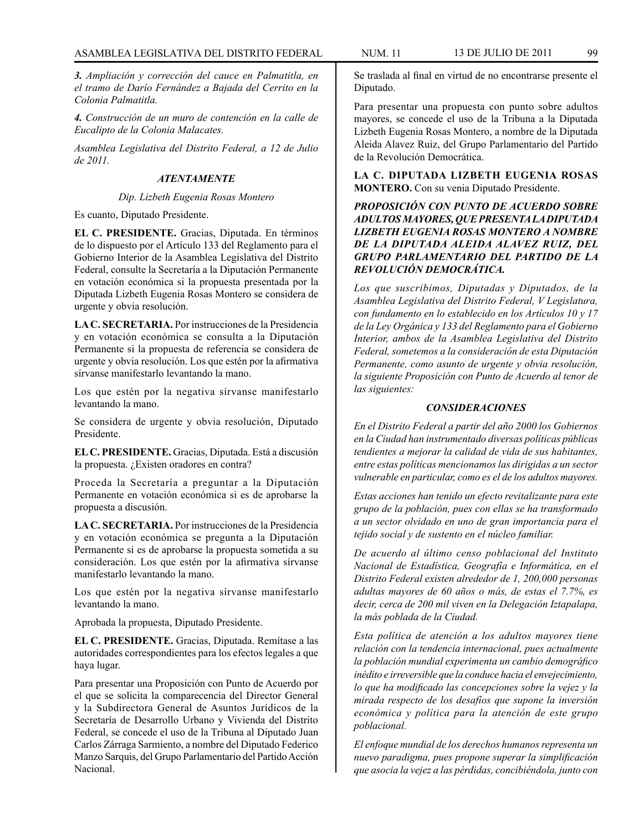*3. Ampliación y corrección del cauce en Palmatitla, en el tramo de Darío Fernández a Bajada del Cerrito en la Colonia Palmatitla.*

*4. Construcción de un muro de contención en la calle de Eucalipto de la Colonia Malacates.*

*Asamblea Legislativa del Distrito Federal, a 12 de Julio de 2011.*

## *ATENTAMENTE*

#### *Dip. Lizbeth Eugenia Rosas Montero*

Es cuanto, Diputado Presidente.

**EL C. PRESIDENTE.** Gracias, Diputada. En términos de lo dispuesto por el Artículo 133 del Reglamento para el Gobierno Interior de la Asamblea Legislativa del Distrito Federal, consulte la Secretaría a la Diputación Permanente en votación económica si la propuesta presentada por la Diputada Lizbeth Eugenia Rosas Montero se considera de urgente y obvia resolución.

**LA C. SECRETARIA.** Por instrucciones de la Presidencia y en votación económica se consulta a la Diputación Permanente si la propuesta de referencia se considera de urgente y obvia resolución. Los que estén por la afirmativa sírvanse manifestarlo levantando la mano.

Los que estén por la negativa sírvanse manifestarlo levantando la mano.

Se considera de urgente y obvia resolución, Diputado Presidente.

**EL C. PRESIDENTE.** Gracias, Diputada. Está a discusión la propuesta. ¿Existen oradores en contra?

Proceda la Secretaría a preguntar a la Diputación Permanente en votación económica si es de aprobarse la propuesta a discusión.

**LA C. SECRETARIA.** Por instrucciones de la Presidencia y en votación económica se pregunta a la Diputación Permanente si es de aprobarse la propuesta sometida a su consideración. Los que estén por la afirmativa sírvanse manifestarlo levantando la mano.

Los que estén por la negativa sírvanse manifestarlo levantando la mano.

Aprobada la propuesta, Diputado Presidente.

**EL C. PRESIDENTE.** Gracias, Diputada. Remítase a las autoridades correspondientes para los efectos legales a que haya lugar.

Para presentar una Proposición con Punto de Acuerdo por el que se solicita la comparecencia del Director General y la Subdirectora General de Asuntos Jurídicos de la Secretaría de Desarrollo Urbano y Vivienda del Distrito Federal, se concede el uso de la Tribuna al Diputado Juan Carlos Zárraga Sarmiento, a nombre del Diputado Federico Manzo Sarquis, del Grupo Parlamentario del Partido Acción Nacional.

Se traslada al final en virtud de no encontrarse presente el Diputado.

Para presentar una propuesta con punto sobre adultos mayores, se concede el uso de la Tribuna a la Diputada Lizbeth Eugenia Rosas Montero, a nombre de la Diputada Aleida Alavez Ruiz, del Grupo Parlamentario del Partido de la Revolución Democrática.

**LA C. DIPUTADA LIZBETH EUGENIA ROSAS MONTERO.** Con su venia Diputado Presidente.

# *PROPOSICIÓN CON PUNTO DE ACUERDO SOBRE ADULTOS MAYORES, QUE PRESENTA LA DIPUTADA LIZBETH EUGENIA ROSAS MONTERO A NOMBRE DE LA DIPUTADA ALEIDA ALAVEZ RUIZ, DEL GRUPO PARLAMENTARIO DEL PARTIDO DE LA REVOLUCIÓN DEMOCRÁTICA.*

*Los que suscribimos, Diputadas y Diputados, de la Asamblea Legislativa del Distrito Federal, V Legislatura, con fundamento en lo establecido en los Artículos 10 y 17 de la Ley Orgánica y 133 del Reglamento para el Gobierno Interior, ambos de la Asamblea Legislativa del Distrito Federal, sometemos a la consideración de esta Diputación Permanente, como asunto de urgente y obvia resolución, la siguiente Proposición con Punto de Acuerdo al tenor de las siguientes:*

#### *CONSIDERACIONES*

*En el Distrito Federal a partir del año 2000 los Gobiernos en la Ciudad han instrumentado diversas políticas públicas tendientes a mejorar la calidad de vida de sus habitantes, entre estas políticas mencionamos las dirigidas a un sector vulnerable en particular, como es el de los adultos mayores.* 

*Estas acciones han tenido un efecto revitalizante para este grupo de la población, pues con ellas se ha transformado a un sector olvidado en uno de gran importancia para el tejido social y de sustento en el núcleo familiar.*

*De acuerdo al último censo poblacional del Instituto Nacional de Estadística, Geografía e Informática, en el Distrito Federal existen alrededor de 1, 200,000 personas adultas mayores de 60 años o más, de estas el 7.7%, es decir, cerca de 200 mil viven en la Delegación Iztapalapa, la más poblada de la Ciudad.* 

*Esta política de atención a los adultos mayores tiene relación con la tendencia internacional, pues actualmente la población mundial experimenta un cambio demográfico inédito e irreversible que la conduce hacia el envejecimiento, lo que ha modificado las concepciones sobre la vejez y la mirada respecto de los desafíos que supone la inversión económica y política para la atención de este grupo poblacional.*

*El enfoque mundial de los derechos humanos representa un nuevo paradigma, pues propone superar la simplificación que asocia la vejez a las pérdidas, concibiéndola, junto con*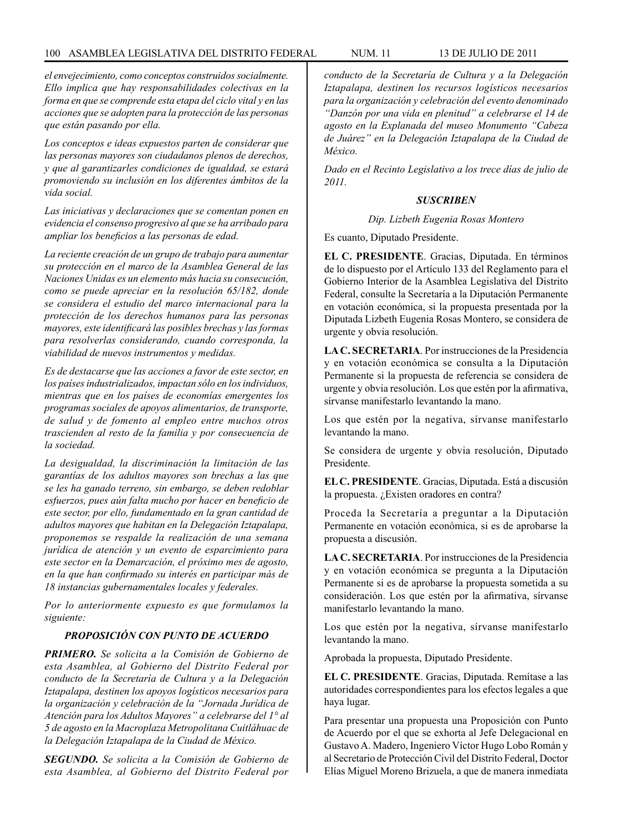*el envejecimiento, como conceptos construidos socialmente. Ello implica que hay responsabilidades colectivas en la forma en que se comprende esta etapa del ciclo vital y en las acciones que se adopten para la protección de las personas que están pasando por ella.*

*Los conceptos e ideas expuestos parten de considerar que las personas mayores son ciudadanos plenos de derechos, y que al garantizarles condiciones de igualdad, se estará promoviendo su inclusión en los diferentes ámbitos de la vida social.*

*Las iniciativas y declaraciones que se comentan ponen en evidencia el consenso progresivo al que se ha arribado para ampliar los beneficios a las personas de edad.*

*La reciente creación de un grupo de trabajo para aumentar su protección en el marco de la Asamblea General de las Naciones Unidas es un elemento más hacia su consecución, como se puede apreciar en la resolución 65/182, donde se considera el estudio del marco internacional para la protección de los derechos humanos para las personas mayores, este identificará las posibles brechas y las formas para resolverlas considerando, cuando corresponda, la viabilidad de nuevos instrumentos y medidas.*

*Es de destacarse que las acciones a favor de este sector, en los países industrializados, impactan sólo en los individuos, mientras que en los países de economías emergentes los programas sociales de apoyos alimentarios, de transporte, de salud y de fomento al empleo entre muchos otros trascienden al resto de la familia y por consecuencia de la sociedad.* 

*La desigualdad, la discriminación la limitación de las garantías de los adultos mayores son brechas a las que se les ha ganado terreno, sin embargo, se deben redoblar esfuerzos, pues aún falta mucho por hacer en beneficio de este sector, por ello, fundamentado en la gran cantidad de adultos mayores que habitan en la Delegación Iztapalapa, proponemos se respalde la realización de una semana jurídica de atención y un evento de esparcimiento para este sector en la Demarcación, el próximo mes de agosto, en la que han confirmado su interés en participar más de 18 instancias gubernamentales locales y federales.*

*Por lo anteriormente expuesto es que formulamos la siguiente:*

# *PROPOSICIÓN CON PUNTO DE ACUERDO*

*PRIMERO. Se solicita a la Comisión de Gobierno de esta Asamblea, al Gobierno del Distrito Federal por conducto de la Secretaría de Cultura y a la Delegación Iztapalapa, destinen los apoyos logísticos necesarios para la organización y celebración de la "Jornada Jurídica de Atención para los Adultos Mayores" a celebrarse del 1° al 5 de agosto en la Macroplaza Metropolitana Cuitláhuac de la Delegación Iztapalapa de la Ciudad de México.*

*SEGUNDO. Se solicita a la Comisión de Gobierno de esta Asamblea, al Gobierno del Distrito Federal por*  *conducto de la Secretaría de Cultura y a la Delegación Iztapalapa, destinen los recursos logísticos necesarios para la organización y celebración del evento denominado "Danzón por una vida en plenitud" a celebrarse el 14 de agosto en la Explanada del museo Monumento "Cabeza de Juárez" en la Delegación Iztapalapa de la Ciudad de México.*

*Dado en el Recinto Legislativo a los trece días de julio de 2011.*

# *SUSCRIBEN*

#### *Dip. Lizbeth Eugenia Rosas Montero*

Es cuanto, Diputado Presidente.

**EL C. PRESIDENTE**. Gracias, Diputada. En términos de lo dispuesto por el Artículo 133 del Reglamento para el Gobierno Interior de la Asamblea Legislativa del Distrito Federal, consulte la Secretaría a la Diputación Permanente en votación económica, si la propuesta presentada por la Diputada Lizbeth Eugenia Rosas Montero, se considera de urgente y obvia resolución.

**LA C. SECRETARIA**. Por instrucciones de la Presidencia y en votación económica se consulta a la Diputación Permanente si la propuesta de referencia se considera de urgente y obvia resolución. Los que estén por la afirmativa, sírvanse manifestarlo levantando la mano.

Los que estén por la negativa, sírvanse manifestarlo levantando la mano.

Se considera de urgente y obvia resolución, Diputado Presidente.

**EL C. PRESIDENTE**. Gracias, Diputada. Está a discusión la propuesta. ¿Existen oradores en contra?

Proceda la Secretaría a preguntar a la Diputación Permanente en votación económica, si es de aprobarse la propuesta a discusión.

**LA C. SECRETARIA**. Por instrucciones de la Presidencia y en votación económica se pregunta a la Diputación Permanente si es de aprobarse la propuesta sometida a su consideración. Los que estén por la afirmativa, sírvanse manifestarlo levantando la mano.

Los que estén por la negativa, sírvanse manifestarlo levantando la mano.

Aprobada la propuesta, Diputado Presidente.

**EL C. PRESIDENTE**. Gracias, Diputada. Remítase a las autoridades correspondientes para los efectos legales a que haya lugar.

Para presentar una propuesta una Proposición con Punto de Acuerdo por el que se exhorta al Jefe Delegacional en Gustavo A. Madero, Ingeniero Víctor Hugo Lobo Román y al Secretario de Protección Civil del Distrito Federal, Doctor Elías Miguel Moreno Brizuela, a que de manera inmediata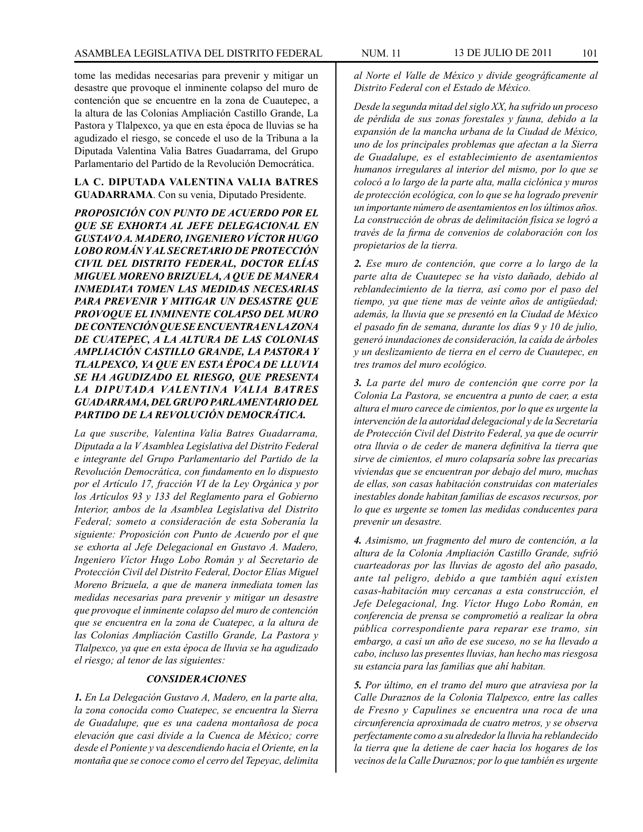tome las medidas necesarias para prevenir y mitigar un desastre que provoque el inminente colapso del muro de contención que se encuentre en la zona de Cuautepec, a la altura de las Colonias Ampliación Castillo Grande, La Pastora y Tlalpexco, ya que en esta época de lluvias se ha agudizado el riesgo, se concede el uso de la Tribuna a la Diputada Valentina Valia Batres Guadarrama, del Grupo Parlamentario del Partido de la Revolución Democrática.

### **LA C. DIPUTADA VALENTINA VALIA BATRES GUADARRAMA**. Con su venia, Diputado Presidente.

*PROPOSICIÓN CON PUNTO DE ACUERDO POR EL QUE SE EXHORTA AL JEFE DELEGACIONAL EN GUSTAVO A. MADERO, INGENIERO VÍCTOR HUGO LOBO ROMÁN Y AL SECRETARIO DE PROTECCIÓN CIVIL DEL DISTRITO FEDERAL, DOCTOR ELÍAS MIGUEL MORENO BRIZUELA, A QUE DE MANERA INMEDIATA TOMEN LAS MEDIDAS NECESARIAS PARA PREVENIR Y MITIGAR UN DESASTRE QUE PROVOQUE EL INMINENTE COLAPSO DEL MURO DE CONTENCIÓN QUE SE ENCUENTRA EN LA ZONA DE CUATEPEC, A LA ALTURA DE LAS COLONIAS AMPLIACIÓN CASTILLO GRANDE, LA PASTORA Y TLALPEXCO, YA QUE EN ESTA ÉPOCA DE LLUVIA SE HA AGUDIZADO EL RIESGO, QUE PRESENTA LA DIPUTADA VALENTINA VALIA BATRES GUADARRAMA, DEL GRUPO PARLAMENTARIO DEL PARTIDO DE LA REVOLUCIÓN DEMOCRÁTICA.*

*La que suscribe, Valentina Valia Batres Guadarrama, Diputada a la V Asamblea Legislativa del Distrito Federal e integrante del Grupo Parlamentario del Partido de la Revolución Democrática, con fundamento en lo dispuesto por el Artículo 17, fracción VI de la Ley Orgánica y por los Artículos 93 y 133 del Reglamento para el Gobierno Interior, ambos de la Asamblea Legislativa del Distrito Federal; someto a consideración de esta Soberanía la siguiente: Proposición con Punto de Acuerdo por el que se exhorta al Jefe Delegacional en Gustavo A. Madero, Ingeniero Víctor Hugo Lobo Román y al Secretario de Protección Civil del Distrito Federal, Doctor Elías Miguel Moreno Brizuela, a que de manera inmediata tomen las medidas necesarias para prevenir y mitigar un desastre que provoque el inminente colapso del muro de contención que se encuentra en la zona de Cuatepec, a la altura de las Colonias Ampliación Castillo Grande, La Pastora y Tlalpexco, ya que en esta época de lluvia se ha agudizado el riesgo; al tenor de las siguientes:*

### *CONSIDERACIONES*

*1. En La Delegación Gustavo A, Madero, en la parte alta, la zona conocida como Cuatepec, se encuentra la Sierra de Guadalupe, que es una cadena montañosa de poca elevación que casi divide a la Cuenca de México; corre desde el Poniente y va descendiendo hacia el Oriente, en la montaña que se conoce como el cerro del Tepeyac, delimita*  *al Norte el Valle de México y divide geográficamente al Distrito Federal con el Estado de México.*

*Desde la segunda mitad del siglo XX, ha sufrido un proceso de pérdida de sus zonas forestales y fauna, debido a la expansión de la mancha urbana de la Ciudad de México, uno de los principales problemas que afectan a la Sierra de Guadalupe, es el establecimiento de asentamientos humanos irregulares al interior del mismo, por lo que se colocó a lo largo de la parte alta, malla ciclónica y muros de protección ecológica, con lo que se ha logrado prevenir un importante número de asentamientos en los últimos años. La construcción de obras de delimitación física se logró a través de la firma de convenios de colaboración con los propietarios de la tierra.*

*2. Ese muro de contención, que corre a lo largo de la parte alta de Cuautepec se ha visto dañado, debido al reblandecimiento de la tierra, así como por el paso del tiempo, ya que tiene mas de veinte años de antigüedad; además, la lluvia que se presentó en la Ciudad de México el pasado fin de semana, durante los días 9 y 10 de julio, generó inundaciones de consideración, la caída de árboles y un deslizamiento de tierra en el cerro de Cuautepec, en tres tramos del muro ecológico.*

*3. La parte del muro de contención que corre por la Colonia La Pastora, se encuentra a punto de caer, a esta altura el muro carece de cimientos, por lo que es urgente la intervención de la autoridad delegacional y de la Secretaría de Protección Civil del Distrito Federal, ya que de ocurrir otra lluvia o de ceder de manera definitiva la tierra que sirve de cimientos, el muro colapsaría sobre las precarias viviendas que se encuentran por debajo del muro, muchas de ellas, son casas habitación construidas con materiales inestables donde habitan familias de escasos recursos, por lo que es urgente se tomen las medidas conducentes para prevenir un desastre.*

*4. Asimismo, un fragmento del muro de contención, a la altura de la Colonia Ampliación Castillo Grande, sufrió cuarteadoras por las lluvias de agosto del año pasado, ante tal peligro, debido a que también aquí existen casas-habitación muy cercanas a esta construcción, el Jefe Delegacional, Ing. Víctor Hugo Lobo Román, en conferencia de prensa se comprometió a realizar la obra pública correspondiente para reparar ese tramo, sin embargo, a casi un año de ese suceso, no se ha llevado a cabo, incluso las presentes lluvias, han hecho mas riesgosa su estancia para las familias que ahí habitan.*

*5. Por último, en el tramo del muro que atraviesa por la Calle Duraznos de la Colonia Tlalpexco, entre las calles de Fresno y Capulines se encuentra una roca de una circunferencia aproximada de cuatro metros, y se observa perfectamente como a su alrededor la lluvia ha reblandecido la tierra que la detiene de caer hacia los hogares de los vecinos de la Calle Duraznos; por lo que también es urgente*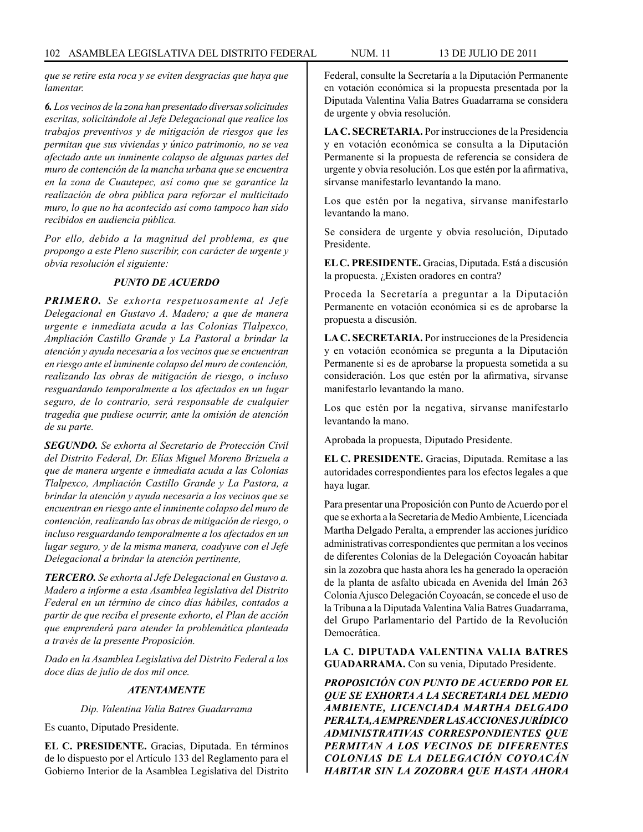*que se retire esta roca y se eviten desgracias que haya que lamentar.*

*6. Los vecinos de la zona han presentado diversas solicitudes escritas, solicitándole al Jefe Delegacional que realice los trabajos preventivos y de mitigación de riesgos que les permitan que sus viviendas y único patrimonio, no se vea afectado ante un inminente colapso de algunas partes del muro de contención de la mancha urbana que se encuentra en la zona de Cuautepec, así como que se garantice la realización de obra pública para reforzar el multicitado muro, lo que no ha acontecido así como tampoco han sido recibidos en audiencia pública.*

*Por ello, debido a la magnitud del problema, es que propongo a este Pleno suscribir, con carácter de urgente y obvia resolución el siguiente:* 

### *PUNTO DE ACUERDO*

*PRIMERO. Se exhorta respetuosamente al Jefe Delegacional en Gustavo A. Madero; a que de manera urgente e inmediata acuda a las Colonias Tlalpexco, Ampliación Castillo Grande y La Pastoral a brindar la atención y ayuda necesaria a los vecinos que se encuentran en riesgo ante el inminente colapso del muro de contención, realizando las obras de mitigación de riesgo, o incluso resguardando temporalmente a los afectados en un lugar seguro, de lo contrario, será responsable de cualquier tragedia que pudiese ocurrir, ante la omisión de atención de su parte.*

*SEGUNDO. Se exhorta al Secretario de Protección Civil del Distrito Federal, Dr. Elías Miguel Moreno Brizuela a que de manera urgente e inmediata acuda a las Colonias Tlalpexco, Ampliación Castillo Grande y La Pastora, a brindar la atención y ayuda necesaria a los vecinos que se encuentran en riesgo ante el inminente colapso del muro de contención, realizando las obras de mitigación de riesgo, o incluso resguardando temporalmente a los afectados en un lugar seguro, y de la misma manera, coadyuve con el Jefe Delegacional a brindar la atención pertinente,* 

*TERCERO. Se exhorta al Jefe Delegacional en Gustavo a. Madero a informe a esta Asamblea legislativa del Distrito Federal en un término de cinco días hábiles, contados a partir de que reciba el presente exhorto, el Plan de acción que emprenderá para atender la problemática planteada a través de la presente Proposición.*

*Dado en la Asamblea Legislativa del Distrito Federal a los doce días de julio de dos mil once.*

### *ATENTAMENTE*

*Dip. Valentina Valia Batres Guadarrama*

Es cuanto, Diputado Presidente.

**EL C. PRESIDENTE.** Gracias, Diputada. En términos de lo dispuesto por el Artículo 133 del Reglamento para el Gobierno Interior de la Asamblea Legislativa del Distrito Federal, consulte la Secretaría a la Diputación Permanente en votación económica si la propuesta presentada por la Diputada Valentina Valia Batres Guadarrama se considera de urgente y obvia resolución.

**LA C. SECRETARIA.** Por instrucciones de la Presidencia y en votación económica se consulta a la Diputación Permanente si la propuesta de referencia se considera de urgente y obvia resolución. Los que estén por la afirmativa, sírvanse manifestarlo levantando la mano.

Los que estén por la negativa, sírvanse manifestarlo levantando la mano.

Se considera de urgente y obvia resolución, Diputado Presidente.

**EL C. PRESIDENTE.** Gracias, Diputada. Está a discusión la propuesta. ¿Existen oradores en contra?

Proceda la Secretaría a preguntar a la Diputación Permanente en votación económica si es de aprobarse la propuesta a discusión.

**LA C. SECRETARIA.** Por instrucciones de la Presidencia y en votación económica se pregunta a la Diputación Permanente si es de aprobarse la propuesta sometida a su consideración. Los que estén por la afirmativa, sírvanse manifestarlo levantando la mano.

Los que estén por la negativa, sírvanse manifestarlo levantando la mano.

Aprobada la propuesta, Diputado Presidente.

**EL C. PRESIDENTE.** Gracias, Diputada. Remítase a las autoridades correspondientes para los efectos legales a que haya lugar.

Para presentar una Proposición con Punto de Acuerdo por el que se exhorta a la Secretaria de Medio Ambiente, Licenciada Martha Delgado Peralta, a emprender las acciones jurídico administrativas correspondientes que permitan a los vecinos de diferentes Colonias de la Delegación Coyoacán habitar sin la zozobra que hasta ahora les ha generado la operación de la planta de asfalto ubicada en Avenida del Imán 263 Colonia Ajusco Delegación Coyoacán, se concede el uso de la Tribuna a la Diputada Valentina Valia Batres Guadarrama, del Grupo Parlamentario del Partido de la Revolución Democrática.

**LA C. DIPUTADA VALENTINA VALIA BATRES GUADARRAMA.** Con su venia, Diputado Presidente.

*PROPOSICIÓN CON PUNTO DE ACUERDO POR EL QUE SE EXHORTA A LA SECRETARIA DEL MEDIO AMBIENTE, LICENCIADA MARTHA DELGADO PERALTA, A EMPRENDER LAS ACCIONES JURÍDICO ADMINISTRATIVAS CORRESPONDIENTES QUE PERMITAN A LOS VECINOS DE DIFERENTES COLONIAS DE LA DELEGACIÓN COYOACÁN HABITAR SIN LA ZOZOBRA QUE HASTA AHORA*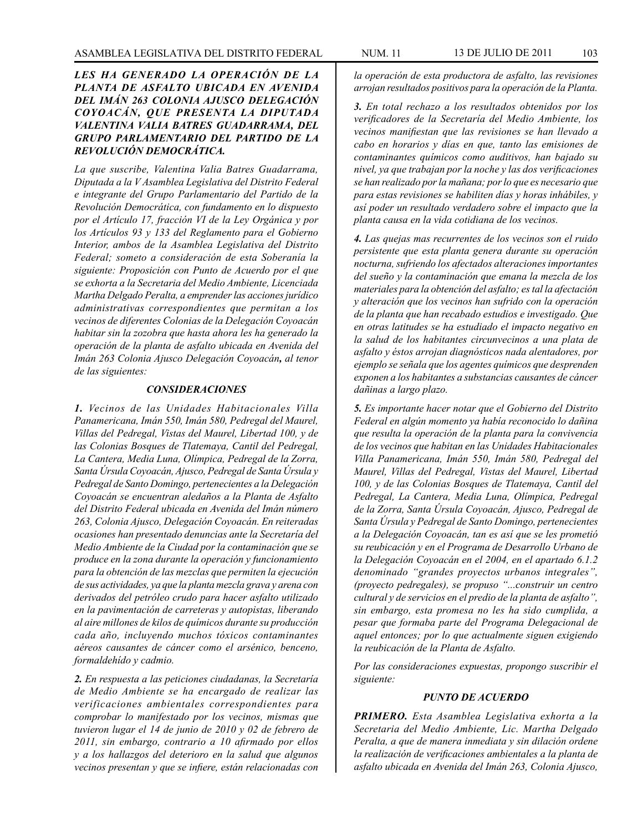# *LES HA GENERADO LA OPERACIÓN DE LA PLANTA DE ASFALTO UBICADA EN AVENIDA DEL IMÁN 263 COLONIA AJUSCO DELEGACIÓN COYOACÁN, QUE PRESENTA LA DIPUTADA VALENTINA VALIA BATRES GUADARRAMA, DEL GRUPO PARLAMENTARIO DEL PARTIDO DE LA REVOLUCIÓN DEMOCRÁTICA.*

*La que suscribe, Valentina Valia Batres Guadarrama, Diputada a la V Asamblea Legislativa del Distrito Federal e integrante del Grupo Parlamentario del Partido de la Revolución Democrática, con fundamento en lo dispuesto por el Artículo 17, fracción VI de la Ley Orgánica y por los Artículos 93 y 133 del Reglamento para el Gobierno Interior, ambos de la Asamblea Legislativa del Distrito Federal; someto a consideración de esta Soberanía la siguiente: Proposición con Punto de Acuerdo por el que se exhorta a la Secretaria del Medio Ambiente, Licenciada Martha Delgado Peralta, a emprender las acciones jurídico administrativas correspondientes que permitan a los vecinos de diferentes Colonias de la Delegación Coyoacán habitar sin la zozobra que hasta ahora les ha generado la operación de la planta de asfalto ubicada en Avenida del Imán 263 Colonia Ajusco Delegación Coyoacán, al tenor de las siguientes:*

### *CONSIDERACIONES*

*1. Vecinos de las Unidades Habitacionales Villa Panamericana, Imán 550, Imán 580, Pedregal del Maurel, Villas del Pedregal, Vistas del Maurel, Libertad 100, y de las Colonias Bosques de Tlatemaya, Cantil del Pedregal, La Cantera, Media Luna, Olímpica, Pedregal de la Zorra, Santa Úrsula Coyoacán, Ajusco, Pedregal de Santa Úrsula y Pedregal de Santo Domingo, pertenecientes a la Delegación Coyoacán se encuentran aledaños a la Planta de Asfalto del Distrito Federal ubicada en Avenida del Imán número 263, Colonia Ajusco, Delegación Coyoacán. En reiteradas ocasiones han presentado denuncias ante la Secretaría del Medio Ambiente de la Ciudad por la contaminación que se produce en la zona durante la operación y funcionamiento para la obtención de las mezclas que permiten la ejecución de sus actividades, ya que la planta mezcla grava y arena con derivados del petróleo crudo para hacer asfalto utilizado en la pavimentación de carreteras y autopistas, liberando al aire millones de kilos de químicos durante su producción cada año, incluyendo muchos tóxicos contaminantes aéreos causantes de cáncer como el arsénico, benceno, formaldehído y cadmio.*

*2. En respuesta a las peticiones ciudadanas, la Secretaría de Medio Ambiente se ha encargado de realizar las verificaciones ambientales correspondientes para comprobar lo manifestado por los vecinos, mismas que tuvieron lugar el 14 de junio de 2010 y 02 de febrero de 2011, sin embargo, contrario a 10 afirmado por ellos y a los hallazgos del deterioro en la salud que algunos vecinos presentan y que se infiere, están relacionadas con*  *la operación de esta productora de asfalto, las revisiones arrojan resultados positivos para la operación de la Planta.*

*3. En total rechazo a los resultados obtenidos por los verificadores de la Secretaría del Medio Ambiente, los vecinos manifiestan que las revisiones se han llevado a cabo en horarios y días en que, tanto las emisiones de contaminantes químicos como auditivos, han bajado su nivel, ya que trabajan por la noche y las dos verificaciones se han realizado por la mañana; por lo que es necesario que para estas revisiones se habiliten días y horas inhábiles, y así poder un resultado verdadero sobre el impacto que la planta causa en la vida cotidiana de los vecinos.*

*4. Las quejas mas recurrentes de los vecinos son el ruido persistente que esta planta genera durante su operación nocturna, sufriendo los afectados alteraciones importantes del sueño y la contaminación que emana la mezcla de los materiales para la obtención del asfalto; es tal la afectación y alteración que los vecinos han sufrido con la operación de la planta que han recabado estudios e investigado. Que en otras latitudes se ha estudiado el impacto negativo en la salud de los habitantes circunvecinos a una plata de asfalto y éstos arrojan diagnósticos nada alentadores, por ejemplo se señala que los agentes químicos que desprenden exponen a los habitantes a substancias causantes de cáncer dañinas a largo plazo.*

*5. Es importante hacer notar que el Gobierno del Distrito Federal en algún momento ya había reconocido lo dañina que resulta la operación de la planta para la convivencia de los vecinos que habitan en las Unidades Habitacionales Villa Panamericana, Imán 550, Imán 580, Pedregal del Maurel, Villas del Pedregal, Vistas del Maurel, Libertad 100, y de las Colonias Bosques de Tlatemaya, Cantil del Pedregal, La Cantera, Media Luna, Olímpica, Pedregal de la Zorra, Santa Úrsula Coyoacán, Ajusco, Pedregal de Santa Úrsula y Pedregal de Santo Domingo, pertenecientes a la Delegación Coyoacán, tan es así que se les prometió su reubicación y en el Programa de Desarrollo Urbano de la Delegación Coyoacán en el 2004, en el apartado 6.1.2 denominado "grandes proyectos urbanos integrales", (proyecto pedregales), se propuso "...construir un centro cultural y de servicios en el predio de la planta de asfalto", sin embargo, esta promesa no les ha sido cumplida, a pesar que formaba parte del Programa Delegacional de aquel entonces; por lo que actualmente siguen exigiendo la reubicación de la Planta de Asfalto.*

*Por las consideraciones expuestas, propongo suscribir el siguiente:*

### *PUNTO DE ACUERDO*

*PRIMERO. Esta Asamblea Legislativa exhorta a la Secretaria del Medio Ambiente, Lic. Martha Delgado Peralta, a que de manera inmediata y sin dilación ordene la realización de verificaciones ambientales a la planta de asfalto ubicada en Avenida del Imán 263, Colonia Ajusco,*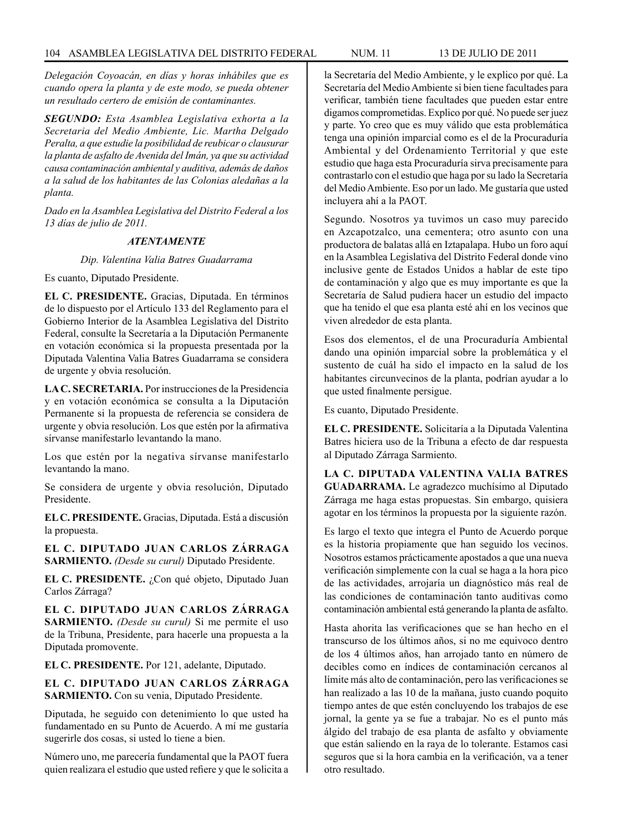*Delegación Coyoacán, en días y horas inhábiles que es cuando opera la planta y de este modo, se pueda obtener un resultado certero de emisión de contaminantes.*

*SEGUNDO: Esta Asamblea Legislativa exhorta a la Secretaria del Medio Ambiente, Lic. Martha Delgado Peralta, a que estudie la posibilidad de reubicar o clausurar la planta de asfalto de Avenida del Imán, ya que su actividad causa contaminación ambiental y auditiva, además de daños a la salud de los habitantes de las Colonias aledañas a la planta.*

*Dado en la Asamblea Legislativa del Distrito Federal a los 13 días de julio de 2011.*

### *ATENTAMENTE*

*Dip. Valentina Valia Batres Guadarrama*

Es cuanto, Diputado Presidente.

**EL C. PRESIDENTE.** Gracias, Diputada. En términos de lo dispuesto por el Artículo 133 del Reglamento para el Gobierno Interior de la Asamblea Legislativa del Distrito Federal, consulte la Secretaría a la Diputación Permanente en votación económica si la propuesta presentada por la Diputada Valentina Valia Batres Guadarrama se considera de urgente y obvia resolución.

**LA C. SECRETARIA.** Por instrucciones de la Presidencia y en votación económica se consulta a la Diputación Permanente si la propuesta de referencia se considera de urgente y obvia resolución. Los que estén por la afirmativa sírvanse manifestarlo levantando la mano.

Los que estén por la negativa sírvanse manifestarlo levantando la mano.

Se considera de urgente y obvia resolución, Diputado Presidente.

**EL C. PRESIDENTE.** Gracias, Diputada. Está a discusión la propuesta.

**EL C. DIPUTADO JUAN CARLOS ZÁRRAGA SARMIENTO.** *(Desde su curul)* Diputado Presidente.

**EL C. PRESIDENTE.** ¿Con qué objeto, Diputado Juan Carlos Zárraga?

**EL C. DIPUTADO JUAN CARLOS ZÁRRAGA SARMIENTO.** *(Desde su curul)* Si me permite el uso de la Tribuna, Presidente, para hacerle una propuesta a la Diputada promovente.

**EL C. PRESIDENTE.** Por 121, adelante, Diputado.

**EL C. DIPUTADO JUAN CARLOS ZÁRRAGA SARMIENTO.** Con su venia, Diputado Presidente.

Diputada, he seguido con detenimiento lo que usted ha fundamentado en su Punto de Acuerdo. A mí me gustaría sugerirle dos cosas, si usted lo tiene a bien.

Número uno, me parecería fundamental que la PAOT fuera quien realizara el estudio que usted refiere y que le solicita a la Secretaría del Medio Ambiente, y le explico por qué. La Secretaría del Medio Ambiente si bien tiene facultades para verificar, también tiene facultades que pueden estar entre digamos comprometidas. Explico por qué. No puede ser juez y parte. Yo creo que es muy válido que esta problemática tenga una opinión imparcial como es el de la Procuraduría Ambiental y del Ordenamiento Territorial y que este estudio que haga esta Procuraduría sirva precisamente para contrastarlo con el estudio que haga por su lado la Secretaría del Medio Ambiente. Eso por un lado. Me gustaría que usted incluyera ahí a la PAOT.

Segundo. Nosotros ya tuvimos un caso muy parecido en Azcapotzalco, una cementera; otro asunto con una productora de balatas allá en Iztapalapa. Hubo un foro aquí en la Asamblea Legislativa del Distrito Federal donde vino inclusive gente de Estados Unidos a hablar de este tipo de contaminación y algo que es muy importante es que la Secretaría de Salud pudiera hacer un estudio del impacto que ha tenido el que esa planta esté ahí en los vecinos que viven alrededor de esta planta.

Esos dos elementos, el de una Procuraduría Ambiental dando una opinión imparcial sobre la problemática y el sustento de cuál ha sido el impacto en la salud de los habitantes circunvecinos de la planta, podrían ayudar a lo que usted finalmente persigue.

Es cuanto, Diputado Presidente.

**EL C. PRESIDENTE.** Solicitaría a la Diputada Valentina Batres hiciera uso de la Tribuna a efecto de dar respuesta al Diputado Zárraga Sarmiento.

**LA C. DIPUTADA VALENTINA VALIA BATRES GUADARRAMA.** Le agradezco muchísimo al Diputado Zárraga me haga estas propuestas. Sin embargo, quisiera agotar en los términos la propuesta por la siguiente razón.

Es largo el texto que integra el Punto de Acuerdo porque es la historia propiamente que han seguido los vecinos. Nosotros estamos prácticamente apostados a que una nueva verificación simplemente con la cual se haga a la hora pico de las actividades, arrojaría un diagnóstico más real de las condiciones de contaminación tanto auditivas como contaminación ambiental está generando la planta de asfalto.

Hasta ahorita las verificaciones que se han hecho en el transcurso de los últimos años, si no me equivoco dentro de los 4 últimos años, han arrojado tanto en número de decibles como en índices de contaminación cercanos al límite más alto de contaminación, pero las verificaciones se han realizado a las 10 de la mañana, justo cuando poquito tiempo antes de que estén concluyendo los trabajos de ese jornal, la gente ya se fue a trabajar. No es el punto más álgido del trabajo de esa planta de asfalto y obviamente que están saliendo en la raya de lo tolerante. Estamos casi seguros que si la hora cambia en la verificación, va a tener otro resultado.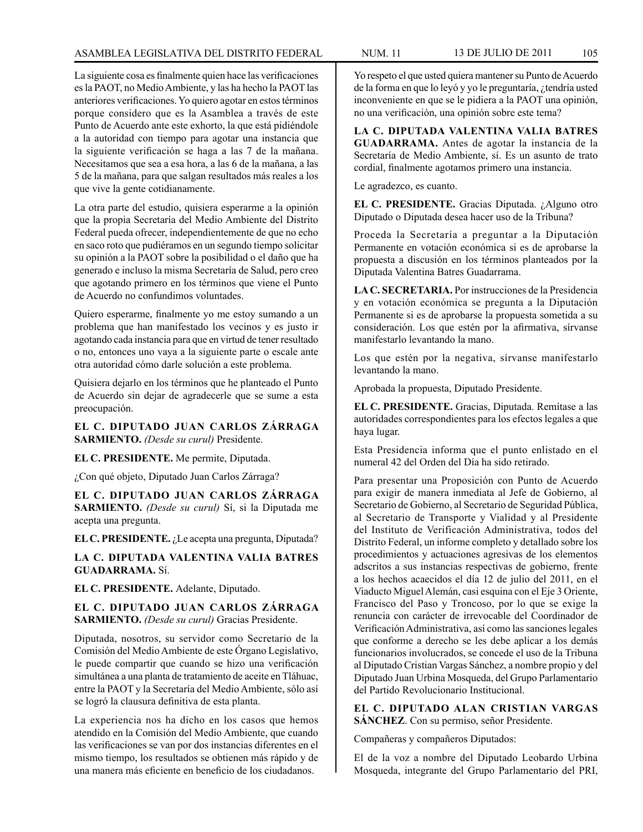La siguiente cosa es finalmente quien hace las verificaciones es la PAOT, no Medio Ambiente, y las ha hecho la PAOT las anteriores verificaciones. Yo quiero agotar en estos términos porque considero que es la Asamblea a través de este Punto de Acuerdo ante este exhorto, la que está pidiéndole a la autoridad con tiempo para agotar una instancia que la siguiente verificación se haga a las 7 de la mañana. Necesitamos que sea a esa hora, a las 6 de la mañana, a las 5 de la mañana, para que salgan resultados más reales a los que vive la gente cotidianamente.

La otra parte del estudio, quisiera esperarme a la opinión que la propia Secretaría del Medio Ambiente del Distrito Federal pueda ofrecer, independientemente de que no echo en saco roto que pudiéramos en un segundo tiempo solicitar su opinión a la PAOT sobre la posibilidad o el daño que ha generado e incluso la misma Secretaría de Salud, pero creo que agotando primero en los términos que viene el Punto de Acuerdo no confundimos voluntades.

Quiero esperarme, finalmente yo me estoy sumando a un problema que han manifestado los vecinos y es justo ir agotando cada instancia para que en virtud de tener resultado o no, entonces uno vaya a la siguiente parte o escale ante otra autoridad cómo darle solución a este problema.

Quisiera dejarlo en los términos que he planteado el Punto de Acuerdo sin dejar de agradecerle que se sume a esta preocupación.

**EL C. DIPUTADO JUAN CARLOS ZÁRRAGA SARMIENTO.** *(Desde su curul)* Presidente.

**EL C. PRESIDENTE.** Me permite, Diputada.

¿Con qué objeto, Diputado Juan Carlos Zárraga?

**EL C. DIPUTADO JUAN CARLOS ZÁRRAGA SARMIENTO.** *(Desde su curul)* Sí, si la Diputada me acepta una pregunta.

**EL C. PRESIDENTE.** ¿Le acepta una pregunta, Diputada?

**LA C. DIPUTADA VALENTINA VALIA BATRES GUADARRAMA.** Sí.

**EL C. PRESIDENTE.** Adelante, Diputado.

**EL C. DIPUTADO JUAN CARLOS ZÁRRAGA SARMIENTO.** *(Desde su curul)* Gracias Presidente.

Diputada, nosotros, su servidor como Secretario de la Comisión del Medio Ambiente de este Órgano Legislativo, le puede compartir que cuando se hizo una verificación simultánea a una planta de tratamiento de aceite en Tláhuac, entre la PAOT y la Secretaría del Medio Ambiente, sólo así se logró la clausura definitiva de esta planta.

La experiencia nos ha dicho en los casos que hemos atendido en la Comisión del Medio Ambiente, que cuando las verificaciones se van por dos instancias diferentes en el mismo tiempo, los resultados se obtienen más rápido y de una manera más eficiente en beneficio de los ciudadanos.

Yo respeto el que usted quiera mantener su Punto de Acuerdo de la forma en que lo leyó y yo le preguntaría, ¿tendría usted inconveniente en que se le pidiera a la PAOT una opinión, no una verificación, una opinión sobre este tema?

**LA C. DIPUTADA VALENTINA VALIA BATRES GUADARRAMA.** Antes de agotar la instancia de la Secretaría de Medio Ambiente, sí. Es un asunto de trato cordial, finalmente agotamos primero una instancia.

Le agradezco, es cuanto.

**EL C. PRESIDENTE.** Gracias Diputada. ¿Alguno otro Diputado o Diputada desea hacer uso de la Tribuna?

Proceda la Secretaría a preguntar a la Diputación Permanente en votación económica si es de aprobarse la propuesta a discusión en los términos planteados por la Diputada Valentina Batres Guadarrama.

**LA C. SECRETARIA.** Por instrucciones de la Presidencia y en votación económica se pregunta a la Diputación Permanente si es de aprobarse la propuesta sometida a su consideración. Los que estén por la afirmativa, sírvanse manifestarlo levantando la mano.

Los que estén por la negativa, sírvanse manifestarlo levantando la mano.

Aprobada la propuesta, Diputado Presidente.

**EL C. PRESIDENTE.** Gracias, Diputada. Remítase a las autoridades correspondientes para los efectos legales a que haya lugar.

Esta Presidencia informa que el punto enlistado en el numeral 42 del Orden del Día ha sido retirado.

Para presentar una Proposición con Punto de Acuerdo para exigir de manera inmediata al Jefe de Gobierno, al Secretario de Gobierno, al Secretario de Seguridad Pública, al Secretario de Transporte y Vialidad y al Presidente del Instituto de Verificación Administrativa, todos del Distrito Federal, un informe completo y detallado sobre los procedimientos y actuaciones agresivas de los elementos adscritos a sus instancias respectivas de gobierno, frente a los hechos acaecidos el día 12 de julio del 2011, en el Viaducto Miguel Alemán, casi esquina con el Eje 3 Oriente, Francisco del Paso y Troncoso, por lo que se exige la renuncia con carácter de irrevocable del Coordinador de Verificación Administrativa, así como las sanciones legales que conforme a derecho se les debe aplicar a los demás funcionarios involucrados, se concede el uso de la Tribuna al Diputado Cristian Vargas Sánchez, a nombre propio y del Diputado Juan Urbina Mosqueda, del Grupo Parlamentario del Partido Revolucionario Institucional.

## **EL C. DIPUTADO ALAN CRISTIAN VARGAS SÁNCHEZ**. Con su permiso, señor Presidente.

Compañeras y compañeros Diputados:

El de la voz a nombre del Diputado Leobardo Urbina Mosqueda, integrante del Grupo Parlamentario del PRI,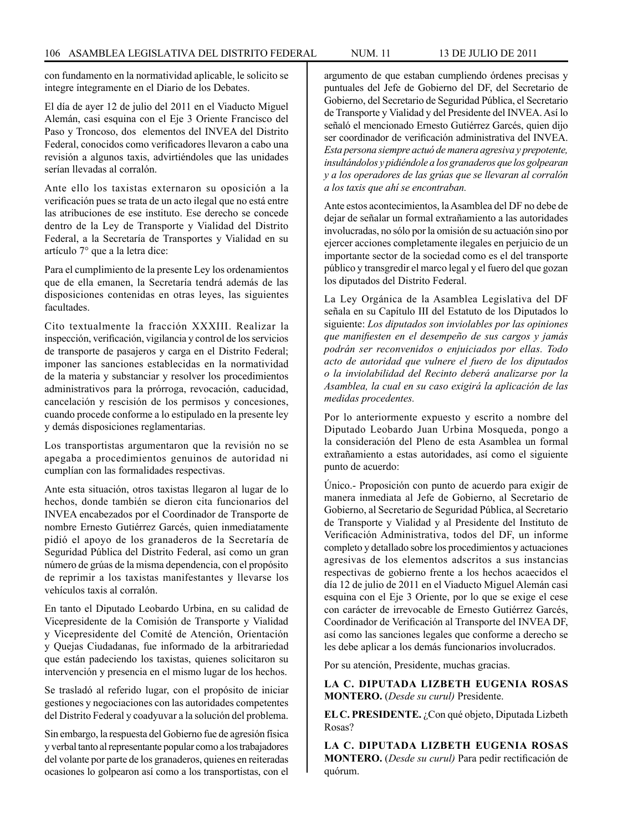con fundamento en la normatividad aplicable, le solicito se integre íntegramente en el Diario de los Debates.

El día de ayer 12 de julio del 2011 en el Viaducto Miguel Alemán, casi esquina con el Eje 3 Oriente Francisco del Paso y Troncoso, dos elementos del INVEA del Distrito Federal, conocidos como verificadores llevaron a cabo una revisión a algunos taxis, advirtiéndoles que las unidades serían llevadas al corralón.

Ante ello los taxistas externaron su oposición a la verificación pues se trata de un acto ilegal que no está entre las atribuciones de ese instituto. Ese derecho se concede dentro de la Ley de Transporte y Vialidad del Distrito Federal, a la Secretaría de Transportes y Vialidad en su artículo 7° que a la letra dice:

Para el cumplimiento de la presente Ley los ordenamientos que de ella emanen, la Secretaría tendrá además de las disposiciones contenidas en otras leyes, las siguientes facultades.

Cito textualmente la fracción XXXIII. Realizar la inspección, verificación, vigilancia y control de los servicios de transporte de pasajeros y carga en el Distrito Federal; imponer las sanciones establecidas en la normatividad de la materia y substanciar y resolver los procedimientos administrativos para la prórroga, revocación, caducidad, cancelación y rescisión de los permisos y concesiones, cuando procede conforme a lo estipulado en la presente ley y demás disposiciones reglamentarias.

Los transportistas argumentaron que la revisión no se apegaba a procedimientos genuinos de autoridad ni cumplían con las formalidades respectivas.

Ante esta situación, otros taxistas llegaron al lugar de lo hechos, donde también se dieron cita funcionarios del INVEA encabezados por el Coordinador de Transporte de nombre Ernesto Gutiérrez Garcés, quien inmediatamente pidió el apoyo de los granaderos de la Secretaría de Seguridad Pública del Distrito Federal, así como un gran número de grúas de la misma dependencia, con el propósito de reprimir a los taxistas manifestantes y llevarse los vehículos taxis al corralón.

En tanto el Diputado Leobardo Urbina, en su calidad de Vicepresidente de la Comisión de Transporte y Vialidad y Vicepresidente del Comité de Atención, Orientación y Quejas Ciudadanas, fue informado de la arbitrariedad que están padeciendo los taxistas, quienes solicitaron su intervención y presencia en el mismo lugar de los hechos.

Se trasladó al referido lugar, con el propósito de iniciar gestiones y negociaciones con las autoridades competentes del Distrito Federal y coadyuvar a la solución del problema.

Sin embargo, la respuesta del Gobierno fue de agresión física y verbal tanto al representante popular como a los trabajadores del volante por parte de los granaderos, quienes en reiteradas ocasiones lo golpearon así como a los transportistas, con el argumento de que estaban cumpliendo órdenes precisas y puntuales del Jefe de Gobierno del DF, del Secretario de Gobierno, del Secretario de Seguridad Pública, el Secretario de Transporte y Vialidad y del Presidente del INVEA. Así lo señaló el mencionado Ernesto Gutiérrez Garcés, quien dijo ser coordinador de verificación administrativa del INVEA. *Esta persona siempre actuó de manera agresiva y prepotente, insultándolos y pidiéndole a los granaderos que los golpearan y a los operadores de las grúas que se llevaran al corralón a los taxis que ahí se encontraban.*

Ante estos acontecimientos, la Asamblea del DF no debe de dejar de señalar un formal extrañamiento a las autoridades involucradas, no sólo por la omisión de su actuación sino por ejercer acciones completamente ilegales en perjuicio de un importante sector de la sociedad como es el del transporte público y transgredir el marco legal y el fuero del que gozan los diputados del Distrito Federal.

La Ley Orgánica de la Asamblea Legislativa del DF señala en su Capítulo III del Estatuto de los Diputados lo siguiente: *Los diputados son inviolables por las opiniones que manifiesten en el desempeño de sus cargos y jamás podrán ser reconvenidos o enjuiciados por ellas. Todo acto de autoridad que vulnere el fuero de los diputados o la inviolabilidad del Recinto deberá analizarse por la Asamblea, la cual en su caso exigirá la aplicación de las medidas procedentes.*

Por lo anteriormente expuesto y escrito a nombre del Diputado Leobardo Juan Urbina Mosqueda, pongo a la consideración del Pleno de esta Asamblea un formal extrañamiento a estas autoridades, así como el siguiente punto de acuerdo:

Único.- Proposición con punto de acuerdo para exigir de manera inmediata al Jefe de Gobierno, al Secretario de Gobierno, al Secretario de Seguridad Pública, al Secretario de Transporte y Vialidad y al Presidente del Instituto de Verificación Administrativa, todos del DF, un informe completo y detallado sobre los procedimientos y actuaciones agresivas de los elementos adscritos a sus instancias respectivas de gobierno frente a los hechos acaecidos el día 12 de julio de 2011 en el Viaducto Miguel Alemán casi esquina con el Eje 3 Oriente, por lo que se exige el cese con carácter de irrevocable de Ernesto Gutiérrez Garcés, Coordinador de Verificación al Transporte del INVEA DF, así como las sanciones legales que conforme a derecho se les debe aplicar a los demás funcionarios involucrados.

Por su atención, Presidente, muchas gracias.

**LA C. DIPUTADA LIZBETH EUGENIA ROSAS MONTERO.** (*Desde su curul)* Presidente.

**EL C. PRESIDENTE.** ¿Con qué objeto, Diputada Lizbeth Rosas?

**LA C. DIPUTADA LIZBETH EUGENIA ROSAS MONTERO.** (*Desde su curul)* Para pedir rectificación de quórum.